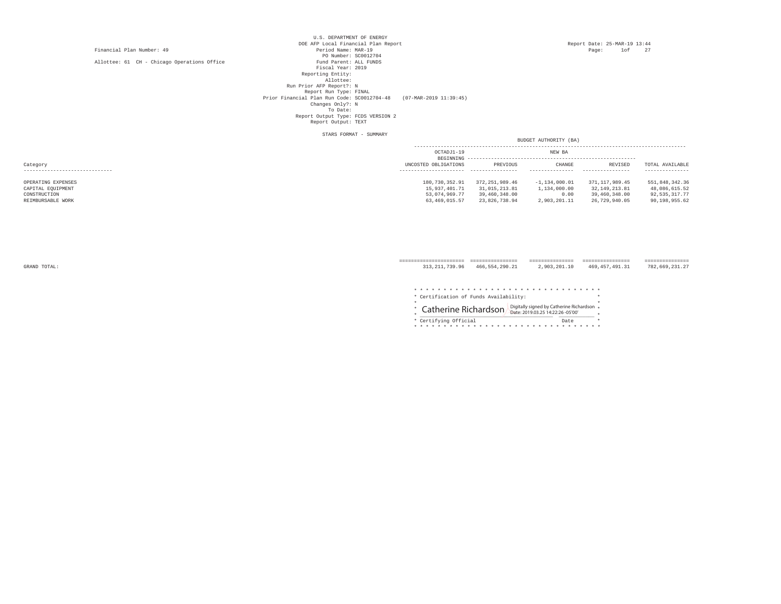## Financial Plan Number: 49

Allottee: 61 CH - Chicago Operations Office Fund Parent: ALL FUNDS

U.S. DEPARTMENT OF ENERGY DOE AFP Local Financial Plan Report Report Date: 25-MAR-19 13:44 Period Name: MAR-19 Page: 10f 27 PO Number: SC0012704Fund Parent: ALL FUNDS Fiscal Year: 2019 Reporting Entity: Allottee: Run Prior AFP Report?: N Report Run Type: FINAL Prior Financial Plan Run Code: SC0012704-48 (07-MAR-2019 11:39:45) Changes Only?: N To Date:<br>Report Output Type: FCDS VERSION 2<br>Report Output: TEXT

STARS FORMAT - SUMMARY

|                                                                              | SIARS FURWAI - SUMMARI                                            |                                                                   |                                                         |                                                                     |                                                                   |
|------------------------------------------------------------------------------|-------------------------------------------------------------------|-------------------------------------------------------------------|---------------------------------------------------------|---------------------------------------------------------------------|-------------------------------------------------------------------|
|                                                                              |                                                                   |                                                                   | BUDGET AUTHORITY (BA)                                   |                                                                     |                                                                   |
|                                                                              | OCTADJ1-19                                                        |                                                                   | NEW BA                                                  |                                                                     |                                                                   |
| Category                                                                     | UNCOSTED OBLIGATIONS                                              | PREVIOUS                                                          | CHANGE                                                  | REVISED                                                             | TOTAL AVAILABLE                                                   |
| -------------------------------                                              | ------------------------                                          | -----------------                                                 | ---------------                                         | ----------------                                                    | ---------------                                                   |
| OPERATING EXPENSES<br>CAPITAL EQUIPMENT<br>CONSTRUCTION<br>REIMBURSABLE WORK | 180,730,352.91<br>15,937,401.71<br>53,074,969.77<br>63,469,015.57 | 372,251,989.46<br>31,015,213.81<br>39,460,348.00<br>23,826,738.94 | $-1,134,000.01$<br>1,134,000.00<br>0.00<br>2,903,201.11 | 371,117,989.45<br>32, 149, 213.81<br>39,460,348.00<br>26,729,940.05 | 551,848,342.36<br>48,086,615.52<br>92,535,317.77<br>90,198,955.62 |
|                                                                              |                                                                   |                                                                   |                                                         |                                                                     |                                                                   |

GRAND TOTAL:

| -------------------------- | ---------------       | =================                                                               | ===============                                                                                        |
|----------------------------|-----------------------|---------------------------------------------------------------------------------|--------------------------------------------------------------------------------------------------------|
| 313, 211, 739.96           | 2,903,201.10          | 469, 457, 491.31                                                                | 782,669,231.27                                                                                         |
|                            |                       |                                                                                 |                                                                                                        |
|                            |                       |                                                                                 |                                                                                                        |
|                            |                       |                                                                                 |                                                                                                        |
|                            |                       |                                                                                 |                                                                                                        |
|                            |                       |                                                                                 |                                                                                                        |
|                            |                       |                                                                                 |                                                                                                        |
|                            |                       |                                                                                 |                                                                                                        |
|                            |                       |                                                                                 |                                                                                                        |
|                            |                       |                                                                                 |                                                                                                        |
|                            | Date                  |                                                                                 |                                                                                                        |
|                            |                       |                                                                                 |                                                                                                        |
|                            | * Certifying Official | ================<br>466, 554, 290. 21<br>* Certification of Funds Availability: | $\text{Catherine Richarason}$ Catherine Richardson $\text{Dipitally signed by Catherine Richardson}$ + |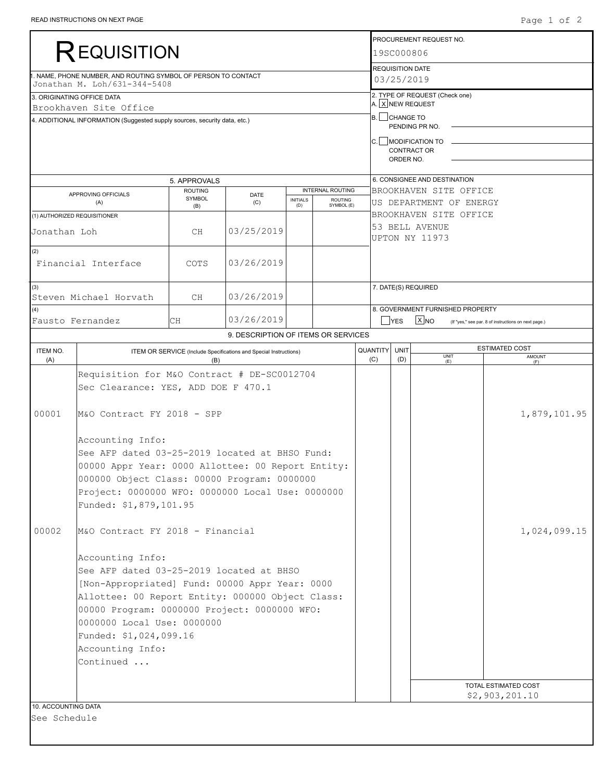|                     |                                                                                               |                          |                                                                   |                         | PROCUREMENT REQUEST NO.      |                         |                         |                                                    |                                                      |  |  |  |  |
|---------------------|-----------------------------------------------------------------------------------------------|--------------------------|-------------------------------------------------------------------|-------------------------|------------------------------|-------------------------|-------------------------|----------------------------------------------------|------------------------------------------------------|--|--|--|--|
|                     | REQUISITION                                                                                   |                          |                                                                   |                         |                              | 19SC000806              |                         |                                                    |                                                      |  |  |  |  |
|                     |                                                                                               |                          |                                                                   |                         |                              |                         | <b>REQUISITION DATE</b> |                                                    |                                                      |  |  |  |  |
|                     | . NAME, PHONE NUMBER, AND ROUTING SYMBOL OF PERSON TO CONTACT<br>Jonathan M. Loh/631-344-5408 |                          |                                                                   |                         |                              |                         | 03/25/2019              |                                                    |                                                      |  |  |  |  |
|                     | 3. ORIGINATING OFFICE DATA<br>Brookhaven Site Office                                          |                          |                                                                   |                         |                              |                         |                         | 2. TYPE OF REQUEST (Check one)<br>A. X NEW REQUEST |                                                      |  |  |  |  |
|                     | 4. ADDITIONAL INFORMATION (Suggested supply sources, security data, etc.)                     |                          |                                                                   |                         |                              |                         | B. CHANGE TO            | PENDING PR NO.                                     |                                                      |  |  |  |  |
|                     |                                                                                               |                          |                                                                   |                         |                              | C. MODIFICATION TO      |                         |                                                    |                                                      |  |  |  |  |
|                     |                                                                                               |                          |                                                                   |                         |                              | <b>CONTRACT OR</b>      |                         |                                                    |                                                      |  |  |  |  |
|                     |                                                                                               |                          |                                                                   |                         |                              |                         | ORDER NO.               |                                                    |                                                      |  |  |  |  |
|                     |                                                                                               | 5. APPROVALS             |                                                                   |                         | 6. CONSIGNEE AND DESTINATION |                         |                         |                                                    |                                                      |  |  |  |  |
|                     | APPROVING OFFICIALS                                                                           | <b>ROUTING</b><br>SYMBOL | <b>DATE</b>                                                       | <b>INTERNAL ROUTING</b> | BROOKHAVEN SITE OFFICE       |                         |                         |                                                    |                                                      |  |  |  |  |
|                     | (A)                                                                                           | (C)                      | ROUTING<br>SYMBOL (E)                                             |                         |                              | US DEPARTMENT OF ENERGY |                         |                                                    |                                                      |  |  |  |  |
|                     | (1) AUTHORIZED REQUISITIONER                                                                  |                          |                                                                   |                         |                              | BROOKHAVEN SITE OFFICE  |                         |                                                    |                                                      |  |  |  |  |
| Jonathan Loh        |                                                                                               | СH                       | 03/25/2019                                                        |                         |                              |                         |                         | 53 BELL AVENUE<br>UPTON NY 11973                   |                                                      |  |  |  |  |
| (2)                 |                                                                                               |                          |                                                                   |                         |                              |                         |                         |                                                    |                                                      |  |  |  |  |
|                     | Financial Interface                                                                           | COTS                     | 03/26/2019                                                        |                         |                              |                         |                         |                                                    |                                                      |  |  |  |  |
| (3)                 | Steven Michael Horvath                                                                        | СH                       | 03/26/2019                                                        |                         |                              |                         |                         | 7. DATE(S) REQUIRED                                |                                                      |  |  |  |  |
| (4)                 |                                                                                               |                          |                                                                   |                         |                              |                         |                         | 8. GOVERNMENT FURNISHED PROPERTY                   |                                                      |  |  |  |  |
|                     | Fausto Fernandez                                                                              | CН                       | 03/26/2019                                                        |                         |                              |                         | <b>YES</b>              | X <sub>NO</sub>                                    | (If "yes," see par. 8 of instructions on next page.) |  |  |  |  |
|                     |                                                                                               |                          | 9. DESCRIPTION OF ITEMS OR SERVICES                               |                         |                              |                         |                         |                                                    |                                                      |  |  |  |  |
| ITEM NO.            |                                                                                               |                          | ITEM OR SERVICE (Include Specifications and Special Instructions) |                         |                              | QUANTITY                | <b>UNIT</b>             | <b>UNIT</b>                                        | <b>ESTIMATED COST</b><br><b>AMOUNT</b>               |  |  |  |  |
| (A)                 |                                                                                               | (B)                      |                                                                   |                         |                              | (C)                     | (D)                     | (E)                                                |                                                      |  |  |  |  |
|                     | Requisition for M&O Contract # DE-SC0012704<br>Sec Clearance: YES, ADD DOE F 470.1            |                          |                                                                   |                         |                              |                         |                         |                                                    |                                                      |  |  |  |  |
| 00001               | M&O Contract FY 2018 - SPP                                                                    |                          |                                                                   |                         |                              |                         |                         |                                                    | 1,879,101.95                                         |  |  |  |  |
|                     | Accounting Info:                                                                              |                          |                                                                   |                         |                              |                         |                         |                                                    |                                                      |  |  |  |  |
|                     | See AFP dated 03-25-2019 located at BHSO Fund:                                                |                          |                                                                   |                         |                              |                         |                         |                                                    |                                                      |  |  |  |  |
|                     | 00000 Appr Year: 0000 Allottee: 00 Report Entity:                                             |                          |                                                                   |                         |                              |                         |                         |                                                    |                                                      |  |  |  |  |
|                     | 000000 Object Class: 00000 Program: 0000000                                                   |                          |                                                                   |                         |                              |                         |                         |                                                    |                                                      |  |  |  |  |
|                     | Project: 0000000 WFO: 0000000 Local Use: 0000000                                              |                          |                                                                   |                         |                              |                         |                         |                                                    |                                                      |  |  |  |  |
|                     | Funded: \$1,879,101.95                                                                        |                          |                                                                   |                         |                              |                         |                         |                                                    |                                                      |  |  |  |  |
| 00002               | M&O Contract FY 2018 - Financial                                                              |                          |                                                                   |                         |                              |                         |                         |                                                    | 1,024,099.15                                         |  |  |  |  |
|                     |                                                                                               |                          |                                                                   |                         |                              |                         |                         |                                                    |                                                      |  |  |  |  |
|                     | Accounting Info:<br>See AFP dated 03-25-2019 located at BHSO                                  |                          |                                                                   |                         |                              |                         |                         |                                                    |                                                      |  |  |  |  |
|                     | [Non-Appropriated] Fund: 00000 Appr Year: 0000                                                |                          |                                                                   |                         |                              |                         |                         |                                                    |                                                      |  |  |  |  |
|                     | Allottee: 00 Report Entity: 000000 Object Class:                                              |                          |                                                                   |                         |                              |                         |                         |                                                    |                                                      |  |  |  |  |
|                     | 00000 Program: 0000000 Project: 0000000 WFO:                                                  |                          |                                                                   |                         |                              |                         |                         |                                                    |                                                      |  |  |  |  |
|                     | 0000000 Local Use: 0000000                                                                    |                          |                                                                   |                         |                              |                         |                         |                                                    |                                                      |  |  |  |  |
|                     | Funded: \$1,024,099.16                                                                        |                          |                                                                   |                         |                              |                         |                         |                                                    |                                                      |  |  |  |  |
|                     | Accounting Info:                                                                              |                          |                                                                   |                         |                              |                         |                         |                                                    |                                                      |  |  |  |  |
|                     | Continued                                                                                     |                          |                                                                   |                         |                              |                         |                         |                                                    |                                                      |  |  |  |  |
|                     |                                                                                               |                          |                                                                   |                         |                              |                         |                         |                                                    |                                                      |  |  |  |  |
|                     |                                                                                               |                          |                                                                   |                         |                              |                         |                         |                                                    | TOTAL ESTIMATED COST                                 |  |  |  |  |
| 10. ACCOUNTING DATA |                                                                                               |                          |                                                                   |                         |                              |                         |                         |                                                    | \$2,903,201.10                                       |  |  |  |  |
|                     |                                                                                               |                          |                                                                   |                         |                              |                         |                         |                                                    |                                                      |  |  |  |  |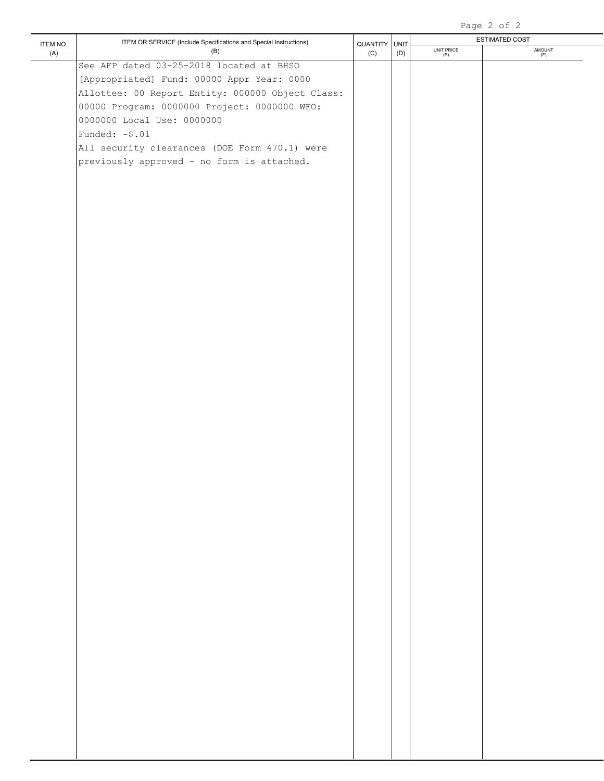## Page 2 of 2

|          |                                                                   |               |     |                  | --- - - - - -                                                  |
|----------|-------------------------------------------------------------------|---------------|-----|------------------|----------------------------------------------------------------|
| ITEM NO. | ITEM OR SERVICE (Include Specifications and Special Instructions) | QUANTITY UNIT |     |                  | ESTIMATED COST                                                 |
| $(A)$    | (B)                                                               | (C)           | (D) | UNIT PRICE $(E)$ | $\begin{array}{c} \textsf{AMOUNT} \\ \textsf{(F)} \end{array}$ |
|          | See AFP dated 03-25-2018 located at BHSO                          |               |     |                  |                                                                |
|          | [Appropriated] Fund: 00000 Appr Year: 0000                        |               |     |                  |                                                                |
|          | Allottee: 00 Report Entity: 000000 Object Class:                  |               |     |                  |                                                                |
|          | 00000 Program: 0000000 Project: 0000000 WFO:                      |               |     |                  |                                                                |
|          | 0000000 Local Use: 0000000                                        |               |     |                  |                                                                |
|          | Funded: $-$ \$.01                                                 |               |     |                  |                                                                |
|          | All security clearances (DOE Form 470.1) were                     |               |     |                  |                                                                |
|          | previously approved - no form is attached.                        |               |     |                  |                                                                |
|          |                                                                   |               |     |                  |                                                                |
|          |                                                                   |               |     |                  |                                                                |
|          |                                                                   |               |     |                  |                                                                |
|          |                                                                   |               |     |                  |                                                                |
|          |                                                                   |               |     |                  |                                                                |
|          |                                                                   |               |     |                  |                                                                |
|          |                                                                   |               |     |                  |                                                                |
|          |                                                                   |               |     |                  |                                                                |
|          |                                                                   |               |     |                  |                                                                |
|          |                                                                   |               |     |                  |                                                                |
|          |                                                                   |               |     |                  |                                                                |
|          |                                                                   |               |     |                  |                                                                |
|          |                                                                   |               |     |                  |                                                                |
|          |                                                                   |               |     |                  |                                                                |
|          |                                                                   |               |     |                  |                                                                |
|          |                                                                   |               |     |                  |                                                                |
|          |                                                                   |               |     |                  |                                                                |
|          |                                                                   |               |     |                  |                                                                |
|          |                                                                   |               |     |                  |                                                                |
|          |                                                                   |               |     |                  |                                                                |
|          |                                                                   |               |     |                  |                                                                |
|          |                                                                   |               |     |                  |                                                                |
|          |                                                                   |               |     |                  |                                                                |
|          |                                                                   |               |     |                  |                                                                |
|          |                                                                   |               |     |                  |                                                                |
|          |                                                                   |               |     |                  |                                                                |
|          |                                                                   |               |     |                  |                                                                |
|          |                                                                   |               |     |                  |                                                                |
|          |                                                                   |               |     |                  |                                                                |
|          |                                                                   |               |     |                  |                                                                |
|          |                                                                   |               |     |                  |                                                                |
|          |                                                                   |               |     |                  |                                                                |
|          |                                                                   |               |     |                  |                                                                |
|          |                                                                   |               |     |                  |                                                                |
|          |                                                                   |               |     |                  |                                                                |
|          |                                                                   |               |     |                  |                                                                |
|          |                                                                   |               |     |                  |                                                                |
|          |                                                                   |               |     |                  |                                                                |
|          |                                                                   |               |     |                  |                                                                |
|          |                                                                   |               |     |                  |                                                                |
|          |                                                                   |               |     |                  |                                                                |
|          |                                                                   |               |     |                  |                                                                |
|          |                                                                   |               |     |                  |                                                                |
|          |                                                                   |               |     |                  |                                                                |
|          |                                                                   |               |     |                  |                                                                |
|          |                                                                   |               |     |                  |                                                                |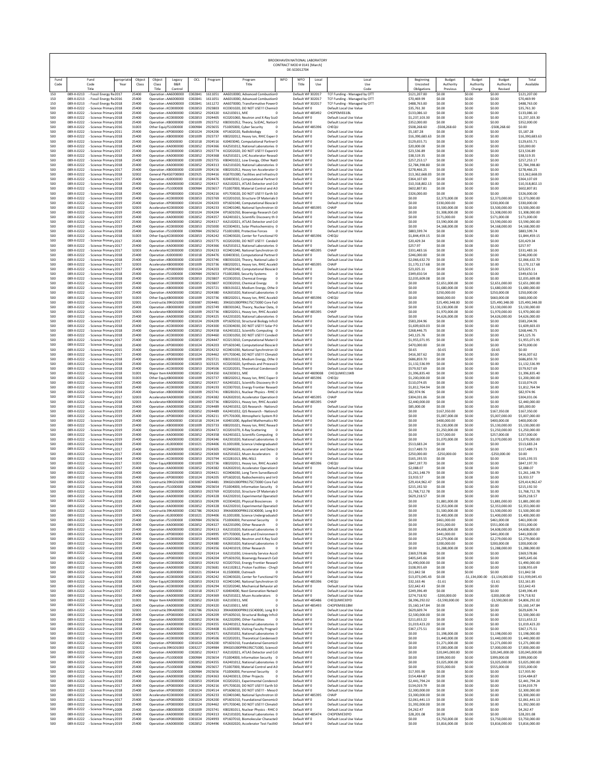|                     |                                        |                                                                               |                  |                          |                          |                                                                         |                               |                               |                                                                                                                  |                         | BROOKHAVEN NATIONAL LABORATORY<br>CONTRACT MOD # 0141 [March]<br>DE-SC0012704 |              |                                                                               |                                                      |                                                     |                                                |                                                        |                                                    |
|---------------------|----------------------------------------|-------------------------------------------------------------------------------|------------------|--------------------------|--------------------------|-------------------------------------------------------------------------|-------------------------------|-------------------------------|------------------------------------------------------------------------------------------------------------------|-------------------------|-------------------------------------------------------------------------------|--------------|-------------------------------------------------------------------------------|------------------------------------------------------|-----------------------------------------------------|------------------------------------------------|--------------------------------------------------------|----------------------------------------------------|
| Fund<br>Code<br>150 | 089-X-0213                             | Fund<br>Code<br>Title                                                         | propriat<br>Year | Object<br>Class<br>25400 | Object<br>Class<br>Title | Legacy<br>B&R<br>Control<br>Operation : AA6000000                       | OCL<br>C002841                | Program<br>1611051            | Program<br>Title<br>AA6010000, Advanced Combustior 0                                                             | WFO                     | WFO<br>Title<br>Default WF 302017                                             | Local<br>Use | Local<br>Use<br>Code<br><b>TCF Funding - Managed by OTT</b>                   | Beginning<br>Uncosted<br>Obligations<br>\$121,207.00 | Budget<br>Authority<br>Previous<br>\$0.00           | <b>Budget</b><br>Authority<br>Change<br>\$0.00 | Budget<br>Authority<br>Revised                         | Total<br>Available<br>\$121,207.00                 |
| 150<br>150          | 089-X-0213<br>089-X-0213               | - Fossil Energy Re 2017<br>- Fossil Energy Re 2016<br>- Fossil Energy Re 2018 |                  | 25400<br>25400           |                          | Operation : AA6000000<br>Operation : AA6000000                          | C002841<br>C002841            | 1611051<br>1611272            | AA6010000, Advanced Combustior 0<br>AA6070000, Transformative Power0                                             |                         | Default WF 302017<br>Default WF 302017                                        |              | TCF Funding - Managed by OTT<br>TCF Funding - Managed by OTT                  | \$70,469.99<br>\$488,763.00                          | \$0.00<br>\$0.00                                    | \$0.00<br>\$0.00                               | \$0.00<br>\$0.00<br>\$0.00                             | \$70,469.99<br>\$488,763.00                        |
| 500<br>500<br>500   | 089-X-0222<br>089-X-0222<br>089-X-0222 | - Science Primary 2018<br>- Science Primary 2018<br>- Science Primary 2018    |                  | 25400<br>25400<br>25400  |                          | Operation : KC0000000<br>Operation : KA0000000<br>Operation : KC0000000 | C002853<br>C002852<br>C002853 | 2923803<br>2924320<br>2924405 | KC0301020, DO NOT USE !!! Chemir0<br>KA2103011, MIE<br>KC0201060, Neutron and X-Ray Sca0                         | - 0                     | Default WFO<br>Default WF 485492<br>Default WFO                               |              | Default Local Use Value<br>CHOPEMIF61RL<br>Default Local Use Value            | \$35,761.30<br>\$133,086.10<br>\$1,237,103.30        | \$0.00<br>\$0.00<br>\$0.00                          | \$0.00<br>\$0.00<br>\$0.00                     | \$0.00<br>\$0.00<br>\$0.00                             | \$35,761.30<br>\$133,086.10<br>\$1,237,103.30      |
| 500<br>500          | 089-X-0222<br>089-X-0222               | Science Primary 2018<br>- Science Primary 2016                                |                  | 25400<br>31003           |                          | Operation : KB000000<br>Other EquipFS1000000                            | C001009<br>C000984            | 2923752<br>2923655            | KB0301052, Theory, SciDAC, Nation0<br>FS1005000, Cyber Security                                                  | $^{\circ}$              | Default WF0<br>Default WF 485396                                              |              | Default Local Use Value<br>CHEQU                                              | \$352,000.00<br>\$508,268.60                         | \$0.00<br>$- $508, 268.60$                          | \$0.00<br>\$0.00                               | \$0.00<br>$-5508,268.60$                               | \$352,000.00<br>\$0.00                             |
| 500<br>500          | 089-X-0222<br>089-X-0222               | - Science Primary 2011<br>- Science Primary 2018                              |                  | 25400<br>25400           |                          | Operation : KP0000000<br>Operation : KB0000000                          | C001024<br>C001009            | 2924206<br>2923737            | KP1602020, Radiobiology<br>KB0202012. Heavy Ion, RHIC Exper 0                                                    | $^{\circ}$              | Default WFO<br>Default WFO                                                    |              | Default Local Use Value<br>Default Local Use Value                            | \$5,187.28<br>\$16,390,683.63                        | \$0.00<br>\$0.00                                    | \$0.00<br>\$0.00                               | \$0.00<br>\$0.00                                       | \$5,187.28<br>\$16,390,683,63                      |
| 500<br>500          | 089-X-0222<br>089-X-0222               | - Science Primary 2018<br>Science Primary 2018                                |                  | 25400<br>25400           |                          | Operation : KJ0000000<br>Operation : KA0000000                          | C001018<br>C002852            | 2924516<br>2924366            | KJ0403040, Computational Partner 0<br>KA2501012, National Laboratories 0                                         |                         | Default WF0<br>Default WF0                                                    |              | Default Local Use Value<br>Default Local Use Value                            | \$129,655.71<br>\$20,000.00                          | \$0.00<br>\$0.00                                    | \$0.00<br>\$0.00                               | \$0.00<br>\$0.00                                       | \$129,655.71<br>\$20,000.00                        |
| 500<br>500<br>500   | 089-X-0222<br>089-X-0222<br>089-X-0222 | - Science Primary 2017<br>Science Primary 2018<br>- Science Primary 2018      |                  | 25400<br>25400<br>25400  |                          | Operation : KC0000000<br>Operation ¿KA0000000<br>Operation : KB0000000  | C002853<br>C002852<br>C001009 | 2923774<br>2924368<br>2923755 | KC0202020, DO NOT USE !!! Experir 0<br>KA2501021, LHC Accelerator Resea0<br>KB0401022, Low Energy, Other Nat0    |                         | Default WFO<br>Default WFO<br>Default WFO                                     |              | Default Local Use Value<br>Default Local Use Value<br>Default Local Use Value | \$23,536.89<br>\$38,519.35<br>\$257,253.17           | \$0.00<br>\$0.00<br>\$0.00                          | \$0.00<br>\$0.00<br>\$0.00                     | \$0.00<br>\$0.00<br>\$0.00                             | \$23,536.89<br>\$38,519.35<br>\$257.253.17         |
| 500<br>500          | 089-X-0222<br>089-X-0222               | - Science Primary 2018<br>Science Primary 2017                                |                  | 25400<br>25400           |                          | Operation ¿KA0000000<br>Operation : KB0000000                           | C002852<br>C001009            | 2924313<br>2924156            | KA2101020, National Laboratories 0<br>KB0201052, Heavy Ion Accelerator 0                                         |                         | Default WFO<br>Default WF0                                                    |              | Default Local Use Value<br>Default Local Use Value                            | \$2,784,398.80<br>\$278,466.25                       | \$0.00<br>\$0.00                                    | \$0.00<br>\$0.00                               | \$0.00<br>\$0.00                                       | \$2,784,398.80<br>\$278,466.25                     |
| 500<br>500          | 089-X-0222<br>089-X-0222               | - Science Primary 2018<br>- Science Primary 2017                              |                  | 32002<br>25400           |                          | General PlaKG0700000<br>Operation : KJ0000000                           | C002925<br>C001018            | 2924416<br>2924476            | KG0701000, Facilities and Infrastru0<br>KJ0403010, Computational Partner 0                                       |                         | Default WF0<br>Default WFO                                                    |              | Default Local Use Value<br>Default Local Use Value                            | \$13,362,668.03<br>\$364,107.69                      | \$0.00<br>\$0.00                                    | \$0.00<br>\$0.00                               | \$0.00<br>\$0.00                                       | \$13,362,668.03<br>\$364,107.69                    |
| 500<br>500          | 089-X-0222<br>089-X-0222               | - Science Primary 2018<br>- Science Primary 2018                              |                  | 25400<br>25400           |                          | Operation : KA0000000<br>Operation : FS1000000                          | C002852<br>C000984            | 2924317<br>2923657            | KA2102021, ATLAS Detector and C(0<br>FS1007000, Material Control and AO                                          |                         | Default WFO<br>Default WFO                                                    |              | Default Local Use Value<br>Default Local Use Value                            | \$10,318,802.13<br>\$602,807.81                      | \$0.00<br>\$0.00                                    | \$0.00<br>\$0.00                               | \$0.00<br>\$0.00                                       | \$10.318.802.13<br>\$602,807.81                    |
| 500<br>500<br>500   | 089-X-0222<br>089-X-0222<br>089-X-0222 | Science Primary 2018<br>- Science Primary 2019<br>- Science Primary 2019      |                  | 25400<br>25400<br>25400  |                          | Operation : KP0000000<br>Operation ¿KC0000000<br>Operation : KP0000000  | C001024<br>C002853<br>C001024 | 2924216<br>2923769<br>2924203 | KP1703020, DO NOT USE !!! Earth SO<br>KC0201010, Structure Of Materials 0<br>KP1601040, Computational Bioscie 0  |                         | Default WFO<br>Default WFO<br>Default WF0                                     |              | Default Local Use Value<br>Default Local Use Value<br>Default Local Use Value | \$326,000.00<br>\$0.00<br>\$0.00                     | \$0.00<br>\$2,373,000.00<br>\$330,000.00            | \$0.00<br>\$0.00<br>\$0.00                     | \$0.00<br>\$2,373,000.00<br>\$330,000.00               | \$326,000.00<br>\$2,373,000.00<br>\$330,000.00     |
| 500<br>500          | 089-X-0222<br>089-X-0222               | - Science Primary 2019<br>- Science Primary 2019                              |                  | 32003<br>25400           |                          | Accelerator KC0000000<br>Operation : KP0000000                          | C002853<br>C001024            | 2924233<br>2924204            | KC0401040, National Synchrotron IO<br>KP1601050, Bioenergy Research CEO                                          |                         | Default WF 485395<br>Default WF0                                              |              | CHAIP<br>Default Local Use Value                                              | \$0.00<br>\$0.00                                     | \$3,500,000.00<br>\$1,308,000.00                    | \$0.00<br>\$0.00                               | \$3,500,000.00<br>\$1,308,000.00                       | \$3,500,000.00<br>\$1,308,000.00                   |
| 500<br>500          | 089-X-0222<br>089-X-0222               | Science Primary 2019<br>- Science Primary 2017                                |                  | 25400<br>25400           |                          | Operation : KA0000000<br>Operation ¿KA0000000                           | C002852<br>C002852            | 2924357<br>2924317            | KA2401021, Scientific Discovery th 0<br>KA2102021, ATLAS Detector and C(0                                        |                         | Default WF0<br>Default WFO                                                    |              | Default Local Use Value<br>Default Local Use Value                            | \$0.00<br>\$0.00                                     | \$171,000.00<br>\$3,590,000.00                      | \$0.00<br>\$0.00                               | \$171,000.00<br>\$3,590,000.00                         | \$171,000.00<br>\$3,590,000.00                     |
| 500<br>500<br>500   | 089-X-0222<br>089-X-0222<br>089-X-0222 | - Science Primary 2019<br>- Science Primary 2018<br>- Science Primary 2018    |                  | 25400<br>25400<br>31003  |                          | Operation : KC0000000<br>Operation : FS1000000<br>Other EquipKC0000000  | C002853<br>C000984<br>C002853 | 2925000<br>2923652<br>2924242 | KC0304031, Solar Photochemistry 0<br>FS1001000. Protective Forces 0<br>KC0403020, Center for Functional IO       |                         | Default WFO<br>Default WFO<br>Default WF 485396                               |              | Default Local Use Value<br>Default Local Use Value<br>CHEQU                   | \$0.00<br>\$883,599.74<br>\$1,844,459.15             | \$4,168,000.00<br>\$0.00<br>\$0.00                  | \$0.00<br>\$0.00<br>\$0.00                     | \$4,168,000.00<br>\$0.00<br>\$0.00                     | \$4,168,000.00<br>\$883,599.74<br>\$1,844,459.15   |
| 500<br>500          | 089-X-0222<br>089-X-0222               | Science Primary 2017<br>- Science Primary 2017                                |                  | 25400<br>25400           |                          | Operation : KC0000000<br>Operation ¿KA0000000                           | C002853<br>C002852            | 2923775<br>2924366            | KC0202030, DO NOT USE !!! Conde0<br>KA2501012, National Laboratories 0                                           |                         | Default WF0<br>Default WF0                                                    |              | Default Local Use Value<br>Default Local Use Value                            | \$20,429.34<br>\$257.97                              | \$0.00<br>\$0.00                                    | \$0.00<br>\$0.00                               | \$0.00<br>\$0.00                                       | \$20,429.34<br>\$257.97                            |
| 500<br>500          | 089-X-0222<br>089-X-0222               | - Science Primary 2017<br>- Science Primary 2018                              |                  | 32003<br>25400           |                          | Accelerator KC0000000<br>Operation : KJ0000000                          | C002853<br>C001018            | 2924233<br>2924476            | KC0401040, National Synchrotron IO<br>KJ0403010, Computational Partner 0                                         |                         | Default WF 485395<br>Default WFO                                              |              | CHAIP<br>Default Local Use Value                                              | \$331,483.16<br>\$246,000.00                         | \$0.00<br>\$0.00                                    | \$0.00<br>\$0.00                               | \$0.00<br>\$0.00                                       | \$331,483.16<br>\$246,000.00                       |
| 500<br>500          | 089-X-0222<br>089-X-0222               | - Science Primary 2018<br>Science Primary 2017                                |                  | 25400<br>32003           |                          | Operation : KB0000000<br>Accelerator KB0000000                          | C001009<br>C001009            | 2923746<br>2923736            | KB0301020, Theory, National Labo 0<br>KB0202011, Heavy Ion, RHIC AcceleO                                         |                         | Default WFO<br>Default WF 485395                                              |              | Default Local Use Value<br>CHAIP                                              | \$2,066,632.70<br>\$1.170.117.68                     | \$0.00<br>\$0.00                                    | \$0.00<br>\$0.00                               | \$0.00<br>\$0.00                                       | \$2,066,632.70<br>\$1,170,117.68                   |
| 500<br>500<br>500   | 089-X-0222<br>089-X-0222<br>089-X-0222 | - Science Primary 2017<br>- Science Primary 2018<br>- Science Primary 2018    |                  | 25400<br>25400<br>25400  |                          | Operation : KP0000000<br>Operation : FS1000000<br>Operation : KC0000000 | C001024<br>C000984<br>C002853 | 2924203<br>2923653<br>2923807 | KP1601040, Computational Bioscie 0<br>FS1002000, Security Systems<br>KC0302010, Chemical Energy                  | - 0<br>$\theta$         | Default WFO<br>Default WF0<br>Default WFO                                     |              | Default Local Use Value<br>Default Local Use Value<br>Default Local Use Value | \$23,025.11<br>\$349,650.54<br>\$2.035.609.08        | \$0.00<br>\$0.00<br>\$0.00                          | \$0.00<br>\$0.00<br>\$0.00                     | \$0.00<br>\$0.00<br>\$0.00                             | \$23,025.11<br>\$349,650.54<br>\$2.035.609.08      |
| 500<br>500          | 089-X-0222<br>089-X-0222               | - Science Primary 2019<br>Science Primary 2019                                |                  | 25400<br>25400           |                          | Operation : KC0000000<br>Operation : KB0000000                          | C002853<br>C001009            | 2923807<br>2923721            | KC0302010, Chemical Energy<br>KB0101022, Medium Energy, Othe 0                                                   | $\theta$                | Default WF0<br>Default WF0                                                    |              | Default Local Use Value<br>Default Local Use Value                            | \$0.00<br>\$0.00                                     | \$2,651,000.00<br>\$1,680,000.00                    | \$0.00<br>\$0.00                               | \$2,651,000.00<br>\$1,680,000.00                       | \$2,651,000.00<br>\$1,680,000.00                   |
| 500<br>500          | 089-X-0222<br>089-X-0222               | - Science Primary 2017<br>- Science Primary 2019                              |                  | 25400<br>31003           |                          | Operation ¿KA0000000<br>Other EquipKB0000000                            | C002852<br>C001009            | 2924380<br>2923736            | KA2601020, National Laboratories 0<br>KB0202011, Heavy Ion, RHIC Accele0                                         |                         | Default WFO<br>Default WF 485396                                              |              | Default Local Use Value<br>CHEQU                                              | \$0.00<br>\$0.00                                     | \$250,000.00<br>\$660,000.00                        | \$0.00<br>\$0.00                               | \$250,000.00<br>\$660,000.00                           | \$250,000.00<br>\$660,000.00                       |
| 500<br>500          | 089-X-0222<br>089-X-0222               | - Science Primary 2019<br>- Science Primary 2019                              |                  | 32001<br>25400           |                          | Constructic 39KG01000<br>Operation : KB0000000                          | C003087<br>C001009            | 2924481<br>2923749            | 39KG01000PRN17SC73000 Core Fa0<br>KB0301042, Theory, Nuclear Data, 0                                             |                         | Default WFO<br>Default WFO                                                    |              | Default Local Use Value<br>Default Local Use Value                            | \$0.00<br>\$0.00                                     | \$25,490,348.00<br>\$3,130,000.00<br>\$1,970,000.00 | \$0.00<br>\$0.00                               | \$25,490,348.00<br>\$3,130,000.00                      | \$25,490,348.00<br>\$3,130,000.00                  |
| 500<br>500<br>500   | 089-X-0222<br>089-X-0222<br>089-X-0222 | Science Primary 2019<br>- Science Primary 2019<br>- Science Primary 2017      |                  | 32003<br>25400<br>25400  |                          | Accelerator KB0000000<br>Operation ¿KA0000000<br>Operation : KP0000000  | C001009<br>C002852<br>C001024 | 2923736<br>2924325<br>2924209 | KB0202011, Heavy Ion, RHIC Accel(0<br>KA2201020, National Laboratories 0<br>KP1605010, Structural Biology InfraO |                         | Default WF 485395<br>Default WF0<br>Default WF0                               |              | CHAIP<br>Default Local Use Value<br>Default Local Use Value                   | \$0.00<br>\$0.00<br>\$583,204.96                     | \$4,626,000.00<br>\$0.00                            | \$0.00<br>\$0.00<br>\$0.00                     | \$1,970,000.00<br>\$4,626,000.00<br>\$0.00             | \$1,970,000.00<br>\$4,626,000.00<br>\$583,204.96   |
| 500<br>500          | 089-X-0222<br>089-X-0222               | - Science Primary 2018<br>- Science Primary 2018                              |                  | 25400<br>25400           |                          | Operation : KC0000000<br>Operation : KA0000000                          | C002853<br>C002852            | 2924300<br>2924358            | KC0304030, DO NOT USE !!! Solar PO<br>KA2401022, Scientific Computing 0                                          |                         | Default WFO<br>Default WFO                                                    |              | Default Local Use Value<br>Default Local Use Value                            | \$1,609,603.03<br>\$268,446.75                       | \$0.00<br>\$0.00                                    | \$0.00<br>\$0.00                               | \$0.00<br>\$0.00                                       | \$1,609,603.03<br>\$268,446.75                     |
| 500<br>500          | 089-X-0222<br>089-X-0222               | Science Primary 2018<br>- Science Primary 2017                                |                  | 25400<br>25400           |                          | Operation : KC0000000<br>Operation : KC0000000                          | C002853<br>C002853            | 2924460<br>2924447            | KC0301050, DO NOT USE !!! Conder0<br>KC0213010, Computational Materi 0                                           |                         | Default WF0<br>Default WF0                                                    |              | Default Local Use Value<br>Default Local Use Value                            | \$43,125.76<br>\$1,955,071.95                        | \$0.00<br>\$0.00                                    | \$0.00<br>\$0.00                               | \$0.00<br>\$0.00                                       | \$43,125.76<br>\$1,955,071.95                      |
| 500<br>500<br>500   | 089-X-0222<br>089-X-0222<br>089-X-0222 | - Science Primary 2018<br>- Science Primary 2015<br>- Science Primary 2017    |                  | 25400<br>25400<br>25400  |                          | Operation : KP0000000<br>Operation : KC0000000<br>Operation ¿KP0000000  | C001024<br>C002853<br>C001024 | 2924203<br>2924232<br>2924462 | KP1601040, Computational Bioscie 0<br>KC0401030, National Synchrotron IO<br>KP1703040, DO NOT USE !!! Climati0   |                         | Default WF0<br>Default WFO<br>Default WF0                                     |              | Default Local Use Value<br>Default Local Use Value<br>Default Local Use Value | \$470,000.00<br>\$0.65                               | \$0.00<br>$-50.65$<br>\$0.00                        | \$0.00<br>\$0.00<br>\$0.00                     | \$0.00<br>$-50.65$<br>\$0.00                           | \$470,000.00<br>\$0.00                             |
| 500<br>500          | 089-X-0222<br>089-X-0222               | Science Primary 2018<br>- Science Primary 2018                                |                  | 25400<br>25400           |                          | Operation : KB0000000<br>Operation : KC0000000                          | C001009<br>C002853            | 2923721<br>3023325            | KB0101022, Medium Energy, Othe 0<br>KC0203020, Synthesis and Processi0                                           |                         | Default WF0<br>Default WF0                                                    |              | Default Local Use Value<br>Default Local Use Value                            | \$416,307.62<br>\$686,859.70<br>\$1,132,536.99       | \$0.00<br>\$0.00                                    | \$0.00<br>\$0.00                               | \$0.00<br>\$0.00                                       | \$416,307.62<br>\$686,859.70<br>\$1,132,536.99     |
| 500<br>500          | 089-X-0222<br>089-X-0222               | - Science Primary 2018<br>- Science Primary 2018                              |                  | 25400<br>31001           |                          | Operation ¿KC0000000<br>Maior Item KA0000000                            | C002853<br>C002852            | 2924506<br>2924350            | KC0202031, Theoretical Condenser0<br>KA2303011, MIE                                                              | - 0                     | Default WF0<br>Default WF 4809008                                             |              | Default Local Use Value<br>CHEQUMIE11WB                                       | \$579,927.69<br>\$1,396,835.40                       | \$0.00<br>\$0.00                                    | \$0.00<br>\$0.00                               | \$0.00<br>\$0.00                                       | \$579,927.69<br>\$1.396.835.40                     |
| 500<br>500          | 089-X-0222<br>089-X-0222               | - Science Primary 2018<br>Science Primary 2017                                |                  | 31003<br>25400           |                          | Other EquipKB0000000<br>Operation : KA0000000                           | C001009<br>C002852            | 2923737<br>2924357            | KB0202012, Heavy Ion, RHIC Exper 0<br>KA2401021, Scientific Discovery th 0                                       |                         | Default WF 485396<br>Default WF0                                              |              | CHEQU<br>Default Local Use Value                                              | \$1,200,000.00<br>\$110,074.05                       | \$0.00<br>\$0.00                                    | \$0.00<br>\$0.00                               | \$0.00<br>\$0.00                                       | \$1,200,000.00<br>\$110,074.05                     |
| 500<br>500<br>500   | 089-X-0222<br>089-X-0222<br>089-X-0222 | - Science Primary 2018<br>- Science Primary 2014<br>- Science Primary 2017    |                  | 25400<br>25400<br>32003  |                          | Operation : KC0000000<br>Operation : KB0000000<br>Accelerator KA0000000 | C002853<br>C001009<br>C002852 | 2924193<br>2923741<br>2924382 | KC0307010, Energy Frontier Resear0<br>KB0281011, Nuclear Physics - RHICO<br>KA2602010, Accelerator Operation 0   |                         | Default WF0<br>Default WF0<br>Default WF 485395                               |              | Default Local Use Value<br>Default Local Use Value<br>CHAIP                   | \$1,812,764.94<br>\$82,974.96<br>\$304.031.06        | \$0.00<br>\$0.00<br>\$0.00                          | \$0.00<br>\$0.00<br>\$0.00                     | \$0.00<br>\$0.00<br>\$0.00                             | \$1,812,764.94<br>\$82,974.96<br>\$304.031.06      |
| 500<br>500          | 089-X-0222<br>089-X-0222               | - Science Primary 2018<br>Science Primary 2018                                |                  | 32003<br>25400           |                          | Accelerator KB0000000<br>Operation : KA0000000                          | C001009<br>C002852            | 2923736<br>2924489            | KB0202011, Heavy Ion, RHIC Accel 0<br>KA2401032, QIS Research - Nationa0                                         |                         | Default WF 485395<br>Default WF0                                              |              | CHAIP<br>Default Local Use Value                                              | \$2,440,000.00<br>\$85,000.00                        | \$0.00<br>\$0.00                                    | \$0.00<br>\$0.00                               | \$0.00<br>\$0.00                                       | \$2,440,000.00<br>\$85,000.00                      |
| 500<br>500          | 089-X-0222<br>089-X-0222               | - Science Primary 2019<br>- Science Primary 2019                              |                  | 25400<br>25400           |                          | Operation : KA0000000<br>Operation : KP0000000                          | C002852<br>C001024            | 2924489<br>2924211            | KA2401032, QIS Research - Nationa0<br>KP1701000, Atmospheric System RO                                           |                         | Default WF0<br>Default WF0                                                    |              | Default Local Use Value<br>Default Local Use Value                            | \$0.00<br>\$0.00                                     | \$167,350.00<br>\$5,007,000.00                      | \$0.00<br>\$0.00                               | \$167,350.00<br>\$5,007,000.00                         | \$167,350.00<br>\$5,007,000.00                     |
| 500<br>500<br>500   | 089-X-0222<br>089-X-0222<br>089-X-0222 | - Science Primary 2019<br>- Science Primary 2019<br>Science Primary 2019      |                  | 25400<br>25400<br>25400  |                          | Operation : KJ0000000<br>Operation : KB0000000<br>Operation : KC0000000 | C001018<br>C001009<br>C002853 | 2924134<br>2923733<br>2924472 | KJ0401000, Applied Mathematics FO<br>KB0201021, Heavy Ion, RHIC Resea0<br>KC0201070, X-Ray Scattering            |                         | Default WFO<br>Default WFO<br>Default WF0                                     |              | Default Local Use Value<br>Default Local Use Value<br>Default Local Use Value | \$0.00<br>\$0.00<br>\$0.00                           | \$400,000.00<br>\$5,130,000.00<br>\$1,250,000.00    | \$0.00<br>\$0.00<br>\$0.00                     | \$400,000.00<br>\$5,130,000.00<br>\$1,250,000.00       | \$400,000.00<br>\$5,130,000.00<br>\$1,250,000.00   |
| 500<br>500          | 089-X-0222<br>089-X-0222               | - Science Primary 2019<br>- Science Primary 2019                              |                  | 25400<br>25400           |                          | Operation ¿KA0000000<br>Operation : KA0000000                           | C002852<br>C002852            | 2924358<br>2924346            | KA2401022, Scientific Computing 0<br>KA2301020, National Laboratories 0                                          |                         | Default WF0<br>Default WFO                                                    |              | Default Local Use Value<br>Default Local Use Value                            | \$0.00<br>\$0.00                                     | \$257,000.00<br>\$1,070,000.00                      | \$0.00<br>\$0.00                               | \$257,000.00<br>\$1,070,000.00                         | \$257,000.00<br>\$1,070,000.00                     |
| 500<br>500          | 089-X-0222<br>089-X-0222               | - Science Primary 2018<br>- Science Primary 2017                              |                  | 25400<br>25400           |                          | Operation : KL0000000<br>Operation ¿KC0000000                           | C001021<br>C002853            | 2924406<br>2924305            | KL1001000, Science UndergraduatiO<br>KC0406020, Accelerator and Detec 0                                          |                         | Default WFO<br>Default WFO                                                    |              | Default Local Use Value<br>Default Local Use Value                            | \$513,683.24<br>\$117,489.73                         | \$0.00<br>\$0.00                                    | \$0.00<br>\$0.00                               | \$0.00<br>\$0.00                                       | \$513,683.24<br>\$117,489.73                       |
| 500<br>500          | 089-X-0222<br>089-X-0222               | Science Primary 2017<br>- Science Primary 2014                                |                  | 25400<br>25400           |                          | Operation : KA0000000<br>Operation : KC0000000                          | C002852<br>C002853            | 2924369<br>2923794            | KA2501022. Muon Accelerators<br>KC0281013, BNL-NSLS                                                              | $^{\circ}$              | Default WF0<br>Default WF0                                                    |              | Default Local Use Value<br>Default Local Use Value                            | \$250,000.00<br>\$165,193.55                         | $-$250,000.00$<br>\$0.00                            | \$0.00<br>\$0.00                               | $-5250.000.00$<br>\$0.00                               | \$0.00<br>\$165,193.55                             |
| 500<br>500<br>500   | 089-X-0222<br>089-X-0222<br>089-X-0222 | - Science Primary 2017<br>- Science Primary 2017<br>- Science Primary 2018    |                  | 31003<br>25400<br>25400  |                          | Other EquipKB0000000<br>Operation : KA0000000<br>Operation ¿KC0000000   | C001009<br>C002852<br>C002853 | 2923736<br>2924382<br>2924421 | KB0202011, Heavy Ion, RHIC Accele0<br>KA2602010, Accelerator Operation 0<br>KC0406030, Long Term Surveillanc.0   |                         | Default WF 485396<br>Default WFO<br>Default WF0                               |              | CHEQU<br>Default Local Use Value<br>Default Local Use Value                   | \$847,197.70<br>\$2,088.07<br>\$1,261,148.79         | \$0.00<br>\$0.00<br>\$0.00                          | \$0.00<br>\$0.00<br>\$0.00                     | \$0.00<br>\$0.00<br>\$0.00                             | \$847,197.70<br>\$2,088.07<br>\$1,261,148.79       |
| 500<br>500          | 089-X-0222<br>089-X-0222               | - Science Primary 2016<br>- Science Primary 2018                              |                  | 25400<br>32001           |                          | Operation : KP0000000<br>Constructic 39KG01000                          | C001024<br>C003087            | 2924205<br>2924481            | KP1602010, Radiochemistry and In 0<br>39KG01000PRN17SC73000 Core Fa0                                             |                         | Default WF0<br>Default WF0                                                    |              | Default Local Use Value<br>Default Local Use Value                            | \$3,933.57<br>\$29,414,962.47                        | \$0.00<br>\$0.00                                    | \$0.00<br>\$0.00                               | \$0.00<br>\$0.00                                       | \$3,933.57<br>\$29,414,962.47                      |
| 500<br>500          | 089-X-0222                             | - Science Primary 2018<br>089-X-0222 - Science Primary 2018                   |                  | 25400<br>25400           |                          | Operation : FS1000000<br>Operation : KC0000000                          | C000984<br>C002853            | 2923654<br>2923769            | FS1004000, Information Security 0<br>KC0201010, Structure Of Materials 0                                         |                         | Default WF0<br>Default WFO                                                    |              | Default Local Use Value<br>Default Local Use Value                            | \$215,192.50<br>\$1,768,712.78                       | \$0.00<br>\$0.00                                    | \$0.00<br>\$0.00                               | \$0.00<br>\$0.00                                       | \$215,192.50<br>\$1,768,712.78                     |
| 500<br>500<br>500   | 089-X-0222<br>089-X-0222<br>089-X-0222 | - Science Primary 2018<br>- Science Primary 2019<br>- Science Primary 2019    |                  | 25400<br>25400<br>25400  |                          | Operation : KA0000000<br>Operation : KC0000000<br>Operation : KA0000000 | C002852<br>C002853<br>C002852 | 2924328<br>2924299<br>2924328 | KA2202010, Experimental OperaticO<br>KC0304020, Physical Biosciences 0<br>KA2202010, Experimental Operatic0      |                         | Default WF0<br>Default WF0<br>Default WF0                                     |              | Default Local Use Value<br>Default Local Use Value<br>Default Local Use Value | \$629,218.57<br>\$0.00<br>\$0.00                     | \$0.00<br>\$1,881,000.00<br>\$2,353,000.00          | \$0.00<br>\$0.00<br>\$0.00                     | \$0.00<br>\$1,881,000.00<br>\$2,353,000.00             | \$629,218.57<br>\$1,881,000.00<br>\$2,353,000.00   |
| 500<br>500          | 089-X-0222<br>089-X-0222               | - Science Primary 2019<br>- Science Primary 2019                              |                  | 32001<br>25400           |                          | Constructic 39KA00000<br>Operation : KL0000000                          | C002786<br>C001021            | 2924263<br>2924406            | 39KA00000PRN11SC40000, Long B 0<br>KL1001000, Science Undergraduati0                                             |                         | Default WF0<br>Default WFO                                                    |              | Default Local Use Value<br>Default Local Use Value                            | \$0.00<br>\$0.00                                     | \$1,500,000.00<br>\$1,400,000.00                    | \$0.00<br>\$0.00                               | \$1,500,000.00<br>\$1,400,000.00                       | \$1,500,000.00<br>\$1,400,000.00                   |
| 500<br>500          | 089-X-0222<br>089-X-0222               | - Science Primary 2019<br>- Science Primary 2019                              |                  | 25400<br>25400           |                          | Operation : FS1000000<br>Operation : KA0000000                          | C000984<br>C002852            | 2923656<br>2924327            | FS1006000, Personnel Security 0<br>KA2201090, Other Research                                                     | $\overline{\mathbf{0}}$ | Default WFO<br>Default WF0                                                    |              | Default Local Use Value<br>Default Local Use Value                            | \$0.00<br>\$0.00                                     | \$461,000.00<br>\$551,000.00                        | \$0.00<br>\$0.00                               | \$461,000.00<br>\$551,000.00                           | \$461,000.00<br>\$551,000.00                       |
| 500<br>500<br>500   | 089-X-0222<br>089-X-0222<br>089-X-0222 | - Science Primary 2019<br>- Science Primary 2019<br>- Science Primary 2019    |                  | 25400<br>25400<br>25400  |                          | Operation : KA0000000<br>Operation : KP0000000<br>Operation : KC0000000 | C002852<br>C001024<br>C002853 | 2924313<br>2924995<br>2924405 | KA2101020, National Laboratories 0<br>KP1703000, Earth and Environmen 0<br>KC0201060, Neutron and X-Ray Sca0     |                         | Default WF0<br>Default WF0<br>Default WFO                                     |              | Default Local Use Value<br>Default Local Use Value<br>Default Local Use Value | \$0.00<br>\$0.00<br>\$0.00                           | \$4,608,000.00<br>\$441,000.00<br>\$2,279,000.00    | \$0.00<br>\$0.00<br>\$0.00                     | \$4,608,000.00<br>\$441,000.00<br>\$2,279,000.00       | \$4,608,000.00<br>\$441,000.00<br>\$2,279,000.00   |
| 500<br>500          | 089-X-0222<br>089-X-0222               | - Science Primary 2016<br>- Science Primary 2019                              |                  | 25400<br>25400           |                          | Operation : KA0000000<br>Operation : KA0000000                          | C002852<br>C002852            | 2924380<br>2924356            | KA2601020, National Laboratories 0<br>KA2401019, Other Research                                                  |                         | Default WF0<br>Default WF0                                                    |              | Default Local Use Value<br>Default Local Use Value                            | \$0.00<br>\$0.00                                     | \$200,000.00<br>\$1,288,000.00                      | \$0.00<br>\$0.00                               | \$200,000.00<br>\$1,288,000.00                         | \$200,000.00<br>\$1,288,000.00                     |
| 500<br>500          | 089-X-0222<br>089-X-0222               | - Science Primary 2018<br>- Science Primary 2018                              |                  | 25400<br>25400           |                          | Operation ¿KA0000000<br>Operation : KP0000000                           | C002852<br>C001024            | 2924314<br>2924204            | KA2101030, University Service Acc 0<br>KP1601050, Bioenergy Research CEO                                         |                         | Default WF0<br>Default WF0                                                    |              | Default Local Use Value<br>Default Local Use Value                            | \$369,578.86<br>\$405,645.66                         | \$0.00<br>\$0.00                                    | \$0.00<br>\$0.00                               | \$0.00<br>\$0.00                                       | \$369,578.86<br>\$405,645.66                       |
| 500<br>500          | 089-X-0222<br>089-X-0222<br>089-X-0222 | - Science Primary 2018<br>- Science Primary 2005                              |                  | 25400<br>25400           |                          | Operation : KC0000000<br>Operation : KA0000000                          | C002853<br>C002852            | 2924192<br>2923681            | KC0207010, Energy Frontier Resear0<br>KA1102812, Proton Facilities - Chnj0                                       |                         | Default WFO<br>Default WFO                                                    |              | Default Local Use Value<br>Default Local Use Value                            | \$1,490,000.00<br>\$108,955.69                       | \$0.00<br>\$0.00                                    | \$0.00<br>\$0.00                               | \$0.00<br>\$0.00                                       | \$1,490,000.00<br>\$108,955.69                     |
| 500<br>500<br>500   | 089-X-0222<br>089-X-0222               | - Science Primary 2017<br>- Science Primary 2018<br>- Science Primary 2018    |                  | 25400<br>25400<br>31003  |                          | Operation : KL0000000<br>Operation : KC0000000<br>Other EquirKC0000000  | C001021<br>C002853<br>C002853 | 2924414<br>2924242<br>2924233 | KL1500000, Outreach<br>KC0403020, Center for Functional IO<br>KC0401040, National Synchrotron IO                 |                         | Default WF0<br>Default WF0<br>Default WF 485396                               |              | Default Local Use Value<br>Default Local Use Value<br>CHEQU                   | \$11,842.58<br>\$13,073,045.43<br>\$32,163.46        | \$0.00<br>\$0.00<br>$-$1.61$                        | \$0.00<br>\$0.00                               | \$0.00<br>$-51,134,000.00 - 51,134,000.00$<br>$-$1.61$ | \$11,842.58<br>\$11,939,045.43<br>\$32,161.85      |
| 500<br>500          | 089-X-0222<br>089-X-0222               | - Science Primary 2018<br>- Science Primary 2017                              |                  | 25400<br>25400           |                          | Operation : KC0000000<br>Operation : KJ0000000                          | C002853<br>C001018            | 2924294<br>2924137            | KC0202040. Mechanical Behavior a0<br>KJ0404000, Next Generation NetwiO                                           |                         | Default WFO<br>Default WFO                                                    |              | Default Local Use Value<br>Default Local Use Value                            | \$22.642.43<br>\$249,396.49                          | \$0.00<br>\$0.00                                    | \$0.00<br>\$0.00                               | \$0.00<br>\$0.00                                       | \$22.642.43<br>\$249,396.49                        |
| 500<br>500          | 089-X-0222<br>089-X-0222               | - Science Primary 2016<br>- Science Primary 2017                              |                  | 25400<br>31001           |                          | Operation : KA0000000<br>Major Item KA0000000                           | C002852<br>C002852            | 2924369<br>2924320            | KA2501022. Muon Accelerators 0<br>KA2103011_MIF                                                                  | $^{\circ}$              | Default WF0<br>Default WF 485486                                              |              | Default Local Use Value<br>CHEQUMIE30YD                                       | \$274,718.92<br>\$8,396,292.02                       | $-$200,000.00$<br>$-53,590,000.00$                  | \$0.00<br>\$0.00                               | $-5200,000.00$<br>$-53,590,000.00$                     | \$74,718.92<br>\$4,806,292.02                      |
| 500<br>500<br>500   | 089-X-0222<br>089-X-0222<br>089-X-0222 | - Science Primary 2018<br>- Science Primary 2018<br>- Science Primary 2018    |                  | 25400<br>32001<br>25400  |                          | Operation ¿KA0000000<br>Constructic 39KA00000<br>Operation : KP0000000  | C002852<br>C002786<br>C001024 | 2924320<br>2924263<br>2924209 | KA2103011, MIE<br>39KA00000PRN11SC40000, Long B 0                                                                | $\theta$                | Default WF 485493<br>Default WFO<br>Default WF0                               |              | CHOPEMIE61BM<br>Default Local Use Value<br>Default Local Use Value            | \$5,160,147.84<br>\$629,609.74                       | \$0.00<br>\$0.00<br>\$0.00                          | \$0.00<br>\$0.00<br>\$0.00                     | \$0.00<br>\$0.00<br>\$0.00                             | \$5,160,147.84<br>\$629,609.74<br>\$2,500,000.00   |
| 500<br>500          | 089-X-0222<br>089-X-0222               | - Science Primary 2018<br>- Science Primary 2018                              |                  | 25400<br>25400           |                          | Operation : KA0000000<br>Operation : KA0000000                          | C002852<br>C002852            | 2924336<br>2924355            | KP1605010, Structural Biology InfraO<br>KA2202090, Other Facilities<br>KA2401012. National Laboratories 0        |                         | Default WF0<br>Default WF0                                                    |              | Default Local Use Value<br>Default Local Use Value                            | \$2,500,000.00<br>\$211,653.22<br>\$1,019,423.20     | \$0.00<br>\$0.00                                    | \$0.00<br>\$0.00                               | \$0.00<br>\$0.00                                       | \$211,653.22<br>\$1,019,423.20                     |
| 500<br>500          | 089-X-0222<br>089-X-0222               | - Science Primary 2018<br>- Science Primary 2019                              |                  | 25400<br>25400           |                          | Operation ¿KL0000000<br>Operation : KA0000000                           | C001021<br>C002852            | 2924408<br>2924371            | KL1003000, Visiting Faculty Prograi0<br>KA2501032. National Laboratories 0                                       |                         | Default WF0<br>Default WFO                                                    |              | Default Local Use Value<br>Default Local Use Value                            | \$367,175.51<br>\$0.00                               | \$0.00<br>\$1.198,000.00                            | \$0.00<br>\$0.00                               | \$0.00<br>\$1,198,000.00                               | \$367,175.51<br>\$1,198,000.00                     |
| 500<br>500          | 089-X-0222<br>089-X-0222               | - Science Primary 2019<br>- Science Primary 2019                              |                  | 25400<br>25400           |                          | Operation ¿KC0000000<br>Operation : KP0000000                           | C002853<br>C001024            | 2924506<br>2924200            | KC0202031, Theoretical Condenser0<br>KP1601010, Foundational Genomic0                                            |                         | Default WFO<br>Default WF0                                                    |              | Default Local Use Value<br>Default Local Use Value                            | \$0.00<br>\$0.00                                     | \$1,440,000.00<br>\$1,271,000.00                    | \$0.00<br>\$0.00                               | \$1,440,000.00<br>\$1,271,000.00                       | \$1,440,000.00<br>\$1,271,000.00                   |
| 500<br>500<br>500   | 089-X-0222<br>089-X-0222<br>089-X-0222 | - Science Primary 2019<br>- Science Primary 2019<br>- Science Primary 2019    |                  | 32001<br>25400<br>25400  |                          | Constructic 39KG01000<br>Operation : KA0000000<br>Operation : FS1000000 | C003227<br>C002852<br>C000984 | 2924984<br>2924317<br>2923654 | 39KG01000PRN19SC71000, Scienci0<br>KA2102021, ATLAS Detector and C(0<br>FS1004000. Information Security 0        |                         | Default WF0<br>Default WF0<br>Default WFO                                     |              | Default Local Use Value<br>Default Local Use Value<br>Default Local Use Value | \$0.00<br>\$0.00<br>\$0.00                           | \$7,000,000.00<br>\$20,045,000.00<br>\$399,000.00   | \$0.00<br>\$0.00<br>\$0.00                     | \$7,000,000.00<br>\$20,045,000.00<br>\$399,000.00      | \$7,000,000.00<br>\$20,045,000.00<br>\$399,000.00  |
| 500<br>500          | 089-X-0222<br>089-X-0222               | - Science Primary 2019<br>- Science Primary 2019                              |                  | 25400<br>25400           |                          | Operation : KA0000000<br>Operation : FS1000000                          | C002852<br>C000984            | 2924355<br>2923657            | KA2401012, National Laboratories 0<br>FS1007000, Material Control and AO                                         |                         | Default WFO<br>Default WF0                                                    |              | Default Local Use Value<br>Default Local Use Value                            | \$0.00<br>\$0.00                                     | \$3,025,000.00<br>\$555,000.00                      | \$0.00<br>\$0.00                               | \$3,025,000.00<br>\$555,000.00                         | \$3,025,000.00<br>\$555,000.00                     |
| 500<br>500          | 089-X-0222<br>089-X-0222               | - Science Primary 2018<br>- Science Primary 2017                              |                  | 25400<br>25400           |                          | Operation : FS1000000<br>Operation : KA0000000                          | C000984<br>C002852            | 2923656<br>2924363            | FS1006000, Personnel Security 0<br>KA2403013, Other Projects                                                     | $^{\circ}$              | Default WF0<br>Default WF0                                                    |              | Default Local Use Value<br>Default Local Use Value                            | \$17,935.90<br>\$154,484.87                          | \$0.00<br>\$0.00                                    | \$0.00<br>\$0.00                               | \$0.00<br>\$0.00                                       | \$17,935.90<br>\$154,484.87                        |
| 500<br>500          | 089-X-0222<br>089-X-0222               | - Science Primary 2018<br>- Science Primary 2017                              |                  | 25400<br>25400           |                          | Operation : KC0000000<br>Operation : KP0000000                          | C002853<br>C001024            | 2924504<br>2924216            | KC0202021. Experimental CondensO<br>KP1703020, DO NOT USE !!! Earth SO                                           |                         | Default WFO<br>Default WF0                                                    |              | Default Local Use Value<br>Default Local Use Value                            | \$2.441.794.24<br>\$134,019.79                       | \$0.00<br>\$0.00                                    | \$0.00<br>\$0.00                               | \$0.00<br>\$0.00                                       | \$2,441,794.24<br>\$134,019.79                     |
| 500<br>500<br>500   | 089-X-0222<br>089-X-0222<br>089-X-0222 | - Science Primary 2018<br>- Science Primary 2018<br>- Science Primary 2017    |                  | 25400<br>32003<br>25400  |                          | Operation : KP0000000<br>Accelerator KC0000000<br>Operation : KP0000000 | C001024<br>C002853<br>C001024 | 2924514<br>2924233<br>2924200 | KP1606010, DO NOT USE !!! - Meso 0<br>KC0401040, National Synchrotron IO<br>KP1601010, Foundational Genomic0     |                         | Default WF0<br>Default WF 485395<br>Default WF0                               |              | Default Local Use Value<br>CHAIP<br>Default Local Use Value                   | \$2,300,000.00<br>\$3,300,000.00<br>\$2,061,441.13   | \$0.00<br>\$0.00<br>\$0.00                          | \$0.00<br>\$0.00<br>\$0.00                     | \$0.00<br>\$0.00<br>\$0.00                             | \$2,300,000.00<br>\$3,300,000.00<br>\$2,061,441.13 |
| 500<br>500          | 089-X-0222<br>089-X-0222               | - Science Primary 2018<br>- Science Primary 2009                              |                  | 25400<br>25400           |                          | Operation : KP0000000<br>Operation : KB0000000                          | C001024<br>C001009            | 2924462<br>2923741            | KP1703040, DO NOT USE !!! ClimatiO<br>KB0281011, Nuclear Physics - RHICO                                         |                         | Default WFO<br>Default WFO                                                    |              | Default Local Use Value<br>Default Local Use Value                            | \$1,392,000.00<br>\$4,262.47                         | \$0.00<br>\$0.00                                    | \$0.00<br>\$0.00                               | \$0.00<br>\$0.00                                       | \$1,392,000.00<br>\$4,262.47                       |
| 500<br>500          | 089-X-0222<br>089-X-0222               | - Science Primary 2015<br>- Science Primary 2019                              |                  | 25400<br>25400           |                          | Operation : KA0000000<br>Operation : KP0000000                          | C002852<br>C001024            | 2924313<br>2924993            | KA2101020, National Laboratories 0<br>KP1607010, Biomolecular CharacteO                                          |                         | Default WF 485474<br>Default WF0                                              |              | CHOPEMIE30YD<br>Default Local Use Value                                       | \$28,201.08<br>\$0.00                                | \$0.00<br>\$3,750,000.00                            | \$0.00<br>\$0.00                               | \$0.00<br>\$3,750,000.00                               | \$28,201.08<br>\$3,750,000.00                      |
| 500                 | 089-X-0222                             | - Science Primary 2019                                                        |                  | 25400                    |                          | Operation ¿KA0000000                                                    | C002852                       | 2924496                       | KA2602020, Accelerator Test Facilit0                                                                             |                         | Default WF0                                                                   |              | Default Local Use Value                                                       | \$0.00                                               | \$3,816,000.00                                      | \$0.00                                         | \$3,816,000.00                                         | \$3,816,000.00                                     |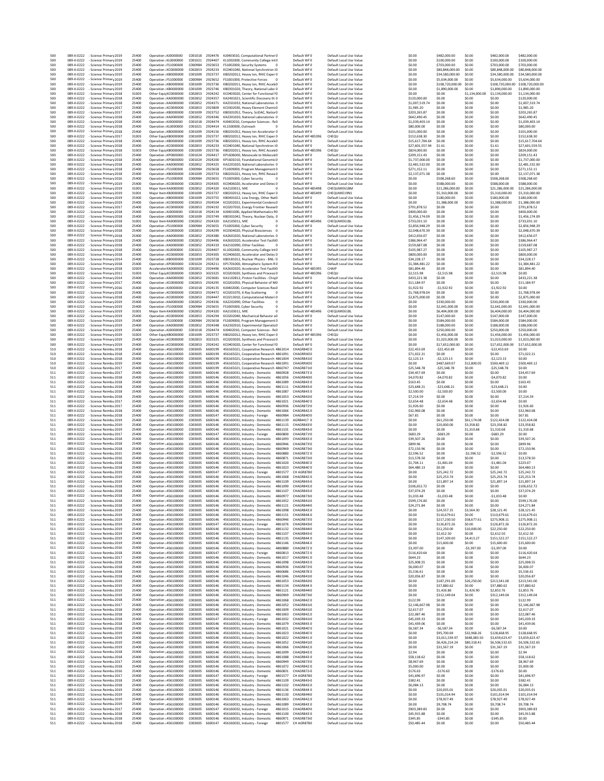| 500        | 089-X-0222               | - Science Primary 2019                           | 25400          | Operation : KJ0000000                          | C001018            | 2924476            | KJ0403010, Computational Partner 0                                                     | Default WFO                      | Default Local Use Value                            | \$0.00                           | \$482,000.00                              | \$0.00                      | \$482,000.00                       | \$482,000.00                       |
|------------|--------------------------|--------------------------------------------------|----------------|------------------------------------------------|--------------------|--------------------|----------------------------------------------------------------------------------------|----------------------------------|----------------------------------------------------|----------------------------------|-------------------------------------------|-----------------------------|------------------------------------|------------------------------------|
| 500<br>500 | 089-X-0222<br>089-X-0222 | - Science Primary 2019                           | 25400<br>25400 | Operation : KL0000000                          | C001021<br>C000984 | 2924407<br>2923653 | KL1002000, Community College IntO                                                      | Default WF0                      | Default Local Use Value                            | \$0.00<br>\$0.00                 | \$100,000.00                              | \$0.00                      | \$100,000.00                       | \$100,000.00                       |
| 500        | 089-X-0222               | - Science Primary 2019<br>- Science Primary 2019 | 25400          | Operation : FS1000000<br>Operation : KC0000000 | C002853            | 2924233            | FS1002000, Security Systems<br>$^{\circ}$<br>KC0401040, National Synchrotron IO        | Default WF0<br>Default WFO       | Default Local Use Value<br>Default Local Use Value | \$0.00                           | \$703,000.00<br>\$80,848,000.00           | \$0.00<br>\$0.00            | \$703,000.00<br>\$80,848,000.00    | \$703,000.00<br>\$80,848,000.00    |
| 500        | 089-X-0222               | - Science Primary 2019                           | 25400          | Operation : KB0000000                          | C001009            | 2923737            | KB0202012, Heavy Ion, RHIC Exper 0                                                     | Default WFO                      | Default Local Use Value                            | \$0.00                           | \$34,580,000.00                           | \$0.00                      | \$34,580,000.00                    | \$34,580,000.00                    |
| 500        | 089-X-0222               | - Science Primary 2019                           | 25400          | Operation : FS1000000                          | C000984            | 2923652            | FS1001000, Protective Forces<br>$\sqrt{2}$                                             | Default WF0                      | Default Local Use Value                            | \$0.00                           | \$5,634,000.00                            | \$0.00                      | \$5,634,000.00                     | \$5,634,000.00                     |
| 500<br>500 | 089-X-0222<br>089-X-0222 | - Science Primary 2019<br>- Science Primary 2019 | 25400<br>25400 | Operation : KB0000000<br>Operation : KB0000000 | C001009<br>C001009 | 2923736<br>2923746 | KB0202011, Heavy Ion, RHIC AcceleO<br>KB0301020, Theory, National Labo 0               | Default WF0<br>Default WF0       | Default Local Use Value<br>Default Local Use Value | \$0.00<br>\$0.00                 | \$108,720,000.00 \$0.00<br>\$1,890,000.00 | \$0.00                      | \$108,720,000.00<br>\$1,890,000.00 | \$108,720,000.00<br>\$1,890,000.00 |
| 500        | 089-X-0222               | - Science Primary 2018                           | 31003          | Other Equi(KC0000000                           | C002853            | 2924242            | KC0403020, Center for Functional IO                                                    | Default WFO                      | Default Local Use Value                            | \$0.00                           | \$0.00                                    | \$1,134,000.00              | \$1,134,000.00                     | \$1.134,000.00                     |
| 500        | 089-X-0222               | - Science Primary 2018                           | 25400          | Operation : KA0000000                          | C002852            | 2924357            | KA2401021. Scientific Discovery th 0                                                   | Default WFO                      | Default Local Use Value                            | \$120,000.00                     | \$0.00                                    | \$0.00                      | \$0.00                             | \$120,000.00                       |
| 500<br>500 | 089-X-0222<br>089-X-0222 | - Science Primary 2018<br>- Science Primary 2017 | 25400<br>25400 | Operation : KA0000000<br>Operation : KC0000000 | C002852<br>C002853 | 2924371<br>2923809 | KA2501032, National Laboratories 0<br>KC0302030, Heavy Element Chemi: 0                | Default WF0<br>Default WF0       | Default Local Use Value<br>Default Local Use Value | \$1,007,519.74<br>\$1,985.20     | \$0.00<br>\$0.00                          | \$0.00<br>\$0.00            | \$0.00<br>\$0.00                   | \$1,007,519.74<br>\$1,985.20       |
| 500        | 089-X-0222               | - Science Primary 2017                           | 25400          | Operation : KB0000000                          | C001009            | 2923752            | KB0301052, Theory, SciDAC, Nation0                                                     | Default WF0                      | Default Local Use Value                            | \$203,265.87                     | \$0.00                                    | \$0.00                      | \$0.00                             | \$203,265.87                       |
| 500        | 089-X-0222               | - Science Primary 2018                           | 25400          | Operation : KA0000000                          | C002852            | 2924346            | KA2301020 National Laboratories 0                                                      | Default WFO                      | Default Local Use Value                            | \$642,490.45                     | \$0.00                                    | \$0.00                      | \$0.00                             | \$642.490.45                       |
| 500        | 089-X-0222               | - Science Primary 2018                           | 25400          | Oneration : KI0000000                          | C001018            | 2924474            | KJ0402010. Computer Sciences - Rt0                                                     | Default WFO                      | Default Local Use Value                            | \$1.039.403.14                   | \$0.00                                    | \$0.00                      | \$0.00                             | \$1,039,403.14                     |
| 500        | 089-X-0222               | - Science Primary 2018                           | 25400          | Operation : KL0000000                          | C001021            | 2924414            | KL1500000, Outreach<br>$\Omega$                                                        | Default WF0                      | Default Local Use Value                            | \$80,000.00                      | \$0.00                                    | \$0.00                      | \$0.00                             | \$80,000.00                        |
| 500<br>500 | 089-X-0222<br>089-X-0222 | - Science Primary 2018<br>- Science Primary 2017 | 25400<br>31003 | Operation : KB0000000<br>Other EquipKB0000000  | C001009<br>C001009 | 2924156<br>2923737 | KB0201052, Heavy Ion Accelerator 0<br>KB0202012, Heavy Ion, RHIC Exper 0               | Default WF0<br>Default WF 485396 | Default Local Use Value<br>CHEQU                   | \$101,000.00<br>\$152,638.30     | \$0.00<br>\$0.00                          | \$0.00<br>\$0.00            | \$0.00<br>\$0.00                   | \$101,000.00<br>\$152,638.30       |
| 500        | 089-X-0222               | - Science Primary 2018                           | 25400          | Operation : KB0000000                          | C001009            | 2923736            | KB0202011, Heavy Ion, RHIC Accele0                                                     | Default WFO                      | Default Local Use Value                            | \$15.617.704.64                  | \$0.00                                    | \$0.00                      | \$0.00                             | \$15.617.704.64                    |
| 500        | 089-X-0222               | - Science Primary 2018                           | 25400          | Operation : KC0000000                          | C002853            | 2924233            | KC0401040, National Synchrotron IO                                                     | Default WFO                      | Default Local Use Value                            | \$27.601.557.94                  | \$1.61                                    | \$0.00                      | \$1.61                             | \$27.601.559.55                    |
| 500        | 089-X-0222               | - Science Primary 2018                           | 31003          | Other EquipKB0000000                           | C001009            | 2923736            | KB0202011, Heavy Ion, RHIC Accele0                                                     | Default WF 485396                | CHEQU                                              | \$824,000.00                     | \$0.00                                    | \$0.00                      | \$0.00                             | \$824,000.00                       |
| 500<br>500 | 089-X-0222<br>089-X-0222 | - Science Primary 2015                           | 25400<br>25400 | Operation : KP0000000<br>Operation : KP0000000 | C001024<br>C001024 | 2924417<br>2924200 | KP1606000, Mesoscale to Molecult0<br>KP1601010, Foundational Genomic0                  | Default WF0<br>Default WF0       | Default Local Use Value<br>Default Local Use Value | \$209.151.43<br>\$1,737,000.00   | \$0.00<br>\$0.00                          | \$0.00<br>\$0.00            | \$0.00<br>\$0.00                   | \$209,151.43<br>\$1,737,000.00     |
| 500        | 089-X-0222               | - Science Primary 2018<br>- Science Primary 2018 | 25400          | Operation : KA0000000                          | C002852            | 2924325            | KA2201020, National Laboratories 0                                                     | Default WFO                      | Default Local Use Value                            | \$2.481.532.00                   | \$0.00                                    | \$0.00                      | \$0.00                             | \$2.481.532.00                     |
| 500        | 089-X-0222               | - Science Primary 2018                           | 25400          | Operation : FS1000000                          | C000984            | 2923658            | FS1009000, Program Management 0                                                        | Default WFO                      | Default Local Use Value                            | \$271 152 11                     | \$0.00                                    | \$0.00                      | \$0.00                             | \$271.152.11                       |
| 500        | 089-X-0222               | - Science Primary 2018                           | 25400          | Operation : KB0000000                          | C001009            | 2923733            | KB0201021, Heavy Ion, RHIC Resea0                                                      | Default WFO                      | Default Local Use Value                            | \$2,137,071.38                   | \$0.00                                    | \$0.00                      | \$0.00                             | \$2,137,071.38                     |
| 500<br>500 | 089-X-0222<br>089-X-0222 | - Science Primary 2016<br>- Science Primary 2019 | 25400<br>25400 | Operation : FS1000000<br>Operation : KC0000000 | C000984<br>C002853 | 2923655<br>2924305 | FS1005000, Cyber Security<br>KC0406020, Accelerator and Detec 0                        | Default WF0<br>Default WF0       | Default Local Use Value<br>Default Local Use Value | \$0.00<br>\$0.00                 | \$508,268.60<br>\$588,000.00              | \$0.00<br>\$0.00            | \$508,268.60<br>\$588,000.00       | \$508,268.60<br>\$588,000.00       |
| 500        | 089-X-0222               | - Science Primary 2019                           | 31001          | Major Item KA0000000                           | C002852            | 2924320            | KA2103011, MIE<br>$\Omega$                                                             | Default WF 485498                | CHEQUMIE61BM                                       | \$0.00                           | \$21,286,000.00                           | \$0.00                      | \$21,286,000.00                    | \$21,286,000.00                    |
| 500        | 089-X-0222               | - Science Primary 2019                           | 31001          | Major Item KB0000000                           | C001009            | 2923737            | KB0202012 Heavy Ion RHIC Exper 0                                                       | Default WF 485499                | CHEQUMIE19N1                                       | \$0.00                           | \$5,310,000.00                            | \$0.00                      | \$5,310,000.00                     | \$5,310,000.00                     |
| 500        | 089-X-0222               | - Science Primary 2019                           | 25400          | Operation : KB0000000                          | C001009            | 2923755            | KB0401022, Low Energy, Other Nat0                                                      | Default WF0                      | Default Local Use Value                            | \$0.00                           | \$180,000.00                              | \$0.00                      | \$180,000.00                       | \$180,000.00                       |
| 500<br>500 | 089-X-0222<br>089-X-0222 | - Science Primary 2019<br>- Science Primary 2017 | 25400<br>25400 | Operation : KC0000000<br>Operation : KC0000000 | C002853<br>C002853 | 2924504<br>2924192 | KC0202021, Experimental Condens0<br>KC0207010, Energy Frontier Resear0                 | Default WF0<br>Default WF0       | Default Local Use Value<br>Default Local Use Value | \$0.00<br>\$791,878.52           | \$1,388,000.00<br>\$0.00                  | \$0.00<br>\$0.00            | \$1,388,000.00<br>\$0.00           | \$1,388,000.00<br>\$791,878.52     |
| 500        | 089-X-0222               | - Science Primary 2018                           | 25400          | Operation : KJ0000000                          | C001018            | 2924134            | KJ0401000, Applied Mathematics FO                                                      | Default WFO                      | Default Local Use Value                            | \$400,000.00                     | \$0.00                                    | \$0.00                      | \$0.00                             | \$400,000.00                       |
| 500        | 089-X-0222               | - Science Primary 2018                           | 25400          | Operation : KB0000000                          | C001009            | 2923749            | KB0301042, Theory, Nuclear Data, O                                                     | Default WFO                      | Default Local Use Value                            | \$1,456.174.09                   | \$0.00                                    | \$0.00                      | \$0.00                             | \$1.456.174.09                     |
| 500        | 089-X-0222               | - Science Primary 2018                           | 31001          | Major Item KA0000000                           | C002852            | 2924320            | KA2103011, MIE                                                                         | Default WF 485496                | CHEQUMIE61BL                                       | \$733,031.10                     | \$0.00                                    | \$0.00                      | \$0.00                             | \$733,031.10                       |
| 500<br>500 | 089-X-0222<br>089-X-0222 | - Science Primary 2018<br>- Science Primary 2018 | 25400<br>25400 | Operation : FS1000000<br>Operation : KC0000000 | C000984<br>C002853 | 2923655<br>2924299 | FS1005000, Cyber Security<br>KC0304020, Physical Biosciences 0                         | Default WF0<br>Default WF0       | Default Local Use Value<br>Default Local Use Value | \$2,856,948.29<br>\$2,048,670.39 | \$0.00<br>\$0.00                          | \$0.00<br>\$0.00            | \$0.00<br>\$0.00                   | \$2,856,948.29<br>\$2,048,670.39   |
| 500        | 089-X-0222               | - Science Primary 2018                           | 25400          | Operation : KA0000000                          | C002852            | 2924380            | KA2601020, National Laboratories 0                                                     | Default WFO                      | Default Local Use Value                            | \$412,656.07                     | \$0.00                                    | \$0.00                      | \$0.00                             | \$412,656.07                       |
| 500        | 089-X-0222               | - Science Primary 2018                           | 25400          | Operation : KA0000000                          | C002852            | 2924496            | KA2602020, Accelerator Test Facilit0                                                   | Default WFO                      | Default Local Use Value                            | \$386.964.47                     | \$0.00                                    | \$0.00                      | \$0.00                             | \$386.964.47                       |
| 500        | 089-X-0222               | - Science Primary 2018                           | 25400          | Operation : KA0000000                          | C002852            | 2924319            | KA2102090, Other Facilities<br>KL1002000, Community College IntO                       | Default WF0                      | Default Local Use Value                            | \$159,687.08                     | \$0.00                                    | \$0.00                      | \$0.00                             | \$159,687.08                       |
| 500<br>500 | 089-X-0222<br>089-X-0222 | - Science Primary 2018<br>- Science Primary 2018 | 25400<br>25400 | Operation : KL0000000<br>Operation : KC0000000 | C001021<br>C002853 | 2924407<br>2924305 | KC0406020, Accelerator and Detec 0                                                     | Default WF0<br>Default WF0       | Default Local Use Value<br>Default Local Use Value | \$105,987.27<br>\$800,000.00     | \$0.00<br>\$0.00                          | \$0.00<br>\$0.00            | \$0.00<br>\$0.00                   | \$105,987.27<br>\$800,000.00       |
| 500        | 089-X-0222               | - Science Primary 2014                           | 25400          | Operation : KB0000000                          | C001009            | 2923728            | KB0181012 Nuclear Physics - RNL-0                                                      | Default WEO                      | Default Local Use Value                            | \$34,228.17                      | \$0.00                                    | \$0.00                      | \$0.00                             | \$34,228.17                        |
| 500        | 089-X-0222               | - Science Primary 2018                           | 25400          | Operation : KP0000000                          | C001024            | 2924211            | KP1701000, Atmospheric System RO                                                       | Default WFO                      | Default Local Use Value                            | \$1,384,481.22                   | \$0.00                                    | \$0.00                      | \$0.00                             | \$1.384.481.22                     |
| 500        | 089-X-0222               | - Science Primary 2018                           | 32003          | Accelerator KA0000000                          | C002852            | 2924496            | KA2602020, Accelerator Test Facilit0                                                   | Default WF 485395                | CHAIP                                              | \$81,894.40                      | \$0.00                                    | \$0.00                      | \$0.00                             | \$81.894.40                        |
| 500<br>500 | 089-X-0222<br>089-X-0222 | - Science Primary 2011<br>- Science Primary 2014 | 31003<br>25400 | Other EquipKC0000000<br>Operation : KA0000000  | C002853<br>C002852 | 3023325<br>2923681 | KC0203020, Synthesis and Processi0<br>KA1102812, Proton Facilities - Chnj0             | Default WF 485396<br>Default WEO | CHEQU<br>Default Local Use Value                   | \$2,515.98<br>\$433,221.38       | $-52,515.98$<br>\$0.00                    | \$0.00<br>\$0.00            | $-52,515.98$<br>\$0.00             | \$0.00<br>\$433,221.38             |
| 500        | 089-X-0222               | - Science Primary 2017                           | 25400          | Operation : KC0000000                          | C002853            | 2924295            | KC0202050, Physical Behavior of MO                                                     | Default WEO                      | Default Local Use Value                            | \$11.184.97                      | \$0.00                                    | \$0.00                      | \$0.00                             | \$11.184.97                        |
| 500        | 089-X-0222               | - Science Primary 2016                           | 25400          | Operation : KJ0000000                          | C001018            | 2924135            | KJ0402000, Computer Sciences Res0                                                      | Default WFO                      | Default Local Use Value                            | \$1.922.92                       | $-51.922.92$                              | \$0.00                      | $-51.922.92$                       | \$0.00                             |
| 500        | 089-X-0222               | - Science Primary 2018                           | 25400          | Operation : KC0000000                          | C002853            | 2924472            | KC0201070, X-Ray Scattering<br>$\Omega$                                                | Default WF0                      | Default Local Use Value                            | \$1,768,978.04                   | \$0.00                                    | \$0.00                      | \$0.00                             | \$1,768,978.04                     |
| 500<br>500 | 089-X-0222<br>089-X-0222 | - Science Primary 2018                           | 25400<br>25400 | Operation : KC0000000<br>Oneration : KA0000000 | C002853<br>C002852 | 2924447<br>2924336 | KC0213010, Computational Materi 0                                                      | Default WF0                      | Default Local Use Value                            | \$2,875,000.00                   | \$0.00                                    | \$0.00                      | \$0.00                             | \$2,875,000.00                     |
| 500        | 089-X-0222               | - Science Primary 2019<br>- Science Primary 2019 | 25400          | Operation : FS1000000                          | C000984            | 2923655            | KA2202090, Other Facilities<br>$^{\circ}$<br>FS1005000, Cyber Security<br>$\Omega$     | Default WF0<br>Default WFO       | Default Local Use Value<br>Default Local Use Value | \$0.00<br>\$0.00                 | \$330,000.00<br>\$2,641,000.00            | \$0.00<br>\$0.00            | \$330,000.00<br>\$2,641,000.00     | \$330,000.00<br>\$2,641,000.00     |
| 500        | 089-X-0222               | - Science Primary 2019                           | 31001          | Major Item KA0000000                           | C002852            | 2924320            | KA2103011. MIE<br>n                                                                    | Default WF 485496                | CHEQUMIE61BL                                       | \$0.00                           | \$6,404,000.00                            | \$0.00                      | \$6,404,000.00                     | \$6,404,000.00                     |
| 500        | 089-X-0222               | - Science Primary 2019                           | 25400          | Operation : KC0000000                          | C002853            | 2924294            | KC0202040, Mechanical Behavior a0                                                      | Default WF0                      | Default Local Use Value                            | \$0.00                           | \$147,000.00                              | \$0.00                      | \$147,000.00                       | \$147,000.00                       |
| 500<br>500 | 089-X-0222<br>089-X-0222 | - Science Primary 2019                           | 25400<br>25400 | Operation : FS1000000<br>Operation : KA0000000 | C000984<br>C002852 | 2923658<br>2924348 | FS1009000, Program Management 0<br>KA2302010, Experimental Operatic0                   | Default WF0<br>Default WF0       | Default Local Use Value<br>Default Local Use Value | \$0.00<br>\$0.00                 | \$584,000.00<br>\$188,000.00              | \$0.00<br>\$0.00            | \$584,000.00<br>\$188,000.00       | \$584,000.00<br>\$188,000.00       |
| 500        | 089-X-0222               | - Science Primary 2019<br>- Science Primary 2019 | 25400          | Operation : KJ0000000                          | C001018            | 2924474            | KJ0402010, Computer Sciences - R(0                                                     | Default WFO                      | Default Local Use Value                            | \$0.00                           | \$250,000.00                              | \$0.00                      | \$250,000.00                       | \$250,000.00                       |
| 500        | 089-X-0222               | - Science Primary 2019                           | 31003          | Other FaultKB0000000                           | C001009            | 2923737            | KB0202012. Heavy Ion. RHIC Exper 0                                                     | Default WF 485396                | CHEQU                                              | \$0.00                           | \$1,456,000.00                            | \$0.00                      | \$1,456,000.00                     | \$1,456,000.00                     |
| 500<br>500 | 089-X-0222<br>089-X-0222 | - Science Primary 2019<br>- Science Primary 2019 | 25400<br>25400 | Operation : KC0000000<br>Operation : KC0000000 | C002853<br>C002853 | 3023325<br>2924242 | KC0203020, Synthesis and Processi0<br>KC0403020, Center for Functional IO              | Default WFO<br>Default WF0       | Default Local Use Value<br>Default Local Use Value | \$0.00<br>\$0.00                 | \$1,023,000.00<br>\$17,652,000.00         | \$0.00<br>\$0.00            | \$1,023,000.00<br>\$17,652,000.00  | \$1,023,000.00<br>\$17,652,000.00  |
| 510        | 089-X-0222               | - Science Reimbu 2018                            | 25400          | Operation : 456100000                          | C003005            | 6600199            | 456165021, Cooperative Research 4861014                                                | CHAGR84010                       | Default Local Use Value                            | \$22,453.69                      | $-522,453.69$                             | \$0.00                      | $-522,453.69$                      | \$0.00                             |
| 510        | 089-X-0222               | - Science Reimbu 2018                            | 25400          | Operation : 456100000                          | C003005            | 6600199            | 456165021, Cooperative Research 4861091                                                | CHAGRRIKEO                       | Default Local Use Value                            | \$71.022.21                      | \$0.00                                    | \$0.00                      | \$0.00                             | \$71.022.21                        |
| 510        | 089-X-0222               | - Science Reimbu 2018                            | 25400          | Operation : 456100000                          | C003005            | 6600199            | 456165021. Cooperative Research 4861004                                                | <b>CHAGR84110</b><br>CHAGRRIKEO  | Default Local Use Value                            | \$2,123.13                       | $-52.123.13$                              | \$0.00                      | $-52.123.13$                       | \$0.00                             |
| 510<br>510 | 089-X-0222<br>089-X-0222 | - Science Reimbu 2019<br>- Science Reimbu 2017   | 25400<br>25400 | Operation : 456100000<br>Operation : 456100000 | C003005<br>C003005 | 6600199<br>6600199 | 456165021, Cooperative Research 4861091<br>456165021, Cooperative Research 4860747     | CHAGR871(0                       | Default Local Use Value<br>Default Local Use Value | \$0.00<br>\$25,548.78            | \$487,669.07<br>$-525,548.78$             | \$12,800.05<br>\$0.00       | \$500,469.12<br>$-525,548.78$      | \$500,469.12<br>\$0.00             |
| 511        | 089-X-0222               | - Science Reimbu 2017                            | 25400          | Operation : 456100000                          | C003005            | 6600146            | 456160031, Industry - Domestic 4860928                                                 | CHAGR87310                       | Default Local Use Value                            | \$34,457.69                      | \$0.00                                    | \$0.00                      | \$0.00                             | \$34,457.69                        |
| 511        | 089-X-0222               | - Science Reimbu 2018                            | 25400          | Operation : 456100000                          | C003005            | 6600146            | 456160031, Industry - Domestic<br>4861056                                              | CHAGR84010                       | Default Local Use Value                            | \$4,070.82                       | $-54.070.82$                              | \$0.00                      | $-54.070.82$                       | \$0.00                             |
| 511<br>511 | 089-X-0222<br>089-X-0222 | - Science Reimbu 2018<br>- Science Reimbu 2018   | 25400<br>25400 | Operation : 456100000<br>Operation : 456100000 | C003005<br>C003005 | 6600146<br>6600146 | 456160031, Industry - Domestic<br>4861089<br>456160031, Industry - Domestic<br>4861111 | CHAGR843:0<br>CHAGR84340         | Default Local Use Value<br>Default Local Use Value | \$163.45<br>\$23,648.21          | \$0.00<br>$-523,648.21$                   | \$0.00<br>\$0.00            | \$0.00<br>$-523,648.21$            | \$163.45<br>\$0.00                 |
|            |                          |                                                  |                |                                                |                    |                    |                                                                                        |                                  |                                                    |                                  |                                           |                             |                                    |                                    |
| 511        | 089-X-0222               | - Science Reimbu 2018                            | 25400          | Operation : 456100000                          | C003005            | 6600146            | 4861087                                                                                | CHAGR843:0                       | Default Local Use Value                            | \$2,500.00                       | $-$2,500.00$                              | \$0.00                      | $-52,500.00$                       | \$0.00                             |
| 511        | 089-X-0222               | - Science Reimbu 2018                            | 25400          | Operation : 456100000                          | C003005            | 6600146            | 456160031, Industry - Domestic<br>456160031, Industry - Domestic<br>4861053            | <b>CHAGR842(0</b>                | Default Local Use Value                            | \$7,214.59                       | \$0.00                                    | \$0.00                      | \$0.00                             | \$7,214.59                         |
| 511        | 089-X-0222               | - Science Reimbu 2017                            | 25400          | Operation : 456100000                          | C003005            | 6600146            | 456160031, Industry - Domestic<br>4861021                                              | CHAGR840.0                       | Default Local Use Value                            | \$2,654.48                       | $-52.654.48$                              | \$0.00                      | $-52.654.48$                       | \$0.00                             |
| 511        | 089-X-0222               | - Science Reimbu 2017                            | 25400          | Operation : 456100000                          | C003005            | 6600146            | 456160031, Industry - Domestic<br>4860936                                              | <b>CHAGR87250</b>                | Default Local Use Value                            | \$1,926.60                       | \$0.00                                    | \$0.00                      | \$0.00                             | \$1,926.60                         |
| 511<br>511 | 089-X-0222<br>089-X-0222 | - Science Reimbu 2018<br>- Science Reimbu 2018   | 25400<br>25400 | Operation : 456100000<br>Operation : 456100000 | C003005<br>C003005 | 6600146<br>6600147 | 4861066<br>456160031, Industry - Domestic<br>456160032, Industry - Foreign<br>4860984  | CHAGR84210<br>CHAGR840!0         | Default Local Use Value<br>Default Local Use Value | \$32,960.08<br>\$67.81           | \$0.00<br>\$0.00                          | \$0.00<br>\$0.00            | \$0.00<br>\$0.00                   | \$32,960.08<br>\$67.81             |
| 511        | 089-X-0222               | - Science Reimbu 2019                            | 25400          | Operation : 456100000                          | C003005            | 6600146            | 4861139<br>456160031, Industry - Domestic                                              | AGR84417 0                       | Default Local Use Value                            | \$0.00                           | \$61,250.00                               | \$61,174.08                 | \$122,424.08                       | \$122,424.08                       |
| 511        | 089-X-0222               | - Science Reimbu 2019                            | 25400          | Operation : 456100000                          | C003005            | 6600146            | 456160031, Industry - Domestic<br>4861115                                              | CHAGR843!0                       | Default Local Use Value                            | \$0.00                           | \$20,000.00                               | \$3,358.82                  | \$23,358.82                        | \$23,358.82                        |
| 511<br>511 | 089-X-0222<br>089-X-0222 | - Science Reimbu 2019<br>- Science Reimbu 2017   | 25400<br>25400 | Operation : 456100000<br>Operation : 456100000 | C003005<br>C003005 | 6600146<br>6600147 | 456160031, Industry - Domestic<br>4861101<br>4860800                                   | CHAGR843-0<br>CHAGR8719          | Default Local Use Value<br>Default Local Use Value | \$0.00<br>\$683.29               | \$0.00<br>$-5683.29$                      | \$1,310.68<br>\$0.00        | \$1,310.68<br>$-5683.29$           | \$1,310.68<br>\$0.00               |
| 511        | 089-X-0222               | - Science Reimbu 2018                            | 25400          | Operation : 456100000                          | C003005            | 6600146            | 456160032, Industry - Foreign<br>456160031, Industry - Domestic<br>4861093             | CHAGR843:0                       | Default Local Use Value                            | \$39,507.26                      | \$0.00                                    | \$0.00                      | \$0.00                             | \$39,507.26                        |
| 511        | 089-X-0222               | - Science Reimbu 2018                            | 25400          | Operation : 456100000                          | C003005            | 6600146            | 456160031. Industry - Domestic<br>4860946                                              | CHAGR873!0                       | Default Local Use Value                            | \$899.96                         | \$0.00                                    | \$0.00                      | \$0.00                             | \$899.96                           |
| 511        | 089-X-0222               | - Science Reimbu 2018                            | 25400          | Operation : 456100000                          | C003005            | 6600146            | 456160031, Industry - Domestic<br>4860969                                              | CHAGR873(0<br>CHAGR87210         | Default Local Use Value                            | \$72,150.96                      | \$0.00                                    | \$0.00                      | \$0.00                             | \$72.150.96                        |
| 511        | 089-X-0222<br>089-X-0222 | - Science Reimbu 2015<br>- Science Reimbu 2016   | 25400<br>25400 | Operation : 456100000<br>Operation : 456100000 | C003005<br>C003005 | 6600146<br>6600146 | 456160031, Industry - Domestic<br>4860880<br>4860871<br>456160031, Industry - Domestic | CHAGR87210                       | Default Local Use Value<br>Default Local Use Value | \$2,596.52<br>\$13,578.50        | \$0.00<br>\$0.00                          | $-52.596.52$<br>\$0.00      | $-52.596.52$<br>\$0.00             | \$0.00<br>\$13,578.50              |
| 511<br>511 | 089-X-0222               | - Science Reimbu 2018                            | 25400          | Operation : 456100000                          | C003005            | 6600146            | 456160031, Industry - Domestic<br>4861020                                              | CHAGR84010                       | Default Local Use Value                            | \$1,704.11                       | $-$1,481.04$                              | \$0.00                      | $-$1,481.04$                       | \$223.07                           |
| 511        | 089-X-0222               | - Science Reimbu 2018                            | 25400          | Operation : 456100000                          | C003005            | 6600146            | 456160031. Industry - Domestic<br>4861023                                              | CHAGR84010                       | Default Local Use Value                            | \$64,480.13                      | \$0.00                                    | \$0.00                      | \$0.00                             | \$64,480.13                        |
| 511        | 089-X-0222               | - Science Reimbu 2019                            | 25400          | Operation : 456100000                          | C003005            | 6600147            | 456160032, Industry - Foreign<br>4801577                                               | CH AGR8780<br>CHAGR84210         | Default Local Use Value                            | \$0.00                           | \$25.242.72                               | \$0.00                      | \$25.242.72                        | \$25.242.72                        |
| 511<br>511 | 089-X-0222<br>089-X-0222 | - Science Reimbu 2019<br>- Science Reimbu 2019   | 25400<br>25400 | Operation : 456100000<br>Operation : 456100000 | C003005<br>C003005 | 6600146<br>6600146 | 456160031, Industry - Domestic<br>4861068<br>456160031, Industry - Domestic<br>4861109 | CHAGR84340                       | Default Local Use Value<br>Default Local Use Value | \$0.00<br>\$0.00                 | \$25.253.74<br>\$21.897.14                | \$0.00<br>\$0.00            | \$25,253.74<br>\$21,897.14         | \$25.253.74<br>\$21,897.14         |
| 511        | 089-X-0222               | - Science Reimbu 2018                            | 25400          | Operation : 456100000                          | C003005            | 6600146            | 456160031, Industry - Domestic<br>4861090                                              | CHAGR843.0                       | Default Local Use Value                            | \$106,652.72                     | \$0.00                                    | \$0.00                      | \$0.00                             | \$106.652.72                       |
| 511        | 089-X-0222               | - Science Reimbu 2018                            | 25400          | Operation : 456100000                          | C003005            | 6600146            | 456160031. Industry - Domestic<br>4861107                                              | CHAGRS4340                       | Default Local Use Value                            | \$37,074.29                      | \$0.00                                    | \$0.00                      | \$0.00                             | \$37,074.29                        |
| 511<br>511 | 089-X-0222<br>089-X-0222 | Science Reimbu 2018<br>- Science Reimbu 2018     | 25400<br>25400 | Oneration : 456100000<br>Operation : 456100000 | consons<br>C003005 | 6600146<br>6600146 | 456160031 Industry - Domestic<br>4860977<br>4861052                                    | CHAGRS7310<br>CHAGR84110         | Default Local Hoe Value<br>Default Local Use Value | \$1,033.48<br>\$599 176.00       | -\$1.033.48<br>\$0.00                     | \$0.00<br>\$0.00            | $-51.033.48$<br>\$0.00             | so oo<br>\$599.176.00              |
| 511        | 089-X-0222               | - Science Reimbu 2018                            | 25400          | Operation : 456100000                          | C003005            | 6600146            | 456160031, Industry - Domestic<br>456160031, Industry - Domestic<br>4861121            | CHAGR844(0                       | Default Local Use Value                            | \$24,271.84                      | \$0.00                                    | \$0.00                      | \$0.00                             | \$24,271.84                        |
| 511        | 089-X-0222               | - Science Reimbu 2019                            | 25400          | Operation : 456100000                          | C003005            | 6600146            | 456160031, Industry - Domestic<br>4861098                                              | CHAGR843:0                       | Default Local Use Value                            | \$0.00                           | \$24,557.15                               | \$3,564.30                  | \$28,121.45                        | \$28,121.45                        |
| 511        | 089-X-0222               | - Science Reimbu 2019                            | 25400          | Operation : 456100000                          | C003005            | 6600146            | 456160031, Industry - Domestic<br>4861151                                              | CHAGR84410                       | Default Local Use Value                            | \$0.00                           | \$110,679.61                              | \$0.00                      | \$110,679.61                       | \$110,679.61                       |
| 511<br>511 | 089-X-0222<br>089-X-0222 | - Science Reimbu 2019<br>- Science Reimbu 2019   | 25400<br>25400 | Operation : 456100000<br>Operation : 456100000 | C003005<br>C003005 | 6600146<br>6600147 | 456160031, Industry - Domestic<br>4860946<br>456160032, Industry - Foreign<br>4861076  | CHAGR873!0<br>CHAGRS43(0         | Default Local Use Value<br>Default Local Use Value | \$0.00<br>\$0.00                 | \$217.230.50<br>\$126,872.26              | \$58,677.61<br>\$0.00       | \$275,908.11<br>\$126,872.26       | \$275,908.11<br>\$126,872.26       |
| 511        | 089-X-0222               | - Science Reimbu 2019                            | 25400          | Operation : 456100000                          | C003005            | 6600146            | 456160031, Industry - Domestic<br>4861132                                              | CHAGR844(0                       | Default Local Use Value                            | \$0.00                           | \$12,250.00                               | \$10,000.00                 | \$22,250.00                        | \$22,250.00                        |
| 511        | 089-X-0222               | - Science Reimbu 2019                            | 25400          | Operation : 456100000                          | C003005            | 6600146            | 456160031, Industry - Domestic<br>4861107                                              | CHAGR843/0                       | Default Local Use Value                            | \$0.00                           | \$2,612.50                                | \$0.00                      | \$2,612.50                         | \$2,612.50                         |
| 511        | 089-X-0222               | - Science Reimbu 2019                            | 25400          | Operation : 456100000                          | C003005            | 6600146            | 4861135<br>456160031. Industry - Domestic                                              | CHAGRS44'O                       | Default Local Use Value                            | \$0.00                           | \$147,109.00                              | \$4,413.27                  | \$151,522.27                       | \$151,522.27                       |
| 511<br>511 | 089-X-0222<br>089-X-0222 | - Science Reimbu 2019<br>- Science Reimbu 2016   | 25400<br>25400 | Operation : 456100000<br>Operation : 456100000 | C003005<br>C003005 | 6600146<br>6600146 | 456160031, Industry - Domestic<br>4861146<br>456160031, Industry - Domestic<br>4860880 | CHAGR84410<br>CHAGR87210         | Default Local Use Value<br>Default Local Use Value | \$0.00<br>\$3,397.00             | \$15,600.00<br>\$0.00                     | \$0.00<br>$-53.397.00$      | \$15,600.00<br>$-53.397.00$        | \$15,600.00<br>\$0.00              |
| 511        | 089-X-0222               | - Science Reimbu 2018                            | 25400          | Operation : 456100000                          | C003005            | 6600147            | 456160032, Industry - Foreign<br>4860813                                               | CHAGR87210                       | Default Local Use Value                            | \$116,420.64                     | \$0.00                                    | \$0.00                      | \$0.00                             | \$116,420.64                       |
| 511        | 089-X-0222               | - Science Reimbu 2017                            | 25400          | Operation : 456100000                          | C003005            | 6600146            | 456160031, Industry - Domestic<br>4861017                                              | CHAGR841:0                       | Default Local Use Value                            | \$644.23                         | \$0.00                                    | \$0.00                      | \$0.00                             | \$644.23                           |
| 511<br>511 | 089-X-0222<br>089-X-0222 | - Science Reimbu 2018<br>- Science Reimbu 2018   | 25400<br>25400 | Operation : 456100000<br>Operation : 456100000 | C003005<br>C003005 | 6600146<br>6600146 | 4861098<br>456160031. Industry - Domestic<br>4860936                                   | CHAGR843:0<br><b>CHAGR87250</b>  | Default Local Use Value<br>Default Local Use Value | \$25,008.55<br>\$6,000.07        | \$0.00<br>\$0.00                          | \$0.00<br>\$0.00            | \$0.00<br>\$0.00                   | \$25,008.55<br>\$6,000.07          |
| 511        | 089-X-0222               | - Science Reimbu 2018                            | 25400          | Operation : 456100000                          | C003005            | 6600146            | 456160031, Industry - Domestic<br>456160031, Industry - Domestic<br>4860686            | CHAGR87810                       | Default Local Use Value                            | \$5,536.61                       | \$0.00                                    | \$0.00                      | \$0.00                             | \$5,536.61                         |
| 511        | 089-X-0222               | - Science Reimbu 2018                            | 25400          | Operation : 456100000                          | C003005            | 6600146            | 456160031, Industry - Domestic<br>4861046                                              | CHAGR841(0                       | Default Local Use Value                            | \$20,056.87                      | \$0.00                                    | \$0.00                      | \$0.00                             | \$20,056.87                        |
| 511        | 089-X-0222               | - Science Reimbu 2019                            | 25400          | Operation : 456100000                          | C003005            | 6600146            | 456160031, Industry - Domestic<br>4861053                                              | CHAGR842(0                       | Default Local Use Value                            | \$0.00                           | \$187,291.00                              | \$26,250.00                 | \$213,541.00                       | \$213,541.00                       |
| 511        | 089-X-0222               | - Science Reimbu 2019                            | 25400          | Operation : 456100000                          | C003005            | 6600146            | 456160031, Industry - Domestic<br>4861134                                              | CHAGRS44'O<br>CHAGRS44(0         | Default Local Use Value                            | \$0.00                           | \$37,880.62                               | \$0.00                      | \$37,880.62                        | \$37,880.62                        |
| 511<br>511 | 089-X-0222<br>089-X-0222 | - Science Reimbu 2019<br>- Science Reimbu 2019   | 25400<br>25400 | Operation : 456100000<br>Operation : 456100000 | C003005<br>C003005 | 6600146<br>6600146 | 456160031, Industry - Domestic<br>4861121<br>456160031, Industry - Domestic<br>4860969 | CHAGRS73(0                       | Default Local Use Value<br>Default Local Use Value | \$0.00<br>\$0.00                 | \$1,426.86<br>\$312.149.04                | \$1,426.90<br>\$0.00        | \$2,853.76<br>\$312,149.04         | \$2,853.76<br>\$312,149.04         |
| 511        | 089-X-0222               | - Science Reimbu 2018                            | 25400          | Operation : 456100000                          | C003005            | 6600146            | 456160031, Industry - Domestic<br>4861068                                              | CHAGR842:0                       | Default Local Use Value                            | \$122.99                         | \$0.00                                    | \$0.00                      | \$0.00                             | \$122.99                           |
| 511        | 089-X-0222               | - Science Reimbu 2017                            | 25400          | Operation : 456100000                          | C003005            | 6600146            | 456160031, Industry - Domestic<br>4861052                                              | CHAGR84110                       | Default Local Use Value                            | \$2,146,667.98                   | \$0.00                                    | \$0.00                      | \$0.00                             | \$2,146,667.98                     |
| 511<br>511 | 089-X-0222<br>089-X-0222 | - Science Reimbu 2018<br>- Science Reimbu 2018   | 25400<br>25400 | Operation : 456100000<br>Operation : 456100000 | C003005<br>C003005 | 6600146<br>6600146 | 4861009<br>456160031. Industry - Domestic<br>4861063                                   | CHAGRS4110<br>CHAGR842.0         | Default Local Use Value<br>Default Local Use Value | \$2,617.07<br>\$22.087.46        | \$0.00<br>\$0.00                          | \$0.00<br>\$0.00            | \$0.00<br>\$0.00                   | \$2,617.07<br>\$22.087.46          |
| 511        | 089-X-0222               | - Science Reimbu 2018                            | 25400          | Operation : 456100000                          | C003005            | 6600147            | 456160031, Industry - Domestic<br>456160032, Industry - Foreign<br>4861032             | CHAGR841(0                       | Default Local Use Value                            | \$45,039.33                      | \$0.00                                    | \$0.00                      | \$0.00                             | \$45.039.33                        |
| 511        | 089-X-0222               | - Science Reimbu 2018                            | 25400          | Operation : 456100000                          | C003005            | 6600146            | 456160031, Industry - Domestic<br>4861079                                              | CHAGR843:0                       | Default Local Use Value                            | \$41,439.06                      | \$0.00                                    | \$0.00                      | \$0.00                             | \$41,439.06                        |
| 511        | 089-X-0222               | - Science Reimbu 2018                            | 25400          | Operation : 456100000                          | C003005            | 6600146            | 456160031, Industry - Domestic<br>4861021                                              | CHAGR84010                       | Default Local Use Value                            | \$6,587.34                       | $-56,587.34$                              | \$0.00                      | $-56,587.34$                       | \$0.00                             |
| 511<br>511 | 089-X-0222<br>089-X-0222 | - Science Reimbu 2019<br>- Science Reimbu 2019   | 25400<br>25400 | Operation : 456100000<br>Operation : 456100000 | C003005<br>C003005 | 6600146<br>6600146 | 4861023<br>456160031, Industry - Domestic<br>4861022                                   | CHAGR84010<br>CHAGR841:0         | Default Local Use Value<br>Default Local Use Value | \$0.00<br>\$0.00                 | \$95,700.69<br>\$3.011.539.97             | \$32,968.26<br>\$648,083.50 | \$128,668.95<br>\$3,659,623.47     | \$128,668.95<br>\$3,659,623.47     |
| 511        | 089-X-0222               | - Science Reimbu 2019                            | 25400          | Operation : 456100000                          | C003005            | 6600146            | 456160031, Industry - Domestic<br>456160031, Industry - Domestic<br>4861052            | CHAGR84110                       | Default Local Use Value                            | \$0.00                           | \$6,426.214.24                            | \$80.318.41                 | \$6,506,532.65                     | \$6,506,532.65                     |
| 511        | 089-X-0222               | - Science Reimbu 2019                            | 25400          | Operation : 456100000                          | C003005            | 6600146            | 456160031, Industry - Domestic<br>4861066                                              | CHAGR842.0                       | Default Local Use Value                            | \$0.00                           | \$31,567.19                               | \$0.00                      | \$31,567.19                        | \$31,567.19                        |
| 511        | 089-X-0222               | - Science Reimbu 2018                            | 25400          | Operation : 456100000                          | C003005            | 6600146            | 456160031, Industry - Domestic<br>4861099                                              | CHAGR843:0                       | Default Local Use Value                            | \$2.94                           | \$0.00                                    | \$0.00                      | \$0.00                             | \$2.94                             |
| 511<br>511 | 089-X-0222<br>089-X-0222 | - Science Reimbu 2018<br>- Science Reimbu 2017   | 25400<br>25400 | Operation : 456100000<br>Operation : 456100000 | C003005<br>C003005 | 6600146<br>6600146 | 4861088<br>456160031, Industry - Domestic<br>456160031, Industry - Domestic<br>4860949 | CHAGR843:0<br>CHAGR873!0         | Default Local Use Value<br>Default Local Use Value | \$58,118.62<br>\$8,967.69        | \$0.00<br>\$0.00                          | \$0.00<br>\$0.00            | \$0.00<br>\$0.00                   | \$58,118.62<br>\$8,967.69          |
| 511        | 089-X-0222               | - Science Reimbu 2018                            | 25400          | Operation : 456100000                          | C003005            | 6600146            | 456160031, Industry - Domestic<br>4861072                                              | CHAGR842:0                       | Default Local Use Value                            | \$5,000.00                       | \$0.00                                    | \$0.00                      | \$0.00                             | \$5,000.00                         |
| 511        | 089-X-0222               | - Science Reimbu 2016                            | 25400          | Operation : 456100000                          | C003005            | 6600146            | 456160031, Industry - Domestic<br>4860831                                              | CHAGR87240                       | Default Local Use Value                            | \$176.63                         | $-$176.63$                                | \$0.00                      | $-5176.63$                         | \$0.00                             |
| 511<br>511 | 089-X-0222<br>089-X-0222 | - Science Reimbu 2017<br>- Science Reimbu 2018   | 25400<br>25400 | Operation : 456100000<br>Operation : 456100000 | C003005<br>C003005 | 6600147<br>6600146 | 456160032, Industry - Foreign<br>4801577<br>4861109<br>456160031, Industry - Domestic  | CH AGR8780<br>CHAGR84340         | Default Local Use Value<br>Default Local Use Value | \$41,696.97<br>\$382.41          | \$0.00                                    | \$0.00<br>\$0.00            | \$0.00                             | \$41,696.97<br>\$382.41            |
| 511        | 089-X-0222               | - Science Reimbu 2018                            | 25400          | Operation : 456100000                          | C003005            | 6600146            | 456160031, Industry - Domestic<br>4861102                                              | CHAGR843:0                       | Default Local Use Value                            | \$6,084.13                       | \$0.00<br>\$0.00                          | \$0.00                      | \$0.00<br>\$0.00                   | \$6,084.13                         |
| 511        | 089-X-0222               | - Science Reimbu 2019                            | 25400          | Operation : 456100000                          | C003005            | 6600146            | 456160031, Industry - Domestic<br>4861136                                              | CHAGR844:0                       | Default Local Use Value                            | \$0.00                           | \$20,035.01                               | \$0.00                      | \$20.035.01                        | \$20.035.01                        |
| 511        | 089-X-0222               | - Science Reimbu 2019                            | 25400          | Operation : 456100000                          | C003005            | 6600146            | 456160031, Industry - Domestic<br>4861130                                              | CHAGR844(0                       | Default Local Use Value                            | \$0.00                           | \$101,014.94                              | \$0.00                      | \$101,014.94                       | \$101,014.94                       |
| 511<br>511 | 089-X-0222<br>089-X-0222 | - Science Reimbu 2019<br>- Science Reimbu 2019   | 25400<br>25400 | Operation : 456100000<br>Operation : 456100000 | C003005<br>C003005 | 6600146<br>6600146 | 456160031, Industry - Domestic<br>4861063<br>4861089<br>456160031, Industry - Domestic | CHAGR842.0<br>CHAGR843:0         | Default Local Use Value<br>Default Local Use Value | \$0.00<br>\$0.00                 | \$78,927.49<br>\$9,708.74                 | \$0.00<br>\$0.00            | \$78,927.49<br>\$9,708.74          | \$78,927.49<br>\$9,708.74          |
| 511        | 089-X-0222               | - Science Reimbu 2017                            | 25400          | Operation : 456100000                          | C003005            | 6600147            | 456160032, Industry - Foreign<br>4861015                                               | CHAGR84050                       | Default Local Use Value                            | \$903.389.83                     | \$0.00                                    | \$0.00                      | \$0.00                             | \$903.389.83                       |
| 511        | 089-X-0222               | - Science Reimbu 2018                            | 25400          | Operation : 456100000                          | C003005            | 6600146            | 456160031, Industry - Domestic<br>4861100                                              | CHAGR843:0                       | Default Local Use Value                            | \$45,915.88                      | \$0.00                                    | \$0.00                      | \$0.00                             | \$45.915.88                        |
| 511<br>511 | 089-X-0222<br>089-X-0222 | - Science Reimbu 2018<br>- Science Reimbu 2018   | 25400<br>25400 | Operation : 456100000<br>Operation : 456100000 | C003005<br>C003005 | 6600146<br>6600147 | 456160031, Industry - Domestic<br>4860971<br>456160032, Industry - Foreign<br>4801577  | CHAGR873(0<br>CH AGR8780         | Default Local Use Value<br>Default Local Use Value | \$345.85<br>\$50,485.44          | $-5345.85$<br>\$0.00                      | \$0.00<br>\$0.00            | $-5345.85$<br>\$0.00               | \$0.00<br>\$50,485.44              |

| \$0.00                             | \$482,000.00                       | \$0.00                | \$482,000.00                       | \$482,000.00                       |
|------------------------------------|------------------------------------|-----------------------|------------------------------------|------------------------------------|
| 50.00                              | \$100,000.00                       | \$0.00                | \$100,000.00                       | \$100,000.00                       |
| \$0.00                             | \$703,000.00                       | \$0.00                | \$703,000.00                       | \$703,000.00                       |
| \$0.00<br>\$0.00                   | \$80,848,000.00<br>\$34,580,000.00 | \$0.00<br>\$0.00      | \$80,848,000.00<br>\$34,580,000.00 | \$80,848,000.00<br>\$34,580,000.00 |
| \$0.00                             | \$5,634,000.00                     | \$0.00                | \$5,634,000.00                     | \$5,634,000.00                     |
| \$0.00<br>50.00                    | \$108,720,000.00                   | \$0.00<br>\$0.00      | \$108,720,000.00<br>\$1,890,000.00 | \$108,720,000.00<br>\$1,890,000.00 |
| \$0.00                             | \$1,890,000.00<br>\$0.00           | \$1,134,000.00        | \$1,134,000.00                     | \$1,134,000.00                     |
| \$120,000.00                       | \$0.00                             | \$0.00                | \$0.00                             | \$120,000.00                       |
| \$1,007,519.74<br>\$1.985.20       | \$0.00<br>\$0.00                   | \$0.00<br>\$0.00      | \$0.00<br>\$0.00                   | \$1,007,519.74<br>\$1.985.20       |
| \$203,265.87                       | \$0.00                             | \$0.00                | \$0.00                             | \$203,265.87                       |
| \$642,490.45                       | \$0.00                             | \$0.00                | \$0.00                             | \$642,490.45                       |
| \$1,039,403.14<br>\$80,000.00      | \$0.00<br>\$0.00                   | \$0.00<br>\$0.00      | \$0.00<br>\$0.00                   | \$1,039,403.14<br>\$80,000.00      |
| \$101,000.00                       | \$0.00                             | \$0.00                | \$0.00                             | \$101.000.00                       |
| \$152,638.30                       | \$0.00                             | \$0.00                | \$0.00                             | \$152,638.30                       |
| \$15,617,704.64<br>\$27,601,557.94 | \$0.00<br>\$1.61                   | \$0.00<br>\$0.00      | \$0.00<br>\$1.61                   | \$15,617,704.64<br>\$27,601,559.55 |
| \$824,000.00                       | \$0.00                             | \$0.00                | \$0.00                             | \$824,000.00                       |
| \$209,151.43                       | \$0.00                             | \$0.00                | \$0.00                             | \$209.151.43                       |
| \$1,737,000.00<br>\$2,481,532.00   | \$0.00<br>\$0.00                   | \$0.00<br>\$0.00      | \$0.00<br>\$0.00                   | \$1,737,000.00<br>\$2,481,532.00   |
| \$271.152.11                       | \$0.00                             | \$0.00                | \$0.00                             | \$271,152.11                       |
| \$2,137,071.38                     | \$0.00                             | \$0.00                | \$0.00                             | \$2,137,071.38                     |
| \$0.00<br>\$0.00                   | \$508,268.60<br>\$588,000.00       | \$0.00<br>\$0.00      | \$508,268.60<br>\$588,000.00       | \$508,268.60<br>\$588,000.00       |
| \$0.00                             | \$21,286,000.00                    | \$0.00                | \$21,286,000.00                    | \$21,286,000.00                    |
| \$0.00                             | \$5,310,000.00                     | \$0.00                | \$5,310,000.00                     | \$5,310,000.00                     |
| \$0.00<br>\$0.00                   | \$180,000.00<br>\$1,388,000.00     | \$0.00<br>\$0.00      | \$180,000.00<br>\$1,388,000.00     | \$180,000.00<br>\$1,388,000.00     |
| \$791,878.52                       | \$0.00                             | \$0.00                | \$0.00                             | \$791,878.52                       |
| \$400,000.00                       | \$0.00                             | \$0.00                | \$0.00                             | \$400,000.00                       |
| \$1,456,174.09<br>\$733,031.10     | \$0.00<br>\$0.00                   | \$0.00<br>\$0.00      | \$0.00<br>\$0.00                   | \$1,456,174.09<br>\$733,031.10     |
| \$2,856,948.29                     | \$0.00                             | \$0.00                | \$0.00                             | \$2,856,948.29                     |
| \$2,048,670.39                     | \$0.00                             | \$0.00                | \$0.00                             | \$2,048,670.39                     |
| \$412,656.07<br>\$386,964.47       | \$0.00<br>\$0.00                   | \$0.00<br>\$0.00      | \$0.00<br>\$0.00                   | \$412,656.07<br>\$386,964.47       |
| \$159,687.08                       | \$0.00                             | \$0.00                | \$0.00                             | \$159,687.08                       |
| \$105,987.27                       | \$0.00                             | \$0.00                | \$0.00                             | \$105,987.27                       |
| \$800,000.00<br>\$34,228.17        | \$0.00<br>\$0.00                   | \$0.00<br>\$0.00      | \$0.00<br>\$0.00                   | \$800,000.00<br>\$34,228.17        |
| \$1,384,481.22                     | \$0.00                             | \$0.00                | \$0.00                             | \$1,384,481.22                     |
| \$81,894.40                        | \$0.00                             | \$0.00                | \$0.00                             | \$81,894.40                        |
| \$2,515.98<br>\$433,221.38         | $-52.515.98$<br>\$0.00             | \$0.00<br>\$0.00      | $-52.515.98$<br>\$0.00             | \$0.00<br>\$433,221.38             |
| \$11,184.97                        | \$0.00                             | \$0.00                | \$0.00                             | \$11,184.97                        |
| \$1.922.92                         | $-$1,922.92$                       | \$0.00                | $-$1,922.92$                       | \$0.00                             |
| \$1,768,978.04<br>\$2,875,000.00   | \$0.00<br>\$0.00                   | \$0.00<br>\$0.00      | \$0.00<br>\$0.00                   | \$1,768,978.04<br>\$2,875,000.00   |
| 50.00                              | \$330,000.00                       | \$0.00                | \$330,000.00                       | \$330,000.00                       |
| \$0.00                             | \$2,641,000.00                     | \$0.00                | \$2,641,000.00                     | \$2,641,000.00                     |
| \$0.00<br>\$0.00                   | \$6,404,000.00<br>\$147,000.00     | \$0.00<br>\$0.00      | \$6,404,000.00<br>\$147,000.00     | \$6,404,000.00<br>\$147,000.00     |
| \$0.00                             | \$584,000.00                       | \$0.00                | \$584,000.00                       | \$584,000.00                       |
| \$0.00                             | \$188,000.00                       | \$0.00                | \$188,000.00                       | \$188,000.00                       |
| \$0.00<br>\$0.00                   | \$250,000.00<br>\$1,456,000.00     | \$0.00<br>\$0.00      | \$250,000.00<br>\$1,456,000.00     | \$250,000.00<br>\$1,456,000.00     |
| \$0.00                             | \$1,023,000.00                     | \$0.00                | \$1,023,000.00                     | \$1,023,000.00                     |
| \$0.00                             | \$17,652,000.00                    | \$0.00                | \$17,652,000.00                    | \$17,652,000.00                    |
| \$22,453.69<br>\$71,022.21         | $-$22,453.69$<br>\$0.00            | \$0.00<br>\$0.00      | $-522,453.69$<br>\$0.00            | \$0.00<br>\$71,022.21              |
| \$2,123.13                         | $-52, 123.13$                      | \$0.00                | $-52, 123.13$                      | \$0.00                             |
| \$0.00                             | \$487,669.07                       | \$12,800.05           | \$500,469.12                       | \$500,469.12                       |
| \$25,548.78<br>\$34,457.69         | $-525.548.78$<br>\$0.00            | \$0.00<br>\$0.00      | $-525,548.78$<br>\$0.00            | \$0.00                             |
| \$4,070.82                         | $-$4,070.82$                       | \$0.00                | $-$4,070.82$                       | \$34,457.69<br>\$0.00              |
| \$163.45                           | \$0.00                             | \$0.00                | \$0.00                             | \$163.45                           |
| \$23,648.21<br>\$2,500.00          | $-523,648.21$<br>$-52.500.00$      | \$0.00<br>\$0.00      | $-523,648.21$<br>$-52.500.00$      | \$0.00<br>\$0.00                   |
| \$7,214.59                         | \$0.00                             | \$0.00                | \$0.00                             | \$7,214.59                         |
| \$2,654.48                         | $-52,654.48$                       | \$0.00                | $-52,654.48$                       | \$0.00                             |
| \$1,926.60<br>\$32,960.08          | \$0.00<br>\$0.00                   | \$0.00<br>\$0.00      | \$0.00<br>\$0.00                   | \$1,926.60<br>\$32,960.08          |
| \$67.81                            | \$0.00                             | \$0.00                | \$0.00                             | \$67.81                            |
| \$0.00                             | \$61,250.00                        | \$61,174.08           | \$122,424.08                       | \$122,424.08                       |
| \$0.00                             | \$20,000.00                        | \$3,358.82            | \$23,358.82                        | \$23,358.82                        |
| \$0.00<br>\$683.29                 | \$0.00<br>$-5683.29$               | \$1,310.68<br>\$0.00  | \$1,310.68<br>$-5683.29$           | \$1,310.68<br>\$0.00               |
| \$39,507.26                        | \$0.00                             | \$0.00                | \$0.00                             | \$39,507.26                        |
| \$899.96<br>\$72,150.96            | \$0.00<br>\$0.00                   | \$0.00<br>\$0.00      | \$0.00<br>\$0.00                   | \$899.96<br>\$72.150.96            |
| \$2,596.52                         | \$0.00                             | $-52,596.52$          | $-52,596.52$                       | \$0.00                             |
| \$13,578.50                        | \$0.00                             | \$0.00                | \$0.00                             | \$13,578.50                        |
| \$1,704.11<br>\$64,480.13          | $-51.481.04$<br>\$0.00             | \$0.00<br>\$0.00      | $-51.481.04$<br>\$0.00             | \$223.07<br>\$64,480.13            |
| \$0.00                             | \$25,242.72                        | \$0.00                | \$25,242.72                        | \$25,242.72                        |
| \$0.00                             | \$25,253.74                        | \$0.00                | \$25,253.74                        | \$25,253.74                        |
| \$0.00<br>\$106.652.72             | \$21,897.14<br>\$0.00              | \$0.00<br>\$0.00      | \$21,897.14<br>\$0.00              | \$21,897.14<br>\$106,652.72        |
| \$37,074.29                        | \$0.00                             | \$0.00                | \$0.00                             | \$37,074.29                        |
|                                    | 033.48                             |                       | 033.48                             |                                    |
| \$599,176.00<br>\$24,271.84        | \$0.00<br>\$0.00                   | \$0.00<br>\$0.00      | \$0.00<br>\$0.00                   | \$599,176.00<br>\$24,271.84        |
| \$0.00                             | \$24,557.15                        | \$3,564.30            | \$28,121.45                        | \$28.121.45                        |
| \$0.00                             | \$110,679.61                       | \$0.00                | \$110,679.61                       | \$110,679.61                       |
| \$0.00<br>\$0.00                   | \$217,230.50<br>\$126,872.26       | \$58,677.61<br>\$0.00 | \$275,908.11<br>\$126,872.26       | \$275.908.11<br>\$126,872.26       |
| \$0.00                             | \$12,250.00                        | \$10,000.00           | \$22,250.00                        | \$22,250.00                        |
| \$0.00                             | \$2,612.50                         | \$0.00                | \$2,612.50                         | \$2,612.50                         |
| \$0.00<br>\$0.00                   | \$147,109.00<br>\$15,600.00        | \$4,413.27<br>\$0.00  | \$151,522.27<br>\$15,600.00        | \$151,522.27<br>\$15,600.00        |
| \$3,397.00                         | \$0.00                             | $-53,397.00$          | $-53,397.00$                       | \$0.00                             |
| \$116,420.64<br>\$644.23           | \$0.00                             | \$0.00                | \$0.00                             | \$116,420.64<br>\$644.23           |
| \$25,008.55                        | \$0.00<br>\$0.00                   | \$0.00<br>\$0.00      | \$0.00<br>\$0.00                   | \$25,008.55                        |
| \$6,000.07                         | \$0.00                             | \$0.00                | \$0.00                             | \$6,000.07                         |
| \$5,536.61<br>\$20,056.87          | \$0.00<br>\$0.00                   | \$0.00<br>\$0.00      | \$0.00<br>\$0.00                   | \$5,536.61<br>\$20,056.87          |
| \$0.00                             | \$187,291.00                       | \$26,250.00           | \$213,541.00                       | \$213,541.00                       |
| \$0.00                             | \$37,880.62                        | \$0.00                | \$37,880.62                        | \$37,880.62                        |
| \$0.00<br>\$0.00                   | \$1,426.86<br>\$312,149.04         | \$1,426.90<br>\$0.00  | \$2,853.76<br>\$312.149.04         | \$2.853.76<br>\$312.149.04         |
| \$122.99                           | \$0.00                             | \$0.00                | \$0.00                             | \$122.99                           |
| \$2,146,667.98                     | \$0.00                             | \$0.00                | \$0.00                             | \$2,146,667.98                     |
| \$2.617.07<br>\$22,087.46          | \$0.00<br>\$0.00                   | \$0.00<br>\$0.00      | \$0.00<br>\$0.00                   | \$2,617.07<br>\$22,087.46          |
| \$45,039.33                        | \$0.00                             | \$0.00                | \$0.00                             | \$45,039.33                        |
| \$41,439.06                        | \$0.00                             | \$0.00                | \$0.00                             | \$41,439.06                        |
| \$6,587.34<br>\$0.00               | $-56.587.34$<br>\$95,700.69        | \$0.00<br>\$32,968.26 | $-56,587.34$<br>\$128,668.95       | \$0.00<br>\$128,668.95             |
| \$0.00                             | \$3,011,539.97                     | \$648,083.50          | \$3,659,623.47                     | \$3,659,623.47                     |
| \$0.00                             | \$6,426,214.24                     | \$80,318.41           | \$6,506,532.65                     | \$6,506,532.65                     |
| \$0.00<br>\$2.94                   | \$31,567.19<br>\$0.00              | \$0.00<br>\$0.00      | \$31,567.19<br>\$0.00              | \$31,567.19<br>\$2.94              |
| \$58,118.62                        | \$0.00                             | \$0.00                | \$0.00                             | \$58,118.62                        |
| \$8,967.69                         | \$0.00                             | \$0.00                | \$0.00                             | \$8,967.69                         |
| \$5,000.00<br>\$176.63             | \$0.00<br>$-$176.63$               | \$0.00<br>\$0.00      | \$0.00<br>$-$176.63$               | \$5,000.00<br>\$0.00               |
| \$41,696.97                        | \$0.00                             | \$0.00                | \$0.00                             | \$41,696.97                        |
| \$382.41                           | \$0.00                             | \$0.00                | \$0.00                             | \$382.41                           |
| \$6,084.13<br>\$0.00               | \$0.00<br>\$20,035.01              | \$0.00<br>\$0.00      | \$0.00<br>\$20,035.01              | \$6,084.13<br>\$20,035.01          |
| \$0.00                             | \$101,014.94                       | \$0.00                | \$101,014.94                       | \$101,014.94                       |
| \$0.00                             | \$78,927.49                        | \$0.00                | \$78,927.49                        | \$78,927.49                        |
| \$0.00<br>\$903,389.83             | \$9,708.74<br>\$0.00               | \$0.00<br>\$0.00      | \$9,708.74<br>\$0.00               | \$9,708.74<br>\$903,389.83         |
| \$45,915.88                        | \$0.00                             | \$0.00                | \$0.00                             | \$45,915.88                        |
| \$345.85                           | $-5345.85$                         | \$0.00                | $- $345.85$                        | \$0.00                             |
| \$50,485.44                        | \$0.00                             | \$0.00                | \$0.00                             | \$50,485.44                        |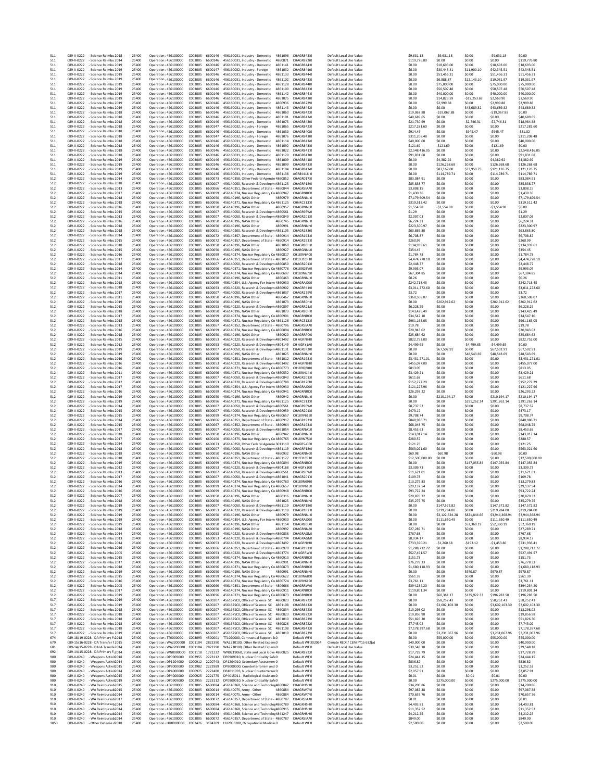|             | 089-X-0222<br>089-X-0222 | - Science Reimbu 2018<br>- Science Reimbu 2014                            | 25400<br>25400 | Operation : 456100000<br>Operation : 456100000 | C003005<br>C003005 | 6600146<br>6600146 | 456160031, Industry - Domestic<br>4861096<br>4860871<br>456160031, Industry - Domestic                    | CHAGR843:0<br>CHAGR872(0        | Default Local Use Value                            | \$9,631.18<br>\$119,776.80     | $-59.631.18$<br>\$0.00         | \$0.00<br>\$0.00        | $-59.631.18$<br>\$0.00         | \$0.00<br>\$119,776.80         |
|-------------|--------------------------|---------------------------------------------------------------------------|----------------|------------------------------------------------|--------------------|--------------------|-----------------------------------------------------------------------------------------------------------|---------------------------------|----------------------------------------------------|--------------------------------|--------------------------------|-------------------------|--------------------------------|--------------------------------|
| 511<br>511  | 089-X-0222               | - Science Reimbu 2019                                                     | 25400          | Operation : 456100000                          | C003005            | 6600146            | 456160031, Industry - Domestic<br>4861141                                                                 | CHAGR844:0                      | Default Local Use Value<br>Default Local Use Value | \$0.00                         | \$18,693.00                    | \$0.00                  | \$18,693.00                    | \$18,693.00                    |
| 511<br>511  | 089-X-0222<br>089-X-0222 | - Science Reimbu 2019<br>- Science Reimbu 2019                            | 25400<br>25400 | Operation : 456100000<br>Operation : 456100000 | C003005<br>C003005 | 6600147<br>6600146 | 4861032<br>456160032. Industry - Foreign<br>4861133<br>456160031, Industry - Domestic                     | CHAGR841(0<br>CHAGR84440        | Default Local Use Value<br>Default Local Use Value | \$0.00<br>\$0.00               | \$30,445.41<br>\$51,456.31     | \$11,900.10<br>\$0.00   | \$42,345.51<br>\$51,456.31     | \$42,345.51<br>\$51,456.31     |
| 511         | 089-X-0222               | - Science Reimbu 2019                                                     | 25400          | Operation : 456100000                          | C003005            | 6600146            | 456160031, Industry - Domestic<br>4861102                                                                 | CHAGR843:0                      | Default Local Use Value                            | \$0.00                         | \$6,888.87                     | \$12,143.10             | \$19.031.97                    | \$19.031.97                    |
| 511<br>511  | 089-X-0222<br>089-X-0222 | Science Reimbu 2019<br>- Science Reimbu 2019                              | 25400<br>25400 | Operation : 456100000<br>Operation : 456100000 | C003005<br>C003005 | 6600146<br>6600146 | 4861128<br>456160031, Industry - Domestic<br>456160031, Industry - Domestic<br>4861100                    | CHAGR844(0<br>CHAGR843:0        | Default Local Use Value<br>Default Local Use Value | \$0.00<br>\$0.00               | \$75,000.00<br>\$50,507.48     | \$0.00<br>\$0.00        | \$75,000.00<br>\$50,507.48     | \$75,000.00<br>\$50,507.48     |
| 511<br>511  | 089-X-0222<br>089-X-0222 | - Science Reimbu 2019<br>- Science Reimbu 2019                            | 25400<br>25400 | Operation : 456100000<br>Operation : 456100000 | C003005<br>C003005 | 6600146<br>6600146 | 4861142<br>456160031, Industry - Domestic<br>4861075<br>456160031, Industry - Domestic                    | CHAGR844:0<br>CHAGR843(0        | Default Local Use Value<br>Default Local Use Value | \$0.00<br>\$0.00               | \$40,000.00<br>\$14,823.59     | \$0.00<br>$-512,253.69$ | \$40,000.00<br>\$2,569.90      | \$40,000.00<br>\$2,569.90      |
| 511         | 089-X-0222               | - Science Reimbu 2019                                                     | 25400          | Operation : 456100000                          | C003005            | 6600146            | 456160031. Industry - Domestic<br>4860936                                                                 | CHAGR87210                      | Default Local Use Value                            | \$0.00                         | \$2,999.88                     | \$0.00                  | \$2,999.88                     | \$2,999.88                     |
| 511<br>511  | 089-X-0222<br>089-X-0222 | Science Reimbu 2019<br>- Science Reimbu 2018                              | 25400<br>25400 | Operation : 456100000<br>Operation : 456100000 | C003005<br>C003005 | 6600146<br>6600146 | 4861145<br>456160031, Industry - Domestic<br>456160031, Industry - Domestic<br>4861060                    | CHAGR84410<br>CHAGR842.0        | Default Local Use Value<br>Default Local Use Value | \$0.00<br>\$19,067.88          | \$0.00<br>$-$19,067.88$        | \$43,689.32<br>\$0.00   | \$43,689.32<br>$-$19,067.88$   | \$43,689.32<br>\$0.00          |
| 511<br>511  | 089-X-0222<br>089-X-0222 | - Science Reimbu 2018<br>- Science Reimbu 2018                            | 25400<br>25400 | Operation : 456100000<br>Operation : 456100000 | C003005<br>C003005 | 6600146<br>6600146 | 4861101<br>456160031. Industry - Domestic<br>456160031, Industry - Domestic<br>4861075                    | CHAGR84340<br>CHAGR843(0        | Default Local Use Value<br>Default Local Use Value | \$40,689.65<br>\$21,730.69     | \$0.00                         | \$0.00<br>$-52,746.31$  | \$0.00<br>$-52,746.31$         | \$40,689.65<br>\$18,984.38     |
| 511         | 089-X-0222               | - Science Reimbu 2018                                                     | 25400          | Operation : 456100000                          | C003005            | 6600147            | 456160032, Industry - Foreign<br>4861065                                                                  | CHAGR842:0                      | Default Local Use Value                            | \$217,281.60                   | \$0.00<br>\$0.00               | \$0.00                  | \$0.00                         | \$217.281.60                   |
| 511<br>511  | 089-X-0222<br>089-X-0222 | Science Reimbu 2018<br>- Science Reimbu 2018                              | 25400<br>25400 | Operation : 456100000<br>Operation : 456100000 | C003005<br>C003005 | 6600146<br>6600147 | 4861030<br>456160031, Industry - Domestic<br>456160032, Industry - Foreign<br>4861076                     | CHAGR84010<br>CHAGR843(0        | Default Local Use Value<br>Default Local Use Value | \$914.45<br>\$311,208.48       | \$0.00<br>\$0.00               | $-5945.47$<br>\$0.00    | $-5945.47$<br>\$0.00           | $-531.02$<br>\$311,208.48      |
| 511         | 089-X-0222               | - Science Reimbu 2018                                                     | 25400          | Operation : 456100000                          | C003005            | 6600146            | 4861114<br>456160031, Industry - Domestic                                                                 | CHAGR84340                      | Default Local Use Value                            | \$40,000.00                    | \$0.00                         | \$0.00                  | \$0.00                         | \$40,000.00                    |
| 511<br>511  | 089-X-0222<br>089-X-0222 | - Science Reimbu 2018<br>- Science Reimbu 2018                            | 25400<br>25400 | Operation : 456100000<br>Operation : 456100000 | C003005<br>C003005 | 6600146<br>6600146 | 4861092<br>456160031, Industry - Domestic<br>456160031, Industry - Domestic<br>4861022                    | CHAGR843:0<br>CHAGRS4110        | Default Local Use Value<br>Default Local Use Value | \$121.69<br>\$2,548,416.05     | $-5121.69$<br>\$0.00           | \$0.00<br>\$0.00        | $-$121.69$<br>\$0.00           | \$0.00<br>\$2,548,416.05       |
| 511<br>511  | 089-X-0222<br>089-X-0222 | Science Reimbu 2018<br>- Science Reimbu 2019                              | 25400<br>25400 | Operation : 456100000<br>Operation : 456100000 | C003005<br>C003005 | 6600146<br>6600146 | 456160031, Industry - Domestic<br>4861120<br>456160031, Industry - Domestic<br>4861009                    | CHAGR843(0<br>CHAGR84110        | Default Local Use Value<br>Default Local Use Value | \$91,831.68<br>\$0.00          | \$0.00<br>\$4,382.92           | \$0.00<br>\$0.00        | \$0.00<br>\$4,382.92           | \$91,831.68<br>\$4,382.92      |
| 511         | 089-X-0222               | - Science Reimbu 2019                                                     | 25400          | Operation : 456100000                          | C003005            | 6600146            | 4861099<br>456160031. Industry - Domestic                                                                 | CHAGR843:0                      | Default Local Use Value                            | \$0.00                         | \$126,268.68                   | \$0.00                  | \$126,268.68                   | \$126,268.68                   |
| 511<br>511  | 089-X-0222<br>089-X-0222 | - Science Reimbu 2019<br>- Science Reimbu 2019                            | 25400<br>25400 | Operation : 456100000<br>Operation : 456100000 | C003005<br>C003005 | 6600146<br>6600146 | 4861104<br>456160031, Industry - Domestic<br>456160031, Industry - Domestic<br>4861138                    | CHAGR84340<br>AGR84416 0        | Default Local Use Value<br>Default Local Use Value | \$0.00<br>\$0.00               | \$87,167.00<br>\$114,789.71    | \$33,959.75<br>\$0.00   | \$121,126.75<br>\$114,789.71   | \$121,126.75<br>\$114,789.71   |
| 512         | 089-X-0222               | Science Reimbu 2014                                                       | 25400          | Operation : 456100000                          | C003005            | 6600073            | 456140358, Other Federal Agencie 4860852                                                                  | CHAGR017:0                      | Default Local Use Value                            | \$83,084.91                    | \$0.00                         | \$0.00                  | \$0.00                         | \$83,084.91                    |
| 512<br>512  | 089-X-0222<br>089-X-0222 | - Science Reimbu 2018<br>- Science Reimbu 2013                            | 25400<br>25400 | Operation : 456100000<br>Operation : 456100000 | C003005<br>C003005 | 6600007<br>6600066 | 456140050, Research & Developm 4861123<br>456140351. Department of State - 4860844                        | CHAGRP18(0<br>CHAGRSIAAO        | Default Local Use Value<br>Default Local Use Value | \$85,838.77<br>\$3,808.15      | \$0.00<br>\$0.00               | \$0.00<br>\$0.00        | \$0.00<br>\$0.00               | \$85,838.77<br>\$3,808.15      |
| 512<br>512  | 089-X-0222<br>089-X-0222 | - Science Reimbu 2017<br>- Science Reimbu 2018                            | 25400<br>25400 | Operation : 456100000<br>Operation : 456100000 | C003005<br>C003005 | 6600099<br>6600050 | 456140374, Nuclear Regulatory Co 4860947<br>456140196, NASA Other<br>4860979                              | CHAGRNRCO<br>CHAGRNNJ 0         | Default Local Use Value<br>Default Local Use Value | \$1,430.36<br>\$7,179,609.54   | \$0.00<br>\$0.00               | \$0.00<br>\$0.00        | \$0.00<br>\$0.00               | \$1,430.36<br>\$7,179,609.54   |
| 512         | 089-X-0222               | Science Reimbu 2018                                                       | 25400          | Operation : 456100000                          | C003005            | 6600096            | 456140371, Nuclear Regulatory Co 4861125                                                                  | CHNRC313:0                      | Default Local Use Value                            | \$319,512.42                   | \$0.00                         | \$0.00                  | \$0.00                         | \$319,512.42                   |
| 512<br>512  | 089-X-0222<br>089-X-0222 | - Science Reimbu 2016<br>- Science Reimbu 2015                            | 25400<br>25400 | Operation : 456100000<br>Operation : 456100000 | C003005<br>C003005 | 6600050<br>6600007 | 456140196, NASA Other<br>4860957<br>456140050, Research & Developm 4860561                                | CHAGRNNLO<br>CHAGR9EVIO         | Default Local Use Value<br>Default Local Use Value | \$1,554.98<br>\$1.29           | $-51,554.98$<br>\$0.00         | \$0.00<br>\$0.00        | $-51,554.98$<br>\$0.00         | \$0.00<br>\$1.29               |
| 512         | 089-X-0222               | - Science Reimbu 2013                                                     | 25400          | Operation : 456100000                          | C003005            | 6600007            | 456140050, Research & Developm 4860849                                                                    | CHAGR201:0                      | Default Local Use Value                            | \$2,007.03                     | \$0.00                         | \$0.00                  | \$0.00                         | \$2,007.03                     |
| 512<br>512  | 089-X-0222<br>089-X-0222 | - Science Reimbu 2016<br>Science Reimbu 2018                              | 25400<br>25400 | Operation : 456100000<br>Operation : 456100000 | C003005<br>C003005 | 6600050<br>6600050 | 456140196, NASA Other<br>4860745<br>4860991<br>456140196, NASA Other                                      | CHAGRNNJ 0<br><b>CHAGRNNFO</b>  | Default Local Use Value<br>Default Local Use Value | \$6,224.31<br>\$223,300.97     | \$0.00<br>\$0.00               | \$0.00<br>\$0.00        | \$0.00<br>\$0.00               | \$6,224.31<br>\$223,300.97     |
| 512         | 089-X-0222<br>089-X-0222 | - Science Reimbu 2018                                                     | 25400<br>25400 | Operation : 456100000<br>Operation : 456100000 | C003005<br>C003005 | 6600051<br>6600072 | 456140200, Research & Developm 4861105<br>456140357, Department of State - 4860914                        | CHAGR183(0<br>CHAGR193:0        | Default Local Use Value                            | \$63,865.80<br>\$6,708.87      | \$0.00<br>\$0.00               | \$0.00<br>\$0.00        | \$0.00<br>\$0.00               | \$63,865.80<br>\$6,708.87      |
| 512<br>512  | 089-X-0222               | - Science Reimbu 2014<br>- Science Reimbu 2015                            | 25400          | Operation : 456100000                          | C003005            | 6600072            | 456140357, Department of State - 4860914                                                                  | CHAGR193:0                      | Default Local Use Value<br>Default Local Use Value | \$260.99                       | \$0.00                         | \$0.00                  | \$0.00                         | \$260.99                       |
| 512<br>512  | 089-X-0222<br>089-X-0222 | - Science Reimbu 2018<br>- Science Reimbu 2015                            | 25400<br>25400 | Operation : 456100000<br>Operation : 456100000 | C003005<br>C003005 | 6600050<br>6600050 | 456140196 NASA Other<br>4861069<br>4860927<br>456140196, NASA Other                                       | CHAGR80H 0<br>CHARGNNLO         | Default Local Use Value<br>Default Local Use Value | \$134,939.61<br>\$354.45       | \$0.00<br>\$0.00               | \$0.00<br>\$0.00        | \$0.00<br>\$0.00               | \$134,939.61<br>\$354.45       |
| 512         | 089-X-0222               | - Science Reimbu 2016                                                     | 25400          | Operation : 456100000                          | C003005            | 6600099            | 456140374, Nuclear Regulatory Co 4860817                                                                  | CH189V64C0                      | Default Local Use Value                            | \$1,784.78                     | \$0.00                         | \$0.00                  | \$0.00                         | \$1,784.78                     |
| 512<br>512  | 089-X-0222<br>089-X-0222 | - Science Reimbu 2017<br>- Science Reimbu 2018                            | 25400<br>25400 | Operation : 456100000<br>Operation : 456100000 | C003005<br>C003005 | 6600066<br>6600007 | 456140351, Department of State - 4861057<br>456140050, Research & Developm 4860850                        | CH1931CP10<br>CHAGR20110        | Default Local Use Value<br>Default Local Use Value | \$4,474,778.10<br>\$2,448.77   | \$0.00<br>\$0.00               | \$0.00<br>\$0.00        | \$0.00<br>\$0.00               | \$4,474,778.10<br>\$2,448.77   |
| 512<br>512  | 089-X-0222<br>089-X-0222 | - Science Reimbu 2014<br>Science Reimbu 2014                              | 25400<br>25400 | Operation : 456100000<br>Operation : 456100000 | C003005<br>C003005 | 6600096<br>6600099 | 456140371. Nuclear Regulatory Co 4860776                                                                  | CH189ORVIO<br>CH189N6750        | Default Local Use Value<br>Default Local Use Value | \$9,993.07<br>\$67,304.85      | \$0.00<br>\$0.00               | \$0.00<br>\$0.00        | \$0.00<br>\$0.00               | \$9,993.07<br>\$67,304.85      |
| 512         | 089-X-0222               | - Science Reimbu 2011                                                     | 25400          | Operation : 456100000                          | C003005            | 6600050            | 456140374, Nuclear Regulatory Co 4860697<br>456140196, NASA Other<br>4860463                              | CHAGRNNJ 0                      | Default Local Use Value                            | \$0.26                         | \$0.00                         | \$0.00                  | \$0.00                         | \$0.26                         |
| 512<br>512  | 089-X-0222<br>089-X-0222 | - Science Reimbu 2018<br>- Science Reimbu 2018                            | 25400<br>25400 | Operation : 456100000<br>Operation : 456100000 | C003005<br>C003005 | 6600069<br>6600053 | 456140354, U.S. Agency For Intern 4860930<br>456140220, Research & Developm 4860902                       | CHAGRAID(0<br>CHAGRP41(0        | Default Local Use Value<br>Default Local Use Value | \$242,718.45<br>\$3,011,272.60 | \$0.00<br>\$0.00               | \$0.00<br>\$0.00        | \$0.00<br>\$0.00               | \$242,718.45<br>\$3,011,272.60 |
| 512         | 089-X-0222               | - Science Reimbu 2017                                                     | 25400          | Operation : 456100000                          | C003005            | 6600007            | 456140050, Research & Developm 4861037                                                                    | CHAGR17E10                      | Default Local Use Value                            | \$3.72                         | \$0.00                         | \$0.00                  | \$0.00                         | \$3.72                         |
| 512<br>512  | 089-X-0222<br>089-X-0222 | Science Reimbu 2011<br>- Science Reimbu 2019                              | 25400<br>25400 | Operation : 456100000<br>Operation : 456100000 | C003005<br>C003005 | 6600050<br>6600050 | 456140196, NASA Other<br>4860467<br>456140196, NASA Other<br>4861073                                      | CHAGRNNJ 0<br>CHAGR80H 0        | Default Local Use Value<br>Default Local Use Value | \$360,508.07<br>\$0.00         | \$0.00<br>\$202,912.62         | \$0.00<br>\$0.00        | \$0.00<br>\$202,912.62         | \$360,508.07<br>\$202,912.62   |
| 512<br>512  | 089-X-0222<br>089-X-0222 | - Science Reimbu 2015<br>- Science Reimbu 2018                            | 25400<br>25400 | Operation : 456100000<br>Operation : 456100000 | C003005<br>C003005 | 6600053<br>6600050 | 456140220, Research & Developm 4860897<br>456140196, NASA Other<br>4861073                                | CHAGRR210<br>CHAGR80H 0         | Default Local Use Value<br>Default Local Use Value | \$6,228.29<br>\$143,425.49     | \$0.00<br>\$0.00               | \$0.00<br>\$0.00        | \$0.00<br>\$0.00               | \$6,228.29<br>\$143,425.49     |
| 512         | 089-X-0222               | - Science Reimbu 2017                                                     | 25400          | Operation : 456100000                          | C003005            | 6600099            | 456140374, Nuclear Regulatory Co 4860901                                                                  | CHAGRNRCO                       | Default Local Use Value                            | \$34,547.10                    | \$0.00                         | \$0.00                  | \$0.00                         | \$34,547.10                    |
| 512<br>512  | 089-X-0222<br>089-X-0222 | Science Reimbu 2018<br>- Science Reimbu 2013                              | 25400<br>25400 | Operation : 456100000<br>Operation : 456100000 | C003005<br>C003005 | 6600096<br>6600067 | 456140371, Nuclear Regulatory Co 4861126<br>456140352, Department of State - 4860796                      | CHNRC313:0<br>CHAGRSIAA0        | Default Local Use Value<br>Default Local Use Value | \$961,165.05<br>\$19.78        | \$0.00<br>\$0.00               | \$0.00<br>\$0.00        | \$0.00<br>\$0.00               | \$961,165.05<br>\$19.78        |
| 512         | 089-X-0222               | - Science Reimbu 2016                                                     | 25400          | Operation : 456100000                          | C003005            | 6600099            | 456140374, Nuclear Regulatory Co 4860894                                                                  | CHAGRNRCO                       | Default Local Use Value                            | \$20,943.02                    | \$0.00                         | \$0.00                  | \$0.00                         | \$20,943.02                    |
| 512<br>512  | 089-X-0222<br>089-X-0222 | - Science Reimbu 2018<br>- Science Reimbu 2015                            | 25400<br>25400 | Operation : 456100000<br>Operation : 456100000 | C003005<br>C003005 | 6600050<br>6600053 | 456140196, NASA Other<br>4860920<br>456140220. Research & Developm 4803492                                | CHAGRRPOO<br>CH AGRNIHO         | Default Local Use Value<br>Default Local Use Value | \$25,684.62<br>\$822,752.00    | \$0.00<br>\$0.00               | \$0.00<br>\$0.00        | \$0.00<br>\$0.00               | \$25,684.62<br>\$822,752.00    |
| 512         | 089-X-0222               | Science Reimbu 2012                                                       | 25400          | Operation : 456100000                          | C003005            | 6600053            | 456140220, Research & Developm 4804149                                                                    | CH AGRY1A0                      | Default Local Use Value                            | \$4,499.65                     | \$0.00                         | $-$4,499.65$            | $-$4,499.65$                   | \$0.00                         |
| 512<br>512  | 089-X-0222<br>089-X-0222 | - Science Reimbu 2019<br>- Science Reimbu 2019                            | 25400<br>25400 | Operation : 456100000<br>Operation : 456100000 | C003005<br>C003005 | 6600007<br>6600050 | 456140050, Research & Developm 4861131<br>4861025<br>456140196, NASA Other                                | CHAGRER2IO<br>CHAGRNNFO         | Default Local Use Value<br>Default Local Use Value | \$0.00<br>\$0.00               | \$67,502.91<br>\$0.00          | \$0.00<br>\$48,543.69   | \$67,502.91<br>\$48,543.69     | \$67,502.91<br>\$48,543.69     |
| 512<br>512  | 089-X-0222<br>089-X-0222 | - Science Reimbu 2016<br>- Science Reimbu 2016                            | 25400<br>25400 | Operation : 456100000<br>Operation : 456100000 | C003005<br>C003005 | 6600066<br>6600053 | 456140351, Department of State - 4861012<br>456140220. Research & Developm 4803492                        | CHAGR193:0<br>CH AGRNIHO        | Default Local Use Value<br>Default Local Use Value | \$3,431,271.01<br>\$455,077.00 | \$0.00<br>\$0.00               | \$0.00<br>\$0.00        | \$0.00<br>\$0.00               | \$3,431,271.01<br>\$455,077.00 |
| 512         | 089-X-0222               | Science Reimbu 2016                                                       | 25400          | Operation : 456100000                          | C003005            | 6600096            | 456140371, Nuclear Regulatory Co 4860773                                                                  | CH189QBI00                      | Default Local Use Value                            | \$813.05                       | \$0.00                         | \$0.00                  | \$0.00                         | \$813.05                       |
| 512<br>512  | 089-X-0222<br>089-X-0222 | - Science Reimbu 2011<br>- Science Reimbu 2017                            | 25400<br>25400 | Operation : 456100000<br>Operation : 456100000 | C003005<br>C003005 | 6600096<br>6600007 | 456140371, Nuclear Regulatory Co 4860532<br>456140050, Research & Developm 4860843                        | CH189J4140<br>CHAGR201:0        | Default Local Use Value<br>Default Local Use Value | \$3,429.21<br>\$611.68         | \$0.00<br>\$0.00               | \$0.00<br>\$0.00        | \$0.00<br>\$0.00               | \$3,429.21<br>\$611.68         |
| 512<br>512  | 089-X-0222<br>089-X-0222 | - Science Reimbu 2012<br>- Science Reimbu 2017                            | 25400<br>25400 | Operation : 456100000<br>Operation : 456100000 | C003005<br>C003005 | 6600053<br>6600069 | 456140220, Research & Developm 4860788<br>456140354, U.S. Agency For Intern 4860930                       | CHAGR12FIO<br>CHAGRAID(0        | Default Local Use Value<br>Default Local Use Value | \$152,272.29<br>\$121,227.96   | \$0.00<br>\$0.00               | \$0.00<br>\$0.00        | \$0.00<br>\$0.00               | \$152,272.29<br>\$121.227.96   |
| 512         | 089-X-0222               | Science Reimbu 2016                                                       | 25400          | Operation : 456100000                          | C003005            | 6600099            | 456140374, Nuclear Regulatory Co 4860941                                                                  | CHAGRNRCO                       | Default Local Use Value                            | \$26,293.22                    | \$0.00                         | \$0.00                  | \$0.00                         | \$26,293.22                    |
| 512<br>512  | 089-X-0222<br>089-X-0222 | - Science Reimbu 2019<br>- Science Reimbu 2019                            | 25400<br>25400 | Operation : 456100000<br>Operation : 456100000 | C003005<br>C003005 | 6600050<br>6600096 | 456140196, NASA Other<br>4860942<br>456140371, Nuclear Regulatory Co 4861125                              | CHAGRNNJ 0<br>CHNRC313:0        | Default Local Use Value<br>Default Local Use Value | \$0.00<br>\$0.00               | \$210,194.17<br>\$0.00         | \$0.00<br>\$291,262.14  | \$210,194.17<br>\$291,262.14   | \$210,194.17<br>\$291,262.14   |
| 512         | 089-X-0222               | - Science Reimbu 2014                                                     | 25400          | Operation : 456100000                          | C003005            | 6600007            | 456140050, Research & Developm 4860561                                                                    | CHAGR9EWO                       | Default Local Use Value                            | \$8,737.52                     | \$0.00                         | \$0.00                  | \$0.00                         | \$8,737.52                     |
| 512<br>512  | 089-X-0222<br>089-X-0222 | - Science Reimbu 2015                                                     | 25400          | Operation : 456100000<br>Operation : 456100000 | C003005<br>C003005 | 6600007<br>6600099 | 456140050. Research & Developm 4860959<br>456140374, Nuclear Regulatory Co 4860657                        | CHAGR201:0<br>CH189V6150        | Default Local Use Value<br>Default Local Use Value | \$473.17<br>\$9,708.74         | \$0.00<br>\$0.00               | \$0.00<br>\$0.00        | \$0.00<br>\$0.00               | \$473.17<br>\$9,708.74         |
| 512         |                          | - Science Reimbu 2015                                                     | 25400          |                                                |                    |                    |                                                                                                           |                                 |                                                    |                                |                                |                         |                                |                                |
|             | 089-X-0222               | - Science Reimbu 2014                                                     | 25400          | Operation : 456100000                          | C003005            | 6600066            | 456140351, Department of State - 4860917                                                                  | CHAGR193:0                      | Default Local Use Value                            | \$840,986.71                   | \$0.00                         | \$0.00                  | \$0.00                         | \$840,986.71                   |
| 512<br>512  | 089-X-0222<br>089-X-0222 | - Science Reimbu 2015<br>- Science Reimbu 2017                            | 25400<br>25400 | Operation : 456100000<br>Operation : 456100000 | C003005<br>C003005 | 6600067<br>6600007 | 456140352, Department of State - 4860964<br>456140050, Research & Developm 4861054                        | CHAGR193:0<br>CHAGRNA10         | Default Local Use Value<br>Default Local Use Value | \$68,048.75<br>\$8,453.63      | \$0.00<br>\$0.00               | \$0.00<br>\$0.00        | \$0.00<br>\$0.00               | \$68,048.75<br>\$8,453.63      |
| 512         | 089-X-0222               | - Science Reimbu 2018                                                     | 25400          | Operation : 456100000                          | C003005            | 6600050            | 456140196 NASA Other<br>4860942                                                                           | CHAGRNNIO<br>CH189N7510         | Default Local Use Value                            | \$143,017.14                   | \$0.00                         | \$0.00                  | \$0.00                         | \$143,017.14                   |
| 512<br>512  | 089-X-0222<br>089-X-0222 | Science Reimbu 2017<br>- Science Reimbu 2014                              | 25400<br>25400 | Operation : 456100000<br>Operation : 456100000 | C003005<br>C003005 | 6600100<br>6600073 | 456140375, Nuclear Regulatory Co 4860765<br>456140358, Other Federal Agencie 3011110                      | CRAGRS-OEO                      | Default Local Use Value<br>Default Local Use Value | \$280.57<br>\$121.25           | \$0.00<br>\$0.00               | \$0.00<br>\$0.00        | \$0.00<br>\$0.00               | \$280.57<br>\$121.25           |
| 512<br>512  | 089-X-0222<br>089-X-0222 | - Science Reimbu 2018<br>- Science Reimbu 2018                            | 25400<br>25400 | Operation : 456100000<br>Operation : 456100000 | C003005<br>C003005 | 6600007<br>6600050 | 456140050, Research & Developm 4861119<br>456140196, NASA Other<br>4860932                                | CHAGRP18(0<br>CHAGRNNCO         | Default Local Use Value<br>Default Local Use Value | \$563,021.60<br>\$60.98        | \$0.00<br>$-560.98$            | \$0.00<br>\$0.00        | \$0.00<br>$-560.98$            | \$563,021.60<br>\$0.00         |
| 512         | 089-X-0222               | - Science Reimbu 2018                                                     | 25400          | Operation : 456100000                          | C003005            | 6600066            | 456140351. Department of State - 4861127                                                                  | CH1931CP10                      | Default Local Use Value                            | \$12,500,000.00                | \$0.00                         | \$0.00                  | \$0.00                         | \$12,500,000.00                |
| 512<br>512  | 089-X-0222<br>089-X-0222 | Science Reimbu 2019<br>- Science Reimbu 2012                              | 25400<br>25400 | Operation : 456100000<br>Operation : 456100000 | C003005<br>C003005 | 6600099<br>6600053 | 456140374, Nuclear Regulatory Co 4860894<br>456140220, Research & Developm 4804168                        | CHAGRNRCO<br>CH AGRY1GO         | Default Local Use Value<br>Default Local Use Value | \$0.00<br>\$3,309.73           | \$0.00<br>\$0.00               | \$147,055.84<br>\$0.00  | \$147,055.84<br>\$0.00         | \$147,055.84<br>\$3,309.73     |
| 512<br>512  | 089-X-0222<br>089-X-0222 | - Science Reimbu 2013<br>- Science Reimbu 2017                            | 25400<br>25400 | Operation : 456100000<br>Operation : 456100000 | C003005<br>C003005 | 6600007<br>6600007 | 456140050, Research & Developm 4860561<br>456140050. Research & Developm 4861041                          | CHAGROFWO<br>CHAGR20110         | Default Local Use Value<br>Default Local Use Value | \$11,621.01<br>\$109.78        | \$0.00<br>\$0.00               | \$0.00<br>\$0.00        | \$0.00<br>\$0.00               | \$11,621.01<br>\$109.78        |
| 512         | 089-X-0222               | - Science Reimbu 2016                                                     | 25400          | Operation : 456100000                          | C003005            | 6600099            | 456140374, Nuclear Regulatory Co 4860760                                                                  | CH189N6950                      | Default Local Use Value                            | \$13,279.83                    | \$0.00                         | \$0.00                  | \$0.00                         | \$13.279.83                    |
| 512<br>512  | 089-X-0222<br>089-X-0222 | - Science Reimbu 2014<br>- Science Reimbu 2016                            | 25400<br>25400 | Operation : 456100000<br>Operation : 456100000 | C003005<br>C003005 | 6600099<br>6600099 | 456140374, Nuclear Regulatory Co 4860657 CH189V6150<br>456140374, Nuclear Regulatory Co 4860948 CHAGRNRCO |                                 | Default Local Use Value<br>Default Local Use Value | \$29,137.54<br>\$93,722.24     | \$0.00<br>\$0.00               | \$0.00<br>\$0.00        | \$0.00<br>\$0.00               | \$29,137.54<br>\$93,722.24     |
| 512<br>512  | 089-X-0222<br>089-X-0222 | -Science Reimbu 2007<br>- Science Reimbu 2018                             | 25400<br>25400 | Oneration : 456100000<br>Operation : 456100000 | C003005<br>C003005 | 6600050<br>6600050 | 456140196 NASA Othe<br>4860316<br>456140196, NASA Other<br>4861025                                        | CHAGRNNIC<br>CHAGRNNFO          | Default Local Use Value<br>Default Local Use Value | 520,870.32<br>\$35,279.75      | SO.00<br>\$0.00                | \$0.00<br>\$0.00        | <b>SO.OO</b><br>\$0.00         | \$20,870.32<br>\$35,279.75     |
| 512         | 089-X-0222               | - Science Reimbu 2019                                                     | 25400          | Operation : 456100000                          | C003005            | 6600007            | 456140050. Research & Developm 4861119                                                                    | CHAGRP18(0                      | Default Local Use Value                            | \$0.00                         | \$147,572.82                   | \$0.00                  | \$147.572.82                   | \$147,572.82                   |
| 512<br>512  | 089-X-0222<br>089-X-0222 | - Science Reimbu 2019<br>- Science Reimbu 2019                            | 25400<br>25400 | Operation : 456100000<br>Operation : 456100000 | C003005<br>C003005 | 6600053<br>6600050 | 456140220, Research & Developm 4861118<br>456140196, NASA Other<br>4860979                                | CHAGR1R20<br>CHAGRNNJ 0         | Default Local Use Value<br>Default Local Use Value | \$0.00<br>\$0.00               | \$219,284.00<br>\$3,122,524.28 | \$0.00<br>\$821,844.66  | \$219,284.00<br>\$3,944,368,94 | \$219,284.00<br>\$3,944,368.94 |
| 512<br>512  | 089-X-0222               | - Science Reimbu 2019<br>- Science Reimbu 2019                            | 25400<br>25400 | Operation : 456100000<br>Operation : 456100000 | C003005<br>C003005 | 6600069<br>6600050 | 456140354, U.S. Agency For Intern 4860930<br>456140196, NASA Other<br>4861154                             | CHAGRAID(0<br>CHAGR80L/0        | Default Local Use Value<br>Default Local Use Value | \$0.00<br>\$0.00               | \$111,650.49<br>\$0.00         | \$0.00<br>\$52,360.19   | \$111,650.49<br>\$52,360.19    | \$111,650.49<br>\$52,360.19    |
| 512         | 089-X-0222<br>089-X-0222 | - Science Reimbu 2018                                                     | 25400          | Operation : 456100000                          | C003005            | 6600050            | 456140196 NASA Other<br>4860992                                                                           | <b>CHAGRNNAO</b>                | Default Local Use Value                            | \$27,289.71                    | \$0.00                         | \$0.00                  | \$0.00                         | \$27.289.71                    |
| 512<br>512  | 089-X-0222<br>089-X-0222 | - Science Reimbu 2014<br>- Science Reimbu 2013                            | 25400<br>25400 | Operation : 456100000<br>Operation : 456100000 | C003005<br>C003005 | 6600053<br>6600053 | 456140220, Research & Developm 4860836<br>456140220, Research & Developm 4860794                          | CHAGRAGNO<br>CHAGRAGNO          | Default Local Use Value<br>Default Local Use Value | \$767.68<br>\$8,934.17         | \$0.00<br>\$0.00               | \$0.00<br>\$0.00        | \$0.00<br>\$0.00               | \$767.68<br>\$8,934.17         |
| 512         | 089-X-0222               | - Science Reimbu 2014                                                     | 25400<br>25400 | Operation : 456100000                          | C003005            | 6600053            | 456140220, Research & Developm 4803492<br>456140351. Department of State - 4860970                        | CH AGRNIHO<br>CHAGR193'O        | Default Local Use Value                            | \$733,390.21                   | $-$1,260.68$                   | $-5193.12$              | $-$1,453.80$                   | \$731,936.41                   |
| 512<br>512  | 089-X-0222<br>089-X-0222 | - Science Reimbu 2016<br>- Science Reimbu 2005                            | 25400          | Operation : 456100000<br>Operation : 456100000 | C003005<br>C003005 | 6600066<br>6600053 | 456140220. Research & Developm 4803774                                                                    | CH AGRRW 0                      | Default Local Use Value<br>Default Local Use Value | \$1,288,712.72<br>\$527,491.57 | \$0.00<br>\$0.00               | \$0.00<br>\$0.00        | \$0.00<br>\$0.00               | \$1,288,712.72<br>\$527,491.57 |
| 512         | 089-X-0222               | - Science Reimbu 2015                                                     | 25400          | Operation : 456100000                          | C003005            | 6600099            | 456140374, Nuclear Regulatory Co 4860913                                                                  | CHAGRNRCO                       | Default Local Use Value                            | \$151.73                       | \$0.00                         | \$0.00                  | \$0.00                         | \$151.73                       |
| 512<br>512  | 089-X-0222<br>089-X-0222 | - Science Reimbu 2017<br>- Science Reimbu 2018                            | 25400<br>25400 | Operation : 456100000<br>Operation : 456100000 | C003005<br>C003005 | 6600050<br>6600096 | 456140196, NASA Other<br>4860991<br>456140371, Nuclear Regulatory Co 4860873                              | CHAGRNNFO<br>CHAGRNRCO          | Default Local Use Value<br>Default Local Use Value | \$76,278.33<br>\$1,680,118.93  | \$0.00<br>\$0.00               | \$0.00<br>\$0.00        | \$0.00<br>\$0.00               | \$76,278.33<br>\$1,680,118.93  |
| 512<br>512  | 089-X-0222<br>089-X-0222 | - Science Reimbu 2019<br>- Science Reimbu 2015                            | 25400<br>25400 | Operation : 456100000<br>Operation : 456100000 | C003005<br>C003005 | 6600050<br>6600099 | 456140196, NASA Other<br>4860991<br>456140374, Nuclear Regulatory Co 4860622                              | <b>CHAGRNNFO</b><br>CH189N6850  | Default Local Use Value<br>Default Local Use Value | \$0.00<br>\$561.39             | \$0.00<br>\$0.00               | \$970.87<br>\$0.00      | \$970.87<br>\$0.00             | \$970.87<br>\$561.39           |
| 512         | 089-X-0222               | Science Reimbu 2016                                                       | 25400          | Operation : 456100000                          | C003005            | 6600099            | 456140374, Nuclear Regulatory Co 4860724                                                                  | CH189V6190<br>CHAGRRWIC         | Default Local Use Value                            | \$3,761.11                     | \$0.00                         | \$0.00                  | \$0.00                         | \$3,761.11                     |
| 512<br>512  | 089-X-0222<br>089-X-0222 | - Science Reimbu 2005<br>- Science Reimbu 2017                            | 25400<br>25400 | Operation : 456100000<br>Operation : 456100000 | C003005<br>C003005 | 6600066<br>6600099 | 456140351, Department of State - 4806666<br>456140374, Nuclear Regulatory Co 4860911                      | CHAGRNRCO                       | Default Local Use Value<br>Default Local Use Value | \$394,234.20<br>\$119,801.34   | \$0.00<br>\$0.00               | \$0.00<br>\$0.00        | \$0.00<br>\$0.00               | \$394,234.20<br>\$119,801.34   |
| 512<br>517  | 089-X-0222<br>089-X-0222 | - Science Reimbu 2019<br>- Science Reimbu 2019                            | 25400<br>25400 | Operation : 456100000<br>Operation : 456100000 | C003005<br>C003005 | 6600096<br>6600207 | 456140371. Nuclear Regulatory Co 4860873<br>456167SCO, Office of Science SC 4860823                       | CHAGRNRCO<br><b>CHAGR872.0</b>  | Default Local Use Value<br>Default Local Use Value | \$0.00<br>\$0.00               | \$60,361.17<br>\$58,252.43     | \$135,922.33<br>\$0.00  | \$196,283.50<br>\$58,252.43    | \$196,283.50<br>\$58,252.43    |
| 517         | 089-X-0222               | - Science Reimbu 2019                                                     | 25400          | Operation : 456100000                          | C003005            | 6600207            | 456167SC0, Office of Science SC 4861108                                                                   | CHAGR843.0                      | Default Local Use Value                            | \$0.00                         | \$3,602,103.30                 | \$0.00                  | \$3,602,103.30                 | \$3,602,103.30                 |
| 517<br>517  | 089-X-0222<br>089-X-0222 | - Science Reimbu 2018<br>- Science Reimbu 2018                            | 25400<br>25400 | Operation : 456100000<br>Operation : 456100000 | C003005<br>C003005 | 6600207<br>6600207 | 456167SC0, Office of Science SC 4860834<br>456167SC0, Office of Science SC 4860823                        | CHAGR872:0<br>CHAGR87210        | Default Local Use Value<br>Default Local Use Value | \$13,298.02<br>\$19,856.98     | \$0.00<br>\$0.00               | \$0.00<br>\$0.00        | \$0.00<br>\$0.00               | \$13,298.02<br>\$19,856.98     |
| 517<br>517  | 089-X-0222<br>089-X-0222 | - Science Reimbu 2018<br>- Science Reimbu 2018                            | 25400<br>25400 | Operation : 456100000<br>Operation : 456100000 | C003005<br>C003005 | 6600207<br>6600207 | 456167SC0. Office of Science SC 4861010<br>456167SCO, Office of Science SC 4860826                        | CHAGR873!0<br>CHAGR872.0        | Default Local Use Value<br>Default Local Use Value | \$51,826.30<br>\$7,745.02      | \$0.00<br>\$0.00               | \$0.00<br>\$0.00        | \$0.00<br>\$0.00               | \$51,826.30<br>\$7,745.02      |
| 517         | 089-X-0222               | - Science Reimbu 2018                                                     | 25400          | Operation : 456100000                          | C003005            | 6600207            | 456167SC0, Office of Science SC 4861108                                                                   | CHAGR843.0                      | Default Local Use Value                            | \$7,178,397.68                 | \$0.00                         | \$0.00                  | \$0.00                         | \$7,178,397.68                 |
| 517<br>674  | 089-X-0222               | - Science Reimbu 2019<br>089-18/19-0228 - DA Primary F:2018               | 25400<br>25400 | Operation : 456100000<br>Operation : TT0000000 | C003005<br>C003093 | 6600207<br>4500001 | 456167SC0, Office of Science SC 4861010<br>TT1020000, Contractual Support St0                             | CHAGR873!0<br>Default WF0       | Default Local Use Value<br>Default Local Use Value | \$0.00<br>\$0.00               | \$3,231,067.96<br>\$55,000.00  | \$0.00<br>\$0.00        | \$3,231,067.96<br>\$55,000.00  | \$3,231,067.96<br>\$55,000.00  |
| 679         |                          | 089-15/16-0228 - DA Transfer f 2015                                       | 25400          | Operation : WA2200000                          | C001104            | 2822390            | WA2230100, Other Related Expens0                                                                          | Default WF 302064               | Climate REDI / CEM FY15 632(a)                     | \$40,000.00                    | \$0.00                         | \$0.00                  | \$0.00                         | \$40,000.00                    |
| 681<br>692  |                          | 089-14/15-0228 - DA IA Transfe 2014<br>089-14/15-0228 - DA Primary F:2014 | 25400<br>25400 | Operation : WA2200000<br>Operation : WN0000000 | C001104<br>C001118 | 2822390<br>1721222 | WA2230100, Other Related Expens0<br>WN0219060, State and Local Gove 4860825                               | Default WFO<br>CHAGR872.0       | Default Local Use Value<br>Default Local Use Value | \$39,548.18<br>\$17,728.79     | \$0.00<br>\$0.00               | \$0.00<br>\$0.00        | \$0.00<br>\$0.00               | \$39,548.18<br>\$17,728.79     |
| 900<br>900  | 089-X-0240               | 089-X-0240 - Weapons Activit2018<br>- Weapons Activit2014                 | 25400<br>25400 | Operation : DP0909000<br>Operation : DP1204000 | C002955<br>C000912 | 2223112<br>2220743 | DP0909010, Nuclear Criticality Safe0<br>DP1204010, Secondary Assessmen 0                                  | Default WF0<br>Default WF0      | Default Local Use Value<br>Default Local Use Value | \$24,444.15                    | \$0.00<br>\$0.00               | \$0.00<br>\$0.00        | \$0.00                         | \$24,444.15                    |
| 900         | 089-X-0240               | - Weapons Activit2015                                                     | 25400          | Operation ¿DP8000000                           | C002982            | 2222989            | DP8000000, Counterterrorism and 0                                                                         | Default WF0                     | Default Local Use Value                            | \$836.82<br>\$3,252.52         | \$0.00                         | \$0.00                  | \$0.00<br>\$0.00               | \$836.82<br>\$3,252.52         |
| 900<br>900  | 089-X-0240<br>089-X-0240 | Weapons Activit2014<br>Weapons Activit 2015                               | 25400<br>25400 | Operation : DP4000000<br>Operation : DP4000000 | C000925<br>C000925 | 2222480<br>2221775 | DP4011093, Nuclear Counterterror 0<br>DP4015011 - Radiological Assistanc0                                 | Default WFO<br>Default WF0      | Default Local Use Value<br>Default Local Use Value | \$2,057.91<br>\$0.01           | \$0.00<br>\$0.00               | \$0.00<br>$-50.01$      | \$0.00<br>$-50.01$             | \$2,057.91<br>\$0.00           |
| 900         | 089-X-0240<br>089-X-0240 | Weapons Activit 2019                                                      | 25400<br>25400 | Operation : DP0909000                          | C002955            | 2223112            | DP0909010, Nuclear Criticality Safe0                                                                      | Default WF0<br><b>CHAGRHSHO</b> | Default Local Use Value                            | \$0.00                         | \$275,000.00                   | \$0.00                  | \$275,000.00                   | \$275,000.00                   |
| 910<br>910  | 089-X-0240               | WA Reimbursab 2015<br>- WA Reimbursab 2015                                | 25400          | Operation : 456100000<br>Operation : 456100000 | C003005<br>C003005 | 6600084<br>6600014 | 45614036B, Science and Technolog 4860847<br>4860884<br>456140075, Army - Other                            | CHAGRW740                       | Default Local Use Value<br>Default Local Use Value | \$34,200.86<br>\$97,087.38     | \$0.00<br>\$0.00               | \$0.00<br>\$0.00        | \$0.00<br>\$0.00               | \$34,200.86<br>\$97,087.38     |
| 910<br>910  | 089-X-0240<br>089-X-0240 | WA Reimbursab2014<br>WA Reimbursab 2017                                   | 25400<br>25400 | Operation : 456100000<br>Operation : 456100000 | C003005<br>C003005 | 6600014<br>6600072 | 456140075, Army - Other<br>4860884<br>456140357, Department of State - 4860787                            | CHAGRW740<br>CHAGRSIAA0         | Default Local Use Value<br>Default Local Use Value | \$70,657.76<br>\$0.01          | \$0.00<br>\$0.00               | \$0.00<br>\$0.00        | \$0.00<br>\$0.00               | \$70,657.76<br>\$0.01          |
| 910         | 089-X-0240               | WA Reimbursab 2014                                                        | 25400          | Operation : 456100000                          | C003005            | 6600084            | 45614036B, Science and Technolog 4860789                                                                  | CHAGRHSH0                       | Default Local Use Value                            | \$4,403.81                     | \$0.00                         | \$0.00                  | \$0.00                         | \$4,403.81                     |
| 910<br>910  | 089-X-0240<br>089-X-0240 | WA Reimbursab 2014<br>- WA Reimbursab 2014                                | 25400<br>25400 | Operation : 456100000<br>Operation : 456100000 | C003005<br>C003005 | 6600084<br>6600084 | 45614036B, Science and Technolog 4860915<br>45614036B, Science and Technolos 4841247                      | <b>CHAGRHSHO</b><br>CHAGRHSHO   | Default Local Use Value<br>Default Local Use Value | \$11,352.52<br>\$4,212.25      | \$0.00<br>\$0.00               | \$0.00<br>\$0.00        | \$0.00<br>\$0.00               | \$11,352.52<br>\$4,212.25      |
| 910<br>1050 | 089-X-0240<br>089-X-0243 | - WA Reimbursab 2014<br>- Other Defense / 2018                            | 25400<br>25400 | Operation : 456100000<br>Operation : HU0000000 | C003005<br>C002426 | 6600072<br>3184709 | 456140357. Department of State - 4860787<br>HU2006100, Occupational Medicin0                              | CHAGRSIAA0<br>Default WF0       | Default Local Use Value<br>Default Local Use Value | \$849.00<br>\$2,500.00         | \$0.00<br>\$0.00               | \$0.00<br>\$0.00        | \$0.00<br>\$0.00               | \$849.00<br>\$2,500.00         |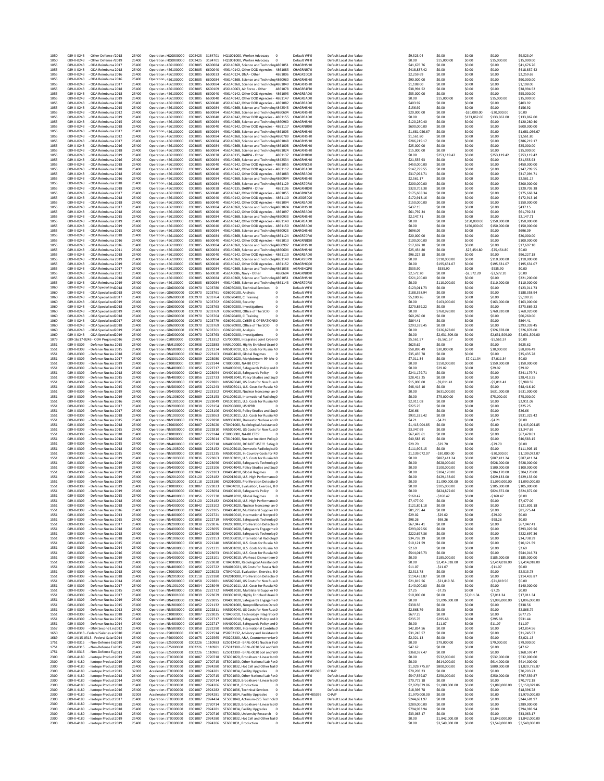| 1050<br>1050 | 089-X-0243<br>089-X-0243 | - Other Defense / 2018<br>- Other Defense / 2019                              | 25400<br>25400 | Operation : HQ0000000<br>Operation : HQ0000000 | C002425<br>C002425 | 3184701<br>3184701 | HQ1001000, Worker Advocacy<br>$^{\circ}$<br>HQ1001000, Worker Advocacy<br>$\circ$               | Default WFO<br>Default WF0           | Default Local Use Value<br>Default Local Use Value | \$9,523.04<br>\$0.00           | \$0.00<br>\$15,000.00            | \$0.00<br>\$0.00        | \$0.00<br>\$15,000.00            | \$9,523.04<br>\$15,000.00        |
|--------------|--------------------------|-------------------------------------------------------------------------------|----------------|------------------------------------------------|--------------------|--------------------|-------------------------------------------------------------------------------------------------|--------------------------------------|----------------------------------------------------|--------------------------------|----------------------------------|-------------------------|----------------------------------|----------------------------------|
| 1055         | 089-X-0243               | - ODA Reimbursa 2017                                                          | 25400          | Operation : 456100000                          | C003005            | 6600084            | 45614036B, Science and Technolog 4861051                                                        | CHAGRHSHO                            | Default Local Use Value                            | \$41,676.76                    | \$0.00                           | \$0.00                  | \$0.00                           | \$41,676.76                      |
| 1055<br>1055 | 089-X-0243<br>089-X-0243 | - ODA Reimbursa 2018<br>- ODA Reimbursa 2016                                  | 25400<br>25400 | Operation : 456100000<br>Operation : 456100000 | C003005<br>C003005 | 6600040<br>6600033 | 456140142, Other DOD Agencies - 4861085<br>4861006<br>456140124, DNA - Other                    | CHAGRNR70<br>CHAGR100.0              | Default Local Use Value<br>Default Local Use Value | \$418,837.42<br>\$2,259.69     | \$0.00<br>\$0.00                 | \$0.00<br>\$0.00        | \$0.00<br>\$0.00                 | \$418,837.42<br>\$2,259.69       |
| 1055         | 089-X-0243               | - ODA Reimbursa 2016                                                          | 25400          | Operation : 456100000                          | C003005            | 6600084            | 45614036B. Science and Technolog 4860960                                                        | CHAGRHSHO                            | Default Local Use Value                            | \$90,000.00                    | \$0.00                           | \$0.00                  | \$0.00                           | \$90,000.00                      |
| 1055<br>1055 | 089-X-0243<br>089-X-0243 | - ODA Reimbursa 2017<br>- ODA Reimbursa 2018                                  | 25400<br>25400 | Operation : 456100000<br>Operation : 456100000 | C003005<br>C003005 | 6600084<br>6600109 | 45614036B, Science and Technolog 4861049<br>456140063. Air Force - Other<br>4861078             | <b>CHAGRHSHO</b><br>CHAGRF4FE0       | Default Local Use Value<br>Default Local Use Value | \$1,108.00<br>\$38,994.52      | \$0.00<br>\$0.00                 | \$0.00<br>\$0.00        | \$0.00<br>\$0.00                 | \$1,108.00<br>\$38,994.52        |
| 1055         | 089-X-0243               | - ODA Reimbursa 2018                                                          | 25400          | Operation : 456100000                          | C003005            | 6600040<br>6600040 | 456140142, Other DOD Agencies - 4861095                                                         | CHAGREAO0                            | Default Local Use Value                            | \$55,000.00                    | \$0.00                           | \$0.00                  | \$0.00                           | \$55,000.00                      |
| 1055<br>1055 | 089-X-0243<br>089-X-0243 | - ODA Reimbursa 2019<br>- ODA Reimbursa 2018                                  | 25400<br>25400 | Operation : 456100000<br>Operation : 456100000 | C003005<br>C003005 | 6600040            | 456140142, Other DOD Agencies - 4861147<br>456140142, Other DOD Agencies - 4861082              | CHAGREAO0<br>CHAGREAO0               | Default Local Use Value<br>Default Local Use Value | \$0.00<br>\$403.92             | \$15,000.00<br>\$0.00            | \$0.00<br>\$0.00        | \$15,000.00<br>\$0.00            | \$15,000.00<br>\$403.92          |
| 1055         | 089-X-0243               | - ODA Reimbursa 2015                                                          | 25400          | Operation : 456100000                          | C003005            | 6600084            | 45614036B, Science and Technolog 4842545                                                        | <b>CHAGRHSHO</b>                     | Default Local Use Value<br>Default Local Use Value | \$156.92                       | \$0.00                           | \$0.00<br>$-520.000.00$ | \$0.00                           | \$156.92                         |
| 1055<br>1055 | 089-X-0243<br>089-X-0243 | - ODA Reimbursa 2012<br>- ODA Reimbursa 2019                                  | 25400<br>25400 | Operation : 456100000<br>Operation : 456100000 | C003005<br>C003005 | 6600084<br>6600040 | 45614036B, Science and Technolog 4860604<br>456140142, Other DOD Agencies - 4861155             | CHAGRHSH0<br>CHAGREAO0               | Default Local Use Value                            | \$20,000.00<br>\$0.00          | \$0.00<br>\$0.00                 | \$133,862.00            | $-520,000.00$<br>\$133,862.00    | \$0.00<br>\$133,862.00           |
| 1055         | 089-X-0243               | - ODA Reimbursa 2015                                                          | 25400          | Operation : 456100000                          | C003005            | 6600084            | 45614036B, Science and Technolos 4860960                                                        | <b>CHAGRHSHO</b>                     | Default Local Use Value                            | \$120,280.40                   | \$0.00                           | \$0.00                  | \$0.00                           | \$120,280.40                     |
| 1055<br>1055 | 089-X-0243<br>089-X-0243 | - ODA Reimbursa 2018<br>- ODA Reimbursa 2017                                  | 25400<br>25400 | Operation : 456100000<br>Operation : 456100000 | C003005<br>C003005 | 6600040<br>6600084 | 456140142, Other DOD Agencies - 4861117<br>45614036B, Science and Technolog 4861005 CHAGRHSHO   | CHAGRNR00                            | Default Local Use Value<br>Default Local Use Value | \$600,000.00<br>\$1,681,056.67 | \$0.00<br>\$0.00                 | \$0.00<br>\$0.00        | \$0.00<br>\$0.00                 | \$600,000.00<br>\$1,681,056.67   |
| 1055         | 089-X-0243               | - ODA Reimbursa 2012                                                          | 25400          | Operation : 456100000                          | C003005            | 6600084            | 45614036B, Science and Technolog 4860789                                                        | CHAGRHSH0                            | Default Local Use Value                            | \$1,561.80                     | \$0.00                           | \$0.00                  | \$0.00                           | \$1,561.80                       |
| 1055<br>1055 | 089-X-0243<br>089-X-0243 | - ODA Reimbursa 2017<br>- ODA Reimbursa 2016                                  | 25400<br>25400 | Operation : 456100000<br>Operation : 456100000 | C003005<br>C003005 | 6600084<br>6600084 | 45614036B, Science and Technolog 4861048<br>45614036B, Science and Technolos 4861008            | <b>CHAGRHSHO</b><br><b>CHAGRHSHO</b> | Default Local Use Value<br>Default Local Use Value | \$286,219.17<br>\$25,000.00    | \$0.00<br>\$0.00                 | \$0.00<br>\$0.00        | \$0.00<br>\$0.00                 | \$286,219.17<br>\$25,000.00      |
| 1055         | 089-X-0243               | - ODA Reimbursa 2018                                                          | 25400          | Operation : 456100000                          | C003005            | 6600084            | 45614036B, Science and Technolog 4861024                                                        | <b>CHAGRHSHO</b>                     | Default Local Use Value                            | \$15,000.00                    | \$0.00                           | \$0.00                  | \$0.00                           | \$15,000.00                      |
| 1055<br>1055 | 089-X-0243<br>089-X-0243 | - ODA Reimbursa 2019<br>ODA Reimbursa 2016                                    | 25400<br>25400 | Operation : 456100000<br>Operation : 456100000 | C003005<br>C003005 | 6600038<br>6600084 | 456140135, DARPA - Other<br>45614036B, Science and Technolog 4842534                            | 4861137 CHAGRHR00<br>CHAGRHSH0       | Default Local Use Value<br>Default Local Use Value | \$0.00<br>\$21,555.93          | \$253,119.42<br>\$0.00           | \$0.00<br>\$0.00        | \$253,119.42<br>\$0.00           | \$253,119.42<br>\$21,555.93      |
| 1055         | 089-X-0243               | - ODA Reimbursa 2018                                                          | 25400          | Operation : 456100000                          | C003005            | 6600040            | 456140142, Other DOD Agencies - 4861055                                                         | CHAGRNCS 0                           | Default Local Use Value                            | \$450,000.00                   | \$0.00                           | \$0.00                  | \$0.00                           | \$450,000.00                     |
| 1055         | 089-X-0243               | - ODA Reimbursa 2018                                                          | 25400          | Operation : 456100000                          | C003005            | 6600040            | 456140142, Other DOD Agencies - 4861112                                                         | CHAGREAOO                            | Default Local Use Value                            | \$147,799.55<br>\$317,094.71   | \$0.00                           | \$0.00                  | \$0.00                           | \$147,799.55                     |
| 1055<br>1055 | 089-X-0243<br>089-X-0243 | - ODA Reimbursa 2018<br>- ODA Reimbursa 2016                                  | 25400<br>25400 | Operation : 456100000<br>Operation : 456100000 | C003005<br>C003005 | 6600040<br>6600084 | 456140142, Other DOD Agencies - 4861083<br>45614036B, Science and Technolog 4860994             | CHAGREAO0<br><b>CHAGRHSHO</b>        | Default Local Use Value<br>Default Local Use Value | \$2,561.17                     | \$0.00<br>\$0.00                 | \$0.00<br>\$0.00        | \$0.00<br>\$0.00                 | \$317,094.71<br>\$2,561.17       |
| 1055         | 089-X-0243               | ODA Reimbursa 2018                                                            | 25400          | Operation : 456100000                          | C003005            | 6600084            | 45614036B, Science and Technolog 4861129                                                        | CHAGR70R!O                           | Default Local Use Value                            | \$200,000.00                   | \$0.00                           | \$0.00                  | \$0.00                           | \$200,000.00                     |
| 1055<br>1055 | 089-X-0243<br>089-X-0243 | - ODA Reimbursa 2018<br>- ODA Reimbursa 2017                                  | 25400<br>25400 | Operation : 456100000<br>Operation : 456100000 | C003005<br>C003005 | 6600038<br>6600040 | 456140135, DARPA - Other<br>4861106<br>456140142. Other DOD Agencies - 4861055                  | CHAGRHR00<br>CHAGRNCSO               | Default Local Use Value<br>Default Local Use Value | \$320,703.38<br>\$175,668.34   | \$0.00<br>\$0.00                 | \$0.00<br>\$0.00        | \$0.00<br>\$0.00                 | \$320,703.38<br>\$175,668.34     |
| 1055         | 089-X-0243               | - ODA Reimbursa 2018                                                          | 25400          | Operation : 456100000                          | C003005            | 6600040            | 456140142, Other DOD Agencies - 4861110                                                         | CH16003D20                           | Default Local Use Value                            | \$172,913.16                   | \$0.00                           | \$0.00                  | \$0.00                           | \$172,913.16                     |
| 1055<br>1055 | 089-X-0243<br>089-X-0243 | - ODA Reimbursa 2018<br>ODA Reimbursa 2017                                    | 25400<br>25400 | Operation : 456100000<br>Operation : 456100000 | C003005<br>C003005 | 6600040<br>6600084 | 456140142, Other DOD Agencies - 4861094<br>45614036B, Science and Technolos 4861024             | CHAGREAO0<br>CHAGRHSHO               | Default Local Use Value<br>Default Local Use Value | \$150,000.00<br>\$437.15       | \$0.00<br>\$0.00                 | \$0.00<br>\$0.00        | \$0.00<br>\$0.00                 | \$150,000.00<br>\$437.15         |
| 1055         | 089-X-0243               | - ODA Reimbursa 2018                                                          | 25400          | Operation : 456100000                          | C003005            | 6600040            | 456140142, Other DOD Agencies - 4861097                                                         | CHAGREAO0                            | Default Local Use Value                            | \$61,792.34                    | \$0.00                           | \$0.00                  | \$0.00                           | \$61,792.34                      |
| 1055<br>1055 | 089-X-0243<br>089-X-0243 | - ODA Reimbursa 2015<br>- ODA Reimbursa 2019                                  | 25400<br>25400 | Operation : 456100000<br>Operation : 456100000 | C003005<br>C003005 | 6600084<br>6600040 | 45614036B, Science and Technolog 4860933<br>456140142, Other DOD Agencies - 4861149             | <b>CHAGRHSHO</b><br>CHAGREAO0        | Default Local Use Value<br>Default Local Use Value | \$2,147.71<br>\$0.00           | \$0.00<br>\$0.00                 | \$0.00<br>\$150,000.00  | \$0.00<br>\$150,000.00           | \$2,147.71<br>\$150,000.00       |
| 1055         | 089-X-0243               | - ODA Reimbursa 2019                                                          | 25400          | Operation : 456100000                          | C003005            | 6600040            | 456140142, Other DOD Agencies - 4861150                                                         | CHAGREAO0                            | Default Local Use Value                            | \$0.00                         | \$0.00                           | \$150,000.00            | \$150,000.00                     | \$150,000.00                     |
| 1055<br>1055 | 089-X-0243<br>089-X-0243 | ODA Reimbursa 2015<br>- ODA Reimbursa 2018                                    | 25400<br>25400 | Operation : 456100000<br>Operation : 456100000 | C003005<br>C003005 | 6600084<br>6600084 | 45614036B, Science and Technolos 4860923<br>45614036B, Science and Technolos 4861124 CHAGR70F/0 | CHARGHSHO                            | Default Local Use Value<br>Default Local Use Value | \$696.09<br>\$20,000.00        | \$0.00<br>\$0.00                 | \$0.00<br>\$0.00        | \$0.00<br>\$0.00                 | \$696.09<br>\$20,000.00          |
| 1055         | 089-X-0243               | - ODA Reimbursa 2016                                                          | 25400          | Operation : 456100000                          | C003005            | 6600040            | 456140142, Other DOD Agencies - 4861013                                                         | <b>CHAGRNID10</b>                    | Default Local Use Value                            | \$100,000.00                   | \$0.00                           | \$0.00                  | \$0.00                           | \$100,000.00                     |
| 1055<br>1055 | 089-X-0243<br>089-X-0243 | - ODA Reimbursa 2016<br>- ODA Reimbursa 2011                                  | 25400<br>25400 | Operation : 456100000<br>Operation : 456100000 | C003005<br>C003005 | 6600084<br>6600084 | 45614036B. Science and Technolos 4860997<br>45614036B, Science and Technolog 4860604            | <b>CHAGRHSHO</b><br><b>CHAGRHSHO</b> | Default Local Use Value<br>Default Local Use Value | \$17,697.10<br>\$25,454.80     | \$0.00<br>\$0.00                 | \$0.00<br>$-$25,454.80$ | \$0.00<br>$-525,454.80$          | \$17,697.10<br>\$0.00            |
| 1055         | 089-X-0243               | ODA Reimbursa 2018                                                            | 25400          | Operation : 456100000                          | C003005            | 6600040            | 456140142, Other DOD Agencies - 4861113                                                         | CHAGREAOO                            | Default Local Use Value                            | \$96,227.18                    | \$0.00                           | \$0.00                  | \$0.00                           | \$96,227.18                      |
| 1055<br>1055 | 089-X-0243<br>089-X-0243 | - ODA Reimbursa 2019<br>- ODA Reimbursa 2019                                  | 25400<br>25400 | Operation : 456100000<br>Operation : 456100000 | C003005<br>C003005 | 6600084<br>6600040 | 45614036B, Science and Technolog 4861140<br>456140142, Other DOD Agencies - 4861152             | CHAGR70R10<br>CHAGRHOCO              | Default Local Use Value<br>Default Local Use Value | \$0.00<br>\$0.00               | \$110,000.00<br>\$195,631.07     | \$0.00<br>\$0.00        | \$110,000.00<br>\$195,631.07     | \$110,000.00<br>\$195,631.07     |
| 1055         | 089-X-0243               | - ODA Reimbursa 2017                                                          | 25400          | Operation : 456100000                          | C003005            | 6600084            | 45614036B. Science and Technolos 4861038                                                        | AGRHSHOPO                            | Default Local Use Value                            | \$535.90                       | $-5535.90$                       | \$0.00                  | $-5535.90$                       | \$0.00                           |
| 1055<br>1055 | 089-X-0243<br>089-X-0243 | - ODA Reimbursa 2011<br>ODA Reimbursa 2018                                    | 25400<br>25400 | Operation : 456100000<br>Operation : 456100000 | C003005<br>C003005 | 6600020<br>6600084 | 4860694<br>456140086, Navy - Other<br>45614036B, Science and Technolos 4861051                  | CHAGRN000<br>CHAGRHSHO               | Default Local Use Value<br>Default Local Use Value | \$2,572.20<br>\$221,200.00     | \$0.00<br>\$0.00                 | $-52,572.20$<br>\$0.00  | $-52,572.20$<br>\$0.00           | \$0.00<br>\$221,200.00           |
| 1055         | 089-X-0243               | - ODA Reimbursa 2019                                                          | 25400          | Operation : 456100000                          | C003005            | 6600084            | 45614036B, Science and Technolog 4861143                                                        | CHAGR70R10                           | Default Local Use Value                            | \$0.00                         | \$110,000.00                     | \$0.00                  | \$110,000.00                     | \$110,000.00                     |
| 1060         | 089-X-0243               | ODA Specialized 2018                                                          | 25400          | Operation : GD6000000<br>Oneration : GD6000000 | C002970            | 3203780            | GD6050200. Technical Services<br>$^{\circ}$                                                     | Default WF0<br>Default WFO           | Default Local Use Value                            | \$123,011.73<br>\$188 358 94   | \$0.00                           | \$0.00                  | \$0.00                           | \$123,011.73                     |
| 1060<br>1060 | 089-X-0243<br>089-X-0243 | - ODA Specialized 2018<br>- ODA Specialized 2017                              | 25400<br>25400 | Operation : GD6000000                          | C002970<br>C002970 | 3203761<br>3203764 | GD6020100, Analysis<br>$^{\circ}$<br>GD6020400, CI Training<br>$\circ$                          | Default WF0                          | Default Local Use Value<br>Default Local Use Value | \$5,100.26                     | \$0.00<br>\$0.00                 | \$0.00<br>\$0.00        | \$0.00<br>\$0.00                 | \$188,358.94<br>\$5,100.26       |
| 1060         | 089-X-0243               | ODA Specialized 2019                                                          | 25400          | Operation : GD6000000                          | C002970            | 3203762            | GD6020200, Security<br>$\bf{0}$                                                                 | Default WF0                          | Default Local Use Value                            | \$0.00                         | \$163,000.00                     | \$0.00                  | \$163,000.00                     | \$163,000.00                     |
| 1060<br>1060 | 089-X-0243<br>089-X-0243 | - ODA Specialized 2018<br>ODA Specialized 2019                                | 25400<br>25400 | Operation : GD6000000<br>Operation : GD6000000 | C002970<br>C002970 | 3203763<br>3203769 | GD6020300, Investigations<br>$^{\circ}$<br>GD6020900, Office of The SCIO<br>$\circ$             | Default WF0<br>Default WF0           | Default Local Use Value<br>Default Local Use Value | \$273,869.22<br>\$0.00         | \$0.00<br>\$760,920.00           | \$0.00<br>\$0.00        | \$0.00<br>\$760,920.00           | \$273,869.22<br>\$760,920.00     |
| 1060         | 089-X-0243               | - ODA Specialized 2018                                                        | 25400          | Oneration : GD6000000                          | C002970            | 3203764            | GD6020400 CLTraining<br>$^{\circ}$                                                              | Default WFO                          | Default Local Use Value                            | \$60,260.00                    | \$0.00                           | \$0.00                  | \$0.00                           | \$60,260.00                      |
| 1060<br>1060 | 089-X-0243<br>089-X-0243 | - ODA Specialized 2017<br>- ODA Specialized 2018                              | 25400<br>25400 | Operation : GD6000000<br>Operation : GD6000000 | C002970<br>C002970 | 3203779<br>3203769 | GD6050100, CYBER & OPERATIONS0<br>GD6020900, Office of The SCIO<br>$\,$ 0                       | Default WFO<br>Default WF0           | Default Local Use Value<br>Default Local Use Value | \$864.41<br>\$293,339.45       | \$0.00<br>\$0.00                 | \$0.00<br>\$0.00        | \$0.00<br>\$0.00                 | \$864.41<br>\$293.339.45         |
| 1060         | 089-X-0243               | - ODA Specialized 2019                                                        | 25400          | Operation : GD6000000                          | C002970            | 3203761            | GD6020100, Analysis<br>$^{\circ}$                                                               | Default WF0                          | Default Local Use Value                            | \$0.00                         | \$326,878.00                     | \$0.00                  | \$326,878.00                     | \$326,878.00                     |
| 1060<br>1079 | 089-X-0243               | - ODA Specialized 2019<br>089-16/17-0243 - ODA Program 2016                   | 25400<br>25400 | Operation : GD6000000<br>Operation ¿CS0000000  | C002970<br>C000892 | 3203763<br>1713352 | GD6020300, Investigations<br>$^{\circ}$<br>CS7000000, Integrated Joint Cyber:0                  | Default WF0<br>Default WFO           | Default Local Use Value<br>Default Local Use Value | \$0.00<br>\$5,561.57           | \$2,631,509.00<br>$-55.561.57$   | \$0.00<br>\$0.00        | \$2,631,509.00<br>$-55.561.57$   | \$2,631,509.00<br>\$0.00         |
| 1551         | 089-X-0309               | - Defense Nuclea 2015                                                         | 25400          | Operation : NN9100000                          | C002938            | 2222883            | NN9100000, Highly Enriched Urani 0                                                              | Default WFO                          | Default Local Use Value                            | \$625.62                       | \$0.00                           | \$0.00                  | \$0.00                           | \$625.62                         |
| 1551<br>1551 | 089-X-0309<br>089-X-0309 | Defense Nuclea 2015<br>- Defense Nuclea 2018                                  | 25400<br>25400 | Operation : NN5000000<br>Operation : DN4000000 | C001058<br>C003042 | 2221234<br>2223103 | NN5002010, U.S. Costs for Russia NO<br>DN4004010, Global Regimes<br>- 0                         | Default WF0<br>Default WF0           | Default Local Use Value<br>Default Local Use Value | \$58,896.49<br>\$35,435.78     | \$30,000.00<br>\$0.00            | \$0.00<br>\$0.00        | \$30,000.00<br>\$0.00            | \$88,896.49<br>\$35,435.78       |
| 1551         | 089-X-0309               | - Defense Nuclea 2017                                                         | 25400          | Operation : DN3001000                          | C003039            | 2223080            | DN3001020, Molybdenum-99 Mo-0                                                                   | Default WF0                          | Default Local Use Value                            | \$7,011.34                     | \$0.00                           | $-57,011.34$            | $-57,011.34$                     | \$0.00                           |
| 1551<br>1551 | 089-X-0309<br>089-X-0309 | - Defense Nuclea 2019<br>- Defense Nuclea 2013                                | 25400<br>25400 | Operation : CT0000000<br>Operation : NN4000000 | C003007<br>C001056 | 2223144<br>2222717 | CT8000000, NA-80 CTCP<br>$\Omega$<br>NN4009010, Safeguards Policy and 0                         | Default WFO<br>Default WF0           | Default Local Use Value<br>Default Local Use Value | \$0.00<br>\$0.00               | \$150,000.00<br>\$29.02          | \$0.00<br>\$0.00        | \$150,000.00<br>\$29.02          | \$150,000.00<br>\$29.02          |
| 1551         | 089-X-0309               | Defense Nuclea 2018                                                           | 25400          | Operation : DN4000000                          | C003042            | 2223094            | DN4001010, Safeguards Policy<br>$\overline{\phantom{0}}$                                        | Default WF0                          | Default Local Use Value                            | \$241,179.71                   | \$0.00                           | \$0.00                  | \$0.00                           | \$241,179.71                     |
| 1551<br>1551 | 089-X-0309<br>089-X-0309 | - Defense Nuclea 2015<br>- Defense Nuclea 2015                                | 25400<br>25400 | Operation : NN4000000<br>Operation : NN5000000 | C001056<br>C001058 | 2222733<br>2222881 | NN4012040, Policy Studies and SurO<br>NN5070040, US Costs for Non Russ0                         | Default WF0<br>Default WF0           | Default Local Use Value                            | \$28,413.25<br>\$15,000.00     | \$0.00<br>$-59,011.41$           | \$0.00<br>\$0.00        | \$0.00<br>$-59,011.41$           | \$28,413.25<br>\$5,988.59        |
| 1551         | 089-X-0309               | - Defense Nuclea 2015                                                         | 25400          | Operation : NN5000000                          | C001058            | 2221243            | NN5005011, U.S. Costs for Russia NO                                                             | Default WFO                          | Default Local Use Value<br>Default Local Use Value | \$48,416.10                    | \$0.00                           | \$0.00                  | \$0.00                           | \$48,416.10                      |
|              | 089-X-0309               |                                                                               |                |                                                |                    |                    |                                                                                                 | Default WF0                          |                                                    |                                |                                  |                         | \$631,000.00                     |                                  |
| 1551         |                          | - Defense Nuclea 2019                                                         | 25400          | Operation : DN4000000                          | C003042            | 2223102            | DN4003020, Nuclear Noncomplian 0                                                                |                                      | Default Local Use Value                            | \$0.00                         | \$631,000.00                     | \$0.00                  |                                  | \$631,000.00                     |
| 1551         | 089-X-0309               | Defense Nuclea 2019                                                           | 25400          | Operation : DN1006000                          | C003089            | 2223153            | DN1006010, International Radiolog0                                                              | Default WF0                          | Default Local Use Value                            | \$0.00                         | \$75,000.00                      | \$0.00                  | \$75,000.00<br>\$0.00            | \$75,000.00                      |
| 1551<br>1551 | 089-X-0309<br>089-X-0309 | - Defense Nuclea 2016<br>- Defense Nuclea 2017                                | 25400<br>25400 | Operation : DN1001000<br>Operation : DN2000000 | C003034<br>C003038 | 2223049<br>2223154 | DN1001011, U.S. Costs for Russia NO<br>DN2006000, USHPRR<br>$^{\circ}$                          | Default WF0<br>Default WF0           | Default Local Use Value<br>Default Local Use Value | \$2,911.08<br>\$225.25         | \$0.00<br>\$0.00                 | \$0.00<br>\$0.00        | \$0.00                           | \$2,911.08<br>\$225.25           |
| 1551         | 089-X-0309               | - Defense Nuclea 2017                                                         | 25400          | Operation : DN4000000                          | C003042            | 2223106            | DN4004040, Policy Studies and Sup0                                                              | Default WFO                          | Default Local Use Value                            | \$26.66                        | \$0.00                           | \$0.00                  | \$0.00                           | \$26.66                          |
| 1551<br>1551 | 089-X-0309<br>089-X-0309 | - Defense Nuclea 2018<br>Defense Nuclea 2015                                  | 25400<br>25400 | Operation : DN1003000<br>Operation : NN9300000 | C003036<br>C002936 | 2223063<br>2222890 | DN1003011, U.S. Costs for Russia NO<br>NN9301000, Domestic Nuclear andO                         | Default WF0<br>Default WF0           | Default Local Use Value<br>Default Local Use Value | \$931,325.42<br>\$4.21         | \$0.00<br>$-54.21$               | \$0.00<br>\$0.00        | \$0.00<br>$-54.21$               | \$931,325.42<br>\$0.00           |
| 1551         | 089-X-0309               | - Defense Nuclea 2018                                                         | 25400          | Operation : CT0000000                          | C003007            | 2223020            | CT8401000, Radiological Assistance0                                                             | Default WF0                          | Default Local Use Value                            | \$1,415,004.85                 | \$0.00                           | \$0.00                  | \$0.00                           | \$1,415,004.85                   |
| 1551<br>1551 | 089-X-0309<br>089-X-0309 | - Defense Nuclea 2015<br>- Defense Nuclea 2018                                | 25400<br>25400 | Operation : NN5000000<br>Operation : CT0000000 | C001058<br>C003007 | 2222810<br>2223144 | NN5002040, US Costs for Non Russ0<br>CT8000000 NA-80 CTCP<br>$\Omega$                           | Default WF0<br>Default WFO           | Default Local Use Value<br>Default Local Use Value | \$3,347.69<br>\$67,478.61      | \$0.00<br>\$0.00                 | \$0.00<br>\$0.00        | \$0.00<br>\$0.00                 | \$3,347.69<br>\$67,478.61        |
| 1551         | 089-X-0309               | - Defense Nuclea 2018                                                         | 25400          | Operation : CT0000000                          | C003007            | 2223014            | CT8101000, Nuclear Incident Policy0                                                             | Default WF0                          | Default Local Use Value                            | \$40,583.15                    | \$0.00                           | \$0.00                  | \$0.00                           | \$40,583.15                      |
| 1551<br>1551 | 089-X-0309<br>089-X-0309 | Defense Nuclea 2015<br>- Defense Nuclea 2018                                  | 25400<br>25400 | Operation : NN4000000<br>Operation : DN1005000 | C001056<br>C003088 | 2222718<br>2223152 | NN4009020, DO NOT USE !!! Safeg 0<br>DN1005010, Domestic RadiologicalO                          | Default WF0<br>Default WF0           | Default Local Use Value<br>Default Local Use Value | \$29.70<br>\$111,905.15        | $-529.70$<br>\$0.00              | \$0.00<br>\$0.00        | $-529.70$<br>\$0.00              | \$0.00<br>\$111,905.15           |
| 1551         | 089-X-0309               | - Defense Nuclea 2015                                                         | 25400          | Operation : NN5000000<br>Oneration : DN1003000 | C001058            | 2221235            | NN5002020, In-Country Costs for RO                                                              | Default WF0<br>Default WFO           | Default Local Use Value                            | \$1,139,072.07                 | $-530,000.00$                    | \$0.00                  | $-$30,000.00$<br>\$887 411 24    | \$1,109,072.07                   |
| 1551<br>1551 | 089-X-0309<br>089-X-0309 | - Defense Nuclea 2019<br>- Defense Nuclea 2019                                | 25400<br>25400 | Operation : DN4000000                          | C003036<br>C003042 | 2223063<br>2223096 | DN1003011, U.S. Costs for Russia NO<br>DN4001030, Safeguards Technolog0                         | Default WF0                          | Default Local Use Value<br>Default Local Use Value | \$0.00<br>\$0.00               | \$887,411.24<br>\$628,000.00     | \$0.00<br>\$0.00        | \$628,000.00                     | \$887,411.24<br>\$628,000.00     |
| 1551         | 089-X-0309               | Defense Nuclea 2019                                                           | 25400          | Operation : DN4000000                          | C003042            | 2223106            | DN4004040, Policy Studies and SucO                                                              | Default WF0                          | Default Local Use Value                            | \$0.00                         | \$100,000.00                     | \$0.00                  | \$100,000.00                     | \$100,000.00                     |
| 1551<br>1551 | 089-X-0309<br>089-X-0309 | - Defense Nuclea 2019<br>- Defense Nuclea 2019                                | 25400<br>25400 | Operation : DN4000000<br>Operation : DN2012000 | C003042<br>C003120 | 2223103<br>2223182 | DN4004010, Global Regimes<br>$^{\circ}$<br>DN2012010, U.S. High Performanc(0                    | Default WF0<br>Default WF0           | Default Local Use Value<br>Default Local Use Value | \$0.00<br>\$0.00               | \$304,170.00<br>\$429,133.00     | \$0.00<br>\$0.00        | \$304,170.00<br>\$429,133.00     | \$304,170.00<br>\$429,133.00     |
| 1551         | 089-X-0309               | - Defense Nuclea 2019                                                         | 25400          | Oneration: DN2010000                           | C003118            | 2223180            | DN2010000 Proliferation Detectio 0                                                              | Default WFO                          | Default Local Use Value                            | \$0.00                         | \$1,090,000.00                   | \$0.00                  | \$1,090,000.00                   | \$1,090,000.00                   |
| 1551<br>1551 | 089-X-0309               | 089-X-0309 - Defense Nuclea 2019<br>- Defense Nuclea 2019                     | 25400<br>25400 | Operation : CT0000000<br>Operation : DN4000000 | C003007<br>C003042 | 2223023<br>2223094 | CT8404010, Evaluation, Exercise, RO<br>DN4001010, Safeguards Policy<br>$\overline{\phantom{0}}$ | Default WFO<br>Default WF0           | Default Local Use Value<br>Default Local Use Value | \$0.00<br>\$0.00               | \$105,000.00<br>\$824,872.00     | \$0.00<br>\$0.00        | \$105,000.00<br>\$824,872.00     | \$105,000.00<br>\$824,872.00     |
| 1551         | 089-X-0309               | - Defense Nuclea 2015                                                         | 25400          | Oneration : NN4000000                          | C001056            | 2222730            | NN4012010 Global Regimes                                                                        | Default WFO                          | Default Local Use Value                            | \$160.47                       | $-5160.47$                       | \$0.00                  | $-5160.47$                       | \$0.00                           |
| 1551<br>1551 | 089-X-0309<br>089-X-0309 | Defense Nuclea 2018<br>- Defense Nuclea 2018                                  | 25400<br>25400 | Operation : DN2012000<br>Oneration : DN4000000 | C003120<br>C003042 | 2223182<br>2223102 | DN2012010, U.S. High Performanc:0<br>DN4003020, Nuclear Noncomplian 0                           | Default WF0<br>Default WFO           | Default Local Use Value<br>Default Local Use Value | \$7,477.00<br>\$121,801.18     | \$0.00<br>\$0.00                 | \$0.00<br>\$0.00        | \$0.00<br>\$0.00                 | \$7,477.00<br>\$121,801.18       |
| 1551         | 089-X-0309               | - Defense Nuclea 2016                                                         | 25400          | Operation : DN4000000                          | C003042            | 2223105            | DN4004030, Multilateral Supplier FO                                                             | Default WFO                          | Default Local Use Value                            | \$81,275.44                    | \$0.00                           | \$0.00                  | \$0.00                           | \$81,275.44                      |
| 1551<br>1551 | 089-X-0309<br>089-X-0309 | Defense Nuclea 2013<br>- Defense Nuclea 2015                                  | 25400<br>25400 | Operation : NN4000000<br>Operation : NN4000000 | C001056<br>C001056 | 2222721<br>2222719 | NN4010010, International NonorolO<br>NN4009030, Safeguards TechnologO                           | Default WF0<br>Default WF0           | Default Local Use Value<br>Default Local Use Value | \$29.02<br>\$98.26             | $-529.02$<br>$-598.26$           | \$0.00<br>\$0.00        | $-529.02$<br>$-598.26$           | \$0.00<br>\$0.00                 |
| 1551<br>1551 | 089-X-0309<br>089-X-0309 | - Defense Nuclea 2017<br>- Defense Nuclea 2018                                | 25400<br>25400 | Operation : DN2000000<br>Oneration : DN4000000 | C003038<br>C003042 | 2223076<br>2223095 | DN2001000, Proliferation Detectio 0                                                             | Default WF0<br>Default WFO           | Default Local Use Value<br>Default Local Use Value | \$67,947.41                    | \$0.00<br>\$0.00                 | \$0.00<br>\$0.00        | \$0.00<br>\$0.00                 | \$67,947.41<br>\$293.029.56      |
| 1551         | 089-X-0309               | - Defense Nuclea 2018                                                         | 25400          | Operation : DN4000000                          | C003042            | 2223096            | DN4001020, Safeguards Engageme0<br>DN4001030, Safeguards Technolog0                             | Default WF0                          | Default Local Use Value                            | \$293,029.56<br>\$222,697.36   | \$0.00                           | \$0.00                  | \$0.00                           | \$222,697.36                     |
| 1551         | 089-X-0309               | Defense Nuclea 2018                                                           | 25400          | Operation ¿DN1006000                           | C003089            | 2223153            | DN1006010, International Radiolos0                                                              | Default WF0                          | Default Local Use Value                            | \$34,738.39                    | \$0.00                           | \$0.00                  | \$0.00                           | \$34,738.39                      |
| 1551<br>1551 | 089-X-0309<br>089-X-0309 | - Defense Nuclea 2015<br>- Defense Nuclea 2014                                | 25400<br>25400 | Operation : NN5000000<br>Operation : NN5000000 | C001058<br>C001058 | 2221240<br>2221231 | NN5004010, U.S. Costs for Russia NO<br>NN5001010, U.S. Costs for Russia NO                      | Default WF0<br>Default WF0           | Default Local Use Value<br>Default Local Use Value | \$10,121.59<br>\$2.69          | \$0.00<br>\$0.00                 | \$0.00<br>\$0.00        | \$0.00<br>\$0.00                 | \$10,121.59<br>\$2.69            |
| 1551         | 089-X-0309               | - Defense Nuclea 2016                                                         | 25400          | Oneration : DN1001000                          | C003034            | 2223053            | DN1001021, U.S. Costs for Russia NO                                                             | Default WFO                          | Default Local Use Value                            | \$544,016.73                   | \$0.00                           | \$0.00                  | \$0.00                           | \$544,016.73                     |
| 1551<br>1551 | 089-X-0309<br>089-X-0309 | - Defense Nuclea 2019<br>Defense Nuclea 2019                                  | 25400<br>25400 | Operation : DN4000000<br>Operation : CT0000000 | C003042<br>C003007 | 2223101<br>2223020 | DN4003010, Warhead Dismantlem 0<br>CT8401000, Radiological Assistance0                          | Default WF0<br>Default WF0           | Default Local Use Value<br>Default Local Use Value | \$0.00<br>\$0.00               | \$185,000.00<br>\$2,414,018.00   | \$0.00<br>\$0.00        | \$185,000.00<br>\$2,414,018.00   | \$185,000.00<br>\$2,414,018.00   |
| 1551         | 089-X-0309               | - Defense Nuclea 2014                                                         | 25400          | Operation : NN4000000                          | C001056            | 2222722            | NN4010021, US Costs for Russia NtO                                                              | Default WF0                          | Default Local Use Value                            | \$11.07                        | $-511.07$                        | \$0.00                  | $-$11.07$                        | \$0.00                           |
| 1551<br>1551 | 089-X-0309<br>089-X-0309 | - Defense Nuclea 2018<br>- Defense Nuclea 2018                                | 25400<br>25400 | Operation : CT0000000<br>Oneration: DN2010000  | C003007<br>C003118 | 2223023<br>2223180 | CT8404010, Evaluation, Exercise, RO<br>DN2010000, Proliferation Detectio 0                      | Default WF0<br>Default WFO           | Default Local Use Value<br>Default Local Use Value | \$2,513.78<br>\$114,433.87     | \$0.00<br>\$0.00                 | \$0.00<br>\$0.00        | \$0.00<br>\$0.00                 | \$2,513.78<br>\$114,433.87       |
| 1551         | 089-X-0309               | - Defense Nuclea 2014                                                         | 25400          | Operation : NN5000000                          | C001058            | 2222881            | NN5070040, US Costs for Non Russ0                                                               | Default WF0                          | Default Local Use Value                            | \$21,819.56                    | $-$21,819.56$                    | \$0.00                  | $-521,819.56$                    | \$0.00                           |
| 1551<br>1551 | 089-X-0309<br>089-X-0309 | Defense Nuclea 2017<br>- Defense Nuclea 2015                                  | 25400<br>25400 | Operation : DN1001000<br>Operation : NN4000000 | C003034<br>C001056 | 2223049<br>2222732 | DN1001011, U.S. Costs for Russia NO<br>NN4012030, Multilateral Supplier FO                      | Default WF0<br>Default WF0           | Default Local Use Value<br>Default Local Use Value | \$140,000.00<br>\$7.25         | \$0.00<br>$-57.25$               | \$0.00<br>\$0.00        | \$0.00<br>$-57.25$               | \$140,000.00<br>\$0.00           |
| 1551         | 089-X-0309               | - Defense Nuclea 2017                                                         | 25400          | Operation : DN3001000                          | C003039            | 2223079            | DN3001010, Highly Enriched Urani 0                                                              | Default WF0                          | Default Local Use Value                            | \$10,000.00                    | \$0.00                           | \$7,011.34              | \$7,011.34                       | \$17,011.34                      |
| 1551<br>1551 | 089-X-0309<br>089-X-0309 | - Defense Nuclea 2019<br>- Defense Nuclea 2015                                | 25400<br>25400 | Oneration : DN4000000<br>Operation : NN2000000 | C003042<br>C001052 | 2223095<br>2221132 | DN4001020, Safeguards Engageme0                                                                 | Default WFO<br>Default WF0           | Default Local Use Value                            | \$0.00<br>\$338.56             | \$1,096,000.00<br>\$0.00         | \$0.00<br>\$0.00        | \$1,096,000.00<br>\$0.00         | \$1,096,000.00<br>\$338.56       |
| 1551         | 089-X-0309               | Defense Nuclea 2013                                                           | 25400          | Operation : NN5000000                          | C001058            | 2222811            | NN2001000, Nonproliferation DeteO<br>NN5003040, US Costs for Non Russ0                          | Default WF0                          | Default Local Use Value<br>Default Local Use Value | \$2,868.79                     | \$0.00                           | \$0.00                  | \$0.00                           | \$2,868.79                       |
| 1551<br>1551 | 089-X-0309<br>089-X-0309 | - Defense Nuclea 2018<br>- Defense Nuclea 2015                                | 25400<br>25400 | Operation : CT0000000<br>Operation : NN4000000 | C003007<br>C001056 | 2223025<br>2222717 | CT8405010, Technology Integration0<br>NN4009010, Safeguards Policy and 0                        | Default WF0<br>Default WF0           | Default Local Use Value<br>Default Local Use Value | \$677.25<br>\$235.76           | \$0.00                           | \$0.00<br>\$0.00        | \$0.00                           | \$677.25<br>\$531.44             |
| 1551         | 089-X-0309               | - Defense Nuclea 2014                                                         | 25400          | Operation : NN4000000                          | C001056            | 2222717            | NN4009010, Safeguards Policy and 0                                                              | Default WFO                          | Default Local Use Value                            | \$0.00                         | \$295.68<br>\$11.07              | \$0.00                  | \$295.68<br>\$11.07              | \$11.07                          |
| 1557         | 089-X-0309               | - DNN Second Lin 2012                                                         | 25400          | Operation : NN5000000                          | C001058            | 2222290            | NN5010000, International Contribu0                                                              | Default WF0                          | Default Local Use Value                            | \$42,854.56                    | \$0.00                           | \$0.00                  | \$0.00                           | \$42,854.56                      |
| 1650<br>1689 |                          | 089-X-0313 - Federal Salaries ar 2010<br>089-14/15-0313 - Federal Salari 2014 | 25400<br>25400 | Operation : PS0000000<br>Operation : PS0000000 | C001075<br>C001075 | 2221514<br>2222565 | PS0202132, Advisory and AssistancO<br>PS0202200, A&A, Counterterrorisn0                         | Default WF0<br>Default WF0           | Default Local Use Value<br>Default Local Use Value | \$31,245.57<br>\$2,021.13      | \$0.00<br>\$0.00                 | \$0.00<br>\$0.00        | \$0.00<br>\$0.00                 | \$31,245.57<br>\$2,021.13        |
| 1751         | 089-X-0315               | - Non-Defense En2019                                                          | 25400          | Operation ¿EZ5000000                           | C002226            | 1110983            | EZ5012410 - BRNL-0041 Nuclear FaO                                                               | Default WF0                          | Default Local Use Value                            | \$0.00                         | \$79,000.00                      | \$0.00                  | \$79,000.00                      | \$79,000.00                      |
| 1751<br>1751 | 089-X-0315<br>089-X-0315 | - Non-Defense En2015<br>- Non-Defense En2013                                  | 25400<br>25400 | Operation ¿EZ5000000<br>Operation ¿EZ5000000   | C002226<br>C002226 | 1110981<br>1110981 | EZ5012300 - BRNL-0030 Soil and WO<br>EZ5012300 - BRNL-0030 Soil and WO                          | Default WFO<br>Default WF0           | Default Local Use Value<br>Default Local Use Value | \$47.62<br>\$368,597.47        | \$0.00<br>\$0.00                 | \$0.00<br>\$0.00        | \$0.00<br>\$0.00                 | \$47.62<br>\$368,597.47          |
| 2300         | 089-X-4180               | Isotope Product 2019                                                          | 25400          | Operation : ST000000                           | C001087            | 2720718            | ST6001020, Brookhaven Linear Isot0                                                              | Default WF0                          | Default Local Use Value                            | \$0.00                         | \$532,000.00                     | \$0.00                  | \$532,000.00                     | \$532,000.00                     |
| 2300<br>2300 | 089-X-4180<br>089-X-4180 | - Isotope Product 2019<br>- Isotope Product 2018                              | 25400<br>25400 | Operation : ST0000000<br>Operation : ST0000000 | C001087<br>C001087 | 2720715<br>2924280 | ST5001030, Other National Lab Res0<br>ST6001032, Hot Cell and Other NatO                        | Default WF0<br>Default WF0           | Default Local Use Value<br>Default Local Use Value | \$0.00<br>\$1,029,775.87       | \$614,000.00<br>\$800,000.00     | \$0.00<br>\$0.00        | \$614,000.00<br>\$800,000.00     | \$614,000.00<br>\$1,829,775.87   |
| 2300         | 089-X-4180               | - Isotope Product 2015                                                        | 32003          | Accelerator ST0000000                          | C001087            | 2924281            | ST6001034, Facility Upgrades 0                                                                  | Default WF485395                     | CHAIP                                              | \$70,203.23                    | \$0.00                           | \$0.00                  | \$0.00                           | \$70,203.23                      |
| 2300<br>2300 | 089-X-4180<br>089-X-4180 | - Isotope Product 2018<br>Isotope Product 2014                                | 25400<br>25400 | Operation : ST0000000<br>Operation : ST000000  | C001087<br>C001087 | 2720715<br>2720714 | ST5001030, Other National Lab Res0<br>ST5001020, Brookhaven Linear Isot0                        | Default WF0<br>Default WF0           | Default Local Use Value<br>Default Local Use Value | \$547,559.87<br>\$70,772.18    | \$250,000.00<br>\$0.00           | \$0.00<br>\$0.00        | \$250,000.00<br>\$0.00           | \$797,559.87<br>\$70,772.18      |
| 2300         | 089-X-4180               | - Isotope Product 2018                                                        | 25400          | Operation : ST0000000                          | C001087            | 2924306            | ST6001031, Production<br>$^{\circ}$                                                             | Default WF0                          | Default Local Use Value                            | \$2,070,079.86                 | \$1,080,000.00                   | \$0.00                  | \$1,080,000.00                   | \$3,150,079.86                   |
| 2300<br>2300 | 089-X-4180<br>089-X-4180 | Isotope Product 2016<br>- Isotope Product 2018                                | 25400<br>32003 | Operation : ST0000000<br>Accelerator ST0000000 | C001087<br>C001087 | 2924282<br>2924281 | ST6001036, Technical Services<br>$^{\circ}$<br>ST6001034, Facility Upgrades<br>$\circ$          | Default WF0<br>Default WF485395      | Default Local Use Value<br>CHAIP                   | \$18,396.78<br>\$1,970,000.00  | \$0.00<br>\$0.00                 | \$0.00<br>\$0.00        | \$0.00<br>\$0.00                 | \$18,396.78<br>\$1,970,000.00    |
| 2300         | 089-X-4180               | - Isotope Product 2017                                                        | 25400          | Operation : ST0000000                          | C001087            | 2924424            | ST5001040, Actinium-225 Technolc0                                                               | Default WFO                          | Default Local Use Value                            | \$244,681.97                   | \$0.00                           | \$0.00                  | \$0.00                           | \$244,681.97                     |
| 2300<br>2300 | 089-X-4180<br>089-X-4180 | Isotope Product 2018<br>- Isotope Product 2018                                | 25400<br>25400 | Operation : ST000000<br>Operation : ST0000000  | C001087<br>C001087 | 2720714<br>2924281 | ST5001020, Brookhaven Linear Isot0<br>ST6001034, Facility Upgrades 0                            | Default WF0<br>Default WF0           | Default Local Use Value<br>Default Local Use Value | \$289,000.00<br>\$794,983.94   | \$0.00<br>\$0.00                 | \$0.00<br>\$0.00        | \$0.00<br>\$0.00                 | \$289,000.00<br>\$794,983.94     |
| 2300         | 089-X-4180               | - Isotope Product 2018                                                        | 25400          | Operation : ST0000000                          | C001087            | 2720716            | ST5002000, University Research 0                                                                | Default WF0                          | Default Local Use Value                            | \$33,063.17                    | \$0.00                           | \$0.00                  | \$0.00                           | \$33,063.17                      |
| 2300<br>2300 | 089-X-4180               | - Isotope Product 2019<br>089-X-4180 - Isotope Product 2019                   | 25400<br>25400 | Operation : ST000000<br>Operation : ST0000000  | C001087<br>C001087 | 2924280<br>2924306 | ST6001032. Hot Cell and Other Nat0<br>ST6001031, Production<br>$\Omega$                         | Default WFO<br>Default WF0           | Default Local Use Value<br>Default Local Use Value | \$0.00<br>\$0.00               | \$1,842,000.00<br>\$3,549,000.00 | \$0.00<br>\$0.00        | \$1,842,000.00<br>\$3,549,000.00 | \$1,842,000.00<br>\$3,549,000.00 |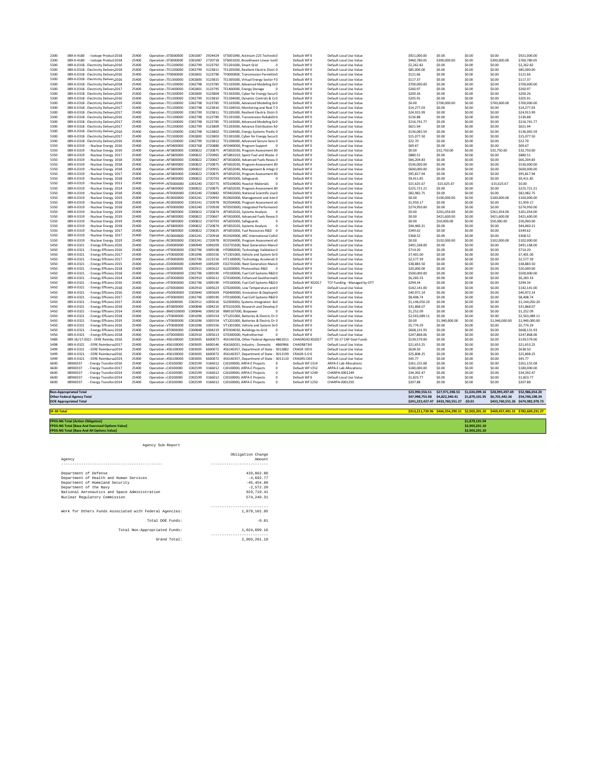| <b>SF-30 Total</b> |                                                                                                     |                                                                                  |                |                                                |                    |                    |                                                                                    |                                  |                                                          |                                    | \$313,211,739.96 \$466,554,290.21 \$2,903,201.10 \$469,457,491.31 \$782,669,231.27 |                                  |                                   |                                                                         |
|--------------------|-----------------------------------------------------------------------------------------------------|----------------------------------------------------------------------------------|----------------|------------------------------------------------|--------------------|--------------------|------------------------------------------------------------------------------------|----------------------------------|----------------------------------------------------------|------------------------------------|------------------------------------------------------------------------------------|----------------------------------|-----------------------------------|-------------------------------------------------------------------------|
|                    | <b>Non-Appropriated Total</b><br><b>Other Federal Agency Total</b><br><b>DOE Appropriated Total</b> |                                                                                  |                |                                                |                    |                    |                                                                                    |                                  |                                                          | \$23,990,556.51<br>\$47,998,755.98 | \$27,971,398.53<br>\$4,822,340.41<br>\$241,222,427.47 \$433,760,551.27 -\$0.01     | \$1,024,099.16<br>\$1,879,101.95 | \$28,995,497.69<br>\$6,701,442.36 | \$52,986,054,20<br>\$54,700,198.34<br>\$433,760,551.26 \$674,982,978.73 |
|                    |                                                                                                     |                                                                                  |                |                                                |                    |                    |                                                                                    |                                  |                                                          |                                    |                                                                                    |                                  |                                   |                                                                         |
| 6600<br>6600       | 089X0337<br>089X0337                                                                                | - Energy Transfor: 2014<br>- Energy Transfor: 2014                               | 25400<br>25400 | Operation : CJ0100000<br>Operation : CJ0100000 | 002599<br>C002599  | 3166012<br>3166012 | CI0100000 ARPA-F Projects<br>$\Omega$<br>CJ0100000, ARPA-E Projects<br>$\circ$     | Default WFO<br>Default WF 1250   | Default Local Use Value<br>CHARPA-0001250                | \$1,823.77<br>\$207.88             | \$0.00<br>\$0.00                                                                   | \$0.00<br>\$0.00                 | \$0.00<br>\$0.00                  | \$1,823.77<br>\$207.88                                                  |
| 6600               | 089X0337                                                                                            | - Energy Transfor: 2014                                                          | 25400          | Operation : CJ0100000                          | 002599             | 3166012            | CJ0100000, ARPA-E Projects<br>$\Omega$                                             | Default WF 1249                  | CHARPA-0001249                                           | \$34,392.47                        | \$0.00                                                                             | \$0.00                           | \$0.00                            | \$34,392.47                                                             |
| 6600               | 089X0337<br>089X0337                                                                                | - Energy Transfor: 2016<br>- Energy Transfor: 2017                               | 25400          | Operation : CJ0100000<br>Operation : CJ0100000 | C002599<br>C002599 | 3166012            | CJ0100000, ARPA-E Projects<br>$\Omega$                                             | Default WF1352                   | <b>ARPA-E Lab Allocations</b>                            | \$180,000.00                       | \$0.00                                                                             | \$0.00                           | \$0.00                            | \$180,000.00                                                            |
| 5499<br>6600       | 089-X-0321                                                                                          | - EERE Reimbursa 2014                                                            | 25400<br>25400 | Operation : 456100000                          | C003005            | 6600072<br>3166012 | 456140357, Department of State - 3011110<br>CJ0100000, ARPA-E Projects<br>$\Omega$ | CRAGRS-OEO<br>Default WF 1314    | Default Local Use Value<br><b>ARPA-E Lab Allocations</b> | \$45.77<br>\$261.155.08            | \$0.00<br>\$0.00                                                                   | \$0.00<br>\$0.00                 | \$0.00<br>\$0.00                  | \$45.77<br>\$261,155.08                                                 |
| 5499               | 089-X-0321                                                                                          | - EERE Reimbursa 2016                                                            | 25400          | Operation : 456100000                          | C003005            | 6600072            | 456140357, Department of State - 3012199                                           | CRAGR-S-OO                       | Default Local Use Value                                  | \$25,808.25                        | \$0.00                                                                             | \$0.00                           | \$0.00                            | \$25,808.25                                                             |
| 5498<br>5499       | 089-X-0321                                                                                          | 089-X-0321 - EERE Reimbursa 2017<br>- EERE Reimbursa 2014                        | 25400<br>25400 | Operation : 456100000<br>Operation : 456100000 | C003005<br>C003005 | 6600146<br>6600072 | 456160031, Industry - Domestic 4860966<br>456140357, Department of State - 3012882 | CHAGR873(0<br><b>CRAGR 1930</b>  | Default Local Use Value<br>Default Local Use Value       | \$21,653.25<br>\$638.50            | \$0.00<br>\$0.00                                                                   | \$0.00<br>\$0.00                 | \$0.00<br>\$0.00                  | \$21,653.25<br>\$638.50                                                 |
| 5489               |                                                                                                     | 089-16/17-0321 - EERE Reimbu 2016                                                | 25400          | Operation : 456100000                          | C003005            | 6600073            | 456140358, Other Federal Agencie 4861011                                           | CHAGRGX0 302027                  | OTT 16-17 CAP Goal Funds                                 | \$139,579.00                       | \$0.00                                                                             | \$0.00                           | \$0.00                            | \$139,579.00                                                            |
| 5450               | 089-X-0321                                                                                          | - Energy Efficienc 2018                                                          | 25400          | Operation : GT0000000                          | C002910            | 1005613            | GT0300000, Hydrothermal                                                            | Default WFO                      | Default Local Use Value                                  | \$247,868.06                       | \$0.00                                                                             | \$0.00                           | \$0.00                            | \$247,868.06                                                            |
| 5450               | 089-X-0321                                                                                          | - Energy Efficienc 2018                                                          | 25400          | Operation : BT0000000                          | C000848            | 1004219            | BT0304030, Buildings-to-Grid<br>$\Omega$                                           | Default WF0                      | Default Local Use Value                                  | \$668,131.93                       | \$0.00                                                                             | \$0.00                           | \$0.00                            | \$668,131.93                                                            |
| 5450<br>5450       | 089-X-0321<br>089-X-0321                                                                            | - Energy Efficienc 2019<br>- Energy Efficienc 2016                               | 25400<br>25400 | Operation : VT0000000<br>Operation : VT0000000 | C001096<br>C001096 | 1005554<br>1005556 | VT1201000, Batteries & Electric Dr 0<br>VT1301000, Vehicle and System Sir0         | Default WF0<br>Default WF0       | Default Local Use Value<br>Default Local Use Value       | \$0.00<br>\$5,774.29               | \$1,940,000.00<br>\$0.00                                                           | \$0.00<br>\$0.00                 | \$1,940,000.00<br>\$0.00          | \$1,940,000.00<br>\$5,774.29                                            |
| 5450               | 089-X-0321                                                                                          | - Energy Efficienc 2018                                                          | 25400          | Operation : VT0000000                          | C001096            | 1005554            | VT1201000, Batteries & Electric Dr 0                                               | Default WF0                      | Default Local Use Value                                  | \$2,563,089.11                     | \$0.00                                                                             | \$0.00                           | \$0.00                            | \$2,563,089.11                                                          |
| 5450               | 089-X-0321                                                                                          | - Energy Efficienc 2014                                                          | 25400          | Operation : BM0100000                          | C000846            | 1009218            | BM0107000, Biopower<br>n                                                           | Default WFO                      | Default Local Use Value                                  | \$1.252.09                         | \$0.00                                                                             | \$0.00                           | \$0.00                            | \$1,252.09                                                              |
| 5450<br>5450       | 089-X-0321<br>089-X-0321                                                                            | - Energy Efficienc 2017<br>- Energy Efficienc 2018                               | 25400<br>25400 | Operation ¿SL0000000<br>Operation : BT0000000  | C002911<br>C000848 | 1005616<br>1004210 | SL0300000, Systems Integration B:0<br>BT0101000, Research and Develop 0            | Default WFO<br>Default WFO       | Default Local Use Value<br>Default Local Use Value       | \$1.144.050.20<br>\$31,868.07      | \$0.00<br>\$0.00                                                                   | \$0.00<br>\$0.00                 | \$0.00<br>\$0.00                  | \$1,144,050.20<br>\$31,868.07                                           |
| 5450               | 089-X-0321                                                                                          | - Energy Efficienc 2017                                                          | 25400          | Operation : HT0000000                          | C002796            | 1009190            | HT0100000, Fuel Cell Systems R&D0                                                  | Default WFO                      | Default Local Use Value                                  | \$8,408.74                         | \$0.00                                                                             | \$0.00                           | \$0.00                            | \$8,408.74                                                              |
| 5450               | 089-X-0321                                                                                          | - Energy Efficienc 2016                                                          | 25400          | Operation : PG0000000                          | C002840            | 1005604            | PG0400000, Innovation & Deploym0                                                   | Default WFO                      | Default Local Use Value                                  | \$40,972.14                        | \$0.00                                                                             | \$0.00                           | \$0.00                            | \$40,972.14                                                             |
| 5450               | 089-X-0321                                                                                          | - Energy Efficienc 2018                                                          | 25400          | Operation : GT0000000                          | C002910            | 1005623            | GT0200000, Low Temperature and 0                                                   | Default WFO                      | Default Local Use Value                                  | \$142,141.00                       | \$0.00                                                                             | \$0.00                           | \$0.00                            | \$142,141.00                                                            |
| 5450<br>5450       | 089-X-0321<br>089-X-0321                                                                            | - Energy Efficienc 2014<br>- Energy Efficienc 2016                               | 25400<br>25400 | Operation : GT0000000<br>Operation : HT0000000 | C002910<br>C002796 | 1005612<br>1009190 | GT0100000, Enhanced Geothermal0<br>HT0100000, Fuel Cell Systems R&D0               | Default WFO<br>Default WF 302017 | Default Local Use Value<br>TCF Funding - Managed by OTT  | \$6,283.33<br>\$294.34             | \$0.00<br>\$0.00                                                                   | \$0.00<br>\$0.00                 | \$0.00<br>\$0.00                  | \$6,283.33<br>\$294.34                                                  |
| 5450               | 089-X-0321                                                                                          | - Energy Efficienc 2018                                                          | 25400          | Operation : HT0000000                          | C002796            | 1009190            | HT0100000, Fuel Cell Systems R&D0                                                  | Default WFO                      | Default Local Use Value                                  | \$500,000.00                       | \$0.00                                                                             | \$0.00                           | \$0.00                            | \$500,000.00                                                            |
| 5450               | 089-X-0321                                                                                          | - Energy Efficienc 2018                                                          | 25400          | Operation ¿SL0000000                           | C002911            | 1005622            | SL0200000, Photovoltaic R&D<br>$\overline{0}$                                      | Default WFO                      | Default Local Use Value                                  | \$20,000.00                        | \$0.00                                                                             | \$0.00                           | \$0.00                            | \$20,000.00                                                             |
| 5450               | 089-X-0321                                                                                          | - Energy Efficienc 2017<br>- Energy Efficienc 2015                               | 25400          | Operation : HT0000000<br>Operation ¿ED0000000  | C000949            | 1009209            | HT1100000, Technology Accelerati 0<br>ED2701000, Next Generation Manu0             | Default WF0                      | Default Local Use Value                                  | \$38,883.50                        | \$0.00                                                                             | \$0.00                           | \$0.00                            | \$38,883.50                                                             |
| 5450<br>5450       | 089-X-0321<br>089-X-0321                                                                            | - Energy Efficienc 2017                                                          | 25400<br>25400 | Operation : VT0000000                          | C001096<br>C002796 | 1005556<br>2223156 | VT1301000, Vehicle and System Sir0                                                 | Default WEO<br>Default WFO       | Default Local Use Value<br>Default Local Use Value       | \$7,401.00<br>\$2.577.39           | \$0.00<br>\$0.00                                                                   | \$0.00<br>\$0.00                 | \$0.00<br>\$0.00                  | \$7,401.00<br>\$2,577.39                                                |
| 5450               | 089-X-0321                                                                                          | - Energy Efficienc 2016                                                          | 25400          | Operation : HT0000000                          | 0002796            | 1009198            | HT0800000, Technology Validation 0                                                 | Default WEO                      | Default Local Use Value                                  | \$714.20                           | \$0.00                                                                             | \$0.00                           | \$0.00                            | \$714.20                                                                |
| 5450               | 089-X-0321                                                                                          | - Energy Efficienc 2016                                                          | 25400          | Operation ¿ED0000000                           | 0000949            | 1009209            | ED2701000, Next Generation Manu0                                                   | Default WEO                      | Default Local Use Value                                  | \$491,168.00                       | 50.00                                                                              | \$0.00                           | 50.00                             | \$491,168.00                                                            |
| 5350<br>5350       | 089-X-0319<br>089-X-0319                                                                            | - Nuclear Energy 2017<br>- Nuclear Energy 2019                                   | 25400<br>25400 | Operation : RC0000000<br>Operation : RC0000000 | C003241<br>C003241 | 2720918<br>2720978 | RC0424000, ARC International Colli 0<br>RC0504000, Program Assessment a0           | Default WF0<br>Default WFO       | Default Local Use Value<br>Default Local Use Value       | \$368.52<br>\$0.00                 | \$0.00<br>\$102,000.00                                                             | \$0.00<br>50.00                  | \$0.00<br>\$102,000.00            | \$368.52<br>\$102,000.00                                                |
| 5350               | 089-X-0319                                                                                          | - Nuclear Energy 2017                                                            | 25400          | Operation : AF5800000                          | C000822            | 2720625            | AF5855000, Fuel Resources R&D 0                                                    | Default WF0                      | Default Local Use Value                                  | \$349.62                           | \$0.00                                                                             | \$0.00                           | \$0.00                            | \$349.62                                                                |
| 5350               | 089-X-0319                                                                                          | - Nuclear Energy 2018                                                            | 25400          | Operation : AF5800000                          | C000822            | 2720874            | AF5832020, Systems Analysis<br>$^{\circ}$                                          | Default WF0                      | Default Local Use Value                                  | \$44,460.21                        | \$0.00                                                                             | \$0.00                           | \$0.00                            | \$44,460.21                                                             |
| 5350<br>5350       | 089-X-0319<br>089-X-0319                                                                            | - Nuclear Energy 2019<br>- Nuclear Energy 2019                                   | 25400<br>25400 | Operation : AF5800000<br>Operation : AF5800000 | C000822<br>C000822 | 2720667<br>2720703 | AF5810000, Advanced Fuels Resea 0<br>AF5835000, Safeguards<br>$\theta$             | Default WF0<br>Default WF0       | Default Local Use Value<br>Default Local Use Value       | \$0.00<br>\$0.00                   | \$421,600.00<br>\$50,000.00                                                        | \$0.00<br>\$0.00                 | \$421,600.00<br>\$50,000.00       | \$421,600.00<br>\$50,000.00                                             |
| 5350               | 089-X-0319                                                                                          | - Nuclear Energy 2019                                                            | 25400          | Operation : AF5800000                          | C000822            | 2720874            | AF5832020, Systems Analysis<br>$^{\circ}$                                          | Default WF0                      | Default Local Use Value                                  | \$0.00                             | \$261,054.00                                                                       | \$0.00                           | \$261,054.00                      | \$261,054.00                                                            |
| 5350               | 089-X-0319                                                                                          | - Nuclear Energy 2018                                                            | 25400          | Operation : NT0000000                          | C003240            | 2720928            | NT0503000, Integrated Performan(0                                                  | Default WF0                      | Default Local Use Value                                  | \$274,950.00                       | \$0.00                                                                             | \$0.00                           | \$0.00                            | \$274,950.00                                                            |
| 5350<br>5350       | 089-X-0319<br>089-X-0319                                                                            | - Nuclear Energy 2019<br>- Nuclear Energy 2018                                   | 25400<br>25400 | Operation : RC0000000<br>Operation : RC0000000 | C003241<br>C003241 | 2720992<br>2720978 | RC0603000, Management and Inte 0<br>RC0504000, Program Assessment a0               | Default WF0<br>Default WF0       | Default Local Use Value<br>Default Local Use Value       | \$0.00<br>\$1,959.17               | \$100,000.00<br>\$0.00                                                             | \$0.00<br>\$0.00                 | \$100,000.00<br>\$0.00            | \$100,000.00<br>\$1,959.17                                              |
| 5350               | 089-X-0319                                                                                          | - Nuclear Energy 2018                                                            | 25400          | Operation : NT0000000                          | C003240            | 2720882            | NT0402000, National Scientific UseO                                                | Default WF0                      | Default Local Use Value                                  | \$82,982.75                        | \$0.00                                                                             | \$0.00                           | \$0.00                            | \$82,982.75                                                             |
| 5350               | 089-X-0319                                                                                          | - Nuclear Energy 2014                                                            | 25400          | Operation : AF5800000                          | C100822            | 2720875            | AF5832030, Program Assessment &0                                                   | Default WFO                      | Default Local Use Value                                  | \$225,721.21                       | \$0.00                                                                             | \$0.00                           | \$0.00                            | \$225,721.21                                                            |
| 5350               | 089-X-0319                                                                                          | - Nuclear Energy 2013                                                            | 25400          | Operation :NT0000000                           | C003240            | 2720775            | NT0104000, Reactor Materials<br>$^{\circ}$                                         | Default WFO                      | Default Local Use Value                                  | \$15,625.67                        | $-$15,625.67$                                                                      | \$0.00                           | $-$15,625.67$                     | \$0.00                                                                  |
| 5350<br>5350       | 089-X-0319<br>089-X-0319                                                                            | - Nuclear Energy 2017<br>- Nuclear Energy 2018                                   | 25400<br>25400 | Operation : AF5800000<br>Operation : AF5800000 | C000822<br>C000822 | 2720875<br>2720703 | AF5832030, Program Assessment 80<br>AF5835000, Safeguards<br>$\Omega$              | Default WFO<br>Default WFO       | Default Local Use Value<br>Default Local Use Value       | \$95,817.94<br>\$9,411.85          | 50.00<br>\$0.00                                                                    | \$0.00<br>\$0.00                 | \$0.00<br>\$0.00                  | \$95,817.94<br>\$9,411.85                                               |
| 5350               | 089-X-0319                                                                                          | - Nuclear Energy 2018                                                            | 25400          | Operation : AF5800000                          | C000822            | 2720955            | AF5832040, Management & Integr 0                                                   | Default WFO                      | Default Local Use Value                                  | \$600,000.00                       | \$0.00                                                                             | \$0.00                           | \$0.00                            | \$600,000.00                                                            |
| 5350               | 089-X-0319                                                                                          | - Nuclear Energy 2018                                                            | 25400          | Operation : AF5800000                          | C000822            | 2720875            | AF5832030, Program Assessment &0                                                   | Default WF0                      | Default Local Use Value                                  | \$536,000.00                       | \$0.00                                                                             | \$0.00                           | \$0.00                            | \$536,000.00                                                            |
| 5350<br>5350       | 089-X-0319<br>089-X-0319                                                                            | - Nuclear Energy 2017<br>- Nuclear Energy 2018                                   | 25400<br>25400 | Operation : AF5800000<br>Operation : AF5800000 | C000822<br>C000822 | 2720965<br>2720667 | AF5861010, Spent Fuel and Waste 0<br>AF5810000, Advanced Fuels Resea 0             | Default WFO<br>Default WF0       | Default Local Use Value<br>Default Local Use Value       | \$880.51<br>\$66,204.83            | \$0.00<br>\$0.00                                                                   | \$0.00<br>\$0.00                 | \$0.00<br>\$0.00                  | \$880.51<br>\$66,204.83                                                 |
| 5350               | 089-X-0319                                                                                          | - Nuclear Energy 2019                                                            | 25400          | Operation : AF5800000                          | C000822            | 2720875            | AF5832030, Program Assessment 80                                                   | Default WFO                      | Default Local Use Value                                  | \$0.00                             | \$32,750.00                                                                        | \$0.00                           | \$32,750.00                       | \$32,750.00                                                             |
| 5350               | 089-X-0319                                                                                          | - Nuclear Energy 2016                                                            | 25400          | Operation : AF0400000                          | C002768            | 2720880            | AF0440000, Program Support 0                                                       | Default WFO                      | Default Local Use Value                                  | \$69.67                            | \$0.00                                                                             | \$0.00                           | \$0.00                            | \$69.67                                                                 |
| 5300               |                                                                                                     | 089-X-0318 - Electricity Delivery 2016                                           | 25400          | Operation : TE1200000                          | C002799            | 3123812            | TE1206000, Advanced Secure Sens 0                                                  | Default WFO                      | Default Local Use Value                                  | \$22.70                            | \$0.00                                                                             | \$0.00                           | \$0.00                            | \$22.70                                                                 |
| 5300<br>5300       |                                                                                                     | 089-X-0318 - Electricity Delivery 2016<br>089-X-0318 - Electricity Delivery 2017 | 25400<br>25400 | Operation : TE1100000<br>Operation : TE1300000 | 0002798<br>C002800 | 3123802<br>3123803 | TE1104000, Energy Systems Predic 0<br>TE1301000, Cyber for Energy Secur0           | Default WFO<br>Default WEO       | Default Local Use Value<br>Default Local Use Value       | \$136,065.59<br>\$15,077.50        | \$0.00<br>\$0.00                                                                   | \$0.00<br>\$0.00                 | \$0.00<br>\$0.00                  | \$136,065.59<br>\$15,077.50                                             |
| 5300               |                                                                                                     | 089-X-0318 - Electricity Delivery 2017                                           | 25400          | Operation : TE1200000                          | C002799            | 3123809            | TE1203000, Advance Distribution NO                                                 | Default WEO                      | Default Local Use Value                                  | \$621.94                           | \$0.00                                                                             | \$0.00                           | \$0.00                            | \$621.94                                                                |
| 5300               |                                                                                                     | 089-X-0318 - Electricity Delivery 2017                                           | 25400          | Operation : TE1100000                          | 0002798            | 3123785            | TE1103000, Advanced Modeling Gr0                                                   | Default WEO                      | Default Local Use Value                                  | \$216,741.77                       | \$0.00                                                                             | \$0.00                           | \$0.00                            | \$216,741.77                                                            |
| 5300<br>5300       |                                                                                                     | 089-X-0318 - Electricity Deliver, 2017<br>089-X-0318 - Electricity Delivery 2016 | 25400<br>25400 | Operation : TE1200000<br>Operation : TE1100000 | C002799<br>C002798 | 3123811<br>3123789 | TE1205000, Resilient Electric Distri 0<br>TE1101000. Transmission Reliabilit 0     | Default WFO<br>Default WFO       | Default Local Use Value<br>Default Local Use Value       | \$24,915.99<br>\$136.88            | \$0.00<br>\$0.00                                                                   | \$0.00<br>\$0.00                 | \$0.00<br>\$0.00                  | \$24,915.99<br>\$136.88                                                 |
| 5300               |                                                                                                     | 089-X-0318 - Electricity Delivery 2017                                           | 25400          | Operation : TE1100000                          | C002798            | 3123816            | TE1104010, Monitoring and Real-TO                                                  | Default WF0                      | Default Local Use Value                                  | \$14,277.03                        | \$0.00                                                                             | \$0.00                           | \$0.00                            | \$14,277.03                                                             |
| 5300               |                                                                                                     | 089-X-0318 - Electricity Delivery 2019                                           | 25400          | Operation : TE1100000                          | C002798            | 3123785            | TE1103000, Advanced Modeling Gr0                                                   | Default WF0                      | Default Local Use Value                                  | \$0.00                             | \$700,000.00                                                                       | \$0.00                           | \$700,000.00                      | \$700,000.00                                                            |
| 5300<br>5300       |                                                                                                     | 089-X-0318 - Electricity Delivery 2016<br>089-X-0318 - Electricity Delivery 2016 | 25400          | Operation : TE1300000<br>Operation : TE1200000 | C002799            | 3123810            | TE1302000, Cyber for Energy SecurO<br>TE1204000, Dynamic Controls & Cc0            | Default WF0                      | Default Local Use Value<br>Default Local Use Value       | \$200.26<br>\$205.91               | \$0.00                                                                             | \$0.00                           | \$0.00                            | \$205.91                                                                |
| 5300               |                                                                                                     | 089-X-0318 - Electricity Delivery 2017                                           | 25400<br>25400 | Operation : TE1400000                          | C002801<br>002800  | 3123795<br>3123804 | TE1400000, Energy Storage<br>$\Omega$                                              | Default WF0<br>Default WEO       | Default Local Use Value                                  | \$260.97                           | \$0.00<br>\$0.00                                                                   | \$0.00<br>\$0.00                 | \$0.00<br>\$0.00                  | \$260.97<br>\$200.26                                                    |
| 5300               |                                                                                                     | 089-X-0318 - Electricity Delivery 2018                                           | 25400          | Operation : TE1100000                          | C002798            | 3123785            | TE1103000, Advanced Modeling Gr0                                                   | Default WF0                      | Default Local Use Value                                  | \$700,000.00                       | \$0.00                                                                             | \$0.00                           | \$0.00                            | \$700,000.00                                                            |
| 5300               |                                                                                                     | 089-X-0318 - Electricity Delivery 2016                                           | 25400          | Operation : TE1300000                          | C002800            | 3123815            | TE1305000, Virtual Energy Sector FO                                                | Default WF0                      | Default Local Use Value                                  | \$117.37                           | \$0.00                                                                             | \$0.00                           | \$0.00                            | \$117.37                                                                |
| 5300<br>5300       |                                                                                                     | 089-X-0318 - Electricity Delivery 2018<br>089-X-0318 - Electricity Delivery 2016 | 25400<br>25400 | Oneration: TF1200000<br>Operation : TF0000000  | C002799<br>C002802 | 3123811<br>3123796 | TE1205000 Resilient Electric Distri 0<br>TF0000000, Transmission Permittir 0       | Default WEO<br>Default WF0       | Default Local Use Value<br>Default Local Use Value       | \$85,000.00<br>\$121.66            | 50.00<br>\$0.00                                                                    | \$0.00<br>\$0.00                 | \$0.00<br>\$0.00                  | \$85,000.00<br>\$121.66                                                 |
| 5300               |                                                                                                     | 089-X-0318 - Electricity Delivery 2016                                           | 25400          | Operation : TE1200000                          | C002799            | 3123792            | <b>TE1201000, Smart Grid</b><br>$\Omega$                                           | Default WFO                      | Default Local Use Value                                  | \$2,262.82                         | \$0.00                                                                             | \$0.00                           | \$0.00                            | \$2,262.82                                                              |
| 2300               | 089-X-4180                                                                                          | - Isotope Product 2018                                                           | 25400          | Operation : ST0000000                          | C001087            | 2720718            | ST6001020, Brookhaven Linear Isot0                                                 | Default WFO                      | Default Local Use Value                                  | \$460,780.05                       | \$300,000.00                                                                       | \$0.00                           | \$300,000.00                      | \$760,780.05                                                            |
| 2300               | 089-X-4180                                                                                          | - Isotope Product 2018                                                           | 25400          | Operation : ST000000                           | C001087            | 2924424            | ST5001040, Actinium-225 Technolc0                                                  | Default WFO                      | Default Local Use Value                                  | \$921,000.00                       | \$0.00                                                                             | \$0.00                           | \$0.00                            | \$921,000.00                                                            |

## **FPDS‐NG Total [Action Obligation] \$1,879,101.94 FPDS‐NG Total [Base And Exercised Options Value] \$2,903,201.10 FPDS‐NG Total [Base And All Options Value] \$2,903,201.10**

|  | Agency Sub-Report |
|--|-------------------|
|  |                   |

|                                                         | Obligation Change                       |
|---------------------------------------------------------|-----------------------------------------|
| Agency                                                  | Amount                                  |
|                                                         |                                         |
| Department of Defense                                   | 433.862.00                              |
| Department of Health and Human Services                 | $-4.692.77$                             |
| Department of Homeland Security                         | $-45.454.80$                            |
| Department of the Navy                                  | $-2.572.20$                             |
| National Aeronautics and Space Administration           | 923.719.41                              |
| Nuclear Regulatory Commission                           | 574.240.31                              |
| Work for Others Funds Associated with Federal Agencies: | 1.879.101.95                            |
| Total DOR Funds:                                        | $-0.01$                                 |
| Total Non-Appropriated Funds:                           | 1.024.099.16                            |
| Grand Total:                                            | -----------------------<br>2.903.201.10 |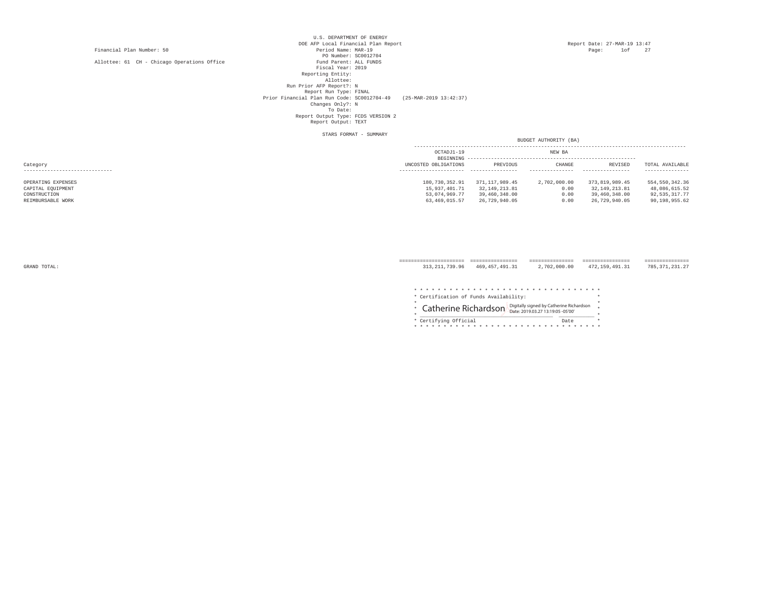Allottee: 61 CH - Chicago Operations Office

U.S. DEPARTMENT OF ENERGY DOE AFP Local Financial Plan Report Report Date: 27-MAR-19 13:47 Financial Plan Number: 50 Period Name: MAR-19 Page: 1of 27 PO Number: SC0012704Fund Parent: ALL FUNDS Fiscal Year: 2019 Reporting Entity: Allottee: Run Prior AFP Report?: N Report Run Type: FINAL Prior Financial Plan Run Code: SC0012704-49 (25-MAR-2019 13:42:37) Changes Only?: N To Date:<br>Report Output Type: FCDS VERSION 2<br>Report Output: TEXT

STARS FORMAT - SUMMARY

|                                         | SIARS FURWAI - SUMMARI          |                                 |                       |                                     |                                   |
|-----------------------------------------|---------------------------------|---------------------------------|-----------------------|-------------------------------------|-----------------------------------|
|                                         |                                 |                                 | BUDGET AUTHORITY (BA) |                                     |                                   |
|                                         | OCTADJ1-19                      |                                 | NEW BA                |                                     |                                   |
| Category                                | UNCOSTED OBLIGATIONS            | PREVIOUS                        | CHANGE                | REVISED                             | TOTAL AVAILABLE                   |
| -------------------------------         |                                 |                                 | ----------------      | -----------------                   | ---------------                   |
| OPERATING EXPENSES<br>CAPITAL EQUIPMENT | 180,730,352.91<br>15,937,401.71 | 371,117,989.45<br>32,149,213.81 | 2,702,000.00<br>0.00  | 373, 819, 989.45<br>32, 149, 213.81 | 554, 550, 342.36<br>48,086,615.52 |
| CONSTRUCTION                            | 53,074,969.77                   | 39,460,348.00                   | 0.00                  | 39,460,348.00                       | 92,535,317.77                     |
| REIMBURSABLE WORK                       | 63,469,015.57                   | 26,729,940.05                   | 0.00                  | 26,729,940.05                       | 90,198,955.62                     |
|                                         |                                 |                                 |                       |                                     |                                   |

GRAND TOTAL:

| =======================<br>313, 211, 739.96 | -----------------<br>469,457,491.31                                                                     | ===============<br>2,702,000.00 | =================<br>472,159,491.31 | ===============<br>785, 371, 231.27 |
|---------------------------------------------|---------------------------------------------------------------------------------------------------------|---------------------------------|-------------------------------------|-------------------------------------|
|                                             | * Certification of Funds Availability:<br>Catherine Richardson Digitally signed by Catherine Richardson |                                 |                                     |                                     |
| * Certifying Official                       |                                                                                                         | Date                            |                                     |                                     |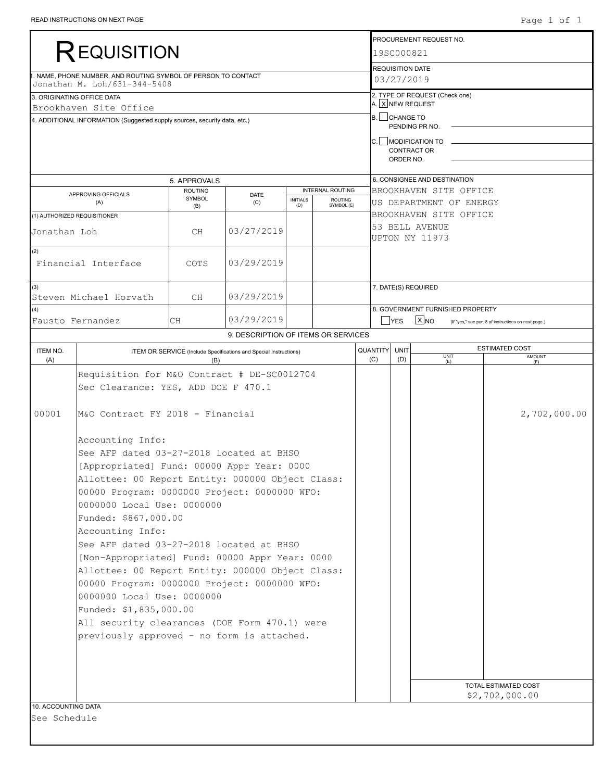г

|                                                  |                                                                                                                                                                                                  |                                                                |                                                                                                                                                                                                                                                                                                |                                                                          |                                                                                      |                                     | PROCUREMENT REQUEST NO. |                                                                                                                                                                                                                                                                                                                                                                                                              |  |
|--------------------------------------------------|--------------------------------------------------------------------------------------------------------------------------------------------------------------------------------------------------|----------------------------------------------------------------|------------------------------------------------------------------------------------------------------------------------------------------------------------------------------------------------------------------------------------------------------------------------------------------------|--------------------------------------------------------------------------|--------------------------------------------------------------------------------------|-------------------------------------|-------------------------|--------------------------------------------------------------------------------------------------------------------------------------------------------------------------------------------------------------------------------------------------------------------------------------------------------------------------------------------------------------------------------------------------------------|--|
|                                                  |                                                                                                                                                                                                  |                                                                |                                                                                                                                                                                                                                                                                                |                                                                          | 19SC000821                                                                           |                                     |                         |                                                                                                                                                                                                                                                                                                                                                                                                              |  |
|                                                  |                                                                                                                                                                                                  |                                                                |                                                                                                                                                                                                                                                                                                |                                                                          |                                                                                      |                                     |                         |                                                                                                                                                                                                                                                                                                                                                                                                              |  |
|                                                  |                                                                                                                                                                                                  |                                                                |                                                                                                                                                                                                                                                                                                |                                                                          |                                                                                      |                                     |                         |                                                                                                                                                                                                                                                                                                                                                                                                              |  |
|                                                  |                                                                                                                                                                                                  |                                                                |                                                                                                                                                                                                                                                                                                |                                                                          |                                                                                      |                                     |                         |                                                                                                                                                                                                                                                                                                                                                                                                              |  |
|                                                  |                                                                                                                                                                                                  |                                                                |                                                                                                                                                                                                                                                                                                |                                                                          |                                                                                      |                                     |                         |                                                                                                                                                                                                                                                                                                                                                                                                              |  |
|                                                  |                                                                                                                                                                                                  |                                                                |                                                                                                                                                                                                                                                                                                |                                                                          |                                                                                      |                                     |                         |                                                                                                                                                                                                                                                                                                                                                                                                              |  |
|                                                  |                                                                                                                                                                                                  |                                                                |                                                                                                                                                                                                                                                                                                |                                                                          |                                                                                      |                                     |                         |                                                                                                                                                                                                                                                                                                                                                                                                              |  |
|                                                  |                                                                                                                                                                                                  |                                                                |                                                                                                                                                                                                                                                                                                |                                                                          |                                                                                      |                                     |                         |                                                                                                                                                                                                                                                                                                                                                                                                              |  |
|                                                  |                                                                                                                                                                                                  |                                                                |                                                                                                                                                                                                                                                                                                |                                                                          |                                                                                      |                                     |                         |                                                                                                                                                                                                                                                                                                                                                                                                              |  |
|                                                  |                                                                                                                                                                                                  |                                                                |                                                                                                                                                                                                                                                                                                |                                                                          |                                                                                      |                                     |                         |                                                                                                                                                                                                                                                                                                                                                                                                              |  |
|                                                  | <b>ROUTING</b>                                                                                                                                                                                   |                                                                |                                                                                                                                                                                                                                                                                                |                                                                          |                                                                                      |                                     |                         |                                                                                                                                                                                                                                                                                                                                                                                                              |  |
| (A)                                              | SYMBOL                                                                                                                                                                                           | (C)                                                            | <b>INITIALS</b>                                                                                                                                                                                                                                                                                | ROUTING                                                                  |                                                                                      |                                     |                         |                                                                                                                                                                                                                                                                                                                                                                                                              |  |
|                                                  |                                                                                                                                                                                                  |                                                                |                                                                                                                                                                                                                                                                                                |                                                                          |                                                                                      |                                     |                         |                                                                                                                                                                                                                                                                                                                                                                                                              |  |
|                                                  |                                                                                                                                                                                                  |                                                                |                                                                                                                                                                                                                                                                                                |                                                                          |                                                                                      |                                     |                         |                                                                                                                                                                                                                                                                                                                                                                                                              |  |
|                                                  |                                                                                                                                                                                                  |                                                                |                                                                                                                                                                                                                                                                                                |                                                                          |                                                                                      |                                     |                         |                                                                                                                                                                                                                                                                                                                                                                                                              |  |
|                                                  |                                                                                                                                                                                                  |                                                                |                                                                                                                                                                                                                                                                                                |                                                                          |                                                                                      |                                     |                         |                                                                                                                                                                                                                                                                                                                                                                                                              |  |
|                                                  | COTS                                                                                                                                                                                             |                                                                |                                                                                                                                                                                                                                                                                                |                                                                          |                                                                                      |                                     |                         |                                                                                                                                                                                                                                                                                                                                                                                                              |  |
|                                                  |                                                                                                                                                                                                  |                                                                |                                                                                                                                                                                                                                                                                                |                                                                          |                                                                                      |                                     |                         |                                                                                                                                                                                                                                                                                                                                                                                                              |  |
|                                                  |                                                                                                                                                                                                  |                                                                |                                                                                                                                                                                                                                                                                                |                                                                          |                                                                                      |                                     |                         |                                                                                                                                                                                                                                                                                                                                                                                                              |  |
|                                                  |                                                                                                                                                                                                  |                                                                |                                                                                                                                                                                                                                                                                                |                                                                          |                                                                                      |                                     |                         |                                                                                                                                                                                                                                                                                                                                                                                                              |  |
|                                                  | CН                                                                                                                                                                                               | 03/29/2019                                                     |                                                                                                                                                                                                                                                                                                |                                                                          |                                                                                      |                                     | $ X _{NO}$              | (If "yes," see par. 8 of instructions on next page.)                                                                                                                                                                                                                                                                                                                                                         |  |
|                                                  |                                                                                                                                                                                                  |                                                                |                                                                                                                                                                                                                                                                                                |                                                                          |                                                                                      |                                     |                         |                                                                                                                                                                                                                                                                                                                                                                                                              |  |
|                                                  |                                                                                                                                                                                                  |                                                                |                                                                                                                                                                                                                                                                                                |                                                                          |                                                                                      | <b>UNIT</b>                         |                         | <b>ESTIMATED COST</b>                                                                                                                                                                                                                                                                                                                                                                                        |  |
|                                                  |                                                                                                                                                                                                  |                                                                |                                                                                                                                                                                                                                                                                                |                                                                          | (C)                                                                                  | (D)                                 | (E)                     | AMOUNT<br>(F)                                                                                                                                                                                                                                                                                                                                                                                                |  |
|                                                  |                                                                                                                                                                                                  |                                                                |                                                                                                                                                                                                                                                                                                |                                                                          |                                                                                      |                                     |                         |                                                                                                                                                                                                                                                                                                                                                                                                              |  |
|                                                  |                                                                                                                                                                                                  |                                                                |                                                                                                                                                                                                                                                                                                |                                                                          |                                                                                      |                                     |                         |                                                                                                                                                                                                                                                                                                                                                                                                              |  |
|                                                  |                                                                                                                                                                                                  |                                                                |                                                                                                                                                                                                                                                                                                |                                                                          |                                                                                      |                                     |                         |                                                                                                                                                                                                                                                                                                                                                                                                              |  |
|                                                  |                                                                                                                                                                                                  |                                                                |                                                                                                                                                                                                                                                                                                |                                                                          |                                                                                      |                                     |                         | 2,702,000.00                                                                                                                                                                                                                                                                                                                                                                                                 |  |
|                                                  |                                                                                                                                                                                                  |                                                                |                                                                                                                                                                                                                                                                                                |                                                                          |                                                                                      |                                     |                         |                                                                                                                                                                                                                                                                                                                                                                                                              |  |
|                                                  |                                                                                                                                                                                                  |                                                                |                                                                                                                                                                                                                                                                                                |                                                                          |                                                                                      |                                     |                         |                                                                                                                                                                                                                                                                                                                                                                                                              |  |
| Accounting Info:                                 |                                                                                                                                                                                                  |                                                                |                                                                                                                                                                                                                                                                                                |                                                                          |                                                                                      |                                     |                         |                                                                                                                                                                                                                                                                                                                                                                                                              |  |
| See AFP dated 03-27-2018 located at BHSO         |                                                                                                                                                                                                  |                                                                |                                                                                                                                                                                                                                                                                                |                                                                          |                                                                                      |                                     |                         |                                                                                                                                                                                                                                                                                                                                                                                                              |  |
| [Appropriated] Fund: 00000 Appr Year: 0000       |                                                                                                                                                                                                  |                                                                |                                                                                                                                                                                                                                                                                                |                                                                          |                                                                                      |                                     |                         |                                                                                                                                                                                                                                                                                                                                                                                                              |  |
| Allottee: 00 Report Entity: 000000 Object Class: |                                                                                                                                                                                                  |                                                                |                                                                                                                                                                                                                                                                                                |                                                                          |                                                                                      |                                     |                         |                                                                                                                                                                                                                                                                                                                                                                                                              |  |
| 00000 Program: 0000000 Project: 0000000 WFO:     |                                                                                                                                                                                                  |                                                                |                                                                                                                                                                                                                                                                                                |                                                                          |                                                                                      |                                     |                         |                                                                                                                                                                                                                                                                                                                                                                                                              |  |
| 0000000 Local Use: 0000000                       |                                                                                                                                                                                                  |                                                                |                                                                                                                                                                                                                                                                                                |                                                                          |                                                                                      |                                     |                         |                                                                                                                                                                                                                                                                                                                                                                                                              |  |
| Funded: \$867,000.00                             |                                                                                                                                                                                                  |                                                                |                                                                                                                                                                                                                                                                                                |                                                                          |                                                                                      |                                     |                         |                                                                                                                                                                                                                                                                                                                                                                                                              |  |
| Accounting Info:                                 |                                                                                                                                                                                                  |                                                                |                                                                                                                                                                                                                                                                                                |                                                                          |                                                                                      |                                     |                         |                                                                                                                                                                                                                                                                                                                                                                                                              |  |
| See AFP dated 03-27-2018 located at BHSO         |                                                                                                                                                                                                  |                                                                |                                                                                                                                                                                                                                                                                                |                                                                          |                                                                                      |                                     |                         |                                                                                                                                                                                                                                                                                                                                                                                                              |  |
| [Non-Appropriated] Fund: 00000 Appr Year: 0000   |                                                                                                                                                                                                  |                                                                |                                                                                                                                                                                                                                                                                                |                                                                          |                                                                                      |                                     |                         |                                                                                                                                                                                                                                                                                                                                                                                                              |  |
| Allottee: 00 Report Entity: 000000 Object Class: |                                                                                                                                                                                                  |                                                                |                                                                                                                                                                                                                                                                                                |                                                                          |                                                                                      |                                     |                         |                                                                                                                                                                                                                                                                                                                                                                                                              |  |
| 00000 Program: 0000000 Project: 0000000 WFO:     |                                                                                                                                                                                                  |                                                                |                                                                                                                                                                                                                                                                                                |                                                                          |                                                                                      |                                     |                         |                                                                                                                                                                                                                                                                                                                                                                                                              |  |
| 0000000 Local Use: 0000000                       |                                                                                                                                                                                                  |                                                                |                                                                                                                                                                                                                                                                                                |                                                                          |                                                                                      |                                     |                         |                                                                                                                                                                                                                                                                                                                                                                                                              |  |
| Funded: \$1,835,000.00                           |                                                                                                                                                                                                  |                                                                |                                                                                                                                                                                                                                                                                                |                                                                          |                                                                                      |                                     |                         |                                                                                                                                                                                                                                                                                                                                                                                                              |  |
| All security clearances (DOE Form 470.1) were    |                                                                                                                                                                                                  |                                                                |                                                                                                                                                                                                                                                                                                |                                                                          |                                                                                      |                                     |                         |                                                                                                                                                                                                                                                                                                                                                                                                              |  |
| previously approved - no form is attached.       |                                                                                                                                                                                                  |                                                                |                                                                                                                                                                                                                                                                                                |                                                                          |                                                                                      |                                     |                         |                                                                                                                                                                                                                                                                                                                                                                                                              |  |
|                                                  |                                                                                                                                                                                                  |                                                                |                                                                                                                                                                                                                                                                                                |                                                                          |                                                                                      |                                     |                         |                                                                                                                                                                                                                                                                                                                                                                                                              |  |
|                                                  |                                                                                                                                                                                                  |                                                                |                                                                                                                                                                                                                                                                                                |                                                                          |                                                                                      |                                     |                         |                                                                                                                                                                                                                                                                                                                                                                                                              |  |
|                                                  |                                                                                                                                                                                                  |                                                                |                                                                                                                                                                                                                                                                                                |                                                                          |                                                                                      |                                     |                         | TOTAL ESTIMATED COST                                                                                                                                                                                                                                                                                                                                                                                         |  |
|                                                  | 3. ORIGINATING OFFICE DATA<br>Brookhaven Site Office<br>APPROVING OFFICIALS<br>(1) AUTHORIZED REQUISITIONER<br>Jonathan Loh<br>Financial Interface<br>Steven Michael Horvath<br>Fausto Fernandez | REQUISITION<br>Jonathan M. Loh/631-344-5408<br>(B)<br>CН<br>CH | . NAME, PHONE NUMBER, AND ROUTING SYMBOL OF PERSON TO CONTACT<br>4. ADDITIONAL INFORMATION (Suggested supply sources, security data, etc.)<br>5. APPROVALS<br>DATE<br>03/27/2019<br>03/29/2019<br>03/29/2019<br>(B)<br>Sec Clearance: YES, ADD DOE F 470.1<br>M&O Contract FY 2018 - Financial | (D)<br>ITEM OR SERVICE (Include Specifications and Special Instructions) | <b>INTERNAL ROUTING</b><br>SYMBOL (E)<br>Requisition for M&O Contract # DE-SC0012704 | 9. DESCRIPTION OF ITEMS OR SERVICES | <b>YES</b><br>QUANTITY  | <b>REQUISITION DATE</b><br>03/27/2019<br>2. TYPE OF REQUEST (Check one)<br>A. X NEW REQUEST<br>B. CHANGE TO<br>PENDING PR NO.<br>C. MODIFICATION TO<br>CONTRACT OR<br>ORDER NO.<br>6. CONSIGNEE AND DESTINATION<br>BROOKHAVEN SITE OFFICE<br>US DEPARTMENT OF ENERGY<br>BROOKHAVEN SITE OFFICE<br>53 BELL AVENUE<br>UPTON NY 11973<br>7. DATE(S) REQUIRED<br>8. GOVERNMENT FURNISHED PROPERTY<br><b>UNIT</b> |  |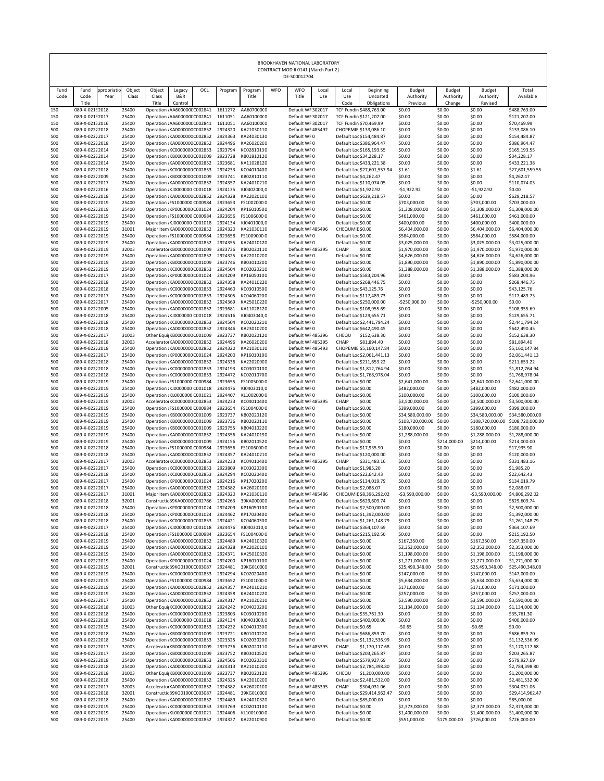|              |                                  |                   |                 |                          |                                                                |     |                    |                           |     | BROOKHAVEN NATIONAL LABORATORY<br>CONTRACT MOD # 0141 [March Part 2]<br>DE-SC0012704 |              |                                              |                                                        |                                   |                                      |                                       |                                   |
|--------------|----------------------------------|-------------------|-----------------|--------------------------|----------------------------------------------------------------|-----|--------------------|---------------------------|-----|--------------------------------------------------------------------------------------|--------------|----------------------------------------------|--------------------------------------------------------|-----------------------------------|--------------------------------------|---------------------------------------|-----------------------------------|
| Fund<br>Code | Fund<br>Code<br>Title            | propriati<br>Year | Object<br>Class | Object<br>Class<br>Title | Legacy<br>B&R<br>Control                                       | OCL | Program            | Program<br>Title          | WFO | WFO<br>Title                                                                         | Local<br>Use | Local<br>Use<br>Code                         | Beginning<br>Uncosted<br>Obligations                   | Budget<br>Authority<br>Previous   | <b>Budget</b><br>Authority<br>Change | <b>Budget</b><br>Authority<br>Revised | Total<br>Available                |
| 150<br>150   | 089-X-02132018<br>089-X-02132017 |                   | 25400<br>25400  |                          | Operation : AA600000( C002841<br>Operation : AA600000C C002841 |     | 1611272<br>1611051 | AA60700000<br>AA60100000  |     | Default WF 302017<br>Default WF 302017                                               |              |                                              | TCF Fundin \$488,763.00<br>TCF Fundin \$121,207.00     | \$0.00<br>\$0.00                  | \$0.00<br>\$0.00                     | \$0.00<br>\$0.00                      | \$488,763.00<br>\$121,207.00      |
| 150          | 089-X-02132016                   |                   | 25400           |                          | Operation : AA600000( C002841                                  |     | 1611051            | AA60100000                |     | Default WF 302017                                                                    |              | TCF Fundin \$70,469.99                       |                                                        | \$0.00                            | \$0.00                               | \$0.00                                | \$70,469.99                       |
| 500<br>500   | 089-X-02222018<br>089-X-02222017 |                   | 25400<br>25400  |                          | Operation : KA000000C C002852<br>Operation : KA000000C C002852 |     | 2924320<br>2924363 | KA21030110<br>KA24030130  |     | Default WF485492<br>Default WF0                                                      |              |                                              | CHOPEMIE \$133,086.10<br>Default Loc \$154,484.87      | \$0.00<br>\$0.00                  | \$0.00<br>\$0.00                     | \$0.00<br>\$0.00                      | \$133,086.10<br>\$154,484.87      |
| 500          | 089-X-02222018                   |                   | 25400           |                          | Operation : KA000000C C002852                                  |     | 2924496            | KA260202C0                |     | Default WF0                                                                          |              |                                              | Default Loc \$386,964.47                               | \$0.00                            | \$0.00                               | \$0.00                                | \$386,964.47                      |
| 500          | 089-X-02222014                   |                   | 25400           |                          | Operation : KC000000C C002853                                  |     | 2923794            | KC02810130                |     | Default WF0                                                                          |              |                                              | Default Loc \$165,193.55                               | \$0.00                            | \$0.00                               | \$0.00                                | \$165,193.55                      |
| 500<br>500   | 089-X-02222014<br>089-X-02222014 |                   | 25400<br>25400  |                          | Operation : KB000000C C001009<br>Operation : KA000000C C002852 |     | 2923728<br>2923681 | KB01810120<br>KA11028120  |     | Default WF0<br>Default WF0                                                           |              | Default Loc \$34,228.17                      | Default Loc \$433,221.38                               | \$0.00<br>\$0.00                  | \$0.00<br>\$0.00                     | \$0.00<br>\$0.00                      | \$34,228.17<br>\$433,221.38       |
| 500          | 089-X-02222018                   |                   | 25400           |                          | Operation : KC0000000 C002853                                  |     | 2924233            | KC04010400                |     | Default WF0                                                                          |              |                                              | Default Loc \$27,601,557.94                            | \$1.61                            | \$0.00                               | \$1.61                                | \$27,601,559.55                   |
| 500<br>500   | 089-X-02222009<br>089-X-02222017 |                   | 25400<br>25400  |                          | Operation : KB000000C C001009<br>Operation : KA000000C C002852 |     | 2923741<br>2924357 | KB02810110<br>KA24010210  |     | Default WF0<br>Default WF0                                                           |              | Default Loc \$4,262.47                       | Default Loc \$110,074.05                               | \$0.00<br>\$0.00                  | \$0.00<br>\$0.00                     | \$0.00<br>\$0.00                      | \$4,262.47<br>\$110,074.05        |
| 500          | 089-X-02222016                   |                   | 25400           |                          | Operation : KJ0000000 C001018                                  |     | 2924135            | KJ0402000 0               |     | Default WF0                                                                          |              | Default Loc \$1,922.92                       |                                                        | $-$1,922.92$                      | \$0.00                               | -\$1,922.92                           | \$0.00                            |
| 500<br>500   | 089-X-02222018<br>089-X-02222019 |                   | 25400<br>25400  |                          | Operation : KA000000C C002852<br>Operation : FS1000000 C000984 |     | 2924328<br>2923653 | KA220201C0<br>FS10020000  |     | Default WF0<br>Default WF0                                                           |              | Default Loc \$0.00                           | Default Loc \$629,218.57                               | \$0.00<br>\$703,000.00            | \$0.00<br>\$0.00                     | \$0.00<br>\$703,000.00                | \$629,218.57<br>\$703,000.00      |
| 500          | 089-X-02222019                   |                   | 25400           |                          | Operation : KP0000000 C001024                                  |     | 2924204            | KP16010500                |     | Default WF0                                                                          |              | Default Loc\$0.00                            |                                                        | \$1,308,000.00                    | \$0.00                               | \$1,308,000.00                        | \$1,308,000.00                    |
| 500<br>500   | 089-X-02222019<br>089-X-02222019 |                   | 25400<br>25400  |                          | Operation : FS1000000 C000984<br>Operation : KJ0000000 C001018 |     | 2923656<br>2924134 | FS10060000<br>KJ0401000 0 |     | Default WF0<br>Default WF0                                                           |              | Default Loc \$0.00<br>Default Loc\$0.00      |                                                        | \$461,000.00<br>\$400,000.00      | \$0.00<br>\$0.00                     | \$461,000.00<br>\$400,000.00          | \$461,000.00<br>\$400,000.00      |
| 500          | 089-X-02222019                   |                   | 31001           |                          | Major Item KA000000C C002852                                   |     | 2924320            | KA21030110                |     | Default WF485496                                                                     |              | CHEQUMIE \$0.00                              |                                                        | \$6,404,000.00                    | \$0.00                               | \$6,404,000.00                        | \$6,404,000.00                    |
| 500<br>500   | 089-X-02222019<br>089-X-02222019 |                   | 25400<br>25400  |                          | Operation : FS1000000 C000984<br>Operation : KA000000C C002852 |     | 2923658<br>2924355 | FS10090000<br>KA24010120  |     | Default WF0<br>Default WF0                                                           |              | Default Loc\$0.00<br>Default Loc \$0.00      |                                                        | \$584,000.00<br>\$3,025,000.00    | \$0.00<br>\$0.00                     | \$584,000.00<br>\$3,025,000.00        | \$584,000.00<br>\$3,025,000.00    |
| 500          | 089-X-02222019                   |                   | 32003           |                          | Accelerator KB000000C C001009                                  |     | 2923736            | KB02020110                |     | Default WF 485395                                                                    |              | CHAIP                                        | \$0.00                                                 | \$1,970,000.00                    | \$0.00                               | \$1,970,000.00                        | \$1,970,000.00                    |
| 500<br>500   | 089-X-02222019<br>089-X-02222019 |                   | 25400<br>25400  |                          | Operation : KA000000C C002852<br>Operation : KB000000C C001009 |     | 2924325<br>2923746 | KA220102C0<br>KB03010200  |     | Default WF0<br>Default WF0                                                           |              | Default Loc \$0.00<br>Default Loc\$0.00      |                                                        | \$4,626,000.00<br>\$1,890,000.00  | \$0.00<br>\$0.00                     | \$4,626,000.00<br>\$1,890,000.00      | \$4,626,000.00<br>\$1,890,000.00  |
| 500          | 089-X-02222019                   |                   | 25400           |                          | Operation : KC0000000 C002853                                  |     | 2924504            | KC02020210                |     | Default WF0                                                                          |              | Default Loc \$0.00                           |                                                        | \$1,388,000.00                    | \$0.00                               | \$1,388,000.00                        | \$1,388,000.00                    |
| 500<br>500   | 089-X-02222017<br>089-X-02222018 |                   | 25400<br>25400  |                          | Operation : KP0000000 C001024<br>Operation : KA000000C C002852 |     | 2924209<br>2924358 | KP16050100<br>KA24010220  |     | Default WF0<br>Default WF0                                                           |              |                                              | Default Loc \$583,204.96<br>Default Loc \$268,446.75   | \$0.00<br>\$0.00                  | \$0.00<br>\$0.00                     | \$0.00<br>\$0.00                      | \$583,204.96<br>\$268,446.75      |
| 500          | 089-X-02222018                   |                   | 25400           |                          | Operation : KC0000000 C002853                                  |     | 2924460            | KC030105C0                |     | Default WF0                                                                          |              | Default Loc \$43,125.76                      |                                                        | \$0.00                            | \$0.00                               | \$0.00                                | \$43,125.76                       |
| 500          | 089-X-02222017                   |                   | 25400           |                          | Operation : KC000000C C002853                                  |     | 2924305            | KC04060200                |     | Default WF0                                                                          |              |                                              | Default Loc \$117,489.73                               | \$0.00                            | \$0.00                               | \$0.00                                | \$117,489.73                      |
| 500<br>500   | 089-X-02222017<br>089-X-02222005 |                   | 25400<br>25400  |                          | Operation : KA000000C C002852<br>Operation : KA000000C C002852 |     | 2924369<br>2923681 | KA25010220<br>KA11028120  |     | Default WF0<br>Default WF0                                                           |              |                                              | Default Loc \$250,000.00<br>Default Loc \$108,955.69   | $-$250,000.00$<br>\$0.00          | \$0.00<br>\$0.00                     | -\$250,000.00<br>\$0.00               | \$0.00<br>\$108,955.69            |
| 500          | 089-X-02222018                   |                   | 25400           |                          | Operation : KJ0000000 C001018                                  |     | 2924516            | KJ0403040,0               |     | Default WF0                                                                          |              |                                              | Default Loc \$129,655.71                               | \$0.00                            | \$0.00                               | \$0.00                                | \$129,655.71                      |
| 500<br>500   | 089-X-02222018<br>089-X-02222018 |                   | 25400<br>25400  |                          | Operation : KC0000000 C002853<br>Operation : KA000000C C002852 |     | 2924504<br>2924346 | KC02020210<br>KA23010200  |     | Default WF0<br>Default WF0                                                           |              |                                              | Default Loc \$2,441,794.24<br>Default Loc \$642,490.45 | \$0.00<br>\$0.00                  | \$0.00<br>\$0.00                     | \$0.00<br>\$0.00                      | \$2,441,794.24<br>\$642,490.45    |
| 500          | 089-X-02222017                   |                   | 31003           |                          | Other Equi  KB000000C C001009                                  |     | 2923737            | KB02020120                |     | Default WF 485396                                                                    |              | CHEQU                                        | \$152,638.30                                           | \$0.00                            | \$0.00                               | \$0.00                                | \$152,638.30                      |
| 500<br>500   | 089-X-02222018<br>089-X-02222018 |                   | 32003<br>25400  |                          | AcceleratorKA000000CC002852<br>Operation : KA000000C C002852   |     | 2924496<br>2924320 | KA26020200<br>KA21030110  |     | Default WF485395<br>Default WF485493                                                 |              | CHAIP                                        | \$81,894.40<br>CHOPEMIE \$5,160,147.84                 | \$0.00<br>\$0.00                  | \$0.00<br>\$0.00                     | \$0.00<br>\$0.00                      | \$81,894.40<br>\$5,160,147.84     |
| 500          | 089-X-02222017                   |                   | 25400           |                          | Operation : KP0000000 C001024                                  |     | 2924200            | KP16010100                |     | Default WF0                                                                          |              |                                              | Default Loc \$2,061,441.13                             | \$0.00                            | \$0.00                               | \$0.00                                | \$2,061,441.13                    |
| 500<br>500   | 089-X-02222018<br>089-X-02222018 |                   | 25400<br>25400  |                          | Operation : KA000000C C002852<br>Operation : KC0000000 C002853 |     | 2924336<br>2924193 | KA220209C0<br>KC03070100  |     | Default WF0<br>Default WF0                                                           |              |                                              | Default Loc \$211,653.22<br>Default Loc \$1,812,764.94 | \$0.00<br>\$0.00                  | \$0.00<br>\$0.00                     | \$0.00<br>\$0.00                      | \$211,653.22<br>\$1,812,764.94    |
| 500          | 089-X-02222018                   |                   | 25400           |                          | Operation : KC0000000 C002853                                  |     | 2924472            | KC02010700                |     | Default WF0                                                                          |              |                                              | Default Loc \$1,768,978.04                             | \$0.00                            | \$0.00                               | \$0.00                                | \$1,768,978.04                    |
| 500<br>500   | 089-X-02222019<br>089-X-02222019 |                   | 25400<br>25400  |                          | Operation : FS1000000 C000984<br>Operation : KJ0000000 C001018 |     | 2923655<br>2924476 | FS10050000<br>KJ0403010,0 |     | Default WF0<br>Default WF0                                                           |              | Default Loc \$0.00<br>Default Loc\$0.00      |                                                        | \$2,641,000.00<br>\$482,000.00    | \$0.00<br>\$0.00                     | \$2,641,000.00<br>\$482,000.00        | \$2,641,000.00<br>\$482,000.00    |
| 500          | 089-X-02222019                   |                   | 25400           |                          | Operation : KL0000000 C001021                                  |     | 2924407            | KL10020000                |     | Default WF0                                                                          |              | Default Loc\$0.00                            |                                                        | \$100,000.00                      | \$0.00                               | \$100,000.00                          | \$100,000.00                      |
| 500<br>500   | 089-X-02222019<br>089-X-02222019 |                   | 32003<br>25400  |                          | AcceleratorKC0000000 C002853<br>Operation : FS1000000 C000984  |     | 2924233<br>2923654 | KC04010400<br>FS10040000  |     | Default WF485395<br>Default WF0                                                      |              | CHAIP<br>Default Loc \$0.00                  | \$0.00                                                 | \$3,500,000.00<br>\$399,000.00    | \$0.00<br>\$0.00                     | \$3,500,000.00<br>\$399,000.00        | \$3,500,000.00<br>\$399,000.00    |
| 500          | 089-X-02222019                   |                   | 25400           |                          | Operation : KB000000C C001009                                  |     | 2923737            | KB02020120                |     | Default WF0                                                                          |              | Default Loc\$0.00                            |                                                        | \$34,580,000.00                   | \$0.00                               | \$34,580,000.00                       | \$34,580,000.00                   |
| 500<br>500   | 089-X-02222019<br>089-X-02222019 |                   | 25400<br>25400  |                          | Operation : KB000000C C001009<br>Operation : KB000000C C001009 |     | 2923736<br>2923755 | KB02020110<br>KB04010220  |     | Default WF0<br>Default WF0                                                           |              | Default Loc \$0.00<br>Default Loc\$0.00      |                                                        | \$108,720,000.00<br>\$180,000.00  | \$0.00<br>\$0.00                     | \$108,720,000.00<br>\$180,000.00      | \$108,720,000.00<br>\$180,000.00  |
| 500          | 089-X-02222019                   |                   | 25400           |                          | Operation : KA000000C C002852                                  |     | 2924356            | KA24010190                |     | Default WF0                                                                          |              | Default Loc \$0.00                           |                                                        | \$1,288,000.00                    | \$0.00                               | \$1,288,000.00                        | \$1,288,000.00                    |
| 500<br>500   | 089-X-02222019<br>089-X-02222018 |                   | 25400<br>25400  |                          | Operation : KB000000C C001009<br>Operation : FS1000000 C000984 |     | 2924156<br>2923656 | KB02010520<br>FS10060000  |     | Default WF0<br>Default WF0                                                           |              | Default Loc\$0.00<br>Default Loc \$17,935.90 |                                                        | \$0.00<br>\$0.00                  | \$214,000.00<br>\$0.00               | \$214,000.00<br>\$0.00                | \$214,000.00<br>\$17,935.90       |
| 500          | 089-X-02222018                   |                   | 25400           |                          | Operation : KA000000C C002852                                  |     | 2924357            | KA24010210                |     | Default WF0                                                                          |              |                                              | Default Loc \$120,000.00                               | \$0.00                            | \$0.00                               | \$0.00                                | \$120,000.00                      |
| 500<br>500   | 089-X-02222017<br>089-X-02222017 |                   | 32003<br>25400  |                          | AcceleratorKC000000CC002853<br>Operation : KC0000000 C002853   |     | 2924233<br>2923809 | KC04010400<br>KC03020300  |     | Default WF485395<br>Default WF0                                                      |              | CHAIP<br>Default Loc \$1,985.20              | \$331,483.16                                           | \$0.00<br>\$0.00                  | \$0.00<br>\$0.00                     | \$0.00<br>\$0.00                      | \$331,483.16<br>\$1,985.20        |
| 500          | 089-X-02222018                   |                   | 25400           |                          | Operation : KC0000000 C002853                                  |     | 2924294            | KC02020400                |     | Default WF0                                                                          |              | Default Loc \$22,642.43                      |                                                        | \$0.00                            | \$0.00                               | \$0.00                                | \$22,642.43                       |
| 500<br>500   | 089-X-02222017<br>089-X-02222017 |                   | 25400<br>25400  |                          | Operation : KP0000000 C001024<br>Operation : KA000000C C002852 |     | 2924216<br>2924382 | KP17030200<br>KA26020100  |     | Default WF0<br>Default WF0                                                           |              | Default Loc \$2,088.07                       | Default Loc \$134,019.79                               | \$0.00<br>\$0.00                  | \$0.00<br>\$0.00                     | \$0.00<br>\$0.00                      | \$134,019.79<br>\$2,088.07        |
| 500          | 089-X-02222017                   |                   | 31001           |                          | Major Item KA000000C C002852                                   |     | 2924320            | KA21030110                |     | Default WF485486                                                                     |              |                                              | CHEQUMIE \$8,396,292.02                                | $- $3,590,000.00$                 | \$0.00                               | $-$3,590,000.00$                      | \$4,806,292.02                    |
| 500<br>500   | 089-X-02222018<br>089-X-02222018 |                   | 32001<br>25400  |                          | Constructic 39KA0000C C002786<br>Operation : KP0000000 C001024 |     | 2924263<br>2924209 | 39KA0000C0<br>KP16050100  |     | Default WF0<br>Default WF0                                                           |              |                                              | Default Loc \$629,609.74<br>Default Loc \$2,500,000.00 | \$0.00<br>\$0.00                  | \$0.00<br>\$0.00                     | \$0.00<br>\$0.00                      | \$629,609.74<br>\$2,500,000.00    |
| 500          | 089-X-02222018                   |                   | 25400           |                          | Operation : KP0000000 C001024                                  |     | 2924462            | KP17030400                |     | Default WF0                                                                          |              |                                              | Default Loc \$1,392,000.00                             | \$0.00                            | \$0.00                               | \$0.00                                | \$1,392,000.00                    |
| 500<br>500   | 089-X-02222018<br>089-X-02222017 |                   | 25400<br>25400  |                          | Operation : KC0000000 C002853<br>Operation : KJ0000000 C001018 |     | 2924421<br>2924476 | KC04060300<br>KJ0403010,0 |     | Default WF0<br>Default WF0                                                           |              |                                              | Default Loc \$1,261,148.79<br>Default Loc \$364,107.69 | \$0.00<br>\$0.00                  | \$0.00<br>\$0.00                     | \$0.00<br>\$0.00                      | \$1,261,148.79<br>\$364,107.69    |
| 500          | 089-X-02222018                   |                   | 25400           |                          | Operation : FS1000000 C000984                                  |     | 2923654            | FS10040000                |     | Default WF0                                                                          |              |                                              | Default Loc \$215,192.50                               | \$0.00                            | \$0.00                               | \$0.00                                | \$215,192.50                      |
| 500<br>500   | 089-X-02222019<br>089-X-02222019 |                   | 25400<br>25400  |                          | Operation : KA000000C C002852<br>Operation : KA000000C C002852 |     | 2924489<br>2924328 | KA24010320<br>KA220201C0  |     | Default WF0<br>Default WF0                                                           |              | Default Loc\$0.00<br>Default Loc\$0.00       |                                                        | \$167,350.00<br>\$2,353,000.00    | \$0.00<br>\$0.00                     | \$167,350.00<br>\$2,353,000.00        | \$167,350.00<br>\$2,353,000.00    |
| 500          | 089-X-02222019                   |                   | 25400           |                          | Operation : KA000000C C002852                                  |     | 2924371            | KA25010320                |     | Default WF0                                                                          |              | Default Loc\$0.00                            |                                                        | \$1,198,000.00                    | \$0.00                               | \$1,198,000.00                        | \$1,198,000.00                    |
| 500<br>500   | 089-X-02222019<br>089-X-02222019 |                   | 25400<br>32001  |                          | Operation : KP0000000 C001024<br>Constructic 39KG0100(C003087  |     | 2924200<br>2924481 | KP16010100<br>39KG0100(0  |     | Default WF0<br>Default WF0                                                           |              | Default Loc\$0.00<br>Default Loc\$0.00       |                                                        | \$1,271,000.00<br>\$25,490,348.00 | \$0.00<br>\$0.00                     | \$1,271,000.00<br>\$25,490,348.00     | \$1,271,000.00<br>\$25,490,348.00 |
| 500          | 089-X-02222019                   |                   | 25400           |                          | Operation : KC0000000 C002853                                  |     | 2924294            | KC02020400                |     | Default WF0                                                                          |              | Default Loc\$0.00                            |                                                        | \$147,000.00                      | \$0.00                               | \$147,000.00                          | \$147,000.00                      |
| 500<br>500   | 089-X-02222019<br>089-X-02222019 |                   | 25400<br>25400  |                          | Operation : FS1000000 C000984<br>Operation : KA000000C C002852 |     | 2923652<br>2924357 | FS10010000<br>KA24010210  |     | Default WF0<br>Default WF0                                                           |              | Default Loc\$0.00<br>Default Loc\$0.00       |                                                        | \$5,634,000.00<br>\$171,000.00    | \$0.00<br>\$0.00                     | \$5,634,000.00                        | \$5,634,000.00<br>\$171,000.00    |
| 500          | 089-X-02222019                   |                   | 25400           |                          | Operation : KA000000C C002852                                  |     | 2924358            | KA24010220                |     | Default WF0                                                                          |              | Default Loc\$0.00                            |                                                        | \$257,000.00                      | \$0.00                               | \$171,000.00<br>\$257,000.00          | \$257,000.00                      |
| 500          | 089-X-02222017                   |                   | 25400           |                          | Operation : KA000000C C002852<br>Other Equi  KC0000000 C002853 |     | 2924317            | KA21020210                |     | Default WF0                                                                          |              | Default Loc\$0.00                            |                                                        | \$3,590,000.00                    | \$0.00                               | \$3,590,000.00                        | \$3,590,000.00                    |
| 500<br>500   | 089-X-02222018<br>089-X-02222018 |                   | 31003<br>25400  |                          | Operation : KC0000000 C002853                                  |     | 2924242<br>2923803 | KC04030200<br>KC03010200  |     | Default WF0<br>Default WF0                                                           |              | Default Loc\$0.00<br>Default Loc \$35,761.30 |                                                        | \$1,134,000.00<br>\$0.00          | \$0.00<br>\$0.00                     | \$1,134,000.00<br>\$0.00              | \$1,134,000.00<br>\$35,761.30     |
| 500          | 089-X-02222018                   |                   | 25400           |                          | Operation : KJ0000000 C001018                                  |     | 2924134            | KJ0401000 0               |     | Default WF0                                                                          |              |                                              | Default Loc \$400,000.00                               | \$0.00                            | \$0.00                               | \$0.00                                | \$400,000.00                      |
| 500<br>500   | 089-X-02222015<br>089-X-02222018 |                   | 25400<br>25400  |                          | Operation : KC0000000 C002853<br>Operation : KB000000C C001009 |     | 2924232<br>2923721 | KC04010300<br>KB01010220  |     | Default WF0<br>Default WF0                                                           |              | Default Loc\$0.65                            | Default Loc \$686,859.70                               | $-$0.65$<br>\$0.00                | \$0.00<br>\$0.00                     | -\$0.65<br>\$0.00                     | \$0.00<br>\$686,859.70            |
| 500          | 089-X-02222018                   |                   | 25400           |                          | Operation : KC0000000 C002853                                  |     | 3023325            | KC02030200                |     | Default WF0                                                                          |              |                                              | Default Loc \$1,132,536.99                             | \$0.00                            | \$0.00                               | \$0.00                                | \$1,132,536.99                    |
| 500<br>500   | 089-X-02222017<br>089-X-02222017 |                   | 32003<br>25400  |                          | AcceleratorKB000000CC001009<br>Operation : KB000000C C001009   |     | 2923736<br>2923752 | KB02020110<br>KB03010520  |     | Default WF485395<br>Default WF0                                                      |              | CHAIP                                        | \$1,170,117.68<br>Default Loc \$203,265.87             | \$0.00<br>\$0.00                  | \$0.00<br>\$0.00                     | \$0.00<br>\$0.00                      | \$1,170,117.68<br>\$203,265.87    |
| 500          | 089-X-02222018                   |                   | 25400           |                          | Operation : KC0000000 C002853                                  |     | 2924506            | KC02020310                |     | Default WF0                                                                          |              |                                              | Default Loc \$579,927.69                               | \$0.00                            | \$0.00                               | \$0.00                                | \$579,927.69                      |
| 500<br>500   | 089-X-02222018<br>089-X-02222018 |                   | 25400<br>31003  |                          | Operation : KA000000C C002852<br>Other Equi KB000000CC001009   |     | 2924313<br>2923737 | KA210102C0<br>KB02020120  |     | Default WF0<br>Default WF485396                                                      |              | CHEQU                                        | Default Loc \$2,784,398.80<br>\$1,200,000.00           | \$0.00<br>\$0.00                  | \$0.00<br>\$0.00                     | \$0.00<br>\$0.00                      | \$2,784,398.80<br>\$1,200,000.00  |
| 500          | 089-X-02222018                   |                   | 25400           |                          | Operation : KA000000C C002852                                  |     | 2924325            | KA220102C0                |     | Default WF0                                                                          |              |                                              | Default Loc \$2,481,532.00                             | \$0.00                            | \$0.00                               | \$0.00                                | \$2,481,532.00                    |
| 500<br>500   | 089-X-02222017<br>089-X-02222018 |                   | 32003<br>32001  |                          | Accelerator KA000000C C002852<br>Constructic 39KG0100(C003087  |     | 2924382<br>2924481 | KA26020100<br>39KG0100(0  |     | Default WF485395<br>Default WF0                                                      |              | CHAIP                                        | \$304,031.06<br>Default Loc \$29,414,962.47            | \$0.00<br>\$0.00                  | \$0.00<br>\$0.00                     | \$0.00<br>\$0.00                      | \$304,031.06<br>\$29,414,962.47   |
| 500          | 089-X-02222018                   |                   | 25400           |                          | Operation : KA000000C C002852                                  |     | 2924489            | KA24010320                |     | Default WF0                                                                          |              | Default Loc \$85,000.00                      |                                                        | \$0.00                            | \$0.00                               | \$0.00                                | \$85,000.00                       |
| 500<br>500   | 089-X-02222019<br>089-X-02222019 |                   | 25400<br>25400  |                          | Operation : KC0000000 C002853<br>Operation : KL0000000 C001021 |     | 2923769<br>2924406 | KC02010100<br>KL10010000  |     | Default WF0<br>Default WF0                                                           |              | Default Loc\$0.00<br>Default Loc \$0.00      |                                                        | \$2,373,000.00<br>\$1,400,000.00  | \$0.00<br>\$0.00                     | \$2,373,000.00<br>\$1,400,000.00      | \$2,373,000.00<br>\$1,400,000.00  |
| 500          | 089-X-02222019                   |                   | 25400           |                          | Operation : KA000000C C002852                                  |     | 2924327            | KA220109C0                |     | Default WF0                                                                          |              | Default Loc\$0.00                            |                                                        | \$551,000.00                      | \$175,000.00                         | \$726,000.00                          | \$726,000.00                      |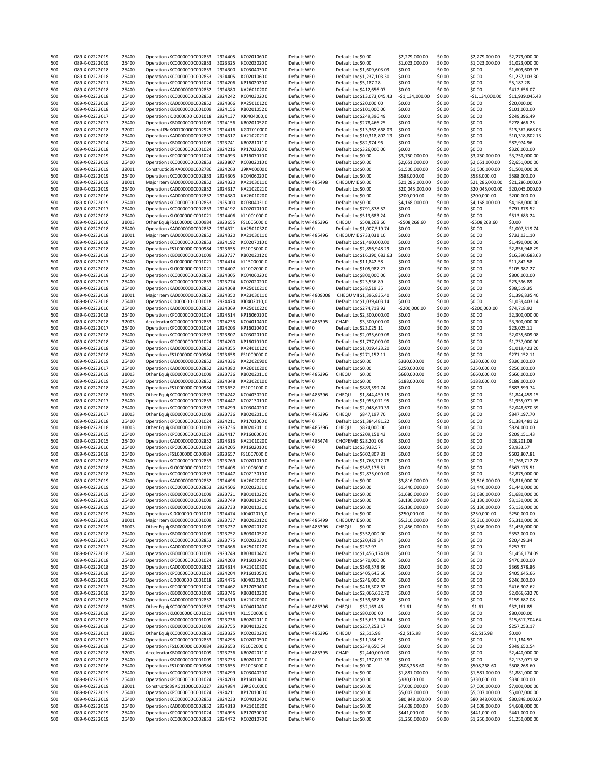| 500        | 089-X-02222019                   | 25400          | Operation : KC000000C C002853                                          | 2924405            | KC02010600               | Default WF0                      | Default Loc \$0.00                                   | \$2,279,000.00                    | \$0.00           | \$2,279,000.00                    | \$2,279,000.00                    |
|------------|----------------------------------|----------------|------------------------------------------------------------------------|--------------------|--------------------------|----------------------------------|------------------------------------------------------|-----------------------------------|------------------|-----------------------------------|-----------------------------------|
| 500        | 089-X-02222019                   | 25400          | Operation : KC0000000 C002853                                          | 3023325            | KC02030200               | Default WF0                      | Default Loc \$0.00                                   | \$1,023,000.00                    | \$0.00           | \$1,023,000.00                    | \$1,023,000.00                    |
| 500<br>500 | 089-X-02222018<br>089-X-02222018 | 25400<br>25400 | Operation : KC0000000 C002853<br>Operation : KC0000000 C002853         | 2924300<br>2924405 | KC03040300<br>KC02010600 | Default WF0<br>Default WF0       | Default Loc \$1,609,603.03                           | \$0.00<br>\$0.00                  | \$0.00<br>\$0.00 | \$0.00<br>\$0.00                  | \$1,609,603.03                    |
| 500        | 089-X-02222011                   | 25400          | Operation : KP0000000 C001024                                          | 2924206            | KP16020200               | Default WF0                      | Default Loc \$1,237,103.30<br>Default Loc \$5,187.28 | \$0.00                            | \$0.00           | \$0.00                            | \$1,237,103.30<br>\$5,187.28      |
| 500        | 089-X-02222018                   | 25400          | Operation : KA000000C C002852                                          | 2924380            | KA260102C0               | Default WF0                      | Default Loc \$412,656.07                             | \$0.00                            | \$0.00           | \$0.00                            | \$412,656.07                      |
| 500        | 089-X-02222018                   | 25400          | Operation : KC0000000 C002853                                          | 2924242            | KC04030200               | Default WF0                      | Default Loc \$13,073,045.43                          | $-$1,134,000.00$                  | \$0.00           | $-$1,134,000.00$                  | \$11,939,045.43                   |
| 500        | 089-X-02222018                   | 25400          | Operation : KA000000C C002852                                          | 2924366            | KA25010120               | Default WF0                      | Default Loc \$20,000.00                              | \$0.00                            | \$0.00           | \$0.00                            | \$20,000.00                       |
| 500        | 089-X-02222018                   | 25400          | Operation : KB000000C C001009                                          | 2924156            | KB02010520               | Default WF0                      | Default Loc \$101,000.00                             | \$0.00                            | \$0.00           | \$0.00                            | \$101,000.00                      |
| 500        | 089-X-02222017                   | 25400          | Operation : KJ0000000 C001018                                          | 2924137            | KJ0404000,0              | Default WF0                      | Default Loc \$249,396.49                             | \$0.00                            | \$0.00           | \$0.00                            | \$249,396.49                      |
| 500        | 089-X-02222017                   | 25400          | Operation : KB000000C C001009                                          | 2924156            | KB02010520               | Default WF0                      | Default Loc \$278,466.25                             | \$0.00                            | \$0.00           | \$0.00                            | \$278,466.25                      |
| 500        | 089-X-02222018                   | 32002          | General PlaKG0700000 C002925                                           | 2924416            | KG070100(0               | Default WF0                      | Default Loc \$13,362,668.03                          | \$0.00                            | \$0.00           | \$0.00                            | \$13,362,668.03                   |
| 500        | 089-X-02222018                   | 25400          | Operation : KA000000C C002852                                          | 2924317            | KA21020210               | Default WF0                      | Default Loc \$10,318,802.13                          | \$0.00                            | \$0.00           | \$0.00                            | \$10,318,802.13                   |
| 500        | 089-X-02222014                   | 25400          | Operation : KB000000C C001009                                          | 2923741            | KB02810110               | Default WF0                      | Default Loc \$82,974.96                              | \$0.00                            | \$0.00           | \$0.00                            | \$82,974.96                       |
| 500        | 089-X-02222018                   | 25400          | Operation : KP0000000 C001024                                          | 2924216            | KP17030200               | Default WF0                      | Default Loc \$326,000.00                             | \$0.00                            | \$0.00           | \$0.00                            | \$326,000.00                      |
| 500        | 089-X-02222019                   | 25400          | Operation : KP0000000 C001024                                          | 2924993            | KP16070100               | Default WF0                      | Default Loc \$0.00                                   | \$3,750,000.00                    | \$0.00           | \$3,750,000.00                    | \$3,750,000.00                    |
| 500        | 089-X-02222019                   | 25400          | Operation : KC0000000 C002853                                          | 2923807            | KC03020100               | Default WF0                      | Default Loc \$0.00                                   | \$2,651,000.00                    | \$0.00           | \$2,651,000.00                    | \$2,651,000.00                    |
| 500        | 089-X-02222019                   | 32001          | Constructic 39KA0000C C002786                                          | 2924263            | 39KA0000C0               | Default WF0                      | Default Loc \$0.00                                   | \$1,500,000.00                    | \$0.00           | \$1,500,000.00                    | \$1,500,000.00                    |
| 500        | 089-X-02222019                   | 25400          | Operation : KC0000000 C002853                                          | 2924305            | KC04060200               | Default WF0                      | Default Loc\$0.00                                    | \$588,000.00                      | \$0.00           | \$588,000.00                      | \$588,000.00                      |
| 500        | 089-X-02222019                   | 31001          | Major Item KA000000C C002852                                           | 2924320            | KA21030110               | Default WF 485498                | CHEQUMIE \$0.00                                      | \$21,286,000.00                   | \$0.00           | \$21,286,000.00                   | \$21,286,000.00                   |
| 500        | 089-X-02222019                   | 25400          | Operation : KA000000C C002852                                          | 2924317            | KA21020210               | Default WF0                      | Default Loc \$0.00                                   | \$20,045,000.00                   | \$0.00           | \$20,045,000.00                   | \$20,045,000.00                   |
| 500        | 089-X-02222016                   | 25400          | Operation : KA000000C C002852                                          | 2924380            | KA260102C0               | Default WF0                      | Default Loc \$0.00                                   | \$200,000.00                      | \$0.00           | \$200,000.00                      | \$200,000.00                      |
| 500        | 089-X-02222019                   | 25400          | Operation : KC0000000 C002853                                          | 2925000            | KC03040310               | Default WF0                      | Default Loc\$0.00                                    | \$4,168,000.00                    | \$0.00           | \$4,168,000.00                    | \$4,168,000.00                    |
| 500        | 089-X-02222017                   | 25400          | Operation : KC000000C C002853                                          | 2924192            | KC02070100               | Default WF0                      | Default Loc \$791,878.52                             | \$0.00                            | \$0.00           | \$0.00                            | \$791,878.52                      |
| 500        | 089-X-02222018                   | 25400          | Operation : KL0000000 C001021                                          | 2924406            | KL10010000               | Default WF0                      | Default Loc \$513,683.24                             | \$0.00                            | \$0.00           | \$0.00                            | \$513,683.24                      |
| 500        | 089-X-02222016                   | 31003          | Other Equi  FS1000000 C000984                                          | 2923655            | FS10050000               | Default WF 485396                | CHEQU<br>\$508,268.60                                | -\$508,268.60                     | \$0.00           | -\$508,268.60                     | \$0.00                            |
| 500        | 089-X-02222018                   | 25400          | Operation : KA000000C C002852                                          | 2924371            | KA25010320               | Default WF0                      | Default Loc \$1,007,519.74                           | \$0.00                            | \$0.00           | \$0.00                            | \$1,007,519.74                    |
| 500<br>500 | 089-X-02222018<br>089-X-02222018 | 31001<br>25400 | Major Item KA000000C C002852<br>Operation : KC0000000 C002853          | 2924320<br>2924192 | KA21030110<br>KC02070100 | Default WF 485496<br>Default WF0 | CHEQUMIE \$733,031.10<br>Default Loc \$1,490,000.00  | \$0.00<br>\$0.00                  | \$0.00           | \$0.00<br>\$0.00                  | \$733,031.10                      |
| 500        | 089-X-02222018                   | 25400          | Operation : FS1000000 C000984                                          | 2923655            | FS10050000               | Default WF0                      | Default Loc \$2,856,948.29                           | \$0.00                            | \$0.00<br>\$0.00 | \$0.00                            | \$1,490,000.00<br>\$2,856,948.29  |
| 500        | 089-X-02222018                   | 25400          | Operation : KB000000C C001009                                          | 2923737            | KB02020120               | Default WF0                      | Default Loc \$16,390,683.63                          | \$0.00                            | \$0.00           | \$0.00                            | \$16,390,683.63                   |
| 500        | 089-X-02222017                   | 25400          | Operation : KL0000000 C001021                                          | 2924414            | KL15000000               | Default WF0                      | Default Loc \$11,842.58                              | \$0.00                            | \$0.00           | \$0.00                            | \$11,842.58                       |
| 500        | 089-X-02222018                   | 25400          | Operation : KL0000000 C001021                                          | 2924407            | KL10020000               | Default WF0                      | Default Loc \$105,987.27                             | \$0.00                            | \$0.00           | \$0.00                            | \$105,987.27                      |
| 500        | 089-X-02222018                   | 25400          | Operation : KC0000000 C002853                                          | 2924305            | KC04060200               | Default WF0                      | Default Loc \$800,000.00                             | \$0.00                            | \$0.00           | \$0.00                            | \$800,000.00                      |
| 500        | 089-X-02222017                   | 25400          | Operation : KC0000000 C002853                                          | 2923774            | KC02020200               | Default WF0                      | Default Loc \$23,536.89                              | \$0.00                            | \$0.00           | \$0.00                            | \$23,536.89                       |
| 500        | 089-X-02222018                   | 25400          | Operation : KA000000C C002852                                          | 2924368            | KA25010210               | Default WF0                      | Default Loc \$38,519.35                              | \$0.00                            | \$0.00           | \$0.00                            | \$38,519.35                       |
| 500        | 089-X-02222018                   | 31001          | Major Item KA000000C C002852                                           | 2924350            | KA23030110               | Default WF 4809008               | CHEQUMII\$1,396,835.40                               | \$0.00                            | \$0.00           | \$0.00                            | \$1,396,835.40                    |
| 500        | 089-X-02222018                   | 25400          | Operation : KJ0000000 C001018                                          | 2924474            | KJ0402010, 0             | Default WF0                      | Default Loc \$1,039,403.14                           | \$0.00                            | \$0.00           | \$0.00                            | \$1,039,403.14                    |
| 500        | 089-X-02222016                   | 25400          | Operation : KA000000C C002852                                          | 2924369            | KA25010220               | Default WF0                      | Default Loc \$274,718.92                             | -\$200,000.00                     | \$0.00           | $-$200,000.00$                    | \$74,718.92                       |
| 500        | 089-X-02222018                   | 25400          | Operation : KP0000000 C001024                                          | 2924514            | KP16060100               | Default WF0                      | Default Loc \$2,300,000.00                           | \$0.00                            | \$0.00           | \$0.00                            | \$2,300,000.00                    |
| 500        | 089-X-02222018                   | 32003          | Accelerator KC0000000 C002853                                          | 2924233            | KC04010400               | Default WF 485395                | CHAIP<br>\$3,300,000.00                              | \$0.00                            | \$0.00           | \$0.00                            | \$3,300,000.00                    |
| 500        | 089-X-02222017                   | 25400          | Operation : KP0000000 C001024                                          | 2924203            | KP16010400               | Default WF0                      | Default Loc \$23,025.11                              | \$0.00                            | \$0.00           | \$0.00                            | \$23,025.11                       |
| 500        | 089-X-02222018                   | 25400          | Operation : KC0000000 C002853                                          | 2923807            | KC03020100               | Default WF0                      | Default Loc \$2,035,609.08                           | \$0.00                            | \$0.00           | \$0.00                            | \$2,035,609.08                    |
| 500        | 089-X-02222018                   | 25400          | Operation : KP0000000 C001024                                          | 2924200            | KP16010100               | Default WF0                      | Default Loc \$1,737,000.00                           | \$0.00                            | \$0.00           | \$0.00                            | \$1,737,000.00                    |
| 500        | 089-X-02222018                   | 25400          | Operation : KA000000C C002852                                          | 2924355            | KA24010120               | Default WF0                      | Default Loc \$1,019,423.20                           | \$0.00                            | \$0.00           | \$0.00                            | \$1,019,423.20                    |
| 500        | 089-X-02222018                   | 25400          | Operation : FS1000000 C000984                                          | 2923658            | FS10090000               | Default WF0                      | Default Loc \$271,152.11                             | \$0.00                            | \$0.00           | \$0.00                            | \$271,152.11                      |
| 500        | 089-X-02222019                   | 25400          | Operation : KA000000C C002852                                          | 2924336            | KA220209C0               | Default WF0                      | Default Loc \$0.00                                   | \$330,000.00                      | \$0.00           | \$330,000.00                      | \$330,000.00                      |
| 500        | 089-X-02222017                   | 25400          | Operation : KA000000C C002852                                          | 2924380            | KA260102C0               | Default WF0                      | Default Loc\$0.00                                    | \$250,000.00                      | \$0.00           | \$250,000.00                      | \$250,000.00                      |
| 500        | 089-X-02222019                   | 31003          | Other Equi  KB000000C C001009                                          | 2923736            | KB02020110               | Default WF 485396                | CHEQU<br>\$0.00                                      | \$660,000.00                      | \$0.00           | \$660,000.00                      | \$660,000.00                      |
| 500        | 089-X-02222019                   | 25400          | Operation : KA000000C C002852                                          | 2924348            | KA230201C0               | Default WF0                      | Default Loc \$0.00                                   | \$188,000.00                      | \$0.00           | \$188,000.00                      | \$188,000.00                      |
| 500        | 089-X-02222018                   | 25400          | Operation : FS1000000 C000984                                          | 2923652            | FS10010000               | Default WF0                      | Default Loc \$883,599.74                             | \$0.00                            | \$0.00           | \$0.00                            | \$883,599.74                      |
| 500        | 089-X-02222018                   | 31003          | Other Equi  KC0000000 C002853                                          | 2924242            | KC04030200               | Default WF 485396                | CHEQU<br>\$1,844,459.15                              | \$0.00                            | \$0.00           | \$0.00                            | \$1,844,459.15                    |
| 500        | 089-X-02222017                   | 25400          | Operation : KC0000000 C002853                                          | 2924447            | KC02130100               | Default WF0                      | Default Loc \$1,955,071.95                           | \$0.00                            | \$0.00           | \$0.00                            | \$1,955,071.95                    |
| 500        | 089-X-02222018                   | 25400          | Operation : KC0000000 C002853                                          | 2924299            | KC03040200               | Default WF0                      | Default Loc \$2,048,670.39                           | \$0.00                            | \$0.00           | \$0.00                            | \$2,048,670.39                    |
| 500        | 089-X-02222017                   | 31003          | Other Equi KB000000C C001009                                           | 2923736            | KB02020110               | Default WF 485396                | CHEQU<br>\$847,197.70                                | \$0.00                            | \$0.00           | \$0.00                            | \$847,197.70                      |
| 500        | 089-X-02222018                   | 25400          | Operation : KP0000000 C001024                                          | 2924211            | KP17010000               | Default WF0                      | Default Loc \$1,384,481.22                           | \$0.00                            | \$0.00           | \$0.00                            | \$1,384,481.22                    |
| 500        | 089-X-02222018                   | 31003          | Other Equi KB000000CC001009                                            | 2923736            | KB02020110               | Default WF 485396                | CHEQU \$824,000.00                                   | \$0.00                            | \$0.00           | \$0.00                            | \$824,000.00                      |
| 500        | 089-X-02222015                   | 25400          | Operation : KP0000000 C001024                                          | 2924417            | KP16060000               | Default WF0                      | Default Loc \$209,151.43                             | \$0.00                            | \$0.00           | \$0.00                            | \$209,151.43                      |
| 500        | 089-X-02222015                   | 25400          | Operation : KA000000C C002852                                          | 2924313            | KA210102C0               | Default WF 485474                | CHOPEMIE \$28,201.08                                 | \$0.00                            | \$0.00           | \$0.00                            | \$28,201.08                       |
| 500        | 089-X-02222016                   | 25400          | Operation : KP0000000 C001024                                          | 2924205            | KP16020100               | Default WF0                      | Default Loc \$3,933.57                               | \$0.00                            | \$0.00           | \$0.00                            | \$3,933.57                        |
| 500        | 089-X-02222018                   | 25400          | Operation : FS1000000 C000984                                          | 2923657            | FS10070000               | Default WF0                      | Default Loc \$602,807.81                             | \$0.00                            | \$0.00           | \$0.00                            | \$602,807.81                      |
| 500        | 089-X-02222018                   | 25400          | Operation : KC0000000 C002853                                          | 2923769            | KC02010100               | Default WF0                      | Default Loc \$1,768,712.78                           | \$0.00                            | \$0.00           | \$0.00                            | \$1,768,712.78                    |
| 500        | 089-X-02222018                   | 25400          | Operation : KL0000000 C001021                                          | 2924408            | KL10030000               | Default WF0                      | Default Loc \$367,175.51                             | \$0.00                            | \$0.00           | \$0.00                            | \$367,175.51                      |
| 500        | 089-X-02222018                   | 25400          | Operation : KC0000000 C002853                                          | 2924447            | KC02130100               | Default WF0                      | Default Loc \$2,875,000.00                           | \$0.00                            | \$0.00           | \$0.00                            | \$2,875,000.00                    |
| 500        | 089-X-02222019                   | 25400          | Operation : KA000000C C002852<br>Operation : KC0000000 C002853         | 2924496<br>2924506 | KA26020200               | Default WF0                      | Default Loc \$0.00                                   | \$3,816,000.00                    | \$0.00           | \$3,816,000.00<br>\$1,440,000.00  | \$3,816,000.00                    |
| 500<br>500 | 089-X-02222019<br>089-X-02222019 | 25400<br>25400 | Operation : KB000000C C001009                                          | 2923721            | KC02020310<br>KB01010220 | Default WF0<br>Default WF0       | Default Loc \$0.00                                   | \$1,440,000.00<br>\$1,680,000.00  | \$0.00<br>\$0.00 | \$1,680,000.00                    | \$1,440,000.00                    |
| 500        | 089-X-02222019                   | 25400          | Operation : KB000000C C001009                                          | 2923749            | KB03010420               | Default WF0                      | Default Loc \$0.00<br>Default Loc\$0.00              | \$3,130,000.00                    | \$0.00           | \$3,130,000.00                    | \$1,680,000.00<br>\$3,130,000.00  |
| 500        | 089-X-02222019                   | 25400          | Operation : KB000000C C001009                                          | 2923733            | KB02010210               | Default WF0                      | Default Loc\$0.00                                    | \$5,130,000.00                    | \$0.00           | \$5,130,000.00                    | \$5,130,000.00                    |
| 500        | 089-X-02222019                   | 25400          | Operation : KJ0000000 C001018                                          | 2924474            | KJ0402010, 0             | Default WF0                      | Default Loc\$0.00                                    | \$250,000.00                      | \$0.00           | \$250,000.00                      | \$250,000.00                      |
| 500        | 089-X-02222019                   | 31001          | Major Item KB000000C C001009                                           | 2923737            | KB02020120               | Default WF485499                 | CHEQUMIE \$0.00                                      | \$5,310,000.00                    | \$0.00           | \$5,310,000.00                    | \$5,310,000.00                    |
| 500        | 089-X-02222019                   | 31003          | Other Equi KB000000CC001009                                            | 2923737            | KB02020120               | Default WF485396                 | CHEQU<br>\$0.00                                      | \$1,456,000.00                    | \$0.00           | \$1,456,000.00                    | \$1,456,000.00                    |
| 500        | 089-X-02222018                   | 25400          | Operation : KB000000C C001009                                          | 2923752            | KB03010520               | Default WF0                      | Default Loc \$352,000.00                             | \$0.00                            | \$0.00           | \$0.00                            | \$352,000.00                      |
| 500        | 089-X-02222017                   | 25400          | Operation : KC0000000 C002853                                          | 2923775            | KC02020300               | Default WF0                      | Default Loc \$20,429.34                              | \$0.00                            | \$0.00           | \$0.00                            | \$20,429.34                       |
| 500        | 089-X-02222017                   | 25400          | Operation : KA000000C C002852                                          | 2924366            | KA25010120               | Default WF0                      | Default Loc \$257.97                                 | \$0.00                            | \$0.00           | \$0.00                            | \$257.97                          |
| 500        | 089-X-02222018                   | 25400          | Operation : KB000000C C001009                                          | 2923749            | KB03010420               | Default WF0                      | Default Loc \$1,456,174.09                           | \$0.00                            | \$0.00           | \$0.00                            | \$1,456,174.09                    |
| 500        | 089-X-02222018                   | 25400          | Operation : KP0000000 C001024                                          | 2924203            | KP16010400               | Default WF0                      | Default Loc \$470,000.00                             | \$0.00                            | \$0.00           | \$0.00                            | \$470,000.00                      |
| 500        | 089-X-02222018                   | 25400          | Operation : KA000000C C002852                                          | 2924314            | KA210103C0               | Default WF0                      | Default Loc \$369,578.86                             | \$0.00                            | \$0.00           | \$0.00                            | \$369,578.86                      |
| 500        | 089-X-02222018                   | 25400          | Operation : KP0000000 C001024                                          | 2924204            | KP16010500               | Default WF0                      | Default Loc \$405.645.66                             | \$0.00                            | \$0.00           | \$0.00                            | \$405,645.66                      |
| 500        | 089-X-02222018                   | 25400          | Operation : KJ0000000 C001018                                          | 2924476            | KJ0403010, 0             | Default WF0                      | Default Loc \$246,000.00                             | \$0.00                            | \$0.00           | \$0.00                            | \$246,000.00                      |
| 500        | 089-X-02222017                   | 25400          | Operation : KP0000000 C001024                                          | 2924462            | KP17030400               | Default WF0                      | Default Loc \$416,307.62                             | \$0.00                            | \$0.00           | \$0.00                            | \$416,307.62                      |
| 500        | 089-X-02222018                   | 25400          | Operation : KB000000C C001009                                          | 2923746            | KB03010200               | Default WF0                      | Default Loc \$2,066,632.70                           | \$0.00                            | \$0.00           | \$0.00                            | \$2,066,632.70                    |
| 500        | 089-X-02222018                   | 25400          | Operation : KA000000C C002852                                          | 2924319            | KA210209C0               | Default WF0                      | Default Loc \$159,687.08                             | \$0.00                            | \$0.00           | \$0.00                            | \$159,687.08                      |
| 500        | 089-X-02222018                   | 31003          | Other Equi  KC0000000 C002853                                          | 2924233            | KC04010400               | Default WF485396                 | CHEQU<br>\$32,163.46                                 | $-$1.61$                          | \$0.00           | $-$1.61$                          | \$32,161.85                       |
| 500        | 089-X-02222018                   | 25400          | Operation : KL0000000 C001021                                          | 2924414            | KL15000000               | Default WF0                      | Default Loc \$80,000.00                              | \$0.00                            | \$0.00           | \$0.00                            | \$80,000.00                       |
| 500        | 089-X-02222018                   | 25400          | Operation : KB000000C C001009                                          | 2923736            | KB02020110               | Default WF0                      | Default Loc \$15,617,704.64                          | \$0.00                            | \$0.00           | \$0.00                            | \$15,617,704.64                   |
| 500        | 089-X-02222018                   | 25400          | Operation : KB000000C C001009                                          | 2923755            | KB04010220               | Default WF0                      | Default Loc \$257,253.17                             | \$0.00                            | \$0.00           | \$0.00                            | \$257,253.17                      |
| 500        | 089-X-02222011                   | 31003          | Other Equi  KC0000000 C002853                                          | 3023325            | KC02030200               | Default WF485396                 | CHEQU<br>\$2,515.98                                  | $-$2,515.98$                      | \$0.00           | $-$2,515.98$                      | \$0.00                            |
| 500        | 089-X-02222017                   | 25400          | Operation : KC0000000 C002853                                          | 2924295            | KC02020500               | Default WF0                      | Default Loc \$11,184.97                              | \$0.00                            | \$0.00           | \$0.00                            | \$11,184.97                       |
| 500        | 089-X-02222018                   | 25400          | Operation : FS1000000 C000984                                          | 2923653            | FS10020000               | Default WF0                      | Default Loc \$349,650.54                             | \$0.00                            | \$0.00           | \$0.00                            | \$349,650.54                      |
| 500        | 089-X-02222018                   | 32003          | AcceleratorKB000000CC001009                                            | 2923736            | KB02020110               | Default WF 485395                | CHAIP<br>\$2,440,000.00                              | \$0.00                            | \$0.00           | \$0.00                            | \$2,440,000.00                    |
| 500        | 089-X-02222018                   | 25400          | Operation : KB000000C C001009                                          | 2923733            | KB02010210               | Default WF0                      | Default Loc \$2,137,071.38                           | \$0.00                            | \$0.00           | \$0.00                            | \$2,137,071.38                    |
| 500        | 089-X-02222016                   | 25400          | Operation : FS1000000 C000984                                          | 2923655            | FS10050000               | Default WF0                      | Default Loc\$0.00                                    | \$508,268.60                      | \$0.00           | \$508,268.60                      | \$508,268.60                      |
| 500        | 089-X-02222019                   | 25400          | Operation : KC0000000 C002853                                          | 2924299            | KC03040200               | Default WF0                      | Default Loc\$0.00                                    | \$1,881,000.00                    | \$0.00           | \$1,881,000.00                    | \$1,881,000.00                    |
| 500        | 089-X-02222019                   | 25400          | Operation : KP0000000 C001024                                          | 2924203            | KP16010400               | Default WF0                      | Default Loc \$0.00                                   | \$330,000.00                      | \$0.00           | \$330,000.00                      | \$330,000.00                      |
| 500        | 089-X-02222019                   | 32001          | Constructic 39KG0100(C003227                                           | 2924984<br>2924211 | 39KG0100(0               | Default WF0                      | Default Loc\$0.00                                    | \$7,000,000.00                    | \$0.00           | \$7,000,000.00                    | \$7,000,000.00                    |
| 500<br>500 | 089-X-02222019<br>089-X-02222019 | 25400<br>25400 | Operation : KP0000000 C001024<br>Operation : KC0000000 C002853         | 2924233            | KP17010000<br>KC04010400 | Default WF0<br>Default WF0       | Default Loc \$0.00<br>Default Loc\$0.00              | \$5,007,000.00<br>\$80,848,000.00 | \$0.00<br>\$0.00 | \$5,007,000.00<br>\$80,848,000.00 | \$5,007,000.00<br>\$80,848,000.00 |
| 500        |                                  | 25400          | Operation : KA000000C C002852                                          | 2924313            | KA210102C0               | Default WF0                      | Default Loc \$0.00                                   | \$4,608,000.00                    | \$0.00           | \$4,608,000.00                    | \$4,608,000.00                    |
|            |                                  |                |                                                                        |                    |                          |                                  |                                                      |                                   |                  |                                   |                                   |
|            | 089-X-02222019                   |                |                                                                        |                    |                          |                                  |                                                      |                                   |                  |                                   |                                   |
| 500<br>500 | 089-X-02222019<br>089-X-02222019 | 25400<br>25400 | Operation : KP0000000 C001024<br>Operation : KC000000C C002853 2924472 | 2924995            | KP17030000<br>KC02010700 | Default WF0<br>Default WF0       | Default Loc\$0.00<br>Default Loc \$0.00              | \$441,000.00<br>\$1,250,000.00    | \$0.00<br>\$0.00 | \$441,000.00<br>\$1,250,000.00    | \$441,000.00<br>\$1,250,000.00    |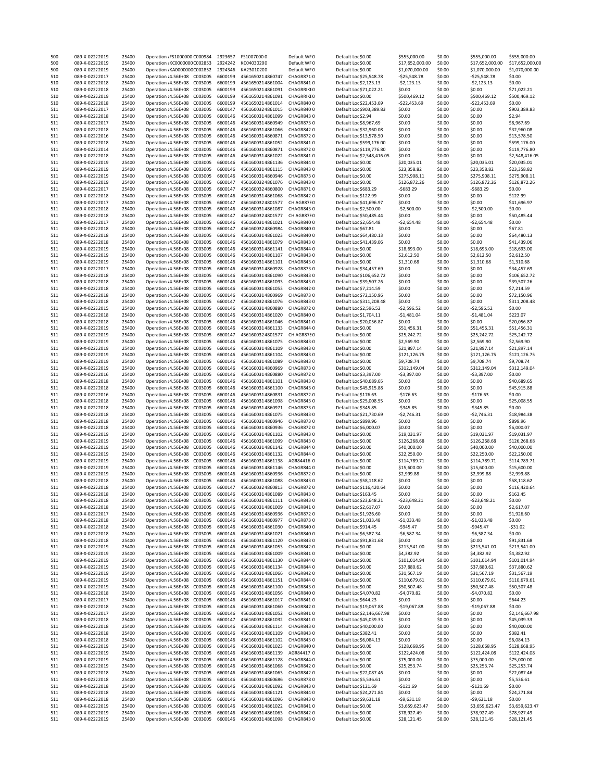| 500 | 089-X-02222019 | 25400 | Operation : FS1000000 C000984 |         | 2923657 | FS10070000       | Default WF0       | Default Loc\$0.00          | \$555,000.00    | \$0.00 | \$555,000.00    | \$555,000.00    |
|-----|----------------|-------|-------------------------------|---------|---------|------------------|-------------------|----------------------------|-----------------|--------|-----------------|-----------------|
| 500 | 089-X-02222019 | 25400 | Operation : KC0000000 C002853 |         | 2924242 | KC04030200       | Default WF0       | Default Loc \$0.00         | \$17,652,000.00 | \$0.00 | \$17,652,000.00 | \$17,652,000.00 |
| 500 | 089-X-02222019 | 25400 | Operation : KA000000C C002852 |         | 2924346 | KA230102C0       | Default WF0       | Default Loc \$0.00         | \$1,070,000.00  | \$0.00 | \$1,070,000.00  | \$1,070,000.00  |
| 510 | 089-X-02222017 | 25400 | Operation : 4.56E+08 C003005  |         | 6600199 | 4561650214860747 | CHAGR8710         | Default Loc \$25,548.78    | $-$ \$25,548.78 | \$0.00 | $-$25,548.78$   | \$0.00          |
| 510 | 089-X-02222018 | 25400 | Operation : 4.56E+08          | C003005 | 6600199 | 4561650214861004 | CHAGR8410         | Default Loc \$2,123.13     | $-52,123.13$    | \$0.00 | $-52,123.13$    | \$0.00          |
| 510 | 089-X-02222018 | 25400 | Operation : 4.56E+08 C003005  |         | 6600199 | 4561650214861091 | <b>CHAGRRIKEO</b> | Default Loc \$71,022.21    | \$0.00          | \$0.00 | \$0.00          | \$71,022.21     |
| 510 | 089-X-02222019 | 25400 | Operation : 4.56E+08 C003005  |         | 6600199 | 4561650214861091 | CHAGRRIKE0        | Default Loc \$0.00         | \$500,469.12    | \$0.00 | \$500,469.12    | \$500,469.12    |
| 510 | 089-X-02222018 | 25400 | Operation : 4.56E+08 C003005  |         | 6600199 | 4561650214861014 | <b>CHAGR8400</b>  | Default Loc \$22,453.69    | $-$22,453.69$   | \$0.00 | $-$22,453.69$   | \$0.00          |
|     |                |       |                               |         |         |                  |                   |                            |                 |        |                 |                 |
| 511 | 089-X-02222017 | 25400 | Operation : 4.56E+08          | C003005 | 6600147 | 4561600324861015 | CHAGR8400         | Default Loc \$903,389.83   | \$0.00          | \$0.00 | \$0.00          | \$903,389.83    |
| 511 | 089-X-02222018 | 25400 | Operation : 4.56E+08 C003005  |         | 6600146 | 4561600314861099 | CHAGR8430         | Default Loc\$2.94          | \$0.00          | \$0.00 | \$0.00          | \$2.94          |
| 511 | 089-X-02222017 | 25400 | Operation : 4.56E+08 C003005  |         | 6600146 | 4561600314860949 | CHAGR8730         | Default Loc \$8,967.69     | \$0.00          | \$0.00 | \$0.00          | \$8,967.69      |
| 511 | 089-X-02222018 | 25400 | Operation : 4.56E+08 C003005  |         | 6600146 | 4561600314861066 | CHAGR8420         | Default Loc \$32,960.08    | \$0.00          | \$0.00 | \$0.00          | \$32,960.08     |
| 511 | 089-X-02222016 | 25400 | Operation : 4.56E+08          | C003005 | 6600146 | 4561600314860871 | CHAGR8720         | Default Loc \$13,578.50    | \$0.00          | \$0.00 | \$0.00          | \$13,578.50     |
| 511 | 089-X-02222018 | 25400 | Operation : 4.56E+08 C003005  |         | 6600146 | 4561600314861052 | CHAGR8410         | Default Loc \$599,176.00   | \$0.00          | \$0.00 | \$0.00          |                 |
|     |                |       |                               |         |         |                  |                   |                            |                 |        |                 | \$599,176.00    |
| 511 | 089-X-02222014 | 25400 | Operation : 4.56E+08 C003005  |         | 6600146 | 4561600314860871 | CHAGR8720         | Default Loc \$119,776.80   | \$0.00          | \$0.00 | \$0.00          | \$119,776.80    |
| 511 | 089-X-02222018 | 25400 | Operation : 4.56E+08          | C003005 | 6600146 | 4561600314861022 | CHAGR8410         | Default Loc \$2,548,416.05 | \$0.00          | \$0.00 | \$0.00          | \$2,548,416.05  |
| 511 | 089-X-02222019 | 25400 | Operation : 4.56E+08          | C003005 | 6600146 | 4561600314861136 | CHAGR8440         | Default Loc \$0.00         | \$20,035.01     | \$0.00 | \$20,035.01     | \$20,035.01     |
| 511 | 089-X-02222019 | 25400 | Operation : 4.56E+08          | C003005 | 6600146 | 4561600314861115 | CHAGR8430         | Default Loc \$0.00         | \$23,358.82     | \$0.00 | \$23,358.82     | \$23,358.82     |
| 511 | 089-X-02222019 | 25400 | Operation : 4.56E+08 C003005  |         | 6600146 | 4561600314860946 | CHAGR8730         | Default Loc \$0.00         |                 | \$0.00 |                 |                 |
|     |                |       |                               |         |         |                  |                   |                            | \$275,908.11    |        | \$275,908.11    | \$275,908.11    |
| 511 | 089-X-02222019 | 25400 | Operation : 4.56E+08          | C003005 | 6600147 | 4561600324861076 | CHAGR8430         | Default Loc\$0.00          | \$126,872.26    | \$0.00 | \$126,872.26    | \$126,872.26    |
| 511 | 089-X-02222017 | 25400 | Operation : 4.56E+08          | C003005 | 6600147 | 4561600324860800 | CHAGR8710         | Default Loc \$683.29       | $-$ \$683.29    | \$0.00 | $-$683.29$      | \$0.00          |
| 511 | 089-X-02222018 | 25400 | Operation : 4.56E+08          | C003005 | 6600146 | 4561600314861068 | CHAGR8420         | Default Loc \$122.99       | \$0.00          | \$0.00 | \$0.00          | \$122.99        |
| 511 | 089-X-02222017 | 25400 | Operation : 4.56E+08 C003005  |         | 6600147 | 4561600324801577 | CH AGR8780        | Default Loc \$41,696.97    | \$0.00          | \$0.00 | \$0.00          | \$41,696.97     |
| 511 | 089-X-02222018 | 25400 | Operation : 4.56E+08          | C003005 | 6600146 | 4561600314861087 | CHAGR8430         | Default Loc \$2,500.00     | $-$2,500.00$    | \$0.00 | $-$2,500.00$    | \$0.00          |
|     |                |       |                               |         |         |                  |                   |                            |                 |        |                 |                 |
| 511 | 089-X-02222018 | 25400 | Operation : 4.56E+08          | C003005 | 6600147 | 4561600324801577 | CH AGR8780        | Default Loc \$50,485.44    | \$0.00          | \$0.00 | \$0.00          | \$50,485.44     |
| 511 | 089-X-02222017 | 25400 | Operation : 4.56E+08          | C003005 | 6600146 | 4561600314861021 | CHAGR8400         | Default Loc \$2,654.48     | $-$2,654.48$    | \$0.00 | $-$2,654.48$    | \$0.00          |
| 511 | 089-X-02222018 | 25400 | Operation : 4.56E+08 C003005  |         | 6600147 | 4561600324860984 | CHAGR8400         | Default Loc \$67.81        | \$0.00          | \$0.00 | \$0.00          | \$67.81         |
| 511 | 089-X-02222018 | 25400 | Operation : 4.56E+08          | C003005 | 6600146 | 4561600314861023 | CHAGR8400         | Default Loc \$64,480.13    | \$0.00          | \$0.00 | \$0.00          | \$64,480.13     |
| 511 | 089-X-02222018 | 25400 | Operation : 4.56E+08          | C003005 | 6600146 | 4561600314861079 | CHAGR8430         | Default Loc \$41,439.06    | \$0.00          | \$0.00 | \$0.00          | \$41,439.06     |
|     |                |       |                               |         | 6600146 |                  |                   |                            |                 |        | \$18,693.00     |                 |
| 511 | 089-X-02222019 | 25400 | Operation : 4.56E+08          | C003005 |         | 4561600314861141 | CHAGR8440         | Default Loc \$0.00         | \$18,693.00     | \$0.00 |                 | \$18,693.00     |
| 511 | 089-X-02222019 | 25400 | Operation : 4.56E+08          | C003005 | 6600146 | 4561600314861107 | CHAGR8430         | Default Loc \$0.00         | \$2,612.50      | \$0.00 | \$2,612.50      | \$2,612.50      |
| 511 | 089-X-02222019 | 25400 | Operation : 4.56E+08 C003005  |         | 6600146 | 4561600314861101 | CHAGR8430         | Default Loc \$0.00         | \$1,310.68      | \$0.00 | \$1,310.68      | \$1,310.68      |
| 511 | 089-X-02222017 | 25400 | Operation : 4.56E+08 C003005  |         | 6600146 | 4561600314860928 | <b>CHAGR8730</b>  | Default Loc \$34,457.69    | \$0.00          | \$0.00 | \$0.00          | \$34,457.69     |
| 511 | 089-X-02222018 | 25400 | Operation : 4.56E+08          | C003005 | 6600146 | 4561600314861090 | CHAGR8430         | Default Loc \$106,652.72   | \$0.00          | \$0.00 | \$0.00          | \$106,652.72    |
| 511 | 089-X-02222018 | 25400 | Operation : 4.56E+08 C003005  |         | 6600146 | 4561600314861093 | CHAGR8430         | Default Loc \$39,507.26    | \$0.00          | \$0.00 | \$0.00          |                 |
|     |                |       |                               |         |         |                  |                   |                            |                 |        |                 | \$39,507.26     |
| 511 | 089-X-02222018 | 25400 | Operation : 4.56E+08 C003005  |         | 6600146 | 4561600314861053 | CHAGR8420         | Default Loc \$7,214.59     | \$0.00          | \$0.00 | \$0.00          | \$7,214.59      |
| 511 | 089-X-02222018 | 25400 | Operation : 4.56E+08          | C003005 | 6600146 | 4561600314860969 | CHAGR8730         | Default Loc \$72,150.96    | \$0.00          | \$0.00 | \$0.00          | \$72,150.96     |
| 511 | 089-X-02222018 | 25400 | Operation : 4.56E+08          | C003005 | 6600147 | 4561600324861076 | CHAGR8430         | Default Loc \$311,208.48   | \$0.00          | \$0.00 | \$0.00          | \$311,208.48    |
| 511 | 089-X-02222015 | 25400 | Operation : 4.56E+08 C003005  |         | 6600146 | 4561600314860880 | CHAGR8720         | Default Loc \$2,596.52     | $-52,596.52$    | \$0.00 | $-$2,596.52$    | \$0.00          |
|     | 089-X-02222018 |       | Operation : 4.56E+08 C003005  |         | 6600146 |                  |                   |                            | $-$1,481.04$    |        |                 |                 |
| 511 |                | 25400 |                               |         |         | 4561600314861020 | CHAGR8400         | Default Loc \$1,704.11     |                 | \$0.00 | $-$1,481.04$    | \$223.07        |
| 511 | 089-X-02222018 | 25400 | Operation : 4.56E+08          | C003005 | 6600146 | 4561600314861046 | CHAGR8410         | Default Loc \$20,056.87    | \$0.00          | \$0.00 | \$0.00          | \$20,056.87     |
| 511 | 089-X-02222019 | 25400 | Operation : 4.56E+08          | C003005 | 6600146 | 4561600314861133 | CHAGR8440         | Default Loc \$0.00         | \$51,456.31     | \$0.00 | \$51,456.31     | \$51,456.31     |
| 511 | 089-X-02222019 | 25400 | Operation : 4.56E+08 C003005  |         | 6600147 | 4561600324801577 | CH AGR8780        | Default Loc \$0.00         | \$25,242.72     | \$0.00 | \$25,242.72     | \$25,242.72     |
| 511 | 089-X-02222019 | 25400 | Operation : 4.56E+08 C003005  |         | 6600146 | 4561600314861075 | CHAGR8430         | Default Loc \$0.00         | \$2,569.90      | \$0.00 | \$2,569.90      | \$2,569.90      |
| 511 | 089-X-02222019 | 25400 | Operation : 4.56E+08          | C003005 | 6600146 | 4561600314861109 | CHAGR8430         | Default Loc \$0.00         | \$21,897.14     | \$0.00 | \$21,897.14     | \$21,897.14     |
|     |                |       |                               |         |         |                  |                   |                            |                 |        |                 |                 |
| 511 | 089-X-02222019 | 25400 | Operation : 4.56E+08          | C003005 | 6600146 | 4561600314861104 | CHAGR8430         | Default Loc \$0.00         | \$121,126.75    | \$0.00 | \$121,126.75    | \$121,126.75    |
| 511 | 089-X-02222019 | 25400 | Operation : 4.56E+08          | C003005 | 6600146 | 4561600314861089 | CHAGR8430         | Default Loc\$0.00          | \$9,708.74      | \$0.00 | \$9,708.74      | \$9,708.74      |
| 511 | 089-X-02222019 | 25400 | Operation : 4.56E+08 C003005  |         | 6600146 | 4561600314860969 | CHAGR8730         | Default Loc \$0.00         | \$312,149.04    | \$0.00 | \$312,149.04    | \$312,149.04    |
| 511 | 089-X-02222016 | 25400 | Operation : 4.56E+08          | C003005 | 6600146 | 4561600314860880 | <b>CHAGR8720</b>  | Default Loc \$3,397.00     | $-$3,397.00$    | \$0.00 | $-$3,397.00$    | \$0.00          |
| 511 | 089-X-02222018 | 25400 | Operation : 4.56E+08          | C003005 | 6600146 | 4561600314861101 | CHAGR8430         | Default Loc \$40,689.65    | \$0.00          | \$0.00 | \$0.00          | \$40,689.65     |
| 511 | 089-X-02222018 | 25400 | Operation : 4.56E+08          | C003005 | 6600146 | 4561600314861100 | CHAGR8430         | Default Loc \$45,915.88    | \$0.00          | \$0.00 | \$0.00          | \$45,915.88     |
|     |                |       |                               |         |         |                  |                   |                            |                 |        |                 |                 |
| 511 | 089-X-02222016 | 25400 | Operation : 4.56E+08 C003005  |         | 6600146 | 4561600314860831 | CHAGR8720         | Default Loc \$176.63       | $-$176.63$      | \$0.00 | $-$176.63$      | \$0.00          |
| 511 | 089-X-02222018 | 25400 | Operation : 4.56E+08          | C003005 | 6600146 | 4561600314861098 | CHAGR8430         | Default Loc \$25,008.55    | \$0.00          | \$0.00 | \$0.00          | \$25,008.55     |
| 511 | 089-X-02222018 | 25400 | Operation : 4.56E+08          | C003005 | 6600146 | 4561600314860971 | <b>CHAGR8730</b>  | Default Loc \$345.85       | $-$ \$345.85    | \$0.00 | $-$345.85$      | \$0.00          |
| 511 | 089-X-02222018 | 25400 | Operation : 4.56E+08          | C003005 | 6600146 | 4561600314861075 | CHAGR8430         | Default Loc \$21,730.69    | $-52,746.31$    | \$0.00 | $-$2,746.31$    | \$18,984.38     |
| 511 | 089-X-02222018 | 25400 | Operation : 4.56E+08          | C003005 | 6600146 | 4561600314860946 | CHAGR8730         | Default Loc \$899.96       | \$0.00          | \$0.00 | \$0.00          | \$899.96        |
| 511 |                | 25400 | Operation : 4.56E+08 C003005  |         | 6600146 | 4561600314860936 |                   |                            |                 |        |                 | \$6,000.07      |
|     | 089-X-02222018 |       |                               |         |         |                  | CHAGR8720         | Default Loc \$6,000.07     | \$0.00          | \$0.00 | \$0.00          |                 |
| 511 | 089-X-02222019 | 25400 | Operation : 4.56E+08 C003005  |         | 6600146 | 4561600314861102 | CHAGR8430         | Default Loc \$0.00         | \$19,031.97     | \$0.00 | \$19,031.97     | \$19,031.97     |
| 511 | 089-X-02222019 | 25400 | Operation : 4.56E+08          | C003005 | 6600146 | 4561600314861099 | CHAGR8430         | Default Loc \$0.00         | \$126,268.68    | \$0.00 | \$126,268.68    | \$126,268.68    |
| 511 | 089-X-02222019 | 25400 | Operation : 4.56E+08 C003005  |         | 6600146 | 4561600314861142 | CHAGR8440         | Default Loc \$0.00         | \$40,000.00     | \$0.00 | \$40,000.00     | \$40,000.00     |
| 511 | 089-X-02222019 | 25400 | Operation : 4.56E+08 C003005  |         | 6600146 | 4561600314861132 | CHAGR8440         | Default Loc \$0.00         | \$22,250.00     | \$0.00 | \$22,250.00     | \$22,250.00     |
| 511 | 089-X-02222019 | 25400 | Operation : 4.56E+08          | C003005 | 6600146 | 4561600314861138 | AGR84416 0        | Default Loc \$0.00         | \$114,789.71    | \$0.00 | \$114,789.71    | \$114,789.71    |
|     |                |       |                               |         |         |                  |                   |                            |                 |        |                 |                 |
| 511 | 089-X-02222019 | 25400 | Operation : 4.56E+08          | C003005 | 6600146 | 4561600314861146 | CHAGR8440         | Default Loc \$0.00         | \$15,600.00     | \$0.00 | \$15,600.00     | \$15,600.00     |
| 511 | 089-X-02222019 | 25400 | Operation : 4.56E+08 C003005  |         | 6600146 | 4561600314860936 | <b>CHAGR8720</b>  | Default Loc\$0.00          | \$2,999.88      | \$0.00 | \$2,999.88      | \$2,999.88      |
| 511 | 089-X-02222018 | 25400 | Operation : 4.56E+08 C003005  |         | 6600146 | 4561600314861088 | CHAGR8430         | Default Loc \$58,118.62    | \$0.00          | \$0.00 | \$0.00          | \$58,118.62     |
| 511 | 089-X-02222018 | 25400 | Operation : 4.56E+08 C003005  |         | 6600147 | 4561600324860813 | <b>CHAGR8720</b>  | Default Loc \$116,420.64   | \$0.00          | \$0.00 | \$0.00          | \$116,420.64    |
| 511 | 089-X-02222018 | 25400 | Operation : 4.56E+08 C003005  |         | 6600146 | 4561600314861089 | CHAGR8430         | Default Loc \$163.45       | \$0.00          | \$0.00 | \$0.00          | \$163.45        |
| 511 | 089-X-02222018 | 25400 | Operation : 4.56E+08          | C003005 | 6600146 | 4561600314861111 | CHAGR843-0        | Default Loc \$23,648.21    | $-$23,648.21$   | \$0.00 | $-$23,648.21$   | \$0.00          |
|     |                |       |                               |         |         |                  |                   |                            |                 |        |                 |                 |
| 511 | 089-X-02222018 | 25400 | Operation : 4.56E+08          | C003005 | 6600146 | 4561600314861009 | CHAGR8410         | Default Loc \$2,617.07     | \$0.00          | \$0.00 | \$0.00          | \$2,617.07      |
| 511 | 089-X-02222017 | 25400 | Operation : 4.56E+08          | C003005 | 6600146 | 4561600314860936 | <b>CHAGR8720</b>  | Default Loc \$1,926.60     | \$0.00          | \$0.00 | \$0.00          | \$1,926.60      |
| 511 | 089-X-02222018 | 25400 | Operation : 4.56E+08          | C003005 | 6600146 | 4561600314860977 | CHAGR8730         | Default Loc \$1,033.48     | $-$1,033.48$    | \$0.00 | $-$1,033.48$    | \$0.00          |
| 511 | 089-X-02222018 | 25400 | Operation : 4.56E+08          | C003005 | 6600146 | 4561600314861030 | CHAGR8400         | Default Loc \$914.45       | $-$945.47$      | \$0.00 | $-$945.47$      | $-$31.02$       |
| 511 | 089-X-02222018 | 25400 | Operation : 4.56E+08          | C003005 | 6600146 | 4561600314861021 | CHAGR8400         | Default Loc \$6,587.34     | -\$6,587.34     | \$0.00 | $-$6,587.34$    | \$0.00          |
| 511 | 089-X-02222018 | 25400 | Operation : 4.56E+08          | C003005 | 6600146 | 4561600314861120 | CHAGR8430         | Default Loc \$91,831.68    | \$0.00          | \$0.00 | \$0.00          | \$91,831.68     |
|     | 089-X-02222019 | 25400 |                               | C003005 | 6600146 | 4561600314861053 | CHAGR8420         | Default Loc \$0.00         | \$213,541.00    | \$0.00 |                 | \$213,541.00    |
| 511 |                |       | Operation : 4.56E+08          |         |         |                  |                   |                            |                 |        | \$213,541.00    |                 |
| 511 | 089-X-02222019 | 25400 | Operation : 4.56E+08          | C003005 | 6600146 | 4561600314861009 | CHAGR8410         | Default Loc \$0.00         | \$4,382.92      | \$0.00 | \$4,382.92      | \$4,382.92      |
| 511 | 089-X-02222019 | 25400 | Operation : 4.56E+08          | C003005 | 6600146 | 4561600314861130 | CHAGR8440         | Default Loc \$0.00         | \$101,014.94    | \$0.00 | \$101,014.94    | \$101,014.94    |
| 511 | 089-X-02222019 | 25400 | Operation : 4.56E+08          | C003005 | 6600146 | 4561600314861134 | CHAGR8440         | Default Loc \$0.00         | \$37,880.62     | \$0.00 | \$37,880.62     | \$37,880.62     |
| 511 | 089-X-02222019 | 25400 | Operation : 4.56E+08          | C003005 | 6600146 | 4561600314861066 | CHAGR8420         | Default Loc \$0.00         | \$31,567.19     | \$0.00 | \$31,567.19     | \$31,567.19     |
| 511 | 089-X-02222019 | 25400 | Operation : 4.56E+08          | C003005 | 6600146 | 4561600314861151 | CHAGR8440         | Default Loc \$0.00         | \$110,679.61    | \$0.00 | \$110,679.61    | \$110,679.61    |
|     |                |       |                               |         |         |                  |                   |                            |                 |        |                 |                 |
| 511 | 089-X-02222019 | 25400 | Operation : 4.56E+08          | C003005 | 6600146 | 4561600314861100 | CHAGR8430         | Default Loc \$0.00         | \$50,507.48     | \$0.00 | \$50,507.48     | \$50,507.48     |
| 511 | 089-X-02222018 | 25400 | Operation : 4.56E+08          | C003005 | 6600146 | 4561600314861056 | CHAGR8400         | Default Loc \$4,070.82     | $-$4,070.82$    | \$0.00 | $-$4,070.82$    | \$0.00          |
| 511 | 089-X-02222017 | 25400 | Operation : 4.56E+08          | C003005 | 6600146 | 4561600314861017 | CHAGR8410         | Default Loc \$644.23       | \$0.00          | \$0.00 | \$0.00          | \$644.23        |
| 511 | 089-X-02222018 | 25400 | Operation : 4.56E+08          | C003005 | 6600146 | 4561600314861060 | CHAGR8420         | Default Loc \$19,067.88    | $-$19,067.88$   | \$0.00 | $-$19,067.88$   | \$0.00          |
| 511 | 089-X-02222017 | 25400 | Operation : 4.56E+08 C003005  |         | 6600146 | 4561600314861052 | CHAGR8410         | Default Loc \$2,146,667.98 | \$0.00          | \$0.00 | \$0.00          | \$2,146,667.98  |
|     |                |       |                               |         |         |                  |                   |                            |                 |        |                 |                 |
| 511 | 089-X-02222018 | 25400 | Operation : 4.56E+08 C003005  |         | 6600147 | 4561600324861032 | CHAGR8410         | Default Loc \$45,039.33    | \$0.00          | \$0.00 | \$0.00          | \$45,039.33     |
| 511 | 089-X-02222018 | 25400 | Operation : 4.56E+08          | C003005 | 6600146 | 4561600314861114 | CHAGR843-0        | Default Loc \$40,000.00    | \$0.00          | \$0.00 | \$0.00          | \$40,000.00     |
| 511 | 089-X-02222018 | 25400 | Operation : 4.56E+08          | C003005 | 6600146 | 4561600314861109 | CHAGR843-0        | Default Loc\$382.41        | \$0.00          | \$0.00 | \$0.00          | \$382.41        |
| 511 | 089-X-02222018 | 25400 | Operation : 4.56E+08          | C003005 | 6600146 | 4561600314861102 | CHAGR8430         | Default Loc \$6,084.13     | \$0.00          | \$0.00 | \$0.00          | \$6,084.13      |
|     |                |       | Operation : 4.56E+08 C003005  |         | 6600146 | 4561600314861023 |                   |                            |                 |        |                 |                 |
| 511 | 089-X-02222019 | 25400 |                               |         |         |                  | CHAGR8400         | Default Loc \$0.00         | \$128,668.95    | \$0.00 | \$128,668.95    | \$128,668.95    |
| 511 | 089-X-02222019 | 25400 | Operation : 4.56E+08 C003005  |         | 6600146 | 4561600314861139 | AGR84417 0        | Default Loc \$0.00         | \$122,424.08    | \$0.00 | \$122,424.08    | \$122,424.08    |
| 511 | 089-X-02222019 | 25400 | Operation : 4.56E+08          | C003005 | 6600146 | 4561600314861128 | CHAGR8440         | Default Loc \$0.00         | \$75,000.00     | \$0.00 | \$75,000.00     | \$75,000.00     |
| 511 | 089-X-02222019 | 25400 | Operation : 4.56E+08          | C003005 | 6600146 | 4561600314861068 | CHAGR8420         | Default Loc \$0.00         | \$25,253.74     | \$0.00 | \$25,253.74     | \$25,253.74     |
| 511 | 089-X-02222018 | 25400 | Operation : 4.56E+08 C003005  |         | 6600146 | 4561600314861063 | CHAGR8420         | Default Loc \$22,087.46    | \$0.00          | \$0.00 | \$0.00          | \$22,087.46     |
| 511 | 089-X-02222018 | 25400 | Operation : 4.56E+08          | C003005 | 6600146 | 4561600314860686 | <b>CHAGR8780</b>  | Default Loc \$5,536.61     | \$0.00          | \$0.00 | \$0.00          | \$5,536.61      |
|     |                |       |                               |         |         |                  |                   |                            |                 |        |                 |                 |
| 511 | 089-X-02222018 | 25400 | Operation : 4.56E+08          | C003005 | 6600146 | 4561600314861092 | CHAGR8430         | Default Loc \$121.69       | $-$121.69$      | \$0.00 | $-$121.69$      | \$0.00          |
| 511 | 089-X-02222018 | 25400 | Operation : 4.56E+08          | C003005 | 6600146 | 4561600314861121 | CHAGR8440         | Default Loc \$24,271.84    | \$0.00          | \$0.00 | \$0.00          | \$24,271.84     |
| 511 | 089-X-02222018 | 25400 | Operation : 4.56E+08          | C003005 | 6600146 | 4561600314861096 | CHAGR8430         | Default Loc \$9,631.18     | $-$9,631.18$    | \$0.00 | $-$9,631.18$    | \$0.00          |
| 511 | 089-X-02222019 | 25400 | Operation : 4.56E+08          | C003005 | 6600146 | 4561600314861022 | CHAGR8410         | Default Loc \$0.00         | \$3,659,623.47  | \$0.00 | \$3,659,623.47  | \$3,659,623.47  |
| 511 | 089-X-02222019 | 25400 | Operation : 4.56E+08          | C003005 | 6600146 | 4561600314861063 | CHAGR8420         | Default Loc\$0.00          | \$78,927.49     | \$0.00 | \$78,927.49     | \$78,927.49     |
|     |                |       |                               |         |         |                  |                   |                            |                 |        |                 |                 |
| 511 | 089-X-02222019 | 25400 | Operation : 4.56E+08 C003005  |         | 6600146 | 4561600314861098 | CHAGR8430         | Default Loc\$0.00          | \$28,121.45     | \$0.00 | \$28,121.45     | \$28,121.45     |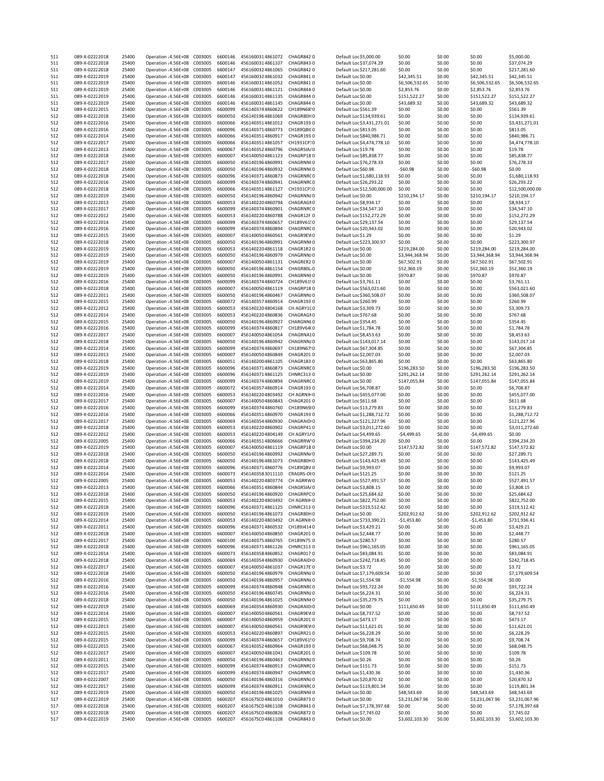| 511 | 089-X-02222018 | 25400 | Operation : 4.56E+08         | C003005 | 6600146 | 4561600314861072 | CHAGR8420            | Default Loc \$5,000.00      | \$0.00         | \$0.00 | \$0.00         | \$5,000.00      |
|-----|----------------|-------|------------------------------|---------|---------|------------------|----------------------|-----------------------------|----------------|--------|----------------|-----------------|
| 511 | 089-X-02222018 | 25400 | Operation : 4.56E+08         | C003005 | 6600146 | 4561600314861107 | CHAGR8430            | Default Loc \$37,074.29     | \$0.00         | \$0.00 | \$0.00         | \$37,074.29     |
| 511 | 089-X-02222018 | 25400 | Operation : 4.56E+08 C003005 |         | 6600147 | 4561600324861065 | CHAGR8420            | Default Loc \$217,281.60    | \$0.00         | \$0.00 | \$0.00         | \$217,281.60    |
| 511 | 089-X-02222019 | 25400 | Operation : 4.56E+08         | C003005 | 6600147 | 4561600324861032 | CHAGR8410            | Default Loc \$0.00          | \$42,345.51    | \$0.00 | \$42,345.51    | \$42,345.51     |
| 511 | 089-X-02222019 | 25400 | Operation : 4.56E+08         | C003005 | 6600146 | 4561600314861052 | CHAGR8410            | Default Loc\$0.00           | \$6,506,532.65 | \$0.00 | \$6,506,532.65 | \$6,506,532.65  |
|     |                |       |                              |         |         |                  |                      |                             |                |        |                |                 |
| 511 | 089-X-02222019 | 25400 | Operation : 4.56E+08 C003005 |         | 6600146 | 4561600314861121 | CHAGR8440            | Default Loc \$0.00          | \$2,853.76     | \$0.00 | \$2,853.76     | \$2,853.76      |
| 511 | 089-X-02222019 | 25400 | Operation : 4.56E+08 C003005 |         | 6600146 | 4561600314861135 | CHAGR8440            | Default Loc \$0.00          | \$151,522.27   | \$0.00 | \$151,522.27   | \$151,522.27    |
| 511 | 089-X-02222019 | 25400 | Operation : 4.56E+08         | C003005 | 6600146 | 4561600314861145 | CHAGR8440            | Default Loc \$0.00          | \$43,689.32    | \$0.00 | \$43,689.32    | \$43,689.32     |
| 512 | 089-X-02222015 | 25400 | Operation : 4.56E+08 C003005 |         | 6600099 | 4561403744860622 | CH189N68!0           | Default Loc \$561.39        | \$0.00         | \$0.00 | \$0.00         | \$561.39        |
| 512 | 089-X-02222018 | 25400 | Operation : 4.56E+08 C003005 |         | 6600050 | 4561401964861069 | CHAGR80H0            | Default Loc \$134,939.61    | \$0.00         | \$0.00 | \$0.00         | \$134,939.61    |
| 512 | 089-X-02222016 | 25400 | Operation : 4.56E+08         | C003005 | 6600066 | 4561403514861012 | CHAGR1930            | Default Loc \$3,431,271.01  | \$0.00         | \$0.00 | \$0.00         | \$3,431,271.01  |
|     |                |       |                              |         |         |                  |                      |                             |                |        |                |                 |
| 512 | 089-X-02222016 | 25400 | Operation : 4.56E+08         | C003005 | 6600096 | 4561403714860773 | CH189QBIC0           | Default Loc\$813.05         | \$0.00         | \$0.00 | \$0.00         | \$813.05        |
| 512 | 089-X-02222014 | 25400 | Operation : 4.56E+08 C003005 |         | 6600066 | 4561403514860917 | CHAGR1930            | Default Loc \$840,986.71    | \$0.00         | \$0.00 | \$0.00         | \$840,986.71    |
| 512 | 089-X-02222017 | 25400 | Operation : 4.56E+08 C003005 |         | 6600066 | 4561403514861057 | CH1931CP10           | Default Loc \$4,474,778.10  | \$0.00         | \$0.00 | \$0.00         | \$4,474,778.10  |
| 512 | 089-X-02222013 | 25400 | Operation : 4.56E+08 C003005 |         | 6600067 | 4561403524860796 | CHAGRSIA/0           | Default Loc \$19.78         | \$0.00         | \$0.00 | \$0.00         | \$19.78         |
|     |                |       |                              |         |         |                  |                      |                             |                |        |                |                 |
| 512 | 089-X-02222018 | 25400 | Operation : 4.56E+08         | C003005 | 6600007 | 4561400504861123 | CHAGRP180            | Default Loc \$85,838.77     | \$0.00         | \$0.00 | \$0.00         | \$85,838.77     |
| 512 | 089-X-02222017 | 25400 | Operation : 4.56E+08 C003005 |         | 6600050 | 4561401964860991 | CHAGRNNI 0           | Default Loc \$76,278.33     | \$0.00         | \$0.00 | \$0.00         | \$76,278.33     |
| 512 | 089-X-02222018 | 25400 | Operation : 4.56E+08 C003005 |         | 6600050 | 4561401964860932 | CHAGRNN(0            | Default Loc \$60.98         | $-$60.98$      | \$0.00 | $-$60.98$      | \$0.00          |
| 512 | 089-X-02222018 | 25400 | Operation : 4.56E+08 C003005 |         | 6600096 | 4561403714860873 | CHAGRNRC0            | Default Loc \$1,680,118.93  | \$0.00         | \$0.00 | \$0.00         | \$1,680,118.93  |
| 512 | 089-X-02222016 | 25400 | Operation : 4.56E+08         | C003005 | 6600099 | 4561403744860941 | CHAGRNRC0            | Default Loc \$26,293.22     | \$0.00         | \$0.00 | \$0.00         | \$26,293.22     |
| 512 | 089-X-02222018 | 25400 | Operation : 4.56E+08         | C003005 | 6600066 | 4561403514861127 | CH1931CP10           | Default Loc \$12,500,000.00 | \$0.00         | \$0.00 | \$0.00         | \$12,500,000.00 |
|     |                |       |                              |         |         |                  |                      |                             |                |        |                |                 |
| 512 | 089-X-02222019 | 25400 | Operation : 4.56E+08 C003005 |         | 6600050 | 4561401964860942 | CHAGRNNJ0            | Default Loc \$0.00          | \$210,194.17   | \$0.00 | \$210,194.17   | \$210,194.17    |
| 512 | 089-X-02222013 | 25400 | Operation : 4.56E+08 C003005 |         | 6600053 | 4561402204860794 | CHAGRAGN0            | Default Loc \$8,934.17      | \$0.00         | \$0.00 | \$0.00         | \$8,934.17      |
| 512 | 089-X-02222017 | 25400 | Operation : 4.56E+08 C003005 |         | 6600099 | 4561403744860901 | CHAGRNRC0            | Default Loc \$34,547.10     | \$0.00         | \$0.00 | \$0.00         | \$34,547.10     |
| 512 | 089-X-02222012 | 25400 | Operation : 4.56E+08         | C003005 | 6600053 | 4561402204860788 | CHAGR12F 0           | Default Loc \$152,272.29    | \$0.00         | \$0.00 | \$0.00         | \$152,272.29    |
| 512 | 089-X-02222014 | 25400 | Operation : 4.56E+08 C003005 |         | 6600099 | 4561403744860657 | CH189V61!0           | Default Loc \$29,137.54     | \$0.00         | \$0.00 | \$0.00         | \$29,137.54     |
|     |                |       |                              |         |         |                  |                      |                             |                |        |                |                 |
| 512 | 089-X-02222016 | 25400 | Operation : 4.56E+08         | C003005 | 6600099 | 4561403744860894 | CHAGRNRC0            | Default Loc \$20,943.02     | \$0.00         | \$0.00 | \$0.00         | \$20,943.02     |
| 512 | 089-X-02222015 | 25400 | Operation : 4.56E+08         | C003005 | 6600007 | 4561400504860561 | CHAGR9EW0            | Default Loc\$1.29           | \$0.00         | \$0.00 | \$0.00         | \$1.29          |
| 512 | 089-X-02222018 | 25400 | Operation : 4.56E+08         | C003005 | 6600050 | 4561401964860991 | CHAGRNNI 0           | Default Loc \$223,300.97    | \$0.00         | \$0.00 | \$0.00         | \$223,300.97    |
| 512 | 089-X-02222019 | 25400 | Operation : 4.56E+08 C003005 |         | 6600053 | 4561402204861118 | CHAGR1R20            | Default Loc \$0.00          | \$219,284.00   | \$0.00 | \$219,284.00   | \$219,284.00    |
| 512 | 089-X-02222019 | 25400 | Operation : 4.56E+08 C003005 |         | 6600050 | 4561401964860979 | CHAGRNNJ0            | Default Loc \$0.00          | \$3,944,368.94 | \$0.00 | \$3,944,368.94 | \$3,944,368.94  |
|     | 089-X-02222019 | 25400 | Operation : 4.56E+08 C003005 |         | 6600007 | 4561400504861131 | CHAGRER20            |                             |                |        |                |                 |
| 512 |                |       |                              |         |         |                  |                      | Default Loc \$0.00          | \$67,502.91    | \$0.00 | \$67,502.91    | \$67,502.91     |
| 512 | 089-X-02222019 | 25400 | Operation : 4.56E+08         | C003005 | 6600050 | 4561401964861154 | CHAGR80LO            | Default Loc \$0.00          | \$52,360.19    | \$0.00 | \$52,360.19    | \$52,360.19     |
| 512 | 089-X-02222019 | 25400 | Operation : 4.56E+08 C003005 |         | 6600050 | 4561401964860991 | CHAGRNNI 0           | Default Loc \$0.00          | \$970.87       | \$0.00 | \$970.87       | \$970.87        |
| 512 | 089-X-02222016 | 25400 | Operation : 4.56E+08 C003005 |         | 6600099 | 4561403744860724 | CH189V6190           | Default Loc \$3,761.11      | \$0.00         | \$0.00 | \$0.00         | \$3,761.11      |
| 512 | 089-X-02222018 | 25400 | Operation : 4.56E+08         | C003005 | 6600007 | 4561400504861119 | CHAGRP180            | Default Loc \$563,021.60    | \$0.00         | \$0.00 | \$0.00         | \$563,021.60    |
|     |                |       |                              |         |         |                  |                      |                             |                |        |                |                 |
| 512 | 089-X-02222011 | 25400 | Operation : 4.56E+08         | C003005 | 6600050 | 4561401964860467 | CHAGRNNJ 0           | Default Loc \$360,508.07    | \$0.00         | \$0.00 | \$0.00         | \$360,508.07    |
| 512 | 089-X-02222015 | 25400 | Operation : 4.56E+08 C003005 |         | 6600072 | 4561403574860914 | CHAGR1930            | Default Loc \$260.99        | \$0.00         | \$0.00 | \$0.00         | \$260.99        |
| 512 | 089-X-02222012 | 25400 | Operation : 4.56E+08 C003005 |         | 6600053 | 4561402204804168 | CH AGRY100           | Default Loc \$3,309.73      | \$0.00         | \$0.00 | \$0.00         | \$3,309.73      |
| 512 | 089-X-02222014 | 25400 | Operation : 4.56E+08 C003005 |         | 6600053 | 4561402204860836 | CHAGRAGN0            | Default Loc \$767.68        | \$0.00         | \$0.00 | \$0.00         | \$767.68        |
|     |                |       | Operation : 4.56E+08         |         | 6600050 |                  |                      | Default Loc \$354.45        |                |        |                |                 |
| 512 | 089-X-02222015 | 25400 |                              | C003005 |         | 4561401964860927 | CHARGNNL0            |                             | \$0.00         | \$0.00 | \$0.00         | \$354.45        |
| 512 | 089-X-02222016 | 25400 | Operation : 4.56E+08 C003005 |         | 6600099 | 4561403744860817 | CH189V64(0           | Default Loc \$1,784.78      | \$0.00         | \$0.00 | \$0.00         | \$1,784.78      |
| 512 | 089-X-02222017 | 25400 | Operation : 4.56E+08 C003005 |         | 6600007 | 4561400504861054 | CHAGRNA10            | Default Loc \$8,453.63      | \$0.00         | \$0.00 | \$0.00         | \$8,453.63      |
| 512 | 089-X-02222018 | 25400 | Operation : 4.56E+08 C003005 |         | 6600050 | 4561401964860942 | CHAGRNNJ0            | Default Loc \$143,017.14    | \$0.00         | \$0.00 | \$0.00         | \$143,017.14    |
| 512 | 089-X-02222014 | 25400 | Operation : 4.56E+08         | C003005 | 6600099 | 4561403744860697 | CH189N67!0           | Default Loc \$67,304.85     | \$0.00         | \$0.00 | \$0.00         | \$67,304.85     |
| 512 | 089-X-02222013 | 25400 | Operation : 4.56E+08         | C003005 | 6600007 | 4561400504860849 | CHAGR2010            | Default Loc \$2,007.03      | \$0.00         | \$0.00 | \$0.00         | \$2,007.03      |
|     |                |       |                              |         |         |                  |                      |                             |                |        |                |                 |
| 512 | 089-X-02222018 | 25400 | Operation : 4.56E+08 C003005 |         | 6600051 | 4561402004861105 | CHAGR1830            | Default Loc \$63,865.80     | \$0.00         | \$0.00 | \$0.00         | \$63,865.80     |
| 512 | 089-X-02222019 | 25400 | Operation : 4.56E+08 C003005 |         | 6600096 | 4561403714860873 | CHAGRNRC0            | Default Loc\$0.00           | \$196,283.50   | \$0.00 | \$196,283.50   | \$196,283.50    |
| 512 | 089-X-02222019 | 25400 | Operation : 4.56E+08 C003005 |         | 6600096 | 4561403714861125 | <b>CHNRC3130</b>     | Default Loc \$0.00          | \$291,262.14   | \$0.00 | \$291,262.14   | \$291,262.14    |
| 512 | 089-X-02222019 | 25400 | Operation : 4.56E+08         | C003005 | 6600099 | 4561403744860894 | CHAGRNRC0            | Default Loc \$0.00          | \$147,055.84   | \$0.00 | \$147,055.84   | \$147,055.84    |
| 512 | 089-X-02222014 | 25400 | Operation : 4.56E+08 C003005 |         | 6600072 | 4561403574860914 | CHAGR1930            | Default Loc \$6,708.87      | \$0.00         | \$0.00 | \$0.00         | \$6,708.87      |
|     |                |       |                              |         |         |                  |                      |                             |                |        |                |                 |
| 512 | 089-X-02222016 | 25400 | Operation : 4.56E+08         | C003005 | 6600053 | 4561402204803492 | CH AGRNIHO           | Default Loc \$455,077.00    | \$0.00         | \$0.00 | \$0.00         | \$455,077.00    |
| 512 | 089-X-02222017 | 25400 | Operation : 4.56E+08         | C003005 | 6600007 | 4561400504860843 | CHAGR2010            | Default Loc\$611.68         | \$0.00         | \$0.00 | \$0.00         | \$611.68        |
| 512 | 089-X-02222016 | 25400 | Operation : 4.56E+08         | C003005 | 6600099 | 4561403744860760 | CH189N6910           | Default Loc \$13,279.83     | \$0.00         | \$0.00 | \$0.00         | \$13,279.83     |
| 512 | 089-X-02222016 | 25400 | Operation : 4.56E+08 C003005 |         | 6600066 | 4561403514860970 | CHAGR1930            | Default Loc \$1,288,712.72  | \$0.00         | \$0.00 | \$0.00         | \$1,288,712.72  |
| 512 | 089-X-02222017 | 25400 | Operation : 4.56E+08 C003005 |         | 6600069 | 4561403544860930 | CHAGRAIDI0           | Default Loc \$121,227.96    | \$0.00         | \$0.00 | \$0.00         | \$121,227.96    |
| 512 | 089-X-02222018 | 25400 | Operation : 4.56E+08 C003005 |         | 6600053 | 4561402204860902 | CHAGRP410            | Default Loc \$3,011,272.60  | \$0.00         | \$0.00 | \$0.00         | \$3,011,272.60  |
|     |                |       |                              |         |         |                  |                      |                             |                |        |                |                 |
| 512 | 089-X-02222012 | 25400 | Operation : 4.56E+08         | C003005 | 6600053 | 4561402204804149 | CH AGRY140           | Default Loc \$4,499.65      | -\$4,499.65    | \$0.00 | -\$4,499.65    | \$0.00          |
| 512 | 089-X-02222005 | 25400 | Operation : 4.56E+08 C003005 |         | 6600066 | 4561403514806666 | CHAGRRW <sup>0</sup> | Default Loc \$394,234.20    | \$0.00         | \$0.00 | \$0.00         | \$394,234.20    |
| 512 | 089-X-02222019 | 25400 | Operation : 4.56E+08 C003005 |         | 6600007 | 4561400504861119 | CHAGRP180            | Default Loc \$0.00          | \$147,572.82   | \$0.00 | \$147,572.82   | \$147,572.82    |
| 512 | 089-X-02222018 | 25400 | Operation : 4.56E+08 C003005 |         | 6600050 | 4561401964860992 | CHAGRNN/0            | Default Loc \$27,289.71     | \$0.00         | \$0.00 | \$0.00         | \$27,289.71     |
| 512 | 089-X-02222018 | 25400 | Operation : 4.56E+08         | C003005 | 6600050 | 4561401964861073 | CHAGR80H0            | Default Loc \$143,425.49    | \$0.00         | \$0.00 | \$0.00         | \$143,425.49    |
|     |                |       |                              |         |         |                  |                      |                             |                |        |                |                 |
| 512 | 089-X-02222014 | 25400 | Operation : 4.56E+08         | C003005 | 6600096 | 4561403714860776 | CH189QBV0            | Default Loc \$9,993.07      | \$0.00         | \$0.00 | \$0.00         | \$9,993.07      |
| 512 | 089-X-02222014 | 25400 | Operation : 4.56E+08 C003005 |         | 6600073 | 4561403583011110 | CRAGRS-OL0           | Default Loc \$121.25        | \$0.00         | \$0.00 | \$0.00         | \$121.25        |
| 512 | 089-X-02222005 | 25400 | Operation : 4.56E+08 C003005 |         | 6600053 | 4561402204803774 | CH AGRRW0            | Default Loc \$527,491.57    | \$0.00         | \$0.00 | \$0.00         | \$527,491.57    |
| 512 | 089-X-02222013 | 25400 | Operation : 4.56E+08 C003005 |         | 6600066 | 4561403514860844 | CHAGRSIA/0           | Default Loc \$3,808.15      | \$0.00         | \$0.00 | \$0.00         | \$3,808.15      |
| 512 | 089-X-02222018 | 25400 | Operation : 4.56E+08 C003005 |         | 6600050 | 4561401964860920 | CHAGRRPCO            | Default Loc \$25,684.62     | \$0.00         | \$0.00 | \$0.00         | \$25,684.62     |
|     |                | 25400 |                              | C003005 | 6600053 | 4561402204803492 | CH AGRNIHO           |                             | \$0.00         | \$0.00 | \$0.00         |                 |
| 512 | 089-X-02222015 |       | Operation : 4.56E+08         |         |         |                  |                      | Default Loc \$822,752.00    |                |        |                | \$822,752.00    |
| 512 | 089-X-02222018 | 25400 | Operation : 4.56E+08         | C003005 | 6600096 | 4561403714861125 | <b>CHNRC3130</b>     | Default Loc \$319,512.42    | \$0.00         | \$0.00 | \$0.00         | \$319,512.42    |
| 512 | 089-X-02222019 | 25400 | Operation : 4.56E+08         | C003005 | 6600050 | 4561401964861073 | CHAGR80H0            | Default Loc \$0.00          | \$202,912.62   | \$0.00 | \$202,912.62   | \$202,912.62    |
| 512 | 089-X-02222014 | 25400 | Operation : 4.56E+08         | C003005 | 6600053 | 4561402204803492 | CH AGRNIHO           | Default Loc \$733,390.21    | $-$1,453.80$   | \$0.00 | $-$1,453.80$   | \$731,936.41    |
| 512 | 089-X-02222011 | 25400 | Operation : 4.56E+08         | C003005 | 6600096 | 4561403714860532 | CH189J4140           | Default Loc \$3,429.21      | \$0.00         | \$0.00 | \$0.00         | \$3,429.21      |
| 512 | 089-X-02222018 | 25400 | Operation : 4.56E+08         | C003005 | 6600007 | 4561400504860850 | CHAGR2010            | Default Loc \$2,448.77      | \$0.00         | \$0.00 | \$0.00         | \$2,448.77      |
|     |                |       |                              |         |         |                  |                      |                             |                |        |                |                 |
| 512 | 089-X-02222017 | 25400 | Operation : 4.56E+08         | C003005 | 6600100 | 4561403754860765 | CH189N75:0           | Default Loc \$280.57        | \$0.00         | \$0.00 | \$0.00         | \$280.57        |
| 512 | 089-X-02222018 | 25400 | Operation : 4.56E+08         | C003005 | 6600096 | 4561403714861126 | CHNRC3130            | Default Loc \$961,165.05    | \$0.00         | \$0.00 | \$0.00         | \$961,165.05    |
| 512 | 089-X-02222014 | 25400 | Operation : 4.56E+08 C003005 |         | 6600073 | 4561403584860852 | CHAGR0170            | Default Loc \$83,084.91     | \$0.00         | \$0.00 | \$0.00         | \$83,084.91     |
| 512 | 089-X-02222018 | 25400 | Operation : 4.56E+08         | C003005 | 6600069 | 4561403544860930 | CHAGRAID10           | Default Loc \$242,718.45    | \$0.00         | \$0.00 | \$0.00         | \$242,718.45    |
| 512 | 089-X-02222017 | 25400 | Operation : 4.56E+08         | C003005 | 6600007 | 4561400504861037 | CHAGR17E'O           | Default Loc\$3.72           | \$0.00         | \$0.00 | \$0.00         | \$3.72          |
| 512 | 089-X-02222018 | 25400 | Operation : 4.56E+08         | C003005 | 6600050 | 4561401964860979 | CHAGRNNJ 0           | Default Loc \$7,179,609.54  | \$0.00         | \$0.00 | \$0.00         | \$7,179,609.54  |
|     |                |       |                              |         |         |                  |                      |                             |                |        |                |                 |
| 512 | 089-X-02222016 | 25400 | Operation : 4.56E+08         | C003005 | 6600050 | 4561401964860957 | CHAGRNNL0            | Default Loc \$1,554.98      | $-$1,554.98$   | \$0.00 | $-$1,554.98$   | \$0.00          |
| 512 | 089-X-02222016 | 25400 | Operation : 4.56E+08 C003005 |         | 6600099 | 4561403744860948 | CHAGRNRC0            | Default Loc \$93,722.24     | \$0.00         | \$0.00 | \$0.00         | \$93,722.24     |
| 512 | 089-X-02222016 | 25400 | Operation : 4.56E+08 C003005 |         | 6600050 | 4561401964860745 | CHAGRNNJ 0           | Default Loc \$6,224.31      | \$0.00         | \$0.00 | \$0.00         | \$6,224.31      |
| 512 | 089-X-02222018 | 25400 | Operation : 4.56E+08         | C003005 | 6600050 | 4561401964861025 | CHAGRNNI 0           | Default Loc \$35,279.75     | \$0.00         | \$0.00 | \$0.00         | \$35,279.75     |
| 512 | 089-X-02222019 | 25400 | Operation : 4.56E+08 C003005 |         | 6600069 | 4561403544860930 | CHAGRAID10           | Default Loc \$0.00          | \$111,650.49   | \$0.00 | \$111,650.49   | \$111,650.49    |
|     |                |       |                              |         |         |                  |                      |                             |                |        |                |                 |
| 512 | 089-X-02222014 | 25400 | Operation : 4.56E+08 C003005 |         | 6600007 | 4561400504860561 | CHAGR9EW0            | Default Loc \$8,737.52      | \$0.00         | \$0.00 | \$0.00         | \$8,737.52      |
| 512 | 089-X-02222015 | 25400 | Operation : 4.56E+08         | C003005 | 6600007 | 4561400504860959 | CHAGR2010            | Default Loc \$473.17        | \$0.00         | \$0.00 | \$0.00         | \$473.17        |
| 512 | 089-X-02222013 | 25400 | Operation : 4.56E+08         | C003005 | 6600007 | 4561400504860561 | CHAGR9EW0            | Default Loc \$11,621.01     | \$0.00         | \$0.00 | \$0.00         | \$11,621.01     |
| 512 | 089-X-02222015 | 25400 | Operation : 4.56E+08         | C003005 | 6600053 | 4561402204860897 | CHAGRR210            | Default Loc \$6,228.29      | \$0.00         | \$0.00 | \$0.00         | \$6,228.29      |
|     |                |       |                              |         |         |                  |                      |                             |                |        |                |                 |
| 512 | 089-X-02222015 | 25400 | Operation : 4.56E+08 C003005 |         | 6600099 | 4561403744860657 | CH189V61!0           | Default Loc \$9,708.74      | \$0.00         | \$0.00 | \$0.00         | \$9,708.74      |
| 512 | 089-X-02222015 | 25400 | Operation : 4.56E+08 C003005 |         | 6600067 | 4561403524860964 | CHAGR1930            | Default Loc \$68,048.75     | \$0.00         | \$0.00 | \$0.00         | \$68,048.75     |
| 512 | 089-X-02222017 | 25400 | Operation : 4.56E+08 C003005 |         | 6600007 | 4561400504861041 | CHAGR2010            | Default Loc \$109.78        | \$0.00         | \$0.00 | \$0.00         | \$109.78        |
| 512 | 089-X-02222011 | 25400 | Operation : 4.56E+08 C003005 |         | 6600050 | 4561401964860463 | CHAGRNNJ 0           | Default Loc \$0.26          | \$0.00         | \$0.00 | \$0.00         | \$0.26          |
| 512 | 089-X-02222015 | 25400 | Operation : 4.56E+08 C003005 |         | 6600099 | 4561403744860913 | CHAGRNRC0            | Default Loc \$151.73        | \$0.00         | \$0.00 | \$0.00         | \$151.73        |
|     |                |       |                              |         |         |                  |                      |                             |                |        |                |                 |
| 512 | 089-X-02222017 | 25400 | Operation : 4.56E+08         | C003005 | 6600099 | 4561403744860947 | CHAGRNRC0            | Default Loc \$1,430.36      | \$0.00         | \$0.00 | \$0.00         | \$1,430.36      |
| 512 | 089-X-02222007 | 25400 | Operation : 4.56E+08         | C003005 | 6600050 | 4561401964860316 | CHAGRNNJ 0           | Default Loc \$20,870.32     | \$0.00         | \$0.00 | \$0.00         | \$20,870.32     |
| 512 | 089-X-02222017 | 25400 | Operation : 4.56E+08         | C003005 | 6600099 | 4561403744860911 | CHAGRNRC0            | Default Loc \$119,801.34    | \$0.00         | \$0.00 | \$0.00         | \$119,801.34    |
| 512 | 089-X-02222019 | 25400 | Operation : 4.56E+08         | C003005 | 6600050 | 4561401964861025 | CHAGRNNI 0           | Default Loc \$0.00          | \$48,543.69    | \$0.00 | \$48,543.69    | \$48,543.69     |
|     |                |       |                              |         |         |                  |                      |                             |                |        |                |                 |
| 517 | 089-X-02222019 | 25400 | Operation : 4.56E+08         | C003005 | 6600207 | 456167SC04861010 | CHAGR8730            | Default Loc \$0.00          | \$3,231,067.96 | \$0.00 | \$3,231,067.96 | \$3,231,067.96  |
| 517 | 089-X-02222018 | 25400 | Operation : 4.56E+08         | C003005 | 6600207 | 456167SC04861108 | CHAGR8430            | Default Loc \$7,178,397.68  | \$0.00         | \$0.00 | \$0.00         | \$7,178,397.68  |
| 517 | 089-X-02222018 | 25400 | Operation : 4.56E+08         | C003005 | 6600207 | 456167SC04860826 | CHAGR8720            | Default Loc \$7,745.02      | \$0.00         | \$0.00 | \$0.00         | \$7,745.02      |
| 517 | 089-X-02222019 | 25400 | Operation : 4.56E+08 C003005 |         | 6600207 | 456167SC04861108 | CHAGR8430            | Default Loc \$0.00          | \$3,602,103.30 | \$0.00 | \$3,602,103.30 | \$3,602,103.30  |
|     |                |       |                              |         |         |                  |                      |                             |                |        |                |                 |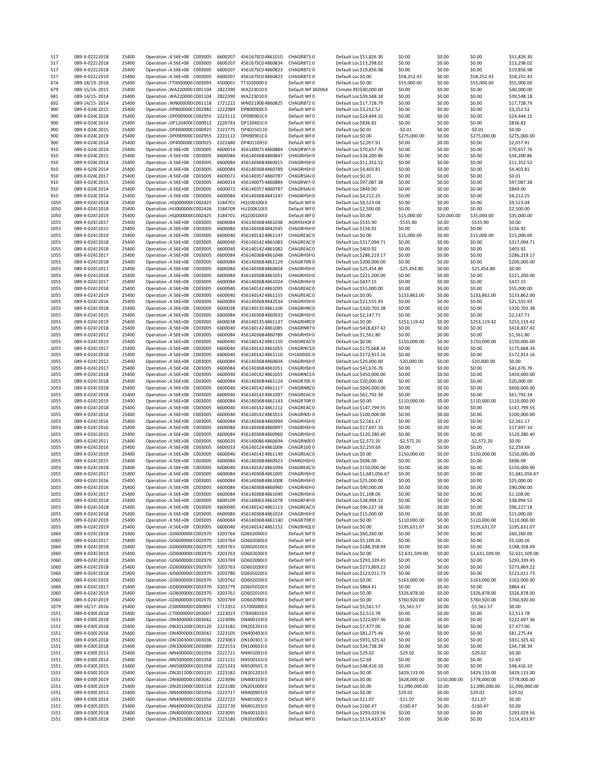| 517  | 089-X-02222018  | 25400 | Operation : 4.56E+08 C003005         | 6600207 | 456167SC04861010 | CHAGR8730            | Default Loc \$51,826.30    | \$0.00         | \$0.00       | \$0.00         | \$51,826.30    |
|------|-----------------|-------|--------------------------------------|---------|------------------|----------------------|----------------------------|----------------|--------------|----------------|----------------|
| 517  | 089-X-02222018  | 25400 | Operation : 4.56E+08 C003005         | 6600207 | 456167SC04860834 | CHAGR8720            | Default Loc \$13,298.02    | \$0.00         | \$0.00       | \$0.00         | \$13,298.02    |
| 517  | 089-X-02222018  | 25400 | Operation : 4.56E+08 C003005         | 6600207 | 456167SC04860823 | CHAGR8720            | Default Loc \$19,856.98    | \$0.00         | \$0.00       | \$0.00         | \$19,856.98    |
| 517  | 089-X-02222019  | 25400 | Operation : 4.56E+08 C003005         | 6600207 | 456167SC04860823 | <b>CHAGR8720</b>     | Default Loc \$0.00         | \$58,252.43    | \$0.00       | \$58,252.43    | \$58,252.43    |
| 674  | 089-18/19-2018  | 25400 | Operation : TT0000000 C003093        | 4500001 | TT10200000       | Default WF0          | Default Loc \$0.00         | \$55,000.00    | \$0.00       | \$55,000.00    | \$55,000.00    |
|      |                 |       |                                      | 2822390 |                  |                      |                            |                |              |                |                |
| 679  | 089-15/16-2015  | 25400 | Operation : WA220000 C001104         |         | WA2230100        | Default WF 302064    | Climate REI\$40,000.00     | \$0.00         | \$0.00       | \$0.00         | \$40,000.00    |
| 681  | 089-14/15-2014  | 25400 | Operation : WA220000 C001104         | 2822390 | WA2230100        | Default WF0          | Default Loc \$39,548.18    | \$0.00         | \$0.00       | \$0.00         | \$39,548.18    |
| 692  | 089-14/15-2014  | 25400 | Operation : WN000000 C001118         | 1721222 | WN0219064860825  | <b>CHAGR8720</b>     | Default Loc \$17,728.79    | \$0.00         | \$0.00       | \$0.00         | \$17,728.79    |
| 900  | 089-X-0240 2015 | 25400 | Operation : DP800000C C002982        | 2222989 | DP80000000       | Default WF0          | Default Loc \$3,252.52     | \$0.00         | \$0.00       | \$0.00         | \$3,252.52     |
| 900  | 089-X-024(2018  | 25400 | Operation : DP090900C C002955        | 2223112 | DP090901(0       | Default WF0          | Default Loc \$24,444.15    | \$0.00         | \$0.00       | \$0.00         | \$24,444.15    |
| 900  | 089-X-0240 2014 | 25400 | Operation : DP120400C C000912        | 2220743 | DP120401(0       | Default WF0          | Default Loc \$836.82       | \$0.00         | \$0.00       | \$0.00         | \$836.82       |
| 900  | 089-X-024(2015  | 25400 | Operation : DP400000C C000925        | 2221775 | DP40150110       | Default WF0          | Default Loc \$0.01         | $-50.01$       | \$0.00       | $-$0.01$       | \$0.00         |
|      |                 |       |                                      |         |                  |                      |                            |                |              |                |                |
| 900  | 089-X-024(2019  | 25400 | Operation : DP090900C C002955        | 2223112 | DP090901(0       | Default WF0          | Default Loc \$0.00         | \$275,000.00   | \$0.00       | \$275,000.00   | \$275,000.00   |
| 900  | 089-X-024(2014  | 25400 | Operation : DP400000C C000925        | 2222480 | DP40110930       | Default WF0          | Default Loc \$2,057.91     | \$0.00         | \$0.00       | \$0.00         | \$2,057.91     |
| 910  | 089-X-024(2014  | 25400 | Operation : 4.56E+08 C003005         | 6600014 | 4561400754860884 | CHAGRW740            | Default Loc \$70,657.76    | \$0.00         | \$0.00       | \$0.00         | \$70,657.76    |
| 910  | 089-X-024(2015  | 25400 | Operation : 4.56E+08 C003005         | 6600084 | 45614036B4860847 | CHAGRHSH0            | Default Loc \$34,200.86    | \$0.00         | \$0.00       | \$0.00         | \$34,200.86    |
| 910  | 089-X-0240 2014 | 25400 | Operation : 4.56E+08 C003005         | 6600084 | 45614036B4860915 | CHAGRHSH0            |                            | \$0.00         | \$0.00       | \$0.00         | \$11,352.52    |
|      |                 |       |                                      |         |                  |                      | Default Loc \$11,352.52    |                |              |                |                |
| 910  | 089-X-0240 2014 | 25400 | Operation : 4.56E+08 C003005         | 6600084 | 45614036B4860789 | CHAGRHSH0            | Default Loc \$4,403.81     | \$0.00         | \$0.00       | \$0.00         | \$4,403.81     |
| 910  | 089-X-024(2017  | 25400 | Operation : 4.56E+08 C003005         | 6600072 | 4561403574860787 | CHAGRSIA/0           | Default Loc \$0.01         | \$0.00         | \$0.00       | \$0.00         | \$0.01         |
| 910  | 089-X-0240 2015 | 25400 | Operation : 4.56E+08<br>C003005      | 6600014 | 4561400754860884 | CHAGRW7 <sub>0</sub> | Default Loc \$97,087.38    | \$0.00         | \$0.00       | \$0.00         | \$97,087.38    |
| 910  | 089-X-024(2014  | 25400 | Operation : 4.56E+08 C003005         | 6600072 | 4561403574860787 | CHAGRSIA/0           | Default Loc \$849.00       | \$0.00         | \$0.00       | \$0.00         | \$849.00       |
|      |                 | 25400 | Operation : 4.56E+08 C003005         | 6600084 | 45614036B4841247 |                      | Default Loc \$4,212.25     |                |              |                |                |
| 910  | 089-X-0240 2014 |       |                                      |         |                  | CHAGRHSH0            |                            | \$0.00         | \$0.00       | \$0.00         | \$4,212.25     |
| 1050 | 089-X-02432018  | 25400 | Operation : HQ000000 C002425         | 3184701 | HQ100100I0       | Default WF0          | Default Loc \$9,523.04     | \$0.00         | \$0.00       | \$0.00         | \$9,523.04     |
| 1050 | 089-X-02432018  | 25400 | Operation : HU000000(C002426         | 3184709 | HU200610(0       | Default WF0          | Default Loc \$2,500.00     | \$0.00         | \$0.00       | \$0.00         | \$2,500.00     |
| 1050 | 089-X-02432019  | 25400 | Operation : HQ000000 C002425         | 3184701 | HQ100100(0       | Default WF0          | Default Loc \$0.00         | \$15,000.00    | \$20,000.00  | \$35,000.00    | \$35,000.00    |
| 1055 | 089-X-02432017  | 25400 | Operation : 4.56E+08 C003005         | 6600084 | 45614036B4861038 | AGRHSHQF0            | Default Loc \$535.90       | $-$ \$535.90   | \$0.00       | -\$535.90      | \$0.00         |
| 1055 | 089-X-02432015  | 25400 | Operation : 4.56E+08 C003005         | 6600084 | 45614036B4842545 | CHAGRHSH0            | Default Loc\$156.92        | \$0.00         | \$0.00       | \$0.00         | \$156.92       |
|      |                 |       |                                      |         |                  |                      |                            |                |              |                |                |
| 1055 | 089-X-02432019  | 25400 | C003005<br>Operation : 4.56E+08      | 6600040 | 4561401424861147 | CHAGREAC0            | Default Loc \$0.00         | \$15,000.00    | \$0.00       | \$15,000.00    | \$15,000.00    |
| 1055 | 089-X-02432018  | 25400 | Operation : 4.56E+08 C003005         | 6600040 | 4561401424861083 | CHAGREACO            | Default Loc \$317,094.71   | \$0.00         | \$0.00       | \$0.00         | \$317,094.71   |
| 1055 | 089-X-02432018  | 25400 | Operation : 4.56E+08 C003005         | 6600040 | 4561401424861082 | CHAGREAC0            | Default Loc\$403.92        | \$0.00         | \$0.00       | \$0.00         | \$403.92       |
| 1055 | 089-X-02432017  | 25400 | Operation : 4.56E+08 C003005         | 6600084 | 45614036B4861048 | CHAGRHSH0            | Default Loc \$286,219.17   | \$0.00         | \$0.00       | \$0.00         | \$286,219.17   |
| 1055 | 089-X-02432018  | 25400 | C003005<br>Operation : 4.56E+08      | 6600084 | 45614036B4861129 | CHAGR70R0            | Default Loc \$200,000.00   | \$0.00         | \$0.00       | \$0.00         | \$200,000.00   |
|      |                 |       |                                      |         |                  |                      |                            |                |              |                |                |
| 1055 | 089-X-02432011  | 25400 | Operation : 4.56E+08 C003005         | 6600084 | 45614036B4860604 | CHAGRHSH0            | Default Loc \$25,454.80    | $-$25,454.80$  | \$0.00       | $-$25,454.80$  | \$0.00         |
| 1055 | 089-X-02432018  | 25400 | Operation : 4.56E+08 C003005         | 6600084 | 45614036B4861051 | CHAGRHSH0            | Default Loc \$221,200.00   | \$0.00         | \$0.00       | \$0.00         | \$221,200.00   |
| 1055 | 089-X-02432017  | 25400 | Operation : 4.56E+08<br>C003005      | 6600084 | 45614036B4861024 | CHAGRHSH0            | Default Loc\$437.15        | \$0.00         | \$0.00       | \$0.00         | \$437.15       |
| 1055 | 089-X-02432018  | 25400 | C003005<br>Operation : 4.56E+08      | 6600040 | 4561401424861095 | CHAGREAC0            | Default Loc \$55,000.00    | \$0.00         | \$0.00       | \$0.00         | \$55,000.00    |
| 1055 | 089-X-02432019  | 25400 | Operation : 4.56E+08<br>C003005      | 6600040 | 4561401424861155 | CHAGREAC0            | Default Loc \$0.00         | \$133,862.00   | \$0.00       | \$133,862.00   | \$133,862.00   |
|      |                 |       |                                      |         |                  |                      |                            |                |              |                |                |
| 1055 | 089-X-02432016  | 25400 | C003005<br>Operation : 4.56E+08      | 6600084 | 45614036B4842534 | CHAGRHSH0            | Default Loc \$21,555.93    | \$0.00         | \$0.00       | \$0.00         | \$21,555.93    |
| 1055 | 089-X-02432018  | 25400 | Operation : 4.56E+08<br>C003005      | 6600038 | 4561401354861106 | CHAGRHR00            | Default Loc \$320,703.38   | \$0.00         | \$0.00       | \$0.00         | \$320,703.38   |
| 1055 | 089-X-02432015  | 25400 | C003005<br>Operation : 4.56E+08      | 6600084 | 45614036B4860933 | CHAGRHSH0            | Default Loc \$2,147.71     | \$0.00         | \$0.00       | \$0.00         | \$2,147.71     |
| 1055 | 089-X-02432019  | 25400 | Operation : 4.56E+08<br>C003005      | 6600038 | 4561401354861137 | CHAGRHR00            | Default Loc \$0.00         | \$253,119.42   | \$0.00       | \$253,119.42   | \$253,119.42   |
| 1055 | 089-X-02432018  | 25400 | Operation : 4.56E+08 C003005         | 6600040 | 4561401424861085 | CHAGRNR70            | Default Loc \$418,837.42   | \$0.00         | \$0.00       | \$0.00         |                |
|      |                 |       |                                      |         |                  |                      |                            |                |              |                | \$418,837.42   |
| 1055 | 089-X-02432012  | 25400 | Operation : 4.56E+08 C003005         | 6600084 | 45614036B4860789 | CHAGRHSH0            | Default Loc \$1,561.80     | \$0.00         | \$0.00       | \$0.00         | \$1,561.80     |
| 1055 | 089-X-02432019  | 25400 | Operation : 4.56E+08 C003005         | 6600040 | 4561401424861150 | CHAGREAC0            | Default Loc \$0.00         | \$150,000.00   | \$0.00       | \$150,000.00   | \$150,000.00   |
| 1055 | 089-X-02432017  | 25400 | Operation : 4.56E+08<br>C003005      | 6600040 | 4561401424861055 | CHAGRNCS 0           | Default Loc \$175,668.34   | \$0.00         | \$0.00       | \$0.00         | \$175,668.34   |
| 1055 | 089-X-02432018  | 25400 | Operation : 4.56E+08<br>C003005      | 6600040 | 4561401424861110 | CH16003D.0           | Default Loc \$172,913.16   | \$0.00         | \$0.00       | \$0.00         | \$172,913.16   |
| 1055 | 089-X-02432012  | 25400 | Operation : 4.56E+08 C003005         | 6600084 | 45614036B4860604 | CHAGRHSH0            | Default Loc \$20,000.00    | $-$20,000.00$  | \$0.00       | $-$20,000.00$  | \$0.00         |
|      |                 |       |                                      |         |                  |                      |                            |                |              |                |                |
| 1055 | 089-X-02432017  | 25400 | Operation : 4.56E+08 C003005         | 6600084 | 45614036B4861051 | CHAGRHSH0            | Default Loc \$41,676.76    | \$0.00         | \$0.00       | \$0.00         | \$41,676.76    |
| 1055 | 089-X-02432018  | 25400 | C003005<br>Operation : 4.56E+08      | 6600040 | 4561401424861055 | CHAGRNCS 0           | Default Loc \$450,000.00   | \$0.00         | \$0.00       | \$0.00         | \$450,000.00   |
| 1055 | 089-X-02432018  | 25400 | Operation : 4.56E+08 C003005         | 6600084 | 45614036B4861124 | CHAGR70F.0           | Default Loc \$20,000.00    | \$0.00         | \$0.00       | \$0.00         | \$20,000.00    |
| 1055 | 089-X-02432018  | 25400 | Operation : 4.56E+08 C003005         | 6600040 | 4561401424861117 | CHAGRNR00            | Default Loc \$600,000.00   | \$0.00         | \$0.00       | \$0.00         | \$600,000.00   |
| 1055 | 089-X-02432018  | 25400 | Operation : 4.56E+08 C003005         | 6600040 | 4561401424861097 | CHAGREAC0            | Default Loc \$61,792.34    | \$0.00         | \$0.00       | \$0.00         | \$61,792.34    |
|      |                 |       |                                      |         |                  |                      |                            |                |              |                |                |
| 1055 | 089-X-02432019  | 25400 | Operation : 4.56E+08<br>C003005      | 6600084 | 45614036B4861143 | CHAGR70R0            | Default Loc \$0.00         | \$110,000.00   | \$0.00       | \$110,000.00   | \$110,000.00   |
| 1055 | 089-X-02432018  | 25400 | Operation : 4.56E+08<br>C003005      | 6600040 | 4561401424861112 | CHAGREACO            | Default Loc \$147,799.55   | \$0.00         | \$0.00       | \$0.00         | \$147,799.55   |
| 1055 | 089-X-02432016  | 25400 | C003005<br>Operation : 4.56E+08      | 6600040 | 4561401424861013 | CHAGRNID 0           | Default Loc \$100,000.00   | \$0.00         | \$0.00       | \$0.00         | \$100,000.00   |
| 1055 | 089-X-02432016  | 25400 | Operation : 4.56E+08<br>C003005      | 6600084 | 45614036B4860994 | CHAGRHSH0            | Default Loc \$2,561.17     | \$0.00         | \$0.00       | \$0.00         | \$2,561.17     |
| 1055 | 089-X-02432016  | 25400 | C003005<br>Operation : 4.56E+08      | 6600084 | 45614036B4860997 | CHAGRHSH0            | Default Loc \$17,697.10    | \$0.00         | \$0.00       | \$0.00         | \$17,697.10    |
|      |                 |       | C003005                              |         |                  |                      |                            |                |              |                |                |
| 1055 | 089-X-02432015  | 25400 | Operation : 4.56E+08                 | 6600084 | 45614036B4860960 | CHAGRHSH0            | Default Loc \$120,280.40   | \$0.00         | \$0.00       | \$0.00         | \$120,280.40   |
| 1055 | 089-X-02432011  | 25400 | Operation : 4.56E+08 C003005         | 6600020 | 4561400864860694 | CHAGRN000            | Default Loc \$2,572.20     | $-$2,572.20$   | \$0.00       | $-$2,572.20$   | \$0.00         |
| 1055 | 089-X-02432016  | 25400 | Operation : 4.56E+08<br>C003005      | 6600033 | 4561401244861006 | CHAGR1000            | Default Loc \$2,259.69     | \$0.00         | \$0.00       | \$0.00         | \$2,259.69     |
| 1055 | 089-X-02432019  | 25400 | C003005<br>Operation : 4.56E+08      | 6600040 | 4561401424861149 | CHAGREAC0            | Default Loc \$0.00         | \$150,000.00   | \$0.00       | \$150,000.00   | \$150,000.00   |
| 1055 | 089-X-02432015  | 25400 | Operation : 4.56E+08<br>C003005      | 6600084 | 45614036B4860923 | CHARGHSH0            | Default Loc \$696.09       | \$0.00         | \$0.00       | \$0.00         | \$696.09       |
|      |                 |       |                                      |         |                  |                      |                            |                |              |                |                |
| 1055 | 089-X-02432018  | 25400 | Operation : 4.56E+08 C003005         | 6600040 | 4561401424861094 | CHAGREAC0            | Default Loc \$150,000.00   | \$0.00         | \$0.00       | \$0.00         | \$150,000.00   |
| 1055 | 089-X-02432017  | 25400 | Operation : 4.56E+08<br>C003005      | 6600084 | 45614036B4861005 | CHAGRHSH0            | Default Loc \$1,681,056.67 | \$0.00         | \$0.00       | \$0.00         | \$1,681,056.67 |
| 1055 | 089-X-02432016  | 25400 | Operation : 4.56E+08 C003005         | 6600084 | 45614036B4861008 | CHAGRHSH0            | Default Loc \$25,000.00    | \$0.00         | \$0.00       | \$0.00         | \$25,000.00    |
| 1055 | 089-X-02432016  | 25400 | Operation : 4.56E+08 C003005         | 6600084 | 45614036B4860960 | CHAGRHSH0            | Default Loc \$90,000.00    | \$0.00         | \$0.00       | \$0.00         | \$90,000.00    |
| 1055 | 089-X-02432017  | 25400 | Operation : 4.56E+08 C003005         | 6600084 | 45614036B4861049 | CHAGRHSH0            | Default Loc \$1,108.00     | \$0.00         | \$0.00       | \$0.00         | \$1,108.00     |
|      |                 |       |                                      | 6600109 |                  |                      | Default Loc \$38,994.52    |                |              |                |                |
| 1055 | 089-X-02432018  | 25400 | Operation : 4.56E+08<br>C003005      |         | 4561400634861078 | CHAGRF4FI0           |                            | \$0.00         | \$0.00       | \$0.00         | \$38,994.52    |
| 1055 | 089-X-02432018  | 25400 | C003005<br>Operation : 4.56E+08      | 6600040 | 4561401424861113 | CHAGREAC0            | Default Loc \$96,227.18    | \$0.00         | \$0.00       | \$0.00         | \$96,227.18    |
| 1055 | 089-X-02432018  | 25400 | C003005<br>Operation : 4.56E+08      | 6600084 | 45614036B4861024 | CHAGRHSH0            | Default Loc \$15,000.00    | \$0.00         | \$0.00       | \$0.00         | \$15,000.00    |
| 1055 | 089-X-02432019  | 25400 | C003005<br>Operation : 4.56E+08      | 6600084 | 45614036B4861140 | CHAGR70R0            | Default Loc \$0.00         | \$110,000.00   | \$0.00       | \$110,000.00   | \$110,000.00   |
| 1055 | 089-X-02432019  | 25400 | Operation : 4.56E+08 C003005         | 6600040 | 4561401424861152 | CHAGRHQ(0            | Default Loc \$0.00         | \$195,631.07   | \$0.00       | \$195,631.07   | \$195,631.07   |
| 1060 | 089-X-02432018  | 25400 | Operation : GD600000(C002970         | 3203764 | GD602040(0       | Default WF0          | Default Loc \$60,260.00    | \$0.00         | \$0.00       | \$0.00         | \$60,260.00    |
|      |                 |       |                                      |         |                  |                      |                            |                |              |                |                |
| 1060 | 089-X-02432017  | 25400 | Operation : GD600000(C002970         | 3203764 | GD602040(0       | Default WF0          | Default Loc \$5,100.26     | \$0.00         | \$0.00       | \$0.00         | \$5,100.26     |
| 1060 | 089-X-02432018  | 25400 | Operation : GD600000(C002970         | 3203761 | GD602010(0       | Default WF0          | Default Loc \$188,358.94   | \$0.00         | \$0.00       | \$0.00         | \$188,358.94   |
| 1060 | 089-X-02432019  | 25400 | Operation : GD600000(C002970         | 3203763 | GD602030(0       | Default WF0          | Default Loc \$0.00         | \$2,631,509.00 | \$0.00       | \$2,631,509.00 | \$2,631,509.00 |
| 1060 | 089-X-02432018  | 25400 | Operation : GD600000(C002970         | 3203769 | GD602090(0       | Default WF0          | Default Loc \$293,339.45   | \$0.00         | \$0.00       | \$0.00         | \$293,339.45   |
| 1060 | 089-X-02432018  | 25400 | Operation : GD600000(C002970         | 3203763 | GD602030(0       | Default WF0          | Default Loc \$273,869.22   | \$0.00         | \$0.00       | \$0.00         | \$273,869.22   |
|      |                 |       |                                      |         |                  |                      |                            |                |              |                |                |
| 1060 | 089-X-02432018  | 25400 | Operation : GD600000(C002970         | 3203780 | GD605020(0       | Default WF0          | Default Loc \$123,011.73   | \$0.00         | \$0.00       | \$0.00         | \$123,011.73   |
| 1060 | 089-X-02432019  | 25400 | Operation : GD600000(C002970         | 3203762 | GD602020(0       | Default WF0          | Default Loc \$0.00         | \$163,000.00   | \$0.00       | \$163,000.00   | \$163,000.00   |
| 1060 | 089-X-02432017  | 25400 | Operation : GD600000(C002970         | 3203779 | GD605010(0       | Default WF0          | Default Loc \$864.41       | \$0.00         | \$0.00       | \$0.00         | \$864.41       |
| 1060 | 089-X-02432019  | 25400 | Operation : GD600000(C002970         | 3203761 | GD602010(0       | Default WF0          | Default Loc \$0.00         | \$326,878.00   | \$0.00       | \$326,878.00   | \$326,878.00   |
| 1060 | 089-X-02432019  | 25400 | Operation : GD600000(C002970         | 3203769 | GD602090(0       | Default WF0          | Default Loc \$0.00         | \$760,920.00   | \$0.00       | \$760,920.00   | \$760,920.00   |
|      |                 |       |                                      |         |                  |                      |                            |                |              |                |                |
| 1079 | 089-16/17-2016  | 25400 | Operation : CS0000000 C000892        | 1713352 | CS70000000       | Default WF0          | Default Loc \$5,561.57     | $-$5,561.57$   | \$0.00       | $-$5,561.57$   | \$0.00         |
| 1551 | 089-X-0309 2018 | 25400 | Operation : CT0000000 C003007        | 2223023 | CT84040100       | Default WF0          | Default Loc \$2,513.78     | \$0.00         | \$0.00       | \$0.00         | \$2,513.78     |
| 1551 | 089-X-0309 2018 | 25400 | Operation : DN400000(C003042         | 2223096 | DN400103(0       | Default WF0          | Default Loc \$222,697.36   | \$0.00         | \$0.00       | \$0.00         | \$222,697.36   |
| 1551 | 089-X-0309 2018 | 25400 | Operation : DN201200(C003120         | 2223182 | DN201201(0       | Default WF0          | Default Loc \$7,477.00     | \$0.00         | \$0.00       | \$0.00         | \$7,477.00     |
| 1551 | 089-X-0309 2016 | 25400 |                                      | 2223105 | DN400403(0       | Default WF0          | Default Loc \$81,275.44    | \$0.00         |              |                |                |
|      |                 |       | Operation : DN400000(C003042         |         |                  |                      |                            |                | \$0.00       | \$0.00         | \$81,275.44    |
| 1551 | 089-X-0309 2018 | 25400 | Operation : DN100300(C003036         | 2223063 | DN100301:0       | Default WF0          | Default Loc \$931,325.42   | \$0.00         | \$0.00       | \$0.00         | \$931,325.42   |
| 1551 | 089-X-0309 2018 | 25400 | Operation : DN100600(C003089         | 2223153 | DN100601(0       | Default WF0          | Default Loc \$34,738.39    | \$0.00         | \$0.00       | \$0.00         | \$34,738.39    |
| 1551 | 089-X-0309 2013 | 25400 | Operation : NN400000 C001056         | 2222721 | NN401001(0       | Default WF0          | Default Loc\$29.02         | $-$29.02$      | \$0.00       | $-$29.02$      | \$0.00         |
| 1551 | 089-X-0309 2014 | 25400 | Operation : NN500000 C001058         | 2221231 | NN500101(0       | Default WF0          | Default Loc\$2.69          | \$0.00         | \$0.00       | \$0.00         | \$2.69         |
|      |                 |       |                                      |         |                  |                      |                            |                |              |                |                |
| 1551 | 089-X-0309 2015 | 25400 | Operation : NN500000 C001058         | 2221243 | NN500501:0       | Default WF0          | Default Loc \$48,416.10    | \$0.00         | \$0.00       | \$0.00         | \$48,416.10    |
| 1551 | 089-X-0309 2019 | 25400 | Operation : DN201200(C003120         | 2223182 | DN201201(0       | Default WF0          | Default Loc \$0.00         | \$429,133.00   | \$0.00       | \$429,133.00   | \$429,133.00   |
| 1551 | 089-X-0309 2019 | 25400 | Operation : DN400000(C003042         | 2223096 | DN400103(0       | Default WF0          | Default Loc \$0.00         | \$628,000.00   | \$150,000.00 | \$778,000.00   | \$778,000.00   |
| 1551 | 089-X-0309 2019 | 25400 | Operation : DN201000(C003118         | 2223180 | DN201000(0       | Default WF0          | Default Loc \$0.00         | \$1,090,000.00 | \$0.00       | \$1,090,000.00 | \$1,090,000.00 |
|      |                 |       |                                      | 2222717 |                  |                      |                            |                |              |                |                |
| 1551 | 089-X-0309 2013 | 25400 | Operation : NN400000 C001056         |         | NN400901(0       | Default WF0          | Default Loc \$0.00         | \$29.02        | \$0.00       | \$29.02        | \$29.02        |
| 1551 | 089-X-0309 2014 | 25400 | Operation : NN400000 C001056         | 2222722 | NN401002:0       | Default WF0          | Default Loc \$11.07        | $-$11.07$      | \$0.00       | $-$11.07$      | \$0.00         |
| 1551 | 089-X-0309 2015 | 25400 | Operation : NN400000 C001056         | 2222730 | NN401201(0       | Default WF0          | Default Loc \$160.47       | $-$160.47$     | \$0.00       | $-$160.47$     | \$0.00         |
| 1551 | 089-X-0309 2018 | 25400 | Operation : DN400000(C003042         | 2223095 | DN400102(0       | Default WF0          | Default Loc \$293,029.56   | \$0.00         | \$0.00       | \$0.00         | \$293,029.56   |
| 1551 | 089-X-0309 2018 | 25400 | Operation : DN201000(C003118 2223180 |         | DN201000(0       | Default WF0          | Default Loc \$114,433.87   | \$0.00         | \$0.00       | \$0.00         | \$114,433.87   |
|      |                 |       |                                      |         |                  |                      |                            |                |              |                |                |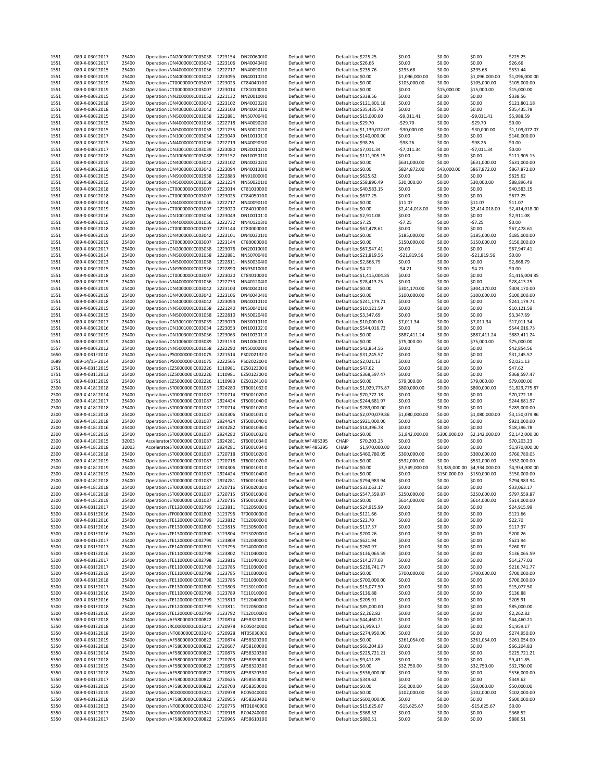| 1551<br>25400<br>Operation : DN400000(C003042<br>2223106<br>DN400404(0<br>Default WF0<br>Default Loc \$26.66<br>\$0.00<br>089-X-0309 2017<br>1551<br>089-X-0309 2015<br>25400<br>Operation : NN400000 C001056<br>2222717<br>NN400901(0<br>Default WF0<br>Default Loc \$235.76<br>\$295.68<br>25400<br>2223095<br>1551<br>089-X-0309 2019<br>Operation : DN400000(C003042<br>DN400102(0<br>Default WF0<br>Default Loc\$0.00<br>\$1,096,000.00<br>2223023<br>1551<br>25400<br>089-X-0309 2019<br>Operation : CT0000000 C003007<br>CT84040100<br>Default WF0<br>Default Loc \$0.00<br>\$105,000.00<br>2223014<br>1551<br>089-X-0309 2019<br>25400<br>Operation : CT0000000 C003007<br>CT81010000<br>Default WF0<br>Default Loc\$0.00<br>\$0.00<br>2221132<br>089-X-0309 2015<br>25400<br>Operation : NN2000001 C001052<br>NN200100I0<br>1551<br>Default WF0<br>Default Loc \$338.56<br>\$0.00<br>2223102<br>1551<br>089-X-0309 2018<br>25400<br>Operation : DN400000(C003042<br>DN400302(0<br>Default WF0<br>Default Loc \$121,801.18<br>\$0.00<br>2223103<br>1551<br>25400<br>Operation : DN400000(C003042<br>089-X-0309 2018<br>DN400401(0<br>Default WF0<br>Default Loc \$35,435.78<br>\$0.00<br>2222881<br>1551<br>089-X-0309 2015<br>25400<br>Operation : NN500000 C001058<br>NN507004(0<br>Default WF0<br>Default Loc \$15,000.00<br>$-$9,011.41$<br>25400<br>Operation : NN400000 C001056<br>2222718<br>1551<br>089-X-0309 2015<br>NN400902I0<br>Default WF0<br>Default Loc \$29.70<br>-\$29.70<br>2221235<br>1551<br>089-X-0309 2015<br>25400<br>Operation : NN500000 C001058<br>NN50020210<br>Default WF0<br>Default Loc \$1,139,072.07<br>$-$30,000.00$<br>2223049<br>1551<br>25400<br>Operation : DN100100(C003034<br>089-X-0309 2017<br>DN100101:0<br>Default WF0<br>Default Loc \$140,000.00<br>\$0.00<br>2222719<br>1551<br>089-X-0309 2015<br>25400<br>Operation : NN400000 C001056<br>NN400903(0<br>Default WF0<br>Default Loc \$98.26<br>$-$98.26$<br>2223080<br>089-X-0309 2017<br>25400<br>Operation : DN300100(C003039<br>DN300102(0<br>1551<br>Default WF0<br>Default Loc \$7,011.34<br>-\$7,011.34<br>2223152<br>1551<br>089-X-0309 2018<br>25400<br>Operation ; DN100500(C003088<br>DN100501(0<br>Default WF0<br>Default Loc \$111,905.15<br>\$0.00<br>2223102<br>1551<br>25400<br>Operation : DN400000(C003042<br>DN400302(0<br>Default Loc\$0.00<br>089-X-0309 2019<br>Default WF0<br>\$631,000.00<br>1551<br>089-X-0309 2019<br>25400<br>Operation : DN400000(C003042<br>2223094<br>DN400101(0<br>Default WF0<br>Default Loc\$0.00<br>\$824,872.00<br>2222883<br>1551<br>25400<br>Operation : NN910000I C002938<br>NN91000010<br>Default WF0<br>Default Loc \$625.62<br>\$0.00<br>089-X-0309 2015<br>1551<br>089-X-0309 2015<br>25400<br>Operation : NN500000 C001058<br>2221234<br>NN500201(0<br>Default WF0<br>Default Loc \$58,896.49<br>\$30,000.00<br>2223014<br>1551<br>089-X-0309 2018<br>25400<br>Operation : CT0000000 C003007<br>CT81010000<br>Default WF0<br>Default Loc \$40,583.15<br>\$0.00<br>2223025<br>1551<br>089-X-0309 2018<br>25400<br>Operation : CT0000000 C003007<br>CT84050100<br>Default WF0<br>Default Loc \$677.25<br>\$0.00<br>2222717<br>1551<br>089-X-0309 2014<br>25400<br>Operation : NN400000 C001056<br>NN400901(0<br>Default WF0<br>Default Loc\$0.00<br>\$11.07<br>1551<br>089-X-0309 2019<br>25400<br>Operation : CT0000000 C003007<br>2223020<br>CT84010000<br>Default WF0<br>Default Loc\$0.00<br>\$2,414,018.00<br>2223049<br>1551<br>089-X-0309 2016<br>25400<br>Operation : DN100100(C003034<br>DN100101:0<br>Default WF0<br>Default Loc \$2,911.08<br>\$0.00<br>1551<br>089-X-0309 2015<br>25400<br>Operation : NN400000 C001056<br>2222732<br>NN401203(0<br>Default WF0<br>Default Loc \$7.25<br>$-57.25$<br>25400<br>2223144<br>1551<br>089-X-0309 2018<br>Operation : CT0000000 C003007<br>CT80000000<br>Default WF0<br>Default Loc \$67,478.61<br>\$0.00<br>1551<br>089-X-0309 2019<br>25400<br>Operation : DN400000(C003042<br>2223101<br>DN400301(0<br>Default WF0<br>Default Loc\$0.00<br>\$185,000.00<br>2223144<br>1551<br>089-X-0309 2019<br>25400<br>Operation : CT0000000 C003007<br>CT80000000<br>Default WF0<br>Default Loc\$0.00<br>\$150,000.00<br>1551<br>25400<br>2223076<br>089-X-0309 2017<br>Operation : DN200000(C003038<br>DN200100(0<br>Default WF0<br>Default Loc \$67,947.41<br>\$0.00<br>2222881<br>1551<br>089-X-0309 2014<br>25400<br>Operation : NN500000 C001058<br>NN507004(0<br>Default WF0<br>Default Loc \$21,819.56<br>$-$21,819.56$<br>25400<br>Operation : NN500000 C001058<br>2222811<br>NN500304(0<br>1551<br>089-X-0309 2013<br>Default WF0<br>Default Loc \$2,868.79<br>\$0.00<br>2222890<br>1551<br>089-X-0309 2015<br>25400<br>Operation : NN930000I C002936<br>NN930100(0<br>Default WF0<br>Default Loc\$4.21<br>$-54.21$<br>2223020<br>1551<br>25400<br>Operation : CT0000000 C003007<br>\$0.00<br>089-X-0309 2018<br>CT84010000<br>Default WF0<br>Default Loc \$1,415,004.85<br>2222733<br>1551<br>089-X-0309 2015<br>25400<br>Operation : NN400000 C001056<br>NN401204(0<br>Default WF0<br>Default Loc \$28,413.25<br>\$0.00<br>25400<br>Operation : DN400000(C003042<br>2223103<br>1551<br>089-X-0309 2019<br>DN400401(0<br>Default WF0<br>Default Loc \$0.00<br>\$304,170.00<br>2223106<br>1551<br>089-X-0309 2019<br>25400<br>Operation : DN400000(C003042<br>DN400404(0<br>Default WF0<br>Default Loc\$0.00<br>\$100,000.00<br>2223094<br>1551<br>25400<br>Operation : DN400000(C003042<br>089-X-0309 2018<br>DN400101(0<br>Default WF0<br>Default Loc \$241,179.71<br>\$0.00<br>2221240<br>1551<br>089-X-0309 2015<br>25400<br>Operation : NN500000 C001058<br>NN500401(0<br>Default WF0<br>Default Loc \$10,121.59<br>\$0.00<br>2222810<br>089-X-0309 2015<br>25400<br>Operation : NN5000001 C001058<br>NN500204(0<br>1551<br>Default WF0<br>Default Loc \$3,347.69<br>\$0.00<br>2223079<br>1551<br>089-X-0309 2017<br>25400<br>Operation : DN300100(C003039<br>DN300101(0<br>Default WF0<br>Default Loc \$10,000.00<br>\$7,011.34<br>2223053<br>1551<br>25400<br>Operation : DN100100(C003034<br>DN100102:0<br>Default Loc \$544,016.73<br>089-X-0309 2016<br>Default WF0<br>\$0.00<br>1551<br>089-X-0309 2019<br>25400<br>Operation : DN100300(C003036<br>2223063<br>DN100301:0<br>Default WF0<br>Default Loc\$0.00<br>\$887,411.24<br>2223153<br>1551<br>25400<br>Operation : DN100600(C003089<br>DN100601(0<br>Default Loc\$0.00<br>089-X-0309 2019<br>Default WF0<br>\$75,000.00<br>1557<br>089-X-0309 2012<br>25400<br>Operation : NN500000 C001058<br>2222290<br>NN50100010<br>Default WF0<br>Default Loc \$42,854.56<br>\$0.00<br>2221514<br>1650<br>089-X-03132010<br>25400<br>Operation : PS0000000 C001075<br>PS02021320<br>Default WF0<br>Default Loc \$31,245.57<br>\$0.00<br>2222565<br>1689<br>089-14/15-2014<br>25400<br>Operation : PS0000000 C001075<br>PS02022000<br>Default WF0<br>Default Loc \$2,021.13<br>\$0.00<br>1110981<br>1751<br>089-X-03152015<br>25400<br>Operation : EZ5000000 C002226<br>EZ50123000<br>Default WF0<br>Default Loc \$47.62<br>\$0.00<br>1751<br>089-X-03152013<br>25400<br>Operation : EZ5000000 C002226<br>1110981<br>EZ50123000<br>Default WF0<br>Default Loc \$368,597.47<br>\$0.00<br>Operation : EZ5000000 C002226 1110983<br>1751<br>089-X-03152019<br>25400<br>EZ50124100<br>Default WF0<br>Default Loc\$0.00<br>\$79,000.00<br>2300<br>089-X-418(2018<br>25400<br>Operation : ST0000000 C001087<br>2924280<br>ST60010320<br>Default WF0<br>Default Loc \$1,029,775.87<br>\$800,000.00<br>2720714<br>2300<br>25400<br>Operation : ST0000000 C001087<br>ST50010200<br>Default WF0<br>Default Loc \$70,772.18<br>\$0.00<br>089-X-418(2014<br>2300<br>089-X-418(2017<br>25400<br>Operation : ST0000000 C001087<br>2924424<br>ST50010400<br>Default WF0<br>Default Loc \$244,681.97<br>\$0.00<br>2720714<br>2300<br>089-X-418(2018<br>25400<br>Operation : ST0000000 C001087<br>ST50010200<br>Default WF0<br>Default Loc \$289,000.00<br>\$0.00<br>2300<br>25400<br>2924306<br>089-X-418(2018<br>Operation : ST0000000 C001087<br>ST60010310<br>Default WF0<br>Default Loc \$2,070,079.86<br>\$1,080,000.00<br>2924424<br>2300<br>089-X-418(2018<br>25400<br>Operation : ST0000000 C001087<br>ST50010400<br>Default WF0<br>Default Loc \$921,000.00<br>\$0.00<br>2924282<br>25400<br>ST60010360<br>2300<br>089-X-418(2016<br>Operation : ST0000000 C001087<br>Default WF0<br>Default Loc \$18,396.78<br>\$0.00<br>2924280<br>2300<br>089-X-418(2019<br>25400<br>Operation : ST0000000 C001087<br>ST60010320<br>Default WF0<br>Default Loc \$0.00<br>\$1,842,000.00<br>2924281<br>2300<br>32003<br>ST60010340<br>089-X-418(2015<br>Accelerator ST0000000 C001087<br>Default WF 485395<br>CHAIP<br>\$70,203.23<br>\$0.00<br>2924281<br>2300<br>089-X-418(2018<br>32003<br>Accelerator ST0000000 C001087<br>ST60010340<br>Default WF 485395<br>CHAIP<br>\$1,970,000.00<br>\$0.00<br>25400<br>2720718<br>ST60010200<br>Default WF0<br>2300<br>089-X-418(2018<br>Operation : ST0000000 C001087<br>Default Loc \$460,780.05<br>\$300,000.00<br>2720718<br>2300<br>089-X-418(2019<br>25400<br>Operation : ST0000000 C001087<br>ST60010200<br>Default WF0<br>Default Loc\$0.00<br>\$532,000.00<br>2924306<br>2300<br>25400<br>Operation : ST0000000 C001087<br>089-X-418(2019<br>ST60010310<br>Default WF0<br>Default Loc \$0.00<br>\$3,549,000.00<br>2924424<br>2300<br>089-X-418(2019<br>25400<br>Operation : ST0000000 C001087<br>ST50010400<br>Default WF0<br>Default Loc\$0.00<br>\$0.00<br>2924281 ST60010340<br>25400<br>\$0.00<br>2300<br>089-X-418(2018<br>Operation : ST0000000 C001087<br>Default WF0<br>Default Loc \$794,983.94<br>2300<br>089-X-418(2018<br>25400<br>Operation : ST0000000 C001087<br>2720716<br>ST50020000<br>Default WF0<br>Default Loc \$33.063.17<br>\$0.00<br>25400<br>2300<br>Operation : ST0000000 C001087 2720715<br>ST50010300<br>\$250,000.00<br>089-X-418(2018<br>Default WF0<br>Default Loc \$547,559.87<br>2300<br>089-X-418(2019<br>25400<br>Operation : ST0000000 C001087<br>2720715<br>Default WF0<br>\$614,000.00<br>ST50010300<br>Default Loc \$0.00<br>25400<br>3123811 TE12050000<br>\$0.00<br>5300<br>089-X-03182017<br>Operation : TE1200000 C002799<br>Default WF0<br>Default Loc \$24,915.99<br>5300<br>089-X-03182016<br>25400<br>Operation : TF0000000 C002802<br>3123796<br>TF00000000<br>Default WF0<br>Default Loc \$121.66<br>\$0.00<br>3123812<br>5300<br>089-X-03182016<br>25400<br>Operation : TE1200000 C002799<br>TE12060000<br>Default WF0<br>Default Loc \$22.70<br>\$0.00<br>3123815<br>5300<br>089-X-03182016<br>25400<br>Operation : TE1300000 C002800<br>TE13050000<br>Default WF0<br>Default Loc\$117.37<br>\$0.00<br>3123804<br>5300<br>089-X-03182016<br>25400<br>Operation : TE1300000 C002800<br>TE13020000<br>Default WF0<br>Default Loc \$200.26<br>\$0.00<br>3123809<br>5300<br>089-X-03182017<br>25400<br>Operation : TE1200000 C002799<br>TE12030000<br>Default WF0<br>Default Loc \$621.94<br>\$0.00<br>3123795<br>TE14000000<br>5300<br>089-X-03182017<br>25400<br>Operation : TE1400000 C002801<br>Default WF0<br>Default Loc \$260.97<br>\$0.00<br>3123802<br>5300<br>089-X-03182016<br>25400<br>Operation : TE1100000 C002798<br>TE11040000<br>Default WF0<br>Default Loc \$136,065.59<br>\$0.00<br>3123816<br>TE11040100<br>5300<br>25400<br>Operation : TE1100000 C002798<br>Default WF0<br>\$0.00<br>089-X-03182017<br>Default Loc \$14,277.03<br>3123785<br>5300<br>089-X-03182017<br>25400<br>Operation : TE1100000 C002798<br>TE11030000<br>Default WF0<br>Default Loc \$216,741.77<br>\$0.00<br>25400<br>Operation : TE1100000 C002798<br>3123785<br>TE11030000<br>5300<br>089-X-03182019<br>Default WF0<br>Default Loc\$0.00<br>\$700,000.00<br>3123785<br>5300<br>25400<br>Operation : TE1100000 C002798<br>TE11030000<br>089-X-03182018<br>Default WF0<br>Default Loc \$700,000.00<br>\$0.00<br>3123803<br>5300<br>089-X-03182017<br>25400<br>Operation : TE1300000 C002800<br>TE13010000<br>Default WF0<br>Default Loc \$15,077.50<br>\$0.00<br>3123789<br>5300<br>089-X-03182016<br>25400<br>Operation : TE1100000 C002798<br>TE11010000<br>Default WF0<br>\$0.00<br>Default Loc \$136.88<br>3123810<br>5300<br>089-X-03182016<br>25400<br>Operation : TE1200000 C002799<br>TE12040000<br>Default WF0<br>Default Loc \$205.91<br>\$0.00<br>3123811<br>5300<br>089-X-03182018<br>25400<br>Operation : TE1200000 C002799<br>TE12050000<br>\$0.00<br>Default WF0<br>Default Loc \$85,000.00<br>3123792<br>TE12010000<br>5300<br>089-X-03182016<br>25400<br>Operation : TE1200000 C002799<br>Default WF0<br>Default Loc \$2,262.82<br>\$0.00<br>2720874<br>5350<br>25400<br>Operation : AF5800000 C000822<br>AF58320200<br>\$0.00<br>089-X-0319 2018<br>Default WF0<br>Default Loc \$44,460.21<br>2720978<br>5350<br>089-X-03192018<br>25400<br>Operation : RC000000C C003241<br>RC05040000<br>Default WF0<br>Default Loc \$1,959.17<br>\$0.00<br>2720928<br>5350<br>089-X-03192018<br>25400<br>Operation : NT000000C C003240<br>NT05030000<br>Default WF0<br>Default Loc \$274,950.00<br>\$0.00<br>2720874<br>5350<br>089-X-03192019<br>25400<br>Operation : AF5800000 C000822<br>AF58320200<br>Default WF0<br>Default Loc\$0.00<br>\$261,054.00<br>2720667<br>5350<br>089-X-03192018<br>25400<br>Operation : AF5800000 C000822<br>AF58100000<br>Default WF0<br>Default Loc \$66,204.83<br>\$0.00<br>2720875<br>5350<br>089-X-0319 2014<br>25400<br>Operation : AF5800000 C000822<br>AF58320300<br>Default WF0<br>Default Loc \$225,721.21<br>\$0.00<br>2720703<br>5350<br>089-X-03192018<br>25400<br>Operation : AF5800000 C000822<br>AF58350000<br>Default WF0<br>\$0.00<br>Default Loc \$9,411.85<br>2720875<br>5350<br>089-X-03192019<br>25400<br>Operation : AF5800000 C000822<br>AF58320300<br>Default WF0<br>Default Loc\$0.00<br>\$32,750.00<br>2720875<br>5350<br>089-X-03192018<br>25400<br>Operation : AF5800000 C000822<br>AF58320300<br>Default WF0<br>Default Loc \$536,000.00<br>\$0.00<br>2720625<br>5350<br>089-X-03192017<br>25400<br>Operation : AF5800000 C000822<br>AF58550000<br>Default WF0<br>Default Loc \$349.62<br>\$0.00<br>2720703<br>5350<br>089-X-03192019<br>25400<br>Operation : AF5800000 C000822<br>AF58350000<br>Default WF0<br>Default Loc \$0.00<br>\$50,000.00<br>2720978<br>5350<br>089-X-03192019<br>25400<br>Operation : RC000000C C003241<br>RC05040000<br>Default WF0<br>Default Loc\$0.00<br>\$102,000.00<br>2720955<br>5350<br>089-X-03192018<br>25400<br>Operation : AF5800000 C000822<br>AF58320400<br>Default WF0<br>Default Loc \$600,000.00<br>\$0.00<br>5350<br>089-X-03192013<br>25400<br>Operation : NT000000C C003240<br>2720775<br>NT01040000<br>Default WF0<br>Default Loc \$15,625.67<br>$-$15,625.67$<br>Operation : RC000000C C003241 2720918<br>5350<br>089-X-03192017<br>25400<br>RC04240000<br>Default WF0<br>\$0.00<br>Default Loc \$368.52<br>Operation : AF5800000 C000822 2720965<br>5350<br>089-X-03192017<br>25400<br>AF58610100<br>Default WF0<br>Default Loc \$880.51<br>\$0.00<br>\$0.00 | 1551 | 089-X-0309 2017 | 25400 | Operation : DN200000(C003038 | 2223154 | DN200600(0 | Default WF0 | Default Loc \$225.25 | \$0.00 | \$0.00         | \$0.00         | \$225.25       |
|-------------------------------------------------------------------------------------------------------------------------------------------------------------------------------------------------------------------------------------------------------------------------------------------------------------------------------------------------------------------------------------------------------------------------------------------------------------------------------------------------------------------------------------------------------------------------------------------------------------------------------------------------------------------------------------------------------------------------------------------------------------------------------------------------------------------------------------------------------------------------------------------------------------------------------------------------------------------------------------------------------------------------------------------------------------------------------------------------------------------------------------------------------------------------------------------------------------------------------------------------------------------------------------------------------------------------------------------------------------------------------------------------------------------------------------------------------------------------------------------------------------------------------------------------------------------------------------------------------------------------------------------------------------------------------------------------------------------------------------------------------------------------------------------------------------------------------------------------------------------------------------------------------------------------------------------------------------------------------------------------------------------------------------------------------------------------------------------------------------------------------------------------------------------------------------------------------------------------------------------------------------------------------------------------------------------------------------------------------------------------------------------------------------------------------------------------------------------------------------------------------------------------------------------------------------------------------------------------------------------------------------------------------------------------------------------------------------------------------------------------------------------------------------------------------------------------------------------------------------------------------------------------------------------------------------------------------------------------------------------------------------------------------------------------------------------------------------------------------------------------------------------------------------------------------------------------------------------------------------------------------------------------------------------------------------------------------------------------------------------------------------------------------------------------------------------------------------------------------------------------------------------------------------------------------------------------------------------------------------------------------------------------------------------------------------------------------------------------------------------------------------------------------------------------------------------------------------------------------------------------------------------------------------------------------------------------------------------------------------------------------------------------------------------------------------------------------------------------------------------------------------------------------------------------------------------------------------------------------------------------------------------------------------------------------------------------------------------------------------------------------------------------------------------------------------------------------------------------------------------------------------------------------------------------------------------------------------------------------------------------------------------------------------------------------------------------------------------------------------------------------------------------------------------------------------------------------------------------------------------------------------------------------------------------------------------------------------------------------------------------------------------------------------------------------------------------------------------------------------------------------------------------------------------------------------------------------------------------------------------------------------------------------------------------------------------------------------------------------------------------------------------------------------------------------------------------------------------------------------------------------------------------------------------------------------------------------------------------------------------------------------------------------------------------------------------------------------------------------------------------------------------------------------------------------------------------------------------------------------------------------------------------------------------------------------------------------------------------------------------------------------------------------------------------------------------------------------------------------------------------------------------------------------------------------------------------------------------------------------------------------------------------------------------------------------------------------------------------------------------------------------------------------------------------------------------------------------------------------------------------------------------------------------------------------------------------------------------------------------------------------------------------------------------------------------------------------------------------------------------------------------------------------------------------------------------------------------------------------------------------------------------------------------------------------------------------------------------------------------------------------------------------------------------------------------------------------------------------------------------------------------------------------------------------------------------------------------------------------------------------------------------------------------------------------------------------------------------------------------------------------------------------------------------------------------------------------------------------------------------------------------------------------------------------------------------------------------------------------------------------------------------------------------------------------------------------------------------------------------------------------------------------------------------------------------------------------------------------------------------------------------------------------------------------------------------------------------------------------------------------------------------------------------------------------------------------------------------------------------------------------------------------------------------------------------------------------------------------------------------------------------------------------------------------------------------------------------------------------------------------------------------------------------------------------------------------------------------------------------------------------------------------------------------------------------------------------------------------------------------------------------------------------------------------------------------------------------------------------------------------------------------------------------------------------------------------------------------------------------------------------------------------------------------------------------------------------------------------------------------------------------------------------------------------------------------------------------------------------------------------------------------------------------------------------------------------------------------------------------------------------------------------------------------------------------------------------------------------------------------------------------------------------------------------------------------------------------------------------------------------------------------------------------------------------------------------------------------------------------------------------------------------------------------------------------------------------------------------------------------------------------------------------------------------------------------------------------------------------------------------------------------------------------------------------------------------------------------------------------------------------------------------------------------------------------------------------------------------------------------------------------------------------------------------------------------------------------------------------------------------------------------------------------------------------------------------------------------------------------------------------------------------------------------------------------------------------------------------------------------------------------------------------------------------------------------------------------------------------------------------------------------------------------------------------------------------------------------------------------------------------------------------------------------------------------------------------------------------------------------------------------------------------------------------------------------------------------------------------------------------------------------------------------------------------------------------------------------------------------------------------------------------------------------------------------------------------------------------------------------------------------------------------------------------------------------------------------------------------------------------------------------------------------------------------------------------------------------------------------------------------------------------------------------------------------------------------------------------------------------------------------------------------------------------------------------------------------------------------------------------------------------------------------------------------------------------------------------------------------------------------------------------------------------------------------------------------------------------------------------------------------------------------------------------------------------------------------------------------------------------------------------------------------------------------------------------------------------------------------------------------------------------------------------------------------------------------------------------------------------------------------------------------------------------------------------------------------------------------------------------------------------------------------------------------------------------------------------------------------------------------------------------------------------------------------------------------------------------------------------------------------------------------------------------------------------------------------------------------------------------------------------------------------------------------------------------------------------------------------------------------------------------------------------------------------------------------------------------------------------------------------------------------------------------------------------------------------------------------------------------------------------------------------------------------------------------------------------------------------------------------------------------------------------------------------------------------------------------------------------------------------------------------------------------------------------------------------------------------------------------------------------------------------------------------------------------------------------------------------------------------------------------------------------------------------------------------------------------------------------------------------------------------------------------------------------------------------------------------------------------------------------------------------------------------------------------------------------------------------------------------------------------------------------------------------------------------------------------------------------------------------------------------------------------------------------------------------------------------------------------------------------------------------------------------------------------------------------------------------------------------------------------------------------------------------------------------------------------------------------------------------------------------------------------------------------------------------------------------------------------------------------------------------------------------------------------------------------------------------------------------------------------------------------------------------------------------------------------------------------------------------------------------------------------------------------------------------------------------------------------------------|------|-----------------|-------|------------------------------|---------|------------|-------------|----------------------|--------|----------------|----------------|----------------|
|                                                                                                                                                                                                                                                                                                                                                                                                                                                                                                                                                                                                                                                                                                                                                                                                                                                                                                                                                                                                                                                                                                                                                                                                                                                                                                                                                                                                                                                                                                                                                                                                                                                                                                                                                                                                                                                                                                                                                                                                                                                                                                                                                                                                                                                                                                                                                                                                                                                                                                                                                                                                                                                                                                                                                                                                                                                                                                                                                                                                                                                                                                                                                                                                                                                                                                                                                                                                                                                                                                                                                                                                                                                                                                                                                                                                                                                                                                                                                                                                                                                                                                                                                                                                                                                                                                                                                                                                                                                                                                                                                                                                                                                                                                                                                                                                                                                                                                                                                                                                                                                                                                                                                                                                                                                                                                                                                                                                                                                                                                                                                                                                                                                                                                                                                                                                                                                                                                                                                                                                                                                                                                                                                                                                                                                                                                                                                                                                                                                                                                                                                                                                                                                                                                                                                                                                                                                                                                                                                                                                                                                                                                                                                                                                                                                                                                                                                                                                                                                                                                                                                                                                                                                                                                                                                                                                                                                                                                                                                                                                                                                                                                                                                                                                                                                                                                                                                                                                                                                                                                                                                                                                                                                                                                                                                                                                                                                                                                                                                                                                                                                                                                                                                                                                                                                                                                                                                                                                                                                                                                                                                                                                                                                                                                                                                                                                                                                                                                                                                                                                                                                                                                                                                                                                                                                                                                                                                                                                                                                                                                                                                                                                                                                                                                                                                                                                                                                                                                                                                                                                                                                                                                                                                                                                                                                                                                                                                                                                                                                                                                                                                                                                                                                                                                                                                                                                                                                                                                                                                                                                                                                                                                                                                                                                                                                                                                                                                                                                                                                                                                                                                                                                                                                                                                                                                                                                                                                                                                                                                                                                                                                                                                                                                                                                                                                                                                                                                                                                                                                                                                                                                                                                                                                                                                                                                                                                                                                                                                                                                                                                                                                                                                                                                                                                                                                                                                                                                                                                                                                                                                                                                                                                                                                                                                                                                                                                                                                                                                                                                                                                                                                                                                                                     |      |                 |       |                              |         |            |             |                      |        | \$0.00         | \$0.00         | \$26.66        |
|                                                                                                                                                                                                                                                                                                                                                                                                                                                                                                                                                                                                                                                                                                                                                                                                                                                                                                                                                                                                                                                                                                                                                                                                                                                                                                                                                                                                                                                                                                                                                                                                                                                                                                                                                                                                                                                                                                                                                                                                                                                                                                                                                                                                                                                                                                                                                                                                                                                                                                                                                                                                                                                                                                                                                                                                                                                                                                                                                                                                                                                                                                                                                                                                                                                                                                                                                                                                                                                                                                                                                                                                                                                                                                                                                                                                                                                                                                                                                                                                                                                                                                                                                                                                                                                                                                                                                                                                                                                                                                                                                                                                                                                                                                                                                                                                                                                                                                                                                                                                                                                                                                                                                                                                                                                                                                                                                                                                                                                                                                                                                                                                                                                                                                                                                                                                                                                                                                                                                                                                                                                                                                                                                                                                                                                                                                                                                                                                                                                                                                                                                                                                                                                                                                                                                                                                                                                                                                                                                                                                                                                                                                                                                                                                                                                                                                                                                                                                                                                                                                                                                                                                                                                                                                                                                                                                                                                                                                                                                                                                                                                                                                                                                                                                                                                                                                                                                                                                                                                                                                                                                                                                                                                                                                                                                                                                                                                                                                                                                                                                                                                                                                                                                                                                                                                                                                                                                                                                                                                                                                                                                                                                                                                                                                                                                                                                                                                                                                                                                                                                                                                                                                                                                                                                                                                                                                                                                                                                                                                                                                                                                                                                                                                                                                                                                                                                                                                                                                                                                                                                                                                                                                                                                                                                                                                                                                                                                                                                                                                                                                                                                                                                                                                                                                                                                                                                                                                                                                                                                                                                                                                                                                                                                                                                                                                                                                                                                                                                                                                                                                                                                                                                                                                                                                                                                                                                                                                                                                                                                                                                                                                                                                                                                                                                                                                                                                                                                                                                                                                                                                                                                                                                                                                                                                                                                                                                                                                                                                                                                                                                                                                                                                                                                                                                                                                                                                                                                                                                                                                                                                                                                                                                                                                                                                                                                                                                                                                                                                                                                                                                                                                                                                                                     |      |                 |       |                              |         |            |             |                      |        | \$0.00         | \$295.68       | \$531.44       |
|                                                                                                                                                                                                                                                                                                                                                                                                                                                                                                                                                                                                                                                                                                                                                                                                                                                                                                                                                                                                                                                                                                                                                                                                                                                                                                                                                                                                                                                                                                                                                                                                                                                                                                                                                                                                                                                                                                                                                                                                                                                                                                                                                                                                                                                                                                                                                                                                                                                                                                                                                                                                                                                                                                                                                                                                                                                                                                                                                                                                                                                                                                                                                                                                                                                                                                                                                                                                                                                                                                                                                                                                                                                                                                                                                                                                                                                                                                                                                                                                                                                                                                                                                                                                                                                                                                                                                                                                                                                                                                                                                                                                                                                                                                                                                                                                                                                                                                                                                                                                                                                                                                                                                                                                                                                                                                                                                                                                                                                                                                                                                                                                                                                                                                                                                                                                                                                                                                                                                                                                                                                                                                                                                                                                                                                                                                                                                                                                                                                                                                                                                                                                                                                                                                                                                                                                                                                                                                                                                                                                                                                                                                                                                                                                                                                                                                                                                                                                                                                                                                                                                                                                                                                                                                                                                                                                                                                                                                                                                                                                                                                                                                                                                                                                                                                                                                                                                                                                                                                                                                                                                                                                                                                                                                                                                                                                                                                                                                                                                                                                                                                                                                                                                                                                                                                                                                                                                                                                                                                                                                                                                                                                                                                                                                                                                                                                                                                                                                                                                                                                                                                                                                                                                                                                                                                                                                                                                                                                                                                                                                                                                                                                                                                                                                                                                                                                                                                                                                                                                                                                                                                                                                                                                                                                                                                                                                                                                                                                                                                                                                                                                                                                                                                                                                                                                                                                                                                                                                                                                                                                                                                                                                                                                                                                                                                                                                                                                                                                                                                                                                                                                                                                                                                                                                                                                                                                                                                                                                                                                                                                                                                                                                                                                                                                                                                                                                                                                                                                                                                                                                                                                                                                                                                                                                                                                                                                                                                                                                                                                                                                                                                                                                                                                                                                                                                                                                                                                                                                                                                                                                                                                                                                                                                                                                                                                                                                                                                                                                                                                                                                                                                                                                                                     |      |                 |       |                              |         |            |             |                      |        | \$0.00         | \$1,096,000.00 | \$1,096,000.00 |
|                                                                                                                                                                                                                                                                                                                                                                                                                                                                                                                                                                                                                                                                                                                                                                                                                                                                                                                                                                                                                                                                                                                                                                                                                                                                                                                                                                                                                                                                                                                                                                                                                                                                                                                                                                                                                                                                                                                                                                                                                                                                                                                                                                                                                                                                                                                                                                                                                                                                                                                                                                                                                                                                                                                                                                                                                                                                                                                                                                                                                                                                                                                                                                                                                                                                                                                                                                                                                                                                                                                                                                                                                                                                                                                                                                                                                                                                                                                                                                                                                                                                                                                                                                                                                                                                                                                                                                                                                                                                                                                                                                                                                                                                                                                                                                                                                                                                                                                                                                                                                                                                                                                                                                                                                                                                                                                                                                                                                                                                                                                                                                                                                                                                                                                                                                                                                                                                                                                                                                                                                                                                                                                                                                                                                                                                                                                                                                                                                                                                                                                                                                                                                                                                                                                                                                                                                                                                                                                                                                                                                                                                                                                                                                                                                                                                                                                                                                                                                                                                                                                                                                                                                                                                                                                                                                                                                                                                                                                                                                                                                                                                                                                                                                                                                                                                                                                                                                                                                                                                                                                                                                                                                                                                                                                                                                                                                                                                                                                                                                                                                                                                                                                                                                                                                                                                                                                                                                                                                                                                                                                                                                                                                                                                                                                                                                                                                                                                                                                                                                                                                                                                                                                                                                                                                                                                                                                                                                                                                                                                                                                                                                                                                                                                                                                                                                                                                                                                                                                                                                                                                                                                                                                                                                                                                                                                                                                                                                                                                                                                                                                                                                                                                                                                                                                                                                                                                                                                                                                                                                                                                                                                                                                                                                                                                                                                                                                                                                                                                                                                                                                                                                                                                                                                                                                                                                                                                                                                                                                                                                                                                                                                                                                                                                                                                                                                                                                                                                                                                                                                                                                                                                                                                                                                                                                                                                                                                                                                                                                                                                                                                                                                                                                                                                                                                                                                                                                                                                                                                                                                                                                                                                                                                                                                                                                                                                                                                                                                                                                                                                                                                                                                                                                                     |      |                 |       |                              |         |            |             |                      |        |                | \$105,000.00   | \$105,000.00   |
|                                                                                                                                                                                                                                                                                                                                                                                                                                                                                                                                                                                                                                                                                                                                                                                                                                                                                                                                                                                                                                                                                                                                                                                                                                                                                                                                                                                                                                                                                                                                                                                                                                                                                                                                                                                                                                                                                                                                                                                                                                                                                                                                                                                                                                                                                                                                                                                                                                                                                                                                                                                                                                                                                                                                                                                                                                                                                                                                                                                                                                                                                                                                                                                                                                                                                                                                                                                                                                                                                                                                                                                                                                                                                                                                                                                                                                                                                                                                                                                                                                                                                                                                                                                                                                                                                                                                                                                                                                                                                                                                                                                                                                                                                                                                                                                                                                                                                                                                                                                                                                                                                                                                                                                                                                                                                                                                                                                                                                                                                                                                                                                                                                                                                                                                                                                                                                                                                                                                                                                                                                                                                                                                                                                                                                                                                                                                                                                                                                                                                                                                                                                                                                                                                                                                                                                                                                                                                                                                                                                                                                                                                                                                                                                                                                                                                                                                                                                                                                                                                                                                                                                                                                                                                                                                                                                                                                                                                                                                                                                                                                                                                                                                                                                                                                                                                                                                                                                                                                                                                                                                                                                                                                                                                                                                                                                                                                                                                                                                                                                                                                                                                                                                                                                                                                                                                                                                                                                                                                                                                                                                                                                                                                                                                                                                                                                                                                                                                                                                                                                                                                                                                                                                                                                                                                                                                                                                                                                                                                                                                                                                                                                                                                                                                                                                                                                                                                                                                                                                                                                                                                                                                                                                                                                                                                                                                                                                                                                                                                                                                                                                                                                                                                                                                                                                                                                                                                                                                                                                                                                                                                                                                                                                                                                                                                                                                                                                                                                                                                                                                                                                                                                                                                                                                                                                                                                                                                                                                                                                                                                                                                                                                                                                                                                                                                                                                                                                                                                                                                                                                                                                                                                                                                                                                                                                                                                                                                                                                                                                                                                                                                                                                                                                                                                                                                                                                                                                                                                                                                                                                                                                                                                                                                                                                                                                                                                                                                                                                                                                                                                                                                                                                                                                     |      |                 |       |                              |         |            |             |                      |        | \$0.00         |                |                |
|                                                                                                                                                                                                                                                                                                                                                                                                                                                                                                                                                                                                                                                                                                                                                                                                                                                                                                                                                                                                                                                                                                                                                                                                                                                                                                                                                                                                                                                                                                                                                                                                                                                                                                                                                                                                                                                                                                                                                                                                                                                                                                                                                                                                                                                                                                                                                                                                                                                                                                                                                                                                                                                                                                                                                                                                                                                                                                                                                                                                                                                                                                                                                                                                                                                                                                                                                                                                                                                                                                                                                                                                                                                                                                                                                                                                                                                                                                                                                                                                                                                                                                                                                                                                                                                                                                                                                                                                                                                                                                                                                                                                                                                                                                                                                                                                                                                                                                                                                                                                                                                                                                                                                                                                                                                                                                                                                                                                                                                                                                                                                                                                                                                                                                                                                                                                                                                                                                                                                                                                                                                                                                                                                                                                                                                                                                                                                                                                                                                                                                                                                                                                                                                                                                                                                                                                                                                                                                                                                                                                                                                                                                                                                                                                                                                                                                                                                                                                                                                                                                                                                                                                                                                                                                                                                                                                                                                                                                                                                                                                                                                                                                                                                                                                                                                                                                                                                                                                                                                                                                                                                                                                                                                                                                                                                                                                                                                                                                                                                                                                                                                                                                                                                                                                                                                                                                                                                                                                                                                                                                                                                                                                                                                                                                                                                                                                                                                                                                                                                                                                                                                                                                                                                                                                                                                                                                                                                                                                                                                                                                                                                                                                                                                                                                                                                                                                                                                                                                                                                                                                                                                                                                                                                                                                                                                                                                                                                                                                                                                                                                                                                                                                                                                                                                                                                                                                                                                                                                                                                                                                                                                                                                                                                                                                                                                                                                                                                                                                                                                                                                                                                                                                                                                                                                                                                                                                                                                                                                                                                                                                                                                                                                                                                                                                                                                                                                                                                                                                                                                                                                                                                                                                                                                                                                                                                                                                                                                                                                                                                                                                                                                                                                                                                                                                                                                                                                                                                                                                                                                                                                                                                                                                                                                                                                                                                                                                                                                                                                                                                                                                                                                                                                                                     |      |                 |       |                              |         |            |             |                      |        | \$15,000.00    | \$15,000.00    | \$15,000.00    |
|                                                                                                                                                                                                                                                                                                                                                                                                                                                                                                                                                                                                                                                                                                                                                                                                                                                                                                                                                                                                                                                                                                                                                                                                                                                                                                                                                                                                                                                                                                                                                                                                                                                                                                                                                                                                                                                                                                                                                                                                                                                                                                                                                                                                                                                                                                                                                                                                                                                                                                                                                                                                                                                                                                                                                                                                                                                                                                                                                                                                                                                                                                                                                                                                                                                                                                                                                                                                                                                                                                                                                                                                                                                                                                                                                                                                                                                                                                                                                                                                                                                                                                                                                                                                                                                                                                                                                                                                                                                                                                                                                                                                                                                                                                                                                                                                                                                                                                                                                                                                                                                                                                                                                                                                                                                                                                                                                                                                                                                                                                                                                                                                                                                                                                                                                                                                                                                                                                                                                                                                                                                                                                                                                                                                                                                                                                                                                                                                                                                                                                                                                                                                                                                                                                                                                                                                                                                                                                                                                                                                                                                                                                                                                                                                                                                                                                                                                                                                                                                                                                                                                                                                                                                                                                                                                                                                                                                                                                                                                                                                                                                                                                                                                                                                                                                                                                                                                                                                                                                                                                                                                                                                                                                                                                                                                                                                                                                                                                                                                                                                                                                                                                                                                                                                                                                                                                                                                                                                                                                                                                                                                                                                                                                                                                                                                                                                                                                                                                                                                                                                                                                                                                                                                                                                                                                                                                                                                                                                                                                                                                                                                                                                                                                                                                                                                                                                                                                                                                                                                                                                                                                                                                                                                                                                                                                                                                                                                                                                                                                                                                                                                                                                                                                                                                                                                                                                                                                                                                                                                                                                                                                                                                                                                                                                                                                                                                                                                                                                                                                                                                                                                                                                                                                                                                                                                                                                                                                                                                                                                                                                                                                                                                                                                                                                                                                                                                                                                                                                                                                                                                                                                                                                                                                                                                                                                                                                                                                                                                                                                                                                                                                                                                                                                                                                                                                                                                                                                                                                                                                                                                                                                                                                                                                                                                                                                                                                                                                                                                                                                                                                                                                                                                                                     |      |                 |       |                              |         |            |             |                      |        | \$0.00         | \$0.00         | \$338.56       |
|                                                                                                                                                                                                                                                                                                                                                                                                                                                                                                                                                                                                                                                                                                                                                                                                                                                                                                                                                                                                                                                                                                                                                                                                                                                                                                                                                                                                                                                                                                                                                                                                                                                                                                                                                                                                                                                                                                                                                                                                                                                                                                                                                                                                                                                                                                                                                                                                                                                                                                                                                                                                                                                                                                                                                                                                                                                                                                                                                                                                                                                                                                                                                                                                                                                                                                                                                                                                                                                                                                                                                                                                                                                                                                                                                                                                                                                                                                                                                                                                                                                                                                                                                                                                                                                                                                                                                                                                                                                                                                                                                                                                                                                                                                                                                                                                                                                                                                                                                                                                                                                                                                                                                                                                                                                                                                                                                                                                                                                                                                                                                                                                                                                                                                                                                                                                                                                                                                                                                                                                                                                                                                                                                                                                                                                                                                                                                                                                                                                                                                                                                                                                                                                                                                                                                                                                                                                                                                                                                                                                                                                                                                                                                                                                                                                                                                                                                                                                                                                                                                                                                                                                                                                                                                                                                                                                                                                                                                                                                                                                                                                                                                                                                                                                                                                                                                                                                                                                                                                                                                                                                                                                                                                                                                                                                                                                                                                                                                                                                                                                                                                                                                                                                                                                                                                                                                                                                                                                                                                                                                                                                                                                                                                                                                                                                                                                                                                                                                                                                                                                                                                                                                                                                                                                                                                                                                                                                                                                                                                                                                                                                                                                                                                                                                                                                                                                                                                                                                                                                                                                                                                                                                                                                                                                                                                                                                                                                                                                                                                                                                                                                                                                                                                                                                                                                                                                                                                                                                                                                                                                                                                                                                                                                                                                                                                                                                                                                                                                                                                                                                                                                                                                                                                                                                                                                                                                                                                                                                                                                                                                                                                                                                                                                                                                                                                                                                                                                                                                                                                                                                                                                                                                                                                                                                                                                                                                                                                                                                                                                                                                                                                                                                                                                                                                                                                                                                                                                                                                                                                                                                                                                                                                                                                                                                                                                                                                                                                                                                                                                                                                                                                                                                                                     |      |                 |       |                              |         |            |             |                      |        | \$0.00         | \$0.00         | \$121,801.18   |
|                                                                                                                                                                                                                                                                                                                                                                                                                                                                                                                                                                                                                                                                                                                                                                                                                                                                                                                                                                                                                                                                                                                                                                                                                                                                                                                                                                                                                                                                                                                                                                                                                                                                                                                                                                                                                                                                                                                                                                                                                                                                                                                                                                                                                                                                                                                                                                                                                                                                                                                                                                                                                                                                                                                                                                                                                                                                                                                                                                                                                                                                                                                                                                                                                                                                                                                                                                                                                                                                                                                                                                                                                                                                                                                                                                                                                                                                                                                                                                                                                                                                                                                                                                                                                                                                                                                                                                                                                                                                                                                                                                                                                                                                                                                                                                                                                                                                                                                                                                                                                                                                                                                                                                                                                                                                                                                                                                                                                                                                                                                                                                                                                                                                                                                                                                                                                                                                                                                                                                                                                                                                                                                                                                                                                                                                                                                                                                                                                                                                                                                                                                                                                                                                                                                                                                                                                                                                                                                                                                                                                                                                                                                                                                                                                                                                                                                                                                                                                                                                                                                                                                                                                                                                                                                                                                                                                                                                                                                                                                                                                                                                                                                                                                                                                                                                                                                                                                                                                                                                                                                                                                                                                                                                                                                                                                                                                                                                                                                                                                                                                                                                                                                                                                                                                                                                                                                                                                                                                                                                                                                                                                                                                                                                                                                                                                                                                                                                                                                                                                                                                                                                                                                                                                                                                                                                                                                                                                                                                                                                                                                                                                                                                                                                                                                                                                                                                                                                                                                                                                                                                                                                                                                                                                                                                                                                                                                                                                                                                                                                                                                                                                                                                                                                                                                                                                                                                                                                                                                                                                                                                                                                                                                                                                                                                                                                                                                                                                                                                                                                                                                                                                                                                                                                                                                                                                                                                                                                                                                                                                                                                                                                                                                                                                                                                                                                                                                                                                                                                                                                                                                                                                                                                                                                                                                                                                                                                                                                                                                                                                                                                                                                                                                                                                                                                                                                                                                                                                                                                                                                                                                                                                                                                                                                                                                                                                                                                                                                                                                                                                                                                                                                                                                                     |      |                 |       |                              |         |            |             |                      |        | \$0.00         | \$0.00         | \$35,435.78    |
|                                                                                                                                                                                                                                                                                                                                                                                                                                                                                                                                                                                                                                                                                                                                                                                                                                                                                                                                                                                                                                                                                                                                                                                                                                                                                                                                                                                                                                                                                                                                                                                                                                                                                                                                                                                                                                                                                                                                                                                                                                                                                                                                                                                                                                                                                                                                                                                                                                                                                                                                                                                                                                                                                                                                                                                                                                                                                                                                                                                                                                                                                                                                                                                                                                                                                                                                                                                                                                                                                                                                                                                                                                                                                                                                                                                                                                                                                                                                                                                                                                                                                                                                                                                                                                                                                                                                                                                                                                                                                                                                                                                                                                                                                                                                                                                                                                                                                                                                                                                                                                                                                                                                                                                                                                                                                                                                                                                                                                                                                                                                                                                                                                                                                                                                                                                                                                                                                                                                                                                                                                                                                                                                                                                                                                                                                                                                                                                                                                                                                                                                                                                                                                                                                                                                                                                                                                                                                                                                                                                                                                                                                                                                                                                                                                                                                                                                                                                                                                                                                                                                                                                                                                                                                                                                                                                                                                                                                                                                                                                                                                                                                                                                                                                                                                                                                                                                                                                                                                                                                                                                                                                                                                                                                                                                                                                                                                                                                                                                                                                                                                                                                                                                                                                                                                                                                                                                                                                                                                                                                                                                                                                                                                                                                                                                                                                                                                                                                                                                                                                                                                                                                                                                                                                                                                                                                                                                                                                                                                                                                                                                                                                                                                                                                                                                                                                                                                                                                                                                                                                                                                                                                                                                                                                                                                                                                                                                                                                                                                                                                                                                                                                                                                                                                                                                                                                                                                                                                                                                                                                                                                                                                                                                                                                                                                                                                                                                                                                                                                                                                                                                                                                                                                                                                                                                                                                                                                                                                                                                                                                                                                                                                                                                                                                                                                                                                                                                                                                                                                                                                                                                                                                                                                                                                                                                                                                                                                                                                                                                                                                                                                                                                                                                                                                                                                                                                                                                                                                                                                                                                                                                                                                                                                                                                                                                                                                                                                                                                                                                                                                                                                                                                                                                     |      |                 |       |                              |         |            |             |                      |        | \$0.00         | $-$9,011.41$   | \$5,988.59     |
|                                                                                                                                                                                                                                                                                                                                                                                                                                                                                                                                                                                                                                                                                                                                                                                                                                                                                                                                                                                                                                                                                                                                                                                                                                                                                                                                                                                                                                                                                                                                                                                                                                                                                                                                                                                                                                                                                                                                                                                                                                                                                                                                                                                                                                                                                                                                                                                                                                                                                                                                                                                                                                                                                                                                                                                                                                                                                                                                                                                                                                                                                                                                                                                                                                                                                                                                                                                                                                                                                                                                                                                                                                                                                                                                                                                                                                                                                                                                                                                                                                                                                                                                                                                                                                                                                                                                                                                                                                                                                                                                                                                                                                                                                                                                                                                                                                                                                                                                                                                                                                                                                                                                                                                                                                                                                                                                                                                                                                                                                                                                                                                                                                                                                                                                                                                                                                                                                                                                                                                                                                                                                                                                                                                                                                                                                                                                                                                                                                                                                                                                                                                                                                                                                                                                                                                                                                                                                                                                                                                                                                                                                                                                                                                                                                                                                                                                                                                                                                                                                                                                                                                                                                                                                                                                                                                                                                                                                                                                                                                                                                                                                                                                                                                                                                                                                                                                                                                                                                                                                                                                                                                                                                                                                                                                                                                                                                                                                                                                                                                                                                                                                                                                                                                                                                                                                                                                                                                                                                                                                                                                                                                                                                                                                                                                                                                                                                                                                                                                                                                                                                                                                                                                                                                                                                                                                                                                                                                                                                                                                                                                                                                                                                                                                                                                                                                                                                                                                                                                                                                                                                                                                                                                                                                                                                                                                                                                                                                                                                                                                                                                                                                                                                                                                                                                                                                                                                                                                                                                                                                                                                                                                                                                                                                                                                                                                                                                                                                                                                                                                                                                                                                                                                                                                                                                                                                                                                                                                                                                                                                                                                                                                                                                                                                                                                                                                                                                                                                                                                                                                                                                                                                                                                                                                                                                                                                                                                                                                                                                                                                                                                                                                                                                                                                                                                                                                                                                                                                                                                                                                                                                                                                                                                                                                                                                                                                                                                                                                                                                                                                                                                                                                                                                     |      |                 |       |                              |         |            |             |                      |        | \$0.00         | -\$29.70       | \$0.00         |
|                                                                                                                                                                                                                                                                                                                                                                                                                                                                                                                                                                                                                                                                                                                                                                                                                                                                                                                                                                                                                                                                                                                                                                                                                                                                                                                                                                                                                                                                                                                                                                                                                                                                                                                                                                                                                                                                                                                                                                                                                                                                                                                                                                                                                                                                                                                                                                                                                                                                                                                                                                                                                                                                                                                                                                                                                                                                                                                                                                                                                                                                                                                                                                                                                                                                                                                                                                                                                                                                                                                                                                                                                                                                                                                                                                                                                                                                                                                                                                                                                                                                                                                                                                                                                                                                                                                                                                                                                                                                                                                                                                                                                                                                                                                                                                                                                                                                                                                                                                                                                                                                                                                                                                                                                                                                                                                                                                                                                                                                                                                                                                                                                                                                                                                                                                                                                                                                                                                                                                                                                                                                                                                                                                                                                                                                                                                                                                                                                                                                                                                                                                                                                                                                                                                                                                                                                                                                                                                                                                                                                                                                                                                                                                                                                                                                                                                                                                                                                                                                                                                                                                                                                                                                                                                                                                                                                                                                                                                                                                                                                                                                                                                                                                                                                                                                                                                                                                                                                                                                                                                                                                                                                                                                                                                                                                                                                                                                                                                                                                                                                                                                                                                                                                                                                                                                                                                                                                                                                                                                                                                                                                                                                                                                                                                                                                                                                                                                                                                                                                                                                                                                                                                                                                                                                                                                                                                                                                                                                                                                                                                                                                                                                                                                                                                                                                                                                                                                                                                                                                                                                                                                                                                                                                                                                                                                                                                                                                                                                                                                                                                                                                                                                                                                                                                                                                                                                                                                                                                                                                                                                                                                                                                                                                                                                                                                                                                                                                                                                                                                                                                                                                                                                                                                                                                                                                                                                                                                                                                                                                                                                                                                                                                                                                                                                                                                                                                                                                                                                                                                                                                                                                                                                                                                                                                                                                                                                                                                                                                                                                                                                                                                                                                                                                                                                                                                                                                                                                                                                                                                                                                                                                                                                                                                                                                                                                                                                                                                                                                                                                                                                                                                                                                                     |      |                 |       |                              |         |            |             |                      |        | \$0.00         | -\$30,000.00   | \$1,109,072.07 |
|                                                                                                                                                                                                                                                                                                                                                                                                                                                                                                                                                                                                                                                                                                                                                                                                                                                                                                                                                                                                                                                                                                                                                                                                                                                                                                                                                                                                                                                                                                                                                                                                                                                                                                                                                                                                                                                                                                                                                                                                                                                                                                                                                                                                                                                                                                                                                                                                                                                                                                                                                                                                                                                                                                                                                                                                                                                                                                                                                                                                                                                                                                                                                                                                                                                                                                                                                                                                                                                                                                                                                                                                                                                                                                                                                                                                                                                                                                                                                                                                                                                                                                                                                                                                                                                                                                                                                                                                                                                                                                                                                                                                                                                                                                                                                                                                                                                                                                                                                                                                                                                                                                                                                                                                                                                                                                                                                                                                                                                                                                                                                                                                                                                                                                                                                                                                                                                                                                                                                                                                                                                                                                                                                                                                                                                                                                                                                                                                                                                                                                                                                                                                                                                                                                                                                                                                                                                                                                                                                                                                                                                                                                                                                                                                                                                                                                                                                                                                                                                                                                                                                                                                                                                                                                                                                                                                                                                                                                                                                                                                                                                                                                                                                                                                                                                                                                                                                                                                                                                                                                                                                                                                                                                                                                                                                                                                                                                                                                                                                                                                                                                                                                                                                                                                                                                                                                                                                                                                                                                                                                                                                                                                                                                                                                                                                                                                                                                                                                                                                                                                                                                                                                                                                                                                                                                                                                                                                                                                                                                                                                                                                                                                                                                                                                                                                                                                                                                                                                                                                                                                                                                                                                                                                                                                                                                                                                                                                                                                                                                                                                                                                                                                                                                                                                                                                                                                                                                                                                                                                                                                                                                                                                                                                                                                                                                                                                                                                                                                                                                                                                                                                                                                                                                                                                                                                                                                                                                                                                                                                                                                                                                                                                                                                                                                                                                                                                                                                                                                                                                                                                                                                                                                                                                                                                                                                                                                                                                                                                                                                                                                                                                                                                                                                                                                                                                                                                                                                                                                                                                                                                                                                                                                                                                                                                                                                                                                                                                                                                                                                                                                                                                                                                                                     |      |                 |       |                              |         |            |             |                      |        | \$0.00         | \$0.00         | \$140,000.00   |
|                                                                                                                                                                                                                                                                                                                                                                                                                                                                                                                                                                                                                                                                                                                                                                                                                                                                                                                                                                                                                                                                                                                                                                                                                                                                                                                                                                                                                                                                                                                                                                                                                                                                                                                                                                                                                                                                                                                                                                                                                                                                                                                                                                                                                                                                                                                                                                                                                                                                                                                                                                                                                                                                                                                                                                                                                                                                                                                                                                                                                                                                                                                                                                                                                                                                                                                                                                                                                                                                                                                                                                                                                                                                                                                                                                                                                                                                                                                                                                                                                                                                                                                                                                                                                                                                                                                                                                                                                                                                                                                                                                                                                                                                                                                                                                                                                                                                                                                                                                                                                                                                                                                                                                                                                                                                                                                                                                                                                                                                                                                                                                                                                                                                                                                                                                                                                                                                                                                                                                                                                                                                                                                                                                                                                                                                                                                                                                                                                                                                                                                                                                                                                                                                                                                                                                                                                                                                                                                                                                                                                                                                                                                                                                                                                                                                                                                                                                                                                                                                                                                                                                                                                                                                                                                                                                                                                                                                                                                                                                                                                                                                                                                                                                                                                                                                                                                                                                                                                                                                                                                                                                                                                                                                                                                                                                                                                                                                                                                                                                                                                                                                                                                                                                                                                                                                                                                                                                                                                                                                                                                                                                                                                                                                                                                                                                                                                                                                                                                                                                                                                                                                                                                                                                                                                                                                                                                                                                                                                                                                                                                                                                                                                                                                                                                                                                                                                                                                                                                                                                                                                                                                                                                                                                                                                                                                                                                                                                                                                                                                                                                                                                                                                                                                                                                                                                                                                                                                                                                                                                                                                                                                                                                                                                                                                                                                                                                                                                                                                                                                                                                                                                                                                                                                                                                                                                                                                                                                                                                                                                                                                                                                                                                                                                                                                                                                                                                                                                                                                                                                                                                                                                                                                                                                                                                                                                                                                                                                                                                                                                                                                                                                                                                                                                                                                                                                                                                                                                                                                                                                                                                                                                                                                                                                                                                                                                                                                                                                                                                                                                                                                                                                                                                                     |      |                 |       |                              |         |            |             |                      |        |                |                |                |
|                                                                                                                                                                                                                                                                                                                                                                                                                                                                                                                                                                                                                                                                                                                                                                                                                                                                                                                                                                                                                                                                                                                                                                                                                                                                                                                                                                                                                                                                                                                                                                                                                                                                                                                                                                                                                                                                                                                                                                                                                                                                                                                                                                                                                                                                                                                                                                                                                                                                                                                                                                                                                                                                                                                                                                                                                                                                                                                                                                                                                                                                                                                                                                                                                                                                                                                                                                                                                                                                                                                                                                                                                                                                                                                                                                                                                                                                                                                                                                                                                                                                                                                                                                                                                                                                                                                                                                                                                                                                                                                                                                                                                                                                                                                                                                                                                                                                                                                                                                                                                                                                                                                                                                                                                                                                                                                                                                                                                                                                                                                                                                                                                                                                                                                                                                                                                                                                                                                                                                                                                                                                                                                                                                                                                                                                                                                                                                                                                                                                                                                                                                                                                                                                                                                                                                                                                                                                                                                                                                                                                                                                                                                                                                                                                                                                                                                                                                                                                                                                                                                                                                                                                                                                                                                                                                                                                                                                                                                                                                                                                                                                                                                                                                                                                                                                                                                                                                                                                                                                                                                                                                                                                                                                                                                                                                                                                                                                                                                                                                                                                                                                                                                                                                                                                                                                                                                                                                                                                                                                                                                                                                                                                                                                                                                                                                                                                                                                                                                                                                                                                                                                                                                                                                                                                                                                                                                                                                                                                                                                                                                                                                                                                                                                                                                                                                                                                                                                                                                                                                                                                                                                                                                                                                                                                                                                                                                                                                                                                                                                                                                                                                                                                                                                                                                                                                                                                                                                                                                                                                                                                                                                                                                                                                                                                                                                                                                                                                                                                                                                                                                                                                                                                                                                                                                                                                                                                                                                                                                                                                                                                                                                                                                                                                                                                                                                                                                                                                                                                                                                                                                                                                                                                                                                                                                                                                                                                                                                                                                                                                                                                                                                                                                                                                                                                                                                                                                                                                                                                                                                                                                                                                                                                                                                                                                                                                                                                                                                                                                                                                                                                                                                                                                                     |      |                 |       |                              |         |            |             |                      |        | \$0.00         | $-$ \$98.26    | \$0.00         |
|                                                                                                                                                                                                                                                                                                                                                                                                                                                                                                                                                                                                                                                                                                                                                                                                                                                                                                                                                                                                                                                                                                                                                                                                                                                                                                                                                                                                                                                                                                                                                                                                                                                                                                                                                                                                                                                                                                                                                                                                                                                                                                                                                                                                                                                                                                                                                                                                                                                                                                                                                                                                                                                                                                                                                                                                                                                                                                                                                                                                                                                                                                                                                                                                                                                                                                                                                                                                                                                                                                                                                                                                                                                                                                                                                                                                                                                                                                                                                                                                                                                                                                                                                                                                                                                                                                                                                                                                                                                                                                                                                                                                                                                                                                                                                                                                                                                                                                                                                                                                                                                                                                                                                                                                                                                                                                                                                                                                                                                                                                                                                                                                                                                                                                                                                                                                                                                                                                                                                                                                                                                                                                                                                                                                                                                                                                                                                                                                                                                                                                                                                                                                                                                                                                                                                                                                                                                                                                                                                                                                                                                                                                                                                                                                                                                                                                                                                                                                                                                                                                                                                                                                                                                                                                                                                                                                                                                                                                                                                                                                                                                                                                                                                                                                                                                                                                                                                                                                                                                                                                                                                                                                                                                                                                                                                                                                                                                                                                                                                                                                                                                                                                                                                                                                                                                                                                                                                                                                                                                                                                                                                                                                                                                                                                                                                                                                                                                                                                                                                                                                                                                                                                                                                                                                                                                                                                                                                                                                                                                                                                                                                                                                                                                                                                                                                                                                                                                                                                                                                                                                                                                                                                                                                                                                                                                                                                                                                                                                                                                                                                                                                                                                                                                                                                                                                                                                                                                                                                                                                                                                                                                                                                                                                                                                                                                                                                                                                                                                                                                                                                                                                                                                                                                                                                                                                                                                                                                                                                                                                                                                                                                                                                                                                                                                                                                                                                                                                                                                                                                                                                                                                                                                                                                                                                                                                                                                                                                                                                                                                                                                                                                                                                                                                                                                                                                                                                                                                                                                                                                                                                                                                                                                                                                                                                                                                                                                                                                                                                                                                                                                                                                                                                                                     |      |                 |       |                              |         |            |             |                      |        | \$0.00         | $-$7,011.34$   | \$0.00         |
|                                                                                                                                                                                                                                                                                                                                                                                                                                                                                                                                                                                                                                                                                                                                                                                                                                                                                                                                                                                                                                                                                                                                                                                                                                                                                                                                                                                                                                                                                                                                                                                                                                                                                                                                                                                                                                                                                                                                                                                                                                                                                                                                                                                                                                                                                                                                                                                                                                                                                                                                                                                                                                                                                                                                                                                                                                                                                                                                                                                                                                                                                                                                                                                                                                                                                                                                                                                                                                                                                                                                                                                                                                                                                                                                                                                                                                                                                                                                                                                                                                                                                                                                                                                                                                                                                                                                                                                                                                                                                                                                                                                                                                                                                                                                                                                                                                                                                                                                                                                                                                                                                                                                                                                                                                                                                                                                                                                                                                                                                                                                                                                                                                                                                                                                                                                                                                                                                                                                                                                                                                                                                                                                                                                                                                                                                                                                                                                                                                                                                                                                                                                                                                                                                                                                                                                                                                                                                                                                                                                                                                                                                                                                                                                                                                                                                                                                                                                                                                                                                                                                                                                                                                                                                                                                                                                                                                                                                                                                                                                                                                                                                                                                                                                                                                                                                                                                                                                                                                                                                                                                                                                                                                                                                                                                                                                                                                                                                                                                                                                                                                                                                                                                                                                                                                                                                                                                                                                                                                                                                                                                                                                                                                                                                                                                                                                                                                                                                                                                                                                                                                                                                                                                                                                                                                                                                                                                                                                                                                                                                                                                                                                                                                                                                                                                                                                                                                                                                                                                                                                                                                                                                                                                                                                                                                                                                                                                                                                                                                                                                                                                                                                                                                                                                                                                                                                                                                                                                                                                                                                                                                                                                                                                                                                                                                                                                                                                                                                                                                                                                                                                                                                                                                                                                                                                                                                                                                                                                                                                                                                                                                                                                                                                                                                                                                                                                                                                                                                                                                                                                                                                                                                                                                                                                                                                                                                                                                                                                                                                                                                                                                                                                                                                                                                                                                                                                                                                                                                                                                                                                                                                                                                                                                                                                                                                                                                                                                                                                                                                                                                                                                                                                                                                     |      |                 |       |                              |         |            |             |                      |        | \$0.00         | \$0.00         | \$111,905.15   |
|                                                                                                                                                                                                                                                                                                                                                                                                                                                                                                                                                                                                                                                                                                                                                                                                                                                                                                                                                                                                                                                                                                                                                                                                                                                                                                                                                                                                                                                                                                                                                                                                                                                                                                                                                                                                                                                                                                                                                                                                                                                                                                                                                                                                                                                                                                                                                                                                                                                                                                                                                                                                                                                                                                                                                                                                                                                                                                                                                                                                                                                                                                                                                                                                                                                                                                                                                                                                                                                                                                                                                                                                                                                                                                                                                                                                                                                                                                                                                                                                                                                                                                                                                                                                                                                                                                                                                                                                                                                                                                                                                                                                                                                                                                                                                                                                                                                                                                                                                                                                                                                                                                                                                                                                                                                                                                                                                                                                                                                                                                                                                                                                                                                                                                                                                                                                                                                                                                                                                                                                                                                                                                                                                                                                                                                                                                                                                                                                                                                                                                                                                                                                                                                                                                                                                                                                                                                                                                                                                                                                                                                                                                                                                                                                                                                                                                                                                                                                                                                                                                                                                                                                                                                                                                                                                                                                                                                                                                                                                                                                                                                                                                                                                                                                                                                                                                                                                                                                                                                                                                                                                                                                                                                                                                                                                                                                                                                                                                                                                                                                                                                                                                                                                                                                                                                                                                                                                                                                                                                                                                                                                                                                                                                                                                                                                                                                                                                                                                                                                                                                                                                                                                                                                                                                                                                                                                                                                                                                                                                                                                                                                                                                                                                                                                                                                                                                                                                                                                                                                                                                                                                                                                                                                                                                                                                                                                                                                                                                                                                                                                                                                                                                                                                                                                                                                                                                                                                                                                                                                                                                                                                                                                                                                                                                                                                                                                                                                                                                                                                                                                                                                                                                                                                                                                                                                                                                                                                                                                                                                                                                                                                                                                                                                                                                                                                                                                                                                                                                                                                                                                                                                                                                                                                                                                                                                                                                                                                                                                                                                                                                                                                                                                                                                                                                                                                                                                                                                                                                                                                                                                                                                                                                                                                                                                                                                                                                                                                                                                                                                                                                                                                                                                                                     |      |                 |       |                              |         |            |             |                      |        | \$0.00         | \$631,000.00   | \$631,000.00   |
|                                                                                                                                                                                                                                                                                                                                                                                                                                                                                                                                                                                                                                                                                                                                                                                                                                                                                                                                                                                                                                                                                                                                                                                                                                                                                                                                                                                                                                                                                                                                                                                                                                                                                                                                                                                                                                                                                                                                                                                                                                                                                                                                                                                                                                                                                                                                                                                                                                                                                                                                                                                                                                                                                                                                                                                                                                                                                                                                                                                                                                                                                                                                                                                                                                                                                                                                                                                                                                                                                                                                                                                                                                                                                                                                                                                                                                                                                                                                                                                                                                                                                                                                                                                                                                                                                                                                                                                                                                                                                                                                                                                                                                                                                                                                                                                                                                                                                                                                                                                                                                                                                                                                                                                                                                                                                                                                                                                                                                                                                                                                                                                                                                                                                                                                                                                                                                                                                                                                                                                                                                                                                                                                                                                                                                                                                                                                                                                                                                                                                                                                                                                                                                                                                                                                                                                                                                                                                                                                                                                                                                                                                                                                                                                                                                                                                                                                                                                                                                                                                                                                                                                                                                                                                                                                                                                                                                                                                                                                                                                                                                                                                                                                                                                                                                                                                                                                                                                                                                                                                                                                                                                                                                                                                                                                                                                                                                                                                                                                                                                                                                                                                                                                                                                                                                                                                                                                                                                                                                                                                                                                                                                                                                                                                                                                                                                                                                                                                                                                                                                                                                                                                                                                                                                                                                                                                                                                                                                                                                                                                                                                                                                                                                                                                                                                                                                                                                                                                                                                                                                                                                                                                                                                                                                                                                                                                                                                                                                                                                                                                                                                                                                                                                                                                                                                                                                                                                                                                                                                                                                                                                                                                                                                                                                                                                                                                                                                                                                                                                                                                                                                                                                                                                                                                                                                                                                                                                                                                                                                                                                                                                                                                                                                                                                                                                                                                                                                                                                                                                                                                                                                                                                                                                                                                                                                                                                                                                                                                                                                                                                                                                                                                                                                                                                                                                                                                                                                                                                                                                                                                                                                                                                                                                                                                                                                                                                                                                                                                                                                                                                                                                                                                                                                     |      |                 |       |                              |         |            |             |                      |        | \$43,000.00    | \$867,872.00   | \$867,872.00   |
|                                                                                                                                                                                                                                                                                                                                                                                                                                                                                                                                                                                                                                                                                                                                                                                                                                                                                                                                                                                                                                                                                                                                                                                                                                                                                                                                                                                                                                                                                                                                                                                                                                                                                                                                                                                                                                                                                                                                                                                                                                                                                                                                                                                                                                                                                                                                                                                                                                                                                                                                                                                                                                                                                                                                                                                                                                                                                                                                                                                                                                                                                                                                                                                                                                                                                                                                                                                                                                                                                                                                                                                                                                                                                                                                                                                                                                                                                                                                                                                                                                                                                                                                                                                                                                                                                                                                                                                                                                                                                                                                                                                                                                                                                                                                                                                                                                                                                                                                                                                                                                                                                                                                                                                                                                                                                                                                                                                                                                                                                                                                                                                                                                                                                                                                                                                                                                                                                                                                                                                                                                                                                                                                                                                                                                                                                                                                                                                                                                                                                                                                                                                                                                                                                                                                                                                                                                                                                                                                                                                                                                                                                                                                                                                                                                                                                                                                                                                                                                                                                                                                                                                                                                                                                                                                                                                                                                                                                                                                                                                                                                                                                                                                                                                                                                                                                                                                                                                                                                                                                                                                                                                                                                                                                                                                                                                                                                                                                                                                                                                                                                                                                                                                                                                                                                                                                                                                                                                                                                                                                                                                                                                                                                                                                                                                                                                                                                                                                                                                                                                                                                                                                                                                                                                                                                                                                                                                                                                                                                                                                                                                                                                                                                                                                                                                                                                                                                                                                                                                                                                                                                                                                                                                                                                                                                                                                                                                                                                                                                                                                                                                                                                                                                                                                                                                                                                                                                                                                                                                                                                                                                                                                                                                                                                                                                                                                                                                                                                                                                                                                                                                                                                                                                                                                                                                                                                                                                                                                                                                                                                                                                                                                                                                                                                                                                                                                                                                                                                                                                                                                                                                                                                                                                                                                                                                                                                                                                                                                                                                                                                                                                                                                                                                                                                                                                                                                                                                                                                                                                                                                                                                                                                                                                                                                                                                                                                                                                                                                                                                                                                                                                                                                                                                     |      |                 |       |                              |         |            |             |                      |        | \$0.00         | \$0.00         | \$625.62       |
|                                                                                                                                                                                                                                                                                                                                                                                                                                                                                                                                                                                                                                                                                                                                                                                                                                                                                                                                                                                                                                                                                                                                                                                                                                                                                                                                                                                                                                                                                                                                                                                                                                                                                                                                                                                                                                                                                                                                                                                                                                                                                                                                                                                                                                                                                                                                                                                                                                                                                                                                                                                                                                                                                                                                                                                                                                                                                                                                                                                                                                                                                                                                                                                                                                                                                                                                                                                                                                                                                                                                                                                                                                                                                                                                                                                                                                                                                                                                                                                                                                                                                                                                                                                                                                                                                                                                                                                                                                                                                                                                                                                                                                                                                                                                                                                                                                                                                                                                                                                                                                                                                                                                                                                                                                                                                                                                                                                                                                                                                                                                                                                                                                                                                                                                                                                                                                                                                                                                                                                                                                                                                                                                                                                                                                                                                                                                                                                                                                                                                                                                                                                                                                                                                                                                                                                                                                                                                                                                                                                                                                                                                                                                                                                                                                                                                                                                                                                                                                                                                                                                                                                                                                                                                                                                                                                                                                                                                                                                                                                                                                                                                                                                                                                                                                                                                                                                                                                                                                                                                                                                                                                                                                                                                                                                                                                                                                                                                                                                                                                                                                                                                                                                                                                                                                                                                                                                                                                                                                                                                                                                                                                                                                                                                                                                                                                                                                                                                                                                                                                                                                                                                                                                                                                                                                                                                                                                                                                                                                                                                                                                                                                                                                                                                                                                                                                                                                                                                                                                                                                                                                                                                                                                                                                                                                                                                                                                                                                                                                                                                                                                                                                                                                                                                                                                                                                                                                                                                                                                                                                                                                                                                                                                                                                                                                                                                                                                                                                                                                                                                                                                                                                                                                                                                                                                                                                                                                                                                                                                                                                                                                                                                                                                                                                                                                                                                                                                                                                                                                                                                                                                                                                                                                                                                                                                                                                                                                                                                                                                                                                                                                                                                                                                                                                                                                                                                                                                                                                                                                                                                                                                                                                                                                                                                                                                                                                                                                                                                                                                                                                                                                                                                                                                     |      |                 |       |                              |         |            |             |                      |        | \$0.00         | \$30,000.00    | \$88,896.49    |
|                                                                                                                                                                                                                                                                                                                                                                                                                                                                                                                                                                                                                                                                                                                                                                                                                                                                                                                                                                                                                                                                                                                                                                                                                                                                                                                                                                                                                                                                                                                                                                                                                                                                                                                                                                                                                                                                                                                                                                                                                                                                                                                                                                                                                                                                                                                                                                                                                                                                                                                                                                                                                                                                                                                                                                                                                                                                                                                                                                                                                                                                                                                                                                                                                                                                                                                                                                                                                                                                                                                                                                                                                                                                                                                                                                                                                                                                                                                                                                                                                                                                                                                                                                                                                                                                                                                                                                                                                                                                                                                                                                                                                                                                                                                                                                                                                                                                                                                                                                                                                                                                                                                                                                                                                                                                                                                                                                                                                                                                                                                                                                                                                                                                                                                                                                                                                                                                                                                                                                                                                                                                                                                                                                                                                                                                                                                                                                                                                                                                                                                                                                                                                                                                                                                                                                                                                                                                                                                                                                                                                                                                                                                                                                                                                                                                                                                                                                                                                                                                                                                                                                                                                                                                                                                                                                                                                                                                                                                                                                                                                                                                                                                                                                                                                                                                                                                                                                                                                                                                                                                                                                                                                                                                                                                                                                                                                                                                                                                                                                                                                                                                                                                                                                                                                                                                                                                                                                                                                                                                                                                                                                                                                                                                                                                                                                                                                                                                                                                                                                                                                                                                                                                                                                                                                                                                                                                                                                                                                                                                                                                                                                                                                                                                                                                                                                                                                                                                                                                                                                                                                                                                                                                                                                                                                                                                                                                                                                                                                                                                                                                                                                                                                                                                                                                                                                                                                                                                                                                                                                                                                                                                                                                                                                                                                                                                                                                                                                                                                                                                                                                                                                                                                                                                                                                                                                                                                                                                                                                                                                                                                                                                                                                                                                                                                                                                                                                                                                                                                                                                                                                                                                                                                                                                                                                                                                                                                                                                                                                                                                                                                                                                                                                                                                                                                                                                                                                                                                                                                                                                                                                                                                                                                                                                                                                                                                                                                                                                                                                                                                                                                                                                                                                                     |      |                 |       |                              |         |            |             |                      |        | \$0.00         | \$0.00         |                |
|                                                                                                                                                                                                                                                                                                                                                                                                                                                                                                                                                                                                                                                                                                                                                                                                                                                                                                                                                                                                                                                                                                                                                                                                                                                                                                                                                                                                                                                                                                                                                                                                                                                                                                                                                                                                                                                                                                                                                                                                                                                                                                                                                                                                                                                                                                                                                                                                                                                                                                                                                                                                                                                                                                                                                                                                                                                                                                                                                                                                                                                                                                                                                                                                                                                                                                                                                                                                                                                                                                                                                                                                                                                                                                                                                                                                                                                                                                                                                                                                                                                                                                                                                                                                                                                                                                                                                                                                                                                                                                                                                                                                                                                                                                                                                                                                                                                                                                                                                                                                                                                                                                                                                                                                                                                                                                                                                                                                                                                                                                                                                                                                                                                                                                                                                                                                                                                                                                                                                                                                                                                                                                                                                                                                                                                                                                                                                                                                                                                                                                                                                                                                                                                                                                                                                                                                                                                                                                                                                                                                                                                                                                                                                                                                                                                                                                                                                                                                                                                                                                                                                                                                                                                                                                                                                                                                                                                                                                                                                                                                                                                                                                                                                                                                                                                                                                                                                                                                                                                                                                                                                                                                                                                                                                                                                                                                                                                                                                                                                                                                                                                                                                                                                                                                                                                                                                                                                                                                                                                                                                                                                                                                                                                                                                                                                                                                                                                                                                                                                                                                                                                                                                                                                                                                                                                                                                                                                                                                                                                                                                                                                                                                                                                                                                                                                                                                                                                                                                                                                                                                                                                                                                                                                                                                                                                                                                                                                                                                                                                                                                                                                                                                                                                                                                                                                                                                                                                                                                                                                                                                                                                                                                                                                                                                                                                                                                                                                                                                                                                                                                                                                                                                                                                                                                                                                                                                                                                                                                                                                                                                                                                                                                                                                                                                                                                                                                                                                                                                                                                                                                                                                                                                                                                                                                                                                                                                                                                                                                                                                                                                                                                                                                                                                                                                                                                                                                                                                                                                                                                                                                                                                                                                                                                                                                                                                                                                                                                                                                                                                                                                                                                                                                                                     |      |                 |       |                              |         |            |             |                      |        |                |                | \$40,583.15    |
|                                                                                                                                                                                                                                                                                                                                                                                                                                                                                                                                                                                                                                                                                                                                                                                                                                                                                                                                                                                                                                                                                                                                                                                                                                                                                                                                                                                                                                                                                                                                                                                                                                                                                                                                                                                                                                                                                                                                                                                                                                                                                                                                                                                                                                                                                                                                                                                                                                                                                                                                                                                                                                                                                                                                                                                                                                                                                                                                                                                                                                                                                                                                                                                                                                                                                                                                                                                                                                                                                                                                                                                                                                                                                                                                                                                                                                                                                                                                                                                                                                                                                                                                                                                                                                                                                                                                                                                                                                                                                                                                                                                                                                                                                                                                                                                                                                                                                                                                                                                                                                                                                                                                                                                                                                                                                                                                                                                                                                                                                                                                                                                                                                                                                                                                                                                                                                                                                                                                                                                                                                                                                                                                                                                                                                                                                                                                                                                                                                                                                                                                                                                                                                                                                                                                                                                                                                                                                                                                                                                                                                                                                                                                                                                                                                                                                                                                                                                                                                                                                                                                                                                                                                                                                                                                                                                                                                                                                                                                                                                                                                                                                                                                                                                                                                                                                                                                                                                                                                                                                                                                                                                                                                                                                                                                                                                                                                                                                                                                                                                                                                                                                                                                                                                                                                                                                                                                                                                                                                                                                                                                                                                                                                                                                                                                                                                                                                                                                                                                                                                                                                                                                                                                                                                                                                                                                                                                                                                                                                                                                                                                                                                                                                                                                                                                                                                                                                                                                                                                                                                                                                                                                                                                                                                                                                                                                                                                                                                                                                                                                                                                                                                                                                                                                                                                                                                                                                                                                                                                                                                                                                                                                                                                                                                                                                                                                                                                                                                                                                                                                                                                                                                                                                                                                                                                                                                                                                                                                                                                                                                                                                                                                                                                                                                                                                                                                                                                                                                                                                                                                                                                                                                                                                                                                                                                                                                                                                                                                                                                                                                                                                                                                                                                                                                                                                                                                                                                                                                                                                                                                                                                                                                                                                                                                                                                                                                                                                                                                                                                                                                                                                                                                                                                     |      |                 |       |                              |         |            |             |                      |        | \$0.00         | \$0.00         | \$677.25       |
|                                                                                                                                                                                                                                                                                                                                                                                                                                                                                                                                                                                                                                                                                                                                                                                                                                                                                                                                                                                                                                                                                                                                                                                                                                                                                                                                                                                                                                                                                                                                                                                                                                                                                                                                                                                                                                                                                                                                                                                                                                                                                                                                                                                                                                                                                                                                                                                                                                                                                                                                                                                                                                                                                                                                                                                                                                                                                                                                                                                                                                                                                                                                                                                                                                                                                                                                                                                                                                                                                                                                                                                                                                                                                                                                                                                                                                                                                                                                                                                                                                                                                                                                                                                                                                                                                                                                                                                                                                                                                                                                                                                                                                                                                                                                                                                                                                                                                                                                                                                                                                                                                                                                                                                                                                                                                                                                                                                                                                                                                                                                                                                                                                                                                                                                                                                                                                                                                                                                                                                                                                                                                                                                                                                                                                                                                                                                                                                                                                                                                                                                                                                                                                                                                                                                                                                                                                                                                                                                                                                                                                                                                                                                                                                                                                                                                                                                                                                                                                                                                                                                                                                                                                                                                                                                                                                                                                                                                                                                                                                                                                                                                                                                                                                                                                                                                                                                                                                                                                                                                                                                                                                                                                                                                                                                                                                                                                                                                                                                                                                                                                                                                                                                                                                                                                                                                                                                                                                                                                                                                                                                                                                                                                                                                                                                                                                                                                                                                                                                                                                                                                                                                                                                                                                                                                                                                                                                                                                                                                                                                                                                                                                                                                                                                                                                                                                                                                                                                                                                                                                                                                                                                                                                                                                                                                                                                                                                                                                                                                                                                                                                                                                                                                                                                                                                                                                                                                                                                                                                                                                                                                                                                                                                                                                                                                                                                                                                                                                                                                                                                                                                                                                                                                                                                                                                                                                                                                                                                                                                                                                                                                                                                                                                                                                                                                                                                                                                                                                                                                                                                                                                                                                                                                                                                                                                                                                                                                                                                                                                                                                                                                                                                                                                                                                                                                                                                                                                                                                                                                                                                                                                                                                                                                                                                                                                                                                                                                                                                                                                                                                                                                                                                                                                     |      |                 |       |                              |         |            |             |                      |        | \$0.00         | \$11.07        | \$11.07        |
|                                                                                                                                                                                                                                                                                                                                                                                                                                                                                                                                                                                                                                                                                                                                                                                                                                                                                                                                                                                                                                                                                                                                                                                                                                                                                                                                                                                                                                                                                                                                                                                                                                                                                                                                                                                                                                                                                                                                                                                                                                                                                                                                                                                                                                                                                                                                                                                                                                                                                                                                                                                                                                                                                                                                                                                                                                                                                                                                                                                                                                                                                                                                                                                                                                                                                                                                                                                                                                                                                                                                                                                                                                                                                                                                                                                                                                                                                                                                                                                                                                                                                                                                                                                                                                                                                                                                                                                                                                                                                                                                                                                                                                                                                                                                                                                                                                                                                                                                                                                                                                                                                                                                                                                                                                                                                                                                                                                                                                                                                                                                                                                                                                                                                                                                                                                                                                                                                                                                                                                                                                                                                                                                                                                                                                                                                                                                                                                                                                                                                                                                                                                                                                                                                                                                                                                                                                                                                                                                                                                                                                                                                                                                                                                                                                                                                                                                                                                                                                                                                                                                                                                                                                                                                                                                                                                                                                                                                                                                                                                                                                                                                                                                                                                                                                                                                                                                                                                                                                                                                                                                                                                                                                                                                                                                                                                                                                                                                                                                                                                                                                                                                                                                                                                                                                                                                                                                                                                                                                                                                                                                                                                                                                                                                                                                                                                                                                                                                                                                                                                                                                                                                                                                                                                                                                                                                                                                                                                                                                                                                                                                                                                                                                                                                                                                                                                                                                                                                                                                                                                                                                                                                                                                                                                                                                                                                                                                                                                                                                                                                                                                                                                                                                                                                                                                                                                                                                                                                                                                                                                                                                                                                                                                                                                                                                                                                                                                                                                                                                                                                                                                                                                                                                                                                                                                                                                                                                                                                                                                                                                                                                                                                                                                                                                                                                                                                                                                                                                                                                                                                                                                                                                                                                                                                                                                                                                                                                                                                                                                                                                                                                                                                                                                                                                                                                                                                                                                                                                                                                                                                                                                                                                                                                                                                                                                                                                                                                                                                                                                                                                                                                                                                                                                     |      |                 |       |                              |         |            |             |                      |        | \$0.00         | \$2,414,018.00 | \$2,414,018.00 |
|                                                                                                                                                                                                                                                                                                                                                                                                                                                                                                                                                                                                                                                                                                                                                                                                                                                                                                                                                                                                                                                                                                                                                                                                                                                                                                                                                                                                                                                                                                                                                                                                                                                                                                                                                                                                                                                                                                                                                                                                                                                                                                                                                                                                                                                                                                                                                                                                                                                                                                                                                                                                                                                                                                                                                                                                                                                                                                                                                                                                                                                                                                                                                                                                                                                                                                                                                                                                                                                                                                                                                                                                                                                                                                                                                                                                                                                                                                                                                                                                                                                                                                                                                                                                                                                                                                                                                                                                                                                                                                                                                                                                                                                                                                                                                                                                                                                                                                                                                                                                                                                                                                                                                                                                                                                                                                                                                                                                                                                                                                                                                                                                                                                                                                                                                                                                                                                                                                                                                                                                                                                                                                                                                                                                                                                                                                                                                                                                                                                                                                                                                                                                                                                                                                                                                                                                                                                                                                                                                                                                                                                                                                                                                                                                                                                                                                                                                                                                                                                                                                                                                                                                                                                                                                                                                                                                                                                                                                                                                                                                                                                                                                                                                                                                                                                                                                                                                                                                                                                                                                                                                                                                                                                                                                                                                                                                                                                                                                                                                                                                                                                                                                                                                                                                                                                                                                                                                                                                                                                                                                                                                                                                                                                                                                                                                                                                                                                                                                                                                                                                                                                                                                                                                                                                                                                                                                                                                                                                                                                                                                                                                                                                                                                                                                                                                                                                                                                                                                                                                                                                                                                                                                                                                                                                                                                                                                                                                                                                                                                                                                                                                                                                                                                                                                                                                                                                                                                                                                                                                                                                                                                                                                                                                                                                                                                                                                                                                                                                                                                                                                                                                                                                                                                                                                                                                                                                                                                                                                                                                                                                                                                                                                                                                                                                                                                                                                                                                                                                                                                                                                                                                                                                                                                                                                                                                                                                                                                                                                                                                                                                                                                                                                                                                                                                                                                                                                                                                                                                                                                                                                                                                                                                                                                                                                                                                                                                                                                                                                                                                                                                                                                                                                                                     |      |                 |       |                              |         |            |             |                      |        | \$0.00         | \$0.00         | \$2,911.08     |
|                                                                                                                                                                                                                                                                                                                                                                                                                                                                                                                                                                                                                                                                                                                                                                                                                                                                                                                                                                                                                                                                                                                                                                                                                                                                                                                                                                                                                                                                                                                                                                                                                                                                                                                                                                                                                                                                                                                                                                                                                                                                                                                                                                                                                                                                                                                                                                                                                                                                                                                                                                                                                                                                                                                                                                                                                                                                                                                                                                                                                                                                                                                                                                                                                                                                                                                                                                                                                                                                                                                                                                                                                                                                                                                                                                                                                                                                                                                                                                                                                                                                                                                                                                                                                                                                                                                                                                                                                                                                                                                                                                                                                                                                                                                                                                                                                                                                                                                                                                                                                                                                                                                                                                                                                                                                                                                                                                                                                                                                                                                                                                                                                                                                                                                                                                                                                                                                                                                                                                                                                                                                                                                                                                                                                                                                                                                                                                                                                                                                                                                                                                                                                                                                                                                                                                                                                                                                                                                                                                                                                                                                                                                                                                                                                                                                                                                                                                                                                                                                                                                                                                                                                                                                                                                                                                                                                                                                                                                                                                                                                                                                                                                                                                                                                                                                                                                                                                                                                                                                                                                                                                                                                                                                                                                                                                                                                                                                                                                                                                                                                                                                                                                                                                                                                                                                                                                                                                                                                                                                                                                                                                                                                                                                                                                                                                                                                                                                                                                                                                                                                                                                                                                                                                                                                                                                                                                                                                                                                                                                                                                                                                                                                                                                                                                                                                                                                                                                                                                                                                                                                                                                                                                                                                                                                                                                                                                                                                                                                                                                                                                                                                                                                                                                                                                                                                                                                                                                                                                                                                                                                                                                                                                                                                                                                                                                                                                                                                                                                                                                                                                                                                                                                                                                                                                                                                                                                                                                                                                                                                                                                                                                                                                                                                                                                                                                                                                                                                                                                                                                                                                                                                                                                                                                                                                                                                                                                                                                                                                                                                                                                                                                                                                                                                                                                                                                                                                                                                                                                                                                                                                                                                                                                                                                                                                                                                                                                                                                                                                                                                                                                                                                                                                                     |      |                 |       |                              |         |            |             |                      |        | \$0.00         | $-57.25$       | \$0.00         |
|                                                                                                                                                                                                                                                                                                                                                                                                                                                                                                                                                                                                                                                                                                                                                                                                                                                                                                                                                                                                                                                                                                                                                                                                                                                                                                                                                                                                                                                                                                                                                                                                                                                                                                                                                                                                                                                                                                                                                                                                                                                                                                                                                                                                                                                                                                                                                                                                                                                                                                                                                                                                                                                                                                                                                                                                                                                                                                                                                                                                                                                                                                                                                                                                                                                                                                                                                                                                                                                                                                                                                                                                                                                                                                                                                                                                                                                                                                                                                                                                                                                                                                                                                                                                                                                                                                                                                                                                                                                                                                                                                                                                                                                                                                                                                                                                                                                                                                                                                                                                                                                                                                                                                                                                                                                                                                                                                                                                                                                                                                                                                                                                                                                                                                                                                                                                                                                                                                                                                                                                                                                                                                                                                                                                                                                                                                                                                                                                                                                                                                                                                                                                                                                                                                                                                                                                                                                                                                                                                                                                                                                                                                                                                                                                                                                                                                                                                                                                                                                                                                                                                                                                                                                                                                                                                                                                                                                                                                                                                                                                                                                                                                                                                                                                                                                                                                                                                                                                                                                                                                                                                                                                                                                                                                                                                                                                                                                                                                                                                                                                                                                                                                                                                                                                                                                                                                                                                                                                                                                                                                                                                                                                                                                                                                                                                                                                                                                                                                                                                                                                                                                                                                                                                                                                                                                                                                                                                                                                                                                                                                                                                                                                                                                                                                                                                                                                                                                                                                                                                                                                                                                                                                                                                                                                                                                                                                                                                                                                                                                                                                                                                                                                                                                                                                                                                                                                                                                                                                                                                                                                                                                                                                                                                                                                                                                                                                                                                                                                                                                                                                                                                                                                                                                                                                                                                                                                                                                                                                                                                                                                                                                                                                                                                                                                                                                                                                                                                                                                                                                                                                                                                                                                                                                                                                                                                                                                                                                                                                                                                                                                                                                                                                                                                                                                                                                                                                                                                                                                                                                                                                                                                                                                                                                                                                                                                                                                                                                                                                                                                                                                                                                                                                                                     |      |                 |       |                              |         |            |             |                      |        | \$0.00         | \$0.00         | \$67,478.61    |
|                                                                                                                                                                                                                                                                                                                                                                                                                                                                                                                                                                                                                                                                                                                                                                                                                                                                                                                                                                                                                                                                                                                                                                                                                                                                                                                                                                                                                                                                                                                                                                                                                                                                                                                                                                                                                                                                                                                                                                                                                                                                                                                                                                                                                                                                                                                                                                                                                                                                                                                                                                                                                                                                                                                                                                                                                                                                                                                                                                                                                                                                                                                                                                                                                                                                                                                                                                                                                                                                                                                                                                                                                                                                                                                                                                                                                                                                                                                                                                                                                                                                                                                                                                                                                                                                                                                                                                                                                                                                                                                                                                                                                                                                                                                                                                                                                                                                                                                                                                                                                                                                                                                                                                                                                                                                                                                                                                                                                                                                                                                                                                                                                                                                                                                                                                                                                                                                                                                                                                                                                                                                                                                                                                                                                                                                                                                                                                                                                                                                                                                                                                                                                                                                                                                                                                                                                                                                                                                                                                                                                                                                                                                                                                                                                                                                                                                                                                                                                                                                                                                                                                                                                                                                                                                                                                                                                                                                                                                                                                                                                                                                                                                                                                                                                                                                                                                                                                                                                                                                                                                                                                                                                                                                                                                                                                                                                                                                                                                                                                                                                                                                                                                                                                                                                                                                                                                                                                                                                                                                                                                                                                                                                                                                                                                                                                                                                                                                                                                                                                                                                                                                                                                                                                                                                                                                                                                                                                                                                                                                                                                                                                                                                                                                                                                                                                                                                                                                                                                                                                                                                                                                                                                                                                                                                                                                                                                                                                                                                                                                                                                                                                                                                                                                                                                                                                                                                                                                                                                                                                                                                                                                                                                                                                                                                                                                                                                                                                                                                                                                                                                                                                                                                                                                                                                                                                                                                                                                                                                                                                                                                                                                                                                                                                                                                                                                                                                                                                                                                                                                                                                                                                                                                                                                                                                                                                                                                                                                                                                                                                                                                                                                                                                                                                                                                                                                                                                                                                                                                                                                                                                                                                                                                                                                                                                                                                                                                                                                                                                                                                                                                                                                                                                                     |      |                 |       |                              |         |            |             |                      |        | \$0.00         | \$185,000.00   | \$185,000.00   |
|                                                                                                                                                                                                                                                                                                                                                                                                                                                                                                                                                                                                                                                                                                                                                                                                                                                                                                                                                                                                                                                                                                                                                                                                                                                                                                                                                                                                                                                                                                                                                                                                                                                                                                                                                                                                                                                                                                                                                                                                                                                                                                                                                                                                                                                                                                                                                                                                                                                                                                                                                                                                                                                                                                                                                                                                                                                                                                                                                                                                                                                                                                                                                                                                                                                                                                                                                                                                                                                                                                                                                                                                                                                                                                                                                                                                                                                                                                                                                                                                                                                                                                                                                                                                                                                                                                                                                                                                                                                                                                                                                                                                                                                                                                                                                                                                                                                                                                                                                                                                                                                                                                                                                                                                                                                                                                                                                                                                                                                                                                                                                                                                                                                                                                                                                                                                                                                                                                                                                                                                                                                                                                                                                                                                                                                                                                                                                                                                                                                                                                                                                                                                                                                                                                                                                                                                                                                                                                                                                                                                                                                                                                                                                                                                                                                                                                                                                                                                                                                                                                                                                                                                                                                                                                                                                                                                                                                                                                                                                                                                                                                                                                                                                                                                                                                                                                                                                                                                                                                                                                                                                                                                                                                                                                                                                                                                                                                                                                                                                                                                                                                                                                                                                                                                                                                                                                                                                                                                                                                                                                                                                                                                                                                                                                                                                                                                                                                                                                                                                                                                                                                                                                                                                                                                                                                                                                                                                                                                                                                                                                                                                                                                                                                                                                                                                                                                                                                                                                                                                                                                                                                                                                                                                                                                                                                                                                                                                                                                                                                                                                                                                                                                                                                                                                                                                                                                                                                                                                                                                                                                                                                                                                                                                                                                                                                                                                                                                                                                                                                                                                                                                                                                                                                                                                                                                                                                                                                                                                                                                                                                                                                                                                                                                                                                                                                                                                                                                                                                                                                                                                                                                                                                                                                                                                                                                                                                                                                                                                                                                                                                                                                                                                                                                                                                                                                                                                                                                                                                                                                                                                                                                                                                                                                                                                                                                                                                                                                                                                                                                                                                                                                                                                                                     |      |                 |       |                              |         |            |             |                      |        | \$0.00         | \$150,000.00   | \$150,000.00   |
|                                                                                                                                                                                                                                                                                                                                                                                                                                                                                                                                                                                                                                                                                                                                                                                                                                                                                                                                                                                                                                                                                                                                                                                                                                                                                                                                                                                                                                                                                                                                                                                                                                                                                                                                                                                                                                                                                                                                                                                                                                                                                                                                                                                                                                                                                                                                                                                                                                                                                                                                                                                                                                                                                                                                                                                                                                                                                                                                                                                                                                                                                                                                                                                                                                                                                                                                                                                                                                                                                                                                                                                                                                                                                                                                                                                                                                                                                                                                                                                                                                                                                                                                                                                                                                                                                                                                                                                                                                                                                                                                                                                                                                                                                                                                                                                                                                                                                                                                                                                                                                                                                                                                                                                                                                                                                                                                                                                                                                                                                                                                                                                                                                                                                                                                                                                                                                                                                                                                                                                                                                                                                                                                                                                                                                                                                                                                                                                                                                                                                                                                                                                                                                                                                                                                                                                                                                                                                                                                                                                                                                                                                                                                                                                                                                                                                                                                                                                                                                                                                                                                                                                                                                                                                                                                                                                                                                                                                                                                                                                                                                                                                                                                                                                                                                                                                                                                                                                                                                                                                                                                                                                                                                                                                                                                                                                                                                                                                                                                                                                                                                                                                                                                                                                                                                                                                                                                                                                                                                                                                                                                                                                                                                                                                                                                                                                                                                                                                                                                                                                                                                                                                                                                                                                                                                                                                                                                                                                                                                                                                                                                                                                                                                                                                                                                                                                                                                                                                                                                                                                                                                                                                                                                                                                                                                                                                                                                                                                                                                                                                                                                                                                                                                                                                                                                                                                                                                                                                                                                                                                                                                                                                                                                                                                                                                                                                                                                                                                                                                                                                                                                                                                                                                                                                                                                                                                                                                                                                                                                                                                                                                                                                                                                                                                                                                                                                                                                                                                                                                                                                                                                                                                                                                                                                                                                                                                                                                                                                                                                                                                                                                                                                                                                                                                                                                                                                                                                                                                                                                                                                                                                                                                                                                                                                                                                                                                                                                                                                                                                                                                                                                                                                                                                     |      |                 |       |                              |         |            |             |                      |        |                |                |                |
|                                                                                                                                                                                                                                                                                                                                                                                                                                                                                                                                                                                                                                                                                                                                                                                                                                                                                                                                                                                                                                                                                                                                                                                                                                                                                                                                                                                                                                                                                                                                                                                                                                                                                                                                                                                                                                                                                                                                                                                                                                                                                                                                                                                                                                                                                                                                                                                                                                                                                                                                                                                                                                                                                                                                                                                                                                                                                                                                                                                                                                                                                                                                                                                                                                                                                                                                                                                                                                                                                                                                                                                                                                                                                                                                                                                                                                                                                                                                                                                                                                                                                                                                                                                                                                                                                                                                                                                                                                                                                                                                                                                                                                                                                                                                                                                                                                                                                                                                                                                                                                                                                                                                                                                                                                                                                                                                                                                                                                                                                                                                                                                                                                                                                                                                                                                                                                                                                                                                                                                                                                                                                                                                                                                                                                                                                                                                                                                                                                                                                                                                                                                                                                                                                                                                                                                                                                                                                                                                                                                                                                                                                                                                                                                                                                                                                                                                                                                                                                                                                                                                                                                                                                                                                                                                                                                                                                                                                                                                                                                                                                                                                                                                                                                                                                                                                                                                                                                                                                                                                                                                                                                                                                                                                                                                                                                                                                                                                                                                                                                                                                                                                                                                                                                                                                                                                                                                                                                                                                                                                                                                                                                                                                                                                                                                                                                                                                                                                                                                                                                                                                                                                                                                                                                                                                                                                                                                                                                                                                                                                                                                                                                                                                                                                                                                                                                                                                                                                                                                                                                                                                                                                                                                                                                                                                                                                                                                                                                                                                                                                                                                                                                                                                                                                                                                                                                                                                                                                                                                                                                                                                                                                                                                                                                                                                                                                                                                                                                                                                                                                                                                                                                                                                                                                                                                                                                                                                                                                                                                                                                                                                                                                                                                                                                                                                                                                                                                                                                                                                                                                                                                                                                                                                                                                                                                                                                                                                                                                                                                                                                                                                                                                                                                                                                                                                                                                                                                                                                                                                                                                                                                                                                                                                                                                                                                                                                                                                                                                                                                                                                                                                                                                                                                     |      |                 |       |                              |         |            |             |                      |        | \$0.00         | \$0.00         | \$67,947.41    |
|                                                                                                                                                                                                                                                                                                                                                                                                                                                                                                                                                                                                                                                                                                                                                                                                                                                                                                                                                                                                                                                                                                                                                                                                                                                                                                                                                                                                                                                                                                                                                                                                                                                                                                                                                                                                                                                                                                                                                                                                                                                                                                                                                                                                                                                                                                                                                                                                                                                                                                                                                                                                                                                                                                                                                                                                                                                                                                                                                                                                                                                                                                                                                                                                                                                                                                                                                                                                                                                                                                                                                                                                                                                                                                                                                                                                                                                                                                                                                                                                                                                                                                                                                                                                                                                                                                                                                                                                                                                                                                                                                                                                                                                                                                                                                                                                                                                                                                                                                                                                                                                                                                                                                                                                                                                                                                                                                                                                                                                                                                                                                                                                                                                                                                                                                                                                                                                                                                                                                                                                                                                                                                                                                                                                                                                                                                                                                                                                                                                                                                                                                                                                                                                                                                                                                                                                                                                                                                                                                                                                                                                                                                                                                                                                                                                                                                                                                                                                                                                                                                                                                                                                                                                                                                                                                                                                                                                                                                                                                                                                                                                                                                                                                                                                                                                                                                                                                                                                                                                                                                                                                                                                                                                                                                                                                                                                                                                                                                                                                                                                                                                                                                                                                                                                                                                                                                                                                                                                                                                                                                                                                                                                                                                                                                                                                                                                                                                                                                                                                                                                                                                                                                                                                                                                                                                                                                                                                                                                                                                                                                                                                                                                                                                                                                                                                                                                                                                                                                                                                                                                                                                                                                                                                                                                                                                                                                                                                                                                                                                                                                                                                                                                                                                                                                                                                                                                                                                                                                                                                                                                                                                                                                                                                                                                                                                                                                                                                                                                                                                                                                                                                                                                                                                                                                                                                                                                                                                                                                                                                                                                                                                                                                                                                                                                                                                                                                                                                                                                                                                                                                                                                                                                                                                                                                                                                                                                                                                                                                                                                                                                                                                                                                                                                                                                                                                                                                                                                                                                                                                                                                                                                                                                                                                                                                                                                                                                                                                                                                                                                                                                                                                                                                                                     |      |                 |       |                              |         |            |             |                      |        | \$0.00         | $-$21,819.56$  | \$0.00         |
|                                                                                                                                                                                                                                                                                                                                                                                                                                                                                                                                                                                                                                                                                                                                                                                                                                                                                                                                                                                                                                                                                                                                                                                                                                                                                                                                                                                                                                                                                                                                                                                                                                                                                                                                                                                                                                                                                                                                                                                                                                                                                                                                                                                                                                                                                                                                                                                                                                                                                                                                                                                                                                                                                                                                                                                                                                                                                                                                                                                                                                                                                                                                                                                                                                                                                                                                                                                                                                                                                                                                                                                                                                                                                                                                                                                                                                                                                                                                                                                                                                                                                                                                                                                                                                                                                                                                                                                                                                                                                                                                                                                                                                                                                                                                                                                                                                                                                                                                                                                                                                                                                                                                                                                                                                                                                                                                                                                                                                                                                                                                                                                                                                                                                                                                                                                                                                                                                                                                                                                                                                                                                                                                                                                                                                                                                                                                                                                                                                                                                                                                                                                                                                                                                                                                                                                                                                                                                                                                                                                                                                                                                                                                                                                                                                                                                                                                                                                                                                                                                                                                                                                                                                                                                                                                                                                                                                                                                                                                                                                                                                                                                                                                                                                                                                                                                                                                                                                                                                                                                                                                                                                                                                                                                                                                                                                                                                                                                                                                                                                                                                                                                                                                                                                                                                                                                                                                                                                                                                                                                                                                                                                                                                                                                                                                                                                                                                                                                                                                                                                                                                                                                                                                                                                                                                                                                                                                                                                                                                                                                                                                                                                                                                                                                                                                                                                                                                                                                                                                                                                                                                                                                                                                                                                                                                                                                                                                                                                                                                                                                                                                                                                                                                                                                                                                                                                                                                                                                                                                                                                                                                                                                                                                                                                                                                                                                                                                                                                                                                                                                                                                                                                                                                                                                                                                                                                                                                                                                                                                                                                                                                                                                                                                                                                                                                                                                                                                                                                                                                                                                                                                                                                                                                                                                                                                                                                                                                                                                                                                                                                                                                                                                                                                                                                                                                                                                                                                                                                                                                                                                                                                                                                                                                                                                                                                                                                                                                                                                                                                                                                                                                                                                                                                     |      |                 |       |                              |         |            |             |                      |        | \$0.00         | \$0.00         | \$2,868.79     |
|                                                                                                                                                                                                                                                                                                                                                                                                                                                                                                                                                                                                                                                                                                                                                                                                                                                                                                                                                                                                                                                                                                                                                                                                                                                                                                                                                                                                                                                                                                                                                                                                                                                                                                                                                                                                                                                                                                                                                                                                                                                                                                                                                                                                                                                                                                                                                                                                                                                                                                                                                                                                                                                                                                                                                                                                                                                                                                                                                                                                                                                                                                                                                                                                                                                                                                                                                                                                                                                                                                                                                                                                                                                                                                                                                                                                                                                                                                                                                                                                                                                                                                                                                                                                                                                                                                                                                                                                                                                                                                                                                                                                                                                                                                                                                                                                                                                                                                                                                                                                                                                                                                                                                                                                                                                                                                                                                                                                                                                                                                                                                                                                                                                                                                                                                                                                                                                                                                                                                                                                                                                                                                                                                                                                                                                                                                                                                                                                                                                                                                                                                                                                                                                                                                                                                                                                                                                                                                                                                                                                                                                                                                                                                                                                                                                                                                                                                                                                                                                                                                                                                                                                                                                                                                                                                                                                                                                                                                                                                                                                                                                                                                                                                                                                                                                                                                                                                                                                                                                                                                                                                                                                                                                                                                                                                                                                                                                                                                                                                                                                                                                                                                                                                                                                                                                                                                                                                                                                                                                                                                                                                                                                                                                                                                                                                                                                                                                                                                                                                                                                                                                                                                                                                                                                                                                                                                                                                                                                                                                                                                                                                                                                                                                                                                                                                                                                                                                                                                                                                                                                                                                                                                                                                                                                                                                                                                                                                                                                                                                                                                                                                                                                                                                                                                                                                                                                                                                                                                                                                                                                                                                                                                                                                                                                                                                                                                                                                                                                                                                                                                                                                                                                                                                                                                                                                                                                                                                                                                                                                                                                                                                                                                                                                                                                                                                                                                                                                                                                                                                                                                                                                                                                                                                                                                                                                                                                                                                                                                                                                                                                                                                                                                                                                                                                                                                                                                                                                                                                                                                                                                                                                                                                                                                                                                                                                                                                                                                                                                                                                                                                                                                                                                                                     |      |                 |       |                              |         |            |             |                      |        | \$0.00         | $-$4.21$       | \$0.00         |
|                                                                                                                                                                                                                                                                                                                                                                                                                                                                                                                                                                                                                                                                                                                                                                                                                                                                                                                                                                                                                                                                                                                                                                                                                                                                                                                                                                                                                                                                                                                                                                                                                                                                                                                                                                                                                                                                                                                                                                                                                                                                                                                                                                                                                                                                                                                                                                                                                                                                                                                                                                                                                                                                                                                                                                                                                                                                                                                                                                                                                                                                                                                                                                                                                                                                                                                                                                                                                                                                                                                                                                                                                                                                                                                                                                                                                                                                                                                                                                                                                                                                                                                                                                                                                                                                                                                                                                                                                                                                                                                                                                                                                                                                                                                                                                                                                                                                                                                                                                                                                                                                                                                                                                                                                                                                                                                                                                                                                                                                                                                                                                                                                                                                                                                                                                                                                                                                                                                                                                                                                                                                                                                                                                                                                                                                                                                                                                                                                                                                                                                                                                                                                                                                                                                                                                                                                                                                                                                                                                                                                                                                                                                                                                                                                                                                                                                                                                                                                                                                                                                                                                                                                                                                                                                                                                                                                                                                                                                                                                                                                                                                                                                                                                                                                                                                                                                                                                                                                                                                                                                                                                                                                                                                                                                                                                                                                                                                                                                                                                                                                                                                                                                                                                                                                                                                                                                                                                                                                                                                                                                                                                                                                                                                                                                                                                                                                                                                                                                                                                                                                                                                                                                                                                                                                                                                                                                                                                                                                                                                                                                                                                                                                                                                                                                                                                                                                                                                                                                                                                                                                                                                                                                                                                                                                                                                                                                                                                                                                                                                                                                                                                                                                                                                                                                                                                                                                                                                                                                                                                                                                                                                                                                                                                                                                                                                                                                                                                                                                                                                                                                                                                                                                                                                                                                                                                                                                                                                                                                                                                                                                                                                                                                                                                                                                                                                                                                                                                                                                                                                                                                                                                                                                                                                                                                                                                                                                                                                                                                                                                                                                                                                                                                                                                                                                                                                                                                                                                                                                                                                                                                                                                                                                                                                                                                                                                                                                                                                                                                                                                                                                                                                                                                                     |      |                 |       |                              |         |            |             |                      |        | \$0.00         | \$0.00         | \$1,415,004.85 |
|                                                                                                                                                                                                                                                                                                                                                                                                                                                                                                                                                                                                                                                                                                                                                                                                                                                                                                                                                                                                                                                                                                                                                                                                                                                                                                                                                                                                                                                                                                                                                                                                                                                                                                                                                                                                                                                                                                                                                                                                                                                                                                                                                                                                                                                                                                                                                                                                                                                                                                                                                                                                                                                                                                                                                                                                                                                                                                                                                                                                                                                                                                                                                                                                                                                                                                                                                                                                                                                                                                                                                                                                                                                                                                                                                                                                                                                                                                                                                                                                                                                                                                                                                                                                                                                                                                                                                                                                                                                                                                                                                                                                                                                                                                                                                                                                                                                                                                                                                                                                                                                                                                                                                                                                                                                                                                                                                                                                                                                                                                                                                                                                                                                                                                                                                                                                                                                                                                                                                                                                                                                                                                                                                                                                                                                                                                                                                                                                                                                                                                                                                                                                                                                                                                                                                                                                                                                                                                                                                                                                                                                                                                                                                                                                                                                                                                                                                                                                                                                                                                                                                                                                                                                                                                                                                                                                                                                                                                                                                                                                                                                                                                                                                                                                                                                                                                                                                                                                                                                                                                                                                                                                                                                                                                                                                                                                                                                                                                                                                                                                                                                                                                                                                                                                                                                                                                                                                                                                                                                                                                                                                                                                                                                                                                                                                                                                                                                                                                                                                                                                                                                                                                                                                                                                                                                                                                                                                                                                                                                                                                                                                                                                                                                                                                                                                                                                                                                                                                                                                                                                                                                                                                                                                                                                                                                                                                                                                                                                                                                                                                                                                                                                                                                                                                                                                                                                                                                                                                                                                                                                                                                                                                                                                                                                                                                                                                                                                                                                                                                                                                                                                                                                                                                                                                                                                                                                                                                                                                                                                                                                                                                                                                                                                                                                                                                                                                                                                                                                                                                                                                                                                                                                                                                                                                                                                                                                                                                                                                                                                                                                                                                                                                                                                                                                                                                                                                                                                                                                                                                                                                                                                                                                                                                                                                                                                                                                                                                                                                                                                                                                                                                                                                                                     |      |                 |       |                              |         |            |             |                      |        | \$0.00         | \$0.00         | \$28,413.25    |
|                                                                                                                                                                                                                                                                                                                                                                                                                                                                                                                                                                                                                                                                                                                                                                                                                                                                                                                                                                                                                                                                                                                                                                                                                                                                                                                                                                                                                                                                                                                                                                                                                                                                                                                                                                                                                                                                                                                                                                                                                                                                                                                                                                                                                                                                                                                                                                                                                                                                                                                                                                                                                                                                                                                                                                                                                                                                                                                                                                                                                                                                                                                                                                                                                                                                                                                                                                                                                                                                                                                                                                                                                                                                                                                                                                                                                                                                                                                                                                                                                                                                                                                                                                                                                                                                                                                                                                                                                                                                                                                                                                                                                                                                                                                                                                                                                                                                                                                                                                                                                                                                                                                                                                                                                                                                                                                                                                                                                                                                                                                                                                                                                                                                                                                                                                                                                                                                                                                                                                                                                                                                                                                                                                                                                                                                                                                                                                                                                                                                                                                                                                                                                                                                                                                                                                                                                                                                                                                                                                                                                                                                                                                                                                                                                                                                                                                                                                                                                                                                                                                                                                                                                                                                                                                                                                                                                                                                                                                                                                                                                                                                                                                                                                                                                                                                                                                                                                                                                                                                                                                                                                                                                                                                                                                                                                                                                                                                                                                                                                                                                                                                                                                                                                                                                                                                                                                                                                                                                                                                                                                                                                                                                                                                                                                                                                                                                                                                                                                                                                                                                                                                                                                                                                                                                                                                                                                                                                                                                                                                                                                                                                                                                                                                                                                                                                                                                                                                                                                                                                                                                                                                                                                                                                                                                                                                                                                                                                                                                                                                                                                                                                                                                                                                                                                                                                                                                                                                                                                                                                                                                                                                                                                                                                                                                                                                                                                                                                                                                                                                                                                                                                                                                                                                                                                                                                                                                                                                                                                                                                                                                                                                                                                                                                                                                                                                                                                                                                                                                                                                                                                                                                                                                                                                                                                                                                                                                                                                                                                                                                                                                                                                                                                                                                                                                                                                                                                                                                                                                                                                                                                                                                                                                                                                                                                                                                                                                                                                                                                                                                                                                                                                                                                                     |      |                 |       |                              |         |            |             |                      |        | \$0.00         |                |                |
|                                                                                                                                                                                                                                                                                                                                                                                                                                                                                                                                                                                                                                                                                                                                                                                                                                                                                                                                                                                                                                                                                                                                                                                                                                                                                                                                                                                                                                                                                                                                                                                                                                                                                                                                                                                                                                                                                                                                                                                                                                                                                                                                                                                                                                                                                                                                                                                                                                                                                                                                                                                                                                                                                                                                                                                                                                                                                                                                                                                                                                                                                                                                                                                                                                                                                                                                                                                                                                                                                                                                                                                                                                                                                                                                                                                                                                                                                                                                                                                                                                                                                                                                                                                                                                                                                                                                                                                                                                                                                                                                                                                                                                                                                                                                                                                                                                                                                                                                                                                                                                                                                                                                                                                                                                                                                                                                                                                                                                                                                                                                                                                                                                                                                                                                                                                                                                                                                                                                                                                                                                                                                                                                                                                                                                                                                                                                                                                                                                                                                                                                                                                                                                                                                                                                                                                                                                                                                                                                                                                                                                                                                                                                                                                                                                                                                                                                                                                                                                                                                                                                                                                                                                                                                                                                                                                                                                                                                                                                                                                                                                                                                                                                                                                                                                                                                                                                                                                                                                                                                                                                                                                                                                                                                                                                                                                                                                                                                                                                                                                                                                                                                                                                                                                                                                                                                                                                                                                                                                                                                                                                                                                                                                                                                                                                                                                                                                                                                                                                                                                                                                                                                                                                                                                                                                                                                                                                                                                                                                                                                                                                                                                                                                                                                                                                                                                                                                                                                                                                                                                                                                                                                                                                                                                                                                                                                                                                                                                                                                                                                                                                                                                                                                                                                                                                                                                                                                                                                                                                                                                                                                                                                                                                                                                                                                                                                                                                                                                                                                                                                                                                                                                                                                                                                                                                                                                                                                                                                                                                                                                                                                                                                                                                                                                                                                                                                                                                                                                                                                                                                                                                                                                                                                                                                                                                                                                                                                                                                                                                                                                                                                                                                                                                                                                                                                                                                                                                                                                                                                                                                                                                                                                                                                                                                                                                                                                                                                                                                                                                                                                                                                                                                                                                     |      |                 |       |                              |         |            |             |                      |        |                | \$304,170.00   | \$304,170.00   |
|                                                                                                                                                                                                                                                                                                                                                                                                                                                                                                                                                                                                                                                                                                                                                                                                                                                                                                                                                                                                                                                                                                                                                                                                                                                                                                                                                                                                                                                                                                                                                                                                                                                                                                                                                                                                                                                                                                                                                                                                                                                                                                                                                                                                                                                                                                                                                                                                                                                                                                                                                                                                                                                                                                                                                                                                                                                                                                                                                                                                                                                                                                                                                                                                                                                                                                                                                                                                                                                                                                                                                                                                                                                                                                                                                                                                                                                                                                                                                                                                                                                                                                                                                                                                                                                                                                                                                                                                                                                                                                                                                                                                                                                                                                                                                                                                                                                                                                                                                                                                                                                                                                                                                                                                                                                                                                                                                                                                                                                                                                                                                                                                                                                                                                                                                                                                                                                                                                                                                                                                                                                                                                                                                                                                                                                                                                                                                                                                                                                                                                                                                                                                                                                                                                                                                                                                                                                                                                                                                                                                                                                                                                                                                                                                                                                                                                                                                                                                                                                                                                                                                                                                                                                                                                                                                                                                                                                                                                                                                                                                                                                                                                                                                                                                                                                                                                                                                                                                                                                                                                                                                                                                                                                                                                                                                                                                                                                                                                                                                                                                                                                                                                                                                                                                                                                                                                                                                                                                                                                                                                                                                                                                                                                                                                                                                                                                                                                                                                                                                                                                                                                                                                                                                                                                                                                                                                                                                                                                                                                                                                                                                                                                                                                                                                                                                                                                                                                                                                                                                                                                                                                                                                                                                                                                                                                                                                                                                                                                                                                                                                                                                                                                                                                                                                                                                                                                                                                                                                                                                                                                                                                                                                                                                                                                                                                                                                                                                                                                                                                                                                                                                                                                                                                                                                                                                                                                                                                                                                                                                                                                                                                                                                                                                                                                                                                                                                                                                                                                                                                                                                                                                                                                                                                                                                                                                                                                                                                                                                                                                                                                                                                                                                                                                                                                                                                                                                                                                                                                                                                                                                                                                                                                                                                                                                                                                                                                                                                                                                                                                                                                                                                                                                                                     |      |                 |       |                              |         |            |             |                      |        | \$0.00         | \$100,000.00   | \$100,000.00   |
|                                                                                                                                                                                                                                                                                                                                                                                                                                                                                                                                                                                                                                                                                                                                                                                                                                                                                                                                                                                                                                                                                                                                                                                                                                                                                                                                                                                                                                                                                                                                                                                                                                                                                                                                                                                                                                                                                                                                                                                                                                                                                                                                                                                                                                                                                                                                                                                                                                                                                                                                                                                                                                                                                                                                                                                                                                                                                                                                                                                                                                                                                                                                                                                                                                                                                                                                                                                                                                                                                                                                                                                                                                                                                                                                                                                                                                                                                                                                                                                                                                                                                                                                                                                                                                                                                                                                                                                                                                                                                                                                                                                                                                                                                                                                                                                                                                                                                                                                                                                                                                                                                                                                                                                                                                                                                                                                                                                                                                                                                                                                                                                                                                                                                                                                                                                                                                                                                                                                                                                                                                                                                                                                                                                                                                                                                                                                                                                                                                                                                                                                                                                                                                                                                                                                                                                                                                                                                                                                                                                                                                                                                                                                                                                                                                                                                                                                                                                                                                                                                                                                                                                                                                                                                                                                                                                                                                                                                                                                                                                                                                                                                                                                                                                                                                                                                                                                                                                                                                                                                                                                                                                                                                                                                                                                                                                                                                                                                                                                                                                                                                                                                                                                                                                                                                                                                                                                                                                                                                                                                                                                                                                                                                                                                                                                                                                                                                                                                                                                                                                                                                                                                                                                                                                                                                                                                                                                                                                                                                                                                                                                                                                                                                                                                                                                                                                                                                                                                                                                                                                                                                                                                                                                                                                                                                                                                                                                                                                                                                                                                                                                                                                                                                                                                                                                                                                                                                                                                                                                                                                                                                                                                                                                                                                                                                                                                                                                                                                                                                                                                                                                                                                                                                                                                                                                                                                                                                                                                                                                                                                                                                                                                                                                                                                                                                                                                                                                                                                                                                                                                                                                                                                                                                                                                                                                                                                                                                                                                                                                                                                                                                                                                                                                                                                                                                                                                                                                                                                                                                                                                                                                                                                                                                                                                                                                                                                                                                                                                                                                                                                                                                                                                                                                     |      |                 |       |                              |         |            |             |                      |        | \$0.00         | \$0.00         | \$241,179.71   |
|                                                                                                                                                                                                                                                                                                                                                                                                                                                                                                                                                                                                                                                                                                                                                                                                                                                                                                                                                                                                                                                                                                                                                                                                                                                                                                                                                                                                                                                                                                                                                                                                                                                                                                                                                                                                                                                                                                                                                                                                                                                                                                                                                                                                                                                                                                                                                                                                                                                                                                                                                                                                                                                                                                                                                                                                                                                                                                                                                                                                                                                                                                                                                                                                                                                                                                                                                                                                                                                                                                                                                                                                                                                                                                                                                                                                                                                                                                                                                                                                                                                                                                                                                                                                                                                                                                                                                                                                                                                                                                                                                                                                                                                                                                                                                                                                                                                                                                                                                                                                                                                                                                                                                                                                                                                                                                                                                                                                                                                                                                                                                                                                                                                                                                                                                                                                                                                                                                                                                                                                                                                                                                                                                                                                                                                                                                                                                                                                                                                                                                                                                                                                                                                                                                                                                                                                                                                                                                                                                                                                                                                                                                                                                                                                                                                                                                                                                                                                                                                                                                                                                                                                                                                                                                                                                                                                                                                                                                                                                                                                                                                                                                                                                                                                                                                                                                                                                                                                                                                                                                                                                                                                                                                                                                                                                                                                                                                                                                                                                                                                                                                                                                                                                                                                                                                                                                                                                                                                                                                                                                                                                                                                                                                                                                                                                                                                                                                                                                                                                                                                                                                                                                                                                                                                                                                                                                                                                                                                                                                                                                                                                                                                                                                                                                                                                                                                                                                                                                                                                                                                                                                                                                                                                                                                                                                                                                                                                                                                                                                                                                                                                                                                                                                                                                                                                                                                                                                                                                                                                                                                                                                                                                                                                                                                                                                                                                                                                                                                                                                                                                                                                                                                                                                                                                                                                                                                                                                                                                                                                                                                                                                                                                                                                                                                                                                                                                                                                                                                                                                                                                                                                                                                                                                                                                                                                                                                                                                                                                                                                                                                                                                                                                                                                                                                                                                                                                                                                                                                                                                                                                                                                                                                                                                                                                                                                                                                                                                                                                                                                                                                                                                                                                                                     |      |                 |       |                              |         |            |             |                      |        | \$0.00         | \$0.00         | \$10,121.59    |
|                                                                                                                                                                                                                                                                                                                                                                                                                                                                                                                                                                                                                                                                                                                                                                                                                                                                                                                                                                                                                                                                                                                                                                                                                                                                                                                                                                                                                                                                                                                                                                                                                                                                                                                                                                                                                                                                                                                                                                                                                                                                                                                                                                                                                                                                                                                                                                                                                                                                                                                                                                                                                                                                                                                                                                                                                                                                                                                                                                                                                                                                                                                                                                                                                                                                                                                                                                                                                                                                                                                                                                                                                                                                                                                                                                                                                                                                                                                                                                                                                                                                                                                                                                                                                                                                                                                                                                                                                                                                                                                                                                                                                                                                                                                                                                                                                                                                                                                                                                                                                                                                                                                                                                                                                                                                                                                                                                                                                                                                                                                                                                                                                                                                                                                                                                                                                                                                                                                                                                                                                                                                                                                                                                                                                                                                                                                                                                                                                                                                                                                                                                                                                                                                                                                                                                                                                                                                                                                                                                                                                                                                                                                                                                                                                                                                                                                                                                                                                                                                                                                                                                                                                                                                                                                                                                                                                                                                                                                                                                                                                                                                                                                                                                                                                                                                                                                                                                                                                                                                                                                                                                                                                                                                                                                                                                                                                                                                                                                                                                                                                                                                                                                                                                                                                                                                                                                                                                                                                                                                                                                                                                                                                                                                                                                                                                                                                                                                                                                                                                                                                                                                                                                                                                                                                                                                                                                                                                                                                                                                                                                                                                                                                                                                                                                                                                                                                                                                                                                                                                                                                                                                                                                                                                                                                                                                                                                                                                                                                                                                                                                                                                                                                                                                                                                                                                                                                                                                                                                                                                                                                                                                                                                                                                                                                                                                                                                                                                                                                                                                                                                                                                                                                                                                                                                                                                                                                                                                                                                                                                                                                                                                                                                                                                                                                                                                                                                                                                                                                                                                                                                                                                                                                                                                                                                                                                                                                                                                                                                                                                                                                                                                                                                                                                                                                                                                                                                                                                                                                                                                                                                                                                                                                                                                                                                                                                                                                                                                                                                                                                                                                                                                                                                                     |      |                 |       |                              |         |            |             |                      |        | \$0.00         | \$0.00         | \$3,347.69     |
|                                                                                                                                                                                                                                                                                                                                                                                                                                                                                                                                                                                                                                                                                                                                                                                                                                                                                                                                                                                                                                                                                                                                                                                                                                                                                                                                                                                                                                                                                                                                                                                                                                                                                                                                                                                                                                                                                                                                                                                                                                                                                                                                                                                                                                                                                                                                                                                                                                                                                                                                                                                                                                                                                                                                                                                                                                                                                                                                                                                                                                                                                                                                                                                                                                                                                                                                                                                                                                                                                                                                                                                                                                                                                                                                                                                                                                                                                                                                                                                                                                                                                                                                                                                                                                                                                                                                                                                                                                                                                                                                                                                                                                                                                                                                                                                                                                                                                                                                                                                                                                                                                                                                                                                                                                                                                                                                                                                                                                                                                                                                                                                                                                                                                                                                                                                                                                                                                                                                                                                                                                                                                                                                                                                                                                                                                                                                                                                                                                                                                                                                                                                                                                                                                                                                                                                                                                                                                                                                                                                                                                                                                                                                                                                                                                                                                                                                                                                                                                                                                                                                                                                                                                                                                                                                                                                                                                                                                                                                                                                                                                                                                                                                                                                                                                                                                                                                                                                                                                                                                                                                                                                                                                                                                                                                                                                                                                                                                                                                                                                                                                                                                                                                                                                                                                                                                                                                                                                                                                                                                                                                                                                                                                                                                                                                                                                                                                                                                                                                                                                                                                                                                                                                                                                                                                                                                                                                                                                                                                                                                                                                                                                                                                                                                                                                                                                                                                                                                                                                                                                                                                                                                                                                                                                                                                                                                                                                                                                                                                                                                                                                                                                                                                                                                                                                                                                                                                                                                                                                                                                                                                                                                                                                                                                                                                                                                                                                                                                                                                                                                                                                                                                                                                                                                                                                                                                                                                                                                                                                                                                                                                                                                                                                                                                                                                                                                                                                                                                                                                                                                                                                                                                                                                                                                                                                                                                                                                                                                                                                                                                                                                                                                                                                                                                                                                                                                                                                                                                                                                                                                                                                                                                                                                                                                                                                                                                                                                                                                                                                                                                                                                                                                                                                     |      |                 |       |                              |         |            |             |                      |        | \$0.00         | \$7.011.34     | \$17,011.34    |
|                                                                                                                                                                                                                                                                                                                                                                                                                                                                                                                                                                                                                                                                                                                                                                                                                                                                                                                                                                                                                                                                                                                                                                                                                                                                                                                                                                                                                                                                                                                                                                                                                                                                                                                                                                                                                                                                                                                                                                                                                                                                                                                                                                                                                                                                                                                                                                                                                                                                                                                                                                                                                                                                                                                                                                                                                                                                                                                                                                                                                                                                                                                                                                                                                                                                                                                                                                                                                                                                                                                                                                                                                                                                                                                                                                                                                                                                                                                                                                                                                                                                                                                                                                                                                                                                                                                                                                                                                                                                                                                                                                                                                                                                                                                                                                                                                                                                                                                                                                                                                                                                                                                                                                                                                                                                                                                                                                                                                                                                                                                                                                                                                                                                                                                                                                                                                                                                                                                                                                                                                                                                                                                                                                                                                                                                                                                                                                                                                                                                                                                                                                                                                                                                                                                                                                                                                                                                                                                                                                                                                                                                                                                                                                                                                                                                                                                                                                                                                                                                                                                                                                                                                                                                                                                                                                                                                                                                                                                                                                                                                                                                                                                                                                                                                                                                                                                                                                                                                                                                                                                                                                                                                                                                                                                                                                                                                                                                                                                                                                                                                                                                                                                                                                                                                                                                                                                                                                                                                                                                                                                                                                                                                                                                                                                                                                                                                                                                                                                                                                                                                                                                                                                                                                                                                                                                                                                                                                                                                                                                                                                                                                                                                                                                                                                                                                                                                                                                                                                                                                                                                                                                                                                                                                                                                                                                                                                                                                                                                                                                                                                                                                                                                                                                                                                                                                                                                                                                                                                                                                                                                                                                                                                                                                                                                                                                                                                                                                                                                                                                                                                                                                                                                                                                                                                                                                                                                                                                                                                                                                                                                                                                                                                                                                                                                                                                                                                                                                                                                                                                                                                                                                                                                                                                                                                                                                                                                                                                                                                                                                                                                                                                                                                                                                                                                                                                                                                                                                                                                                                                                                                                                                                                                                                                                                                                                                                                                                                                                                                                                                                                                                                                                                                                     |      |                 |       |                              |         |            |             |                      |        | \$0.00         | \$0.00         |                |
|                                                                                                                                                                                                                                                                                                                                                                                                                                                                                                                                                                                                                                                                                                                                                                                                                                                                                                                                                                                                                                                                                                                                                                                                                                                                                                                                                                                                                                                                                                                                                                                                                                                                                                                                                                                                                                                                                                                                                                                                                                                                                                                                                                                                                                                                                                                                                                                                                                                                                                                                                                                                                                                                                                                                                                                                                                                                                                                                                                                                                                                                                                                                                                                                                                                                                                                                                                                                                                                                                                                                                                                                                                                                                                                                                                                                                                                                                                                                                                                                                                                                                                                                                                                                                                                                                                                                                                                                                                                                                                                                                                                                                                                                                                                                                                                                                                                                                                                                                                                                                                                                                                                                                                                                                                                                                                                                                                                                                                                                                                                                                                                                                                                                                                                                                                                                                                                                                                                                                                                                                                                                                                                                                                                                                                                                                                                                                                                                                                                                                                                                                                                                                                                                                                                                                                                                                                                                                                                                                                                                                                                                                                                                                                                                                                                                                                                                                                                                                                                                                                                                                                                                                                                                                                                                                                                                                                                                                                                                                                                                                                                                                                                                                                                                                                                                                                                                                                                                                                                                                                                                                                                                                                                                                                                                                                                                                                                                                                                                                                                                                                                                                                                                                                                                                                                                                                                                                                                                                                                                                                                                                                                                                                                                                                                                                                                                                                                                                                                                                                                                                                                                                                                                                                                                                                                                                                                                                                                                                                                                                                                                                                                                                                                                                                                                                                                                                                                                                                                                                                                                                                                                                                                                                                                                                                                                                                                                                                                                                                                                                                                                                                                                                                                                                                                                                                                                                                                                                                                                                                                                                                                                                                                                                                                                                                                                                                                                                                                                                                                                                                                                                                                                                                                                                                                                                                                                                                                                                                                                                                                                                                                                                                                                                                                                                                                                                                                                                                                                                                                                                                                                                                                                                                                                                                                                                                                                                                                                                                                                                                                                                                                                                                                                                                                                                                                                                                                                                                                                                                                                                                                                                                                                                                                                                                                                                                                                                                                                                                                                                                                                                                                                                                                                     |      |                 |       |                              |         |            |             |                      |        |                |                | \$544,016.73   |
|                                                                                                                                                                                                                                                                                                                                                                                                                                                                                                                                                                                                                                                                                                                                                                                                                                                                                                                                                                                                                                                                                                                                                                                                                                                                                                                                                                                                                                                                                                                                                                                                                                                                                                                                                                                                                                                                                                                                                                                                                                                                                                                                                                                                                                                                                                                                                                                                                                                                                                                                                                                                                                                                                                                                                                                                                                                                                                                                                                                                                                                                                                                                                                                                                                                                                                                                                                                                                                                                                                                                                                                                                                                                                                                                                                                                                                                                                                                                                                                                                                                                                                                                                                                                                                                                                                                                                                                                                                                                                                                                                                                                                                                                                                                                                                                                                                                                                                                                                                                                                                                                                                                                                                                                                                                                                                                                                                                                                                                                                                                                                                                                                                                                                                                                                                                                                                                                                                                                                                                                                                                                                                                                                                                                                                                                                                                                                                                                                                                                                                                                                                                                                                                                                                                                                                                                                                                                                                                                                                                                                                                                                                                                                                                                                                                                                                                                                                                                                                                                                                                                                                                                                                                                                                                                                                                                                                                                                                                                                                                                                                                                                                                                                                                                                                                                                                                                                                                                                                                                                                                                                                                                                                                                                                                                                                                                                                                                                                                                                                                                                                                                                                                                                                                                                                                                                                                                                                                                                                                                                                                                                                                                                                                                                                                                                                                                                                                                                                                                                                                                                                                                                                                                                                                                                                                                                                                                                                                                                                                                                                                                                                                                                                                                                                                                                                                                                                                                                                                                                                                                                                                                                                                                                                                                                                                                                                                                                                                                                                                                                                                                                                                                                                                                                                                                                                                                                                                                                                                                                                                                                                                                                                                                                                                                                                                                                                                                                                                                                                                                                                                                                                                                                                                                                                                                                                                                                                                                                                                                                                                                                                                                                                                                                                                                                                                                                                                                                                                                                                                                                                                                                                                                                                                                                                                                                                                                                                                                                                                                                                                                                                                                                                                                                                                                                                                                                                                                                                                                                                                                                                                                                                                                                                                                                                                                                                                                                                                                                                                                                                                                                                                                                                                                     |      |                 |       |                              |         |            |             |                      |        | \$0.00         | \$887,411.24   | \$887,411.24   |
|                                                                                                                                                                                                                                                                                                                                                                                                                                                                                                                                                                                                                                                                                                                                                                                                                                                                                                                                                                                                                                                                                                                                                                                                                                                                                                                                                                                                                                                                                                                                                                                                                                                                                                                                                                                                                                                                                                                                                                                                                                                                                                                                                                                                                                                                                                                                                                                                                                                                                                                                                                                                                                                                                                                                                                                                                                                                                                                                                                                                                                                                                                                                                                                                                                                                                                                                                                                                                                                                                                                                                                                                                                                                                                                                                                                                                                                                                                                                                                                                                                                                                                                                                                                                                                                                                                                                                                                                                                                                                                                                                                                                                                                                                                                                                                                                                                                                                                                                                                                                                                                                                                                                                                                                                                                                                                                                                                                                                                                                                                                                                                                                                                                                                                                                                                                                                                                                                                                                                                                                                                                                                                                                                                                                                                                                                                                                                                                                                                                                                                                                                                                                                                                                                                                                                                                                                                                                                                                                                                                                                                                                                                                                                                                                                                                                                                                                                                                                                                                                                                                                                                                                                                                                                                                                                                                                                                                                                                                                                                                                                                                                                                                                                                                                                                                                                                                                                                                                                                                                                                                                                                                                                                                                                                                                                                                                                                                                                                                                                                                                                                                                                                                                                                                                                                                                                                                                                                                                                                                                                                                                                                                                                                                                                                                                                                                                                                                                                                                                                                                                                                                                                                                                                                                                                                                                                                                                                                                                                                                                                                                                                                                                                                                                                                                                                                                                                                                                                                                                                                                                                                                                                                                                                                                                                                                                                                                                                                                                                                                                                                                                                                                                                                                                                                                                                                                                                                                                                                                                                                                                                                                                                                                                                                                                                                                                                                                                                                                                                                                                                                                                                                                                                                                                                                                                                                                                                                                                                                                                                                                                                                                                                                                                                                                                                                                                                                                                                                                                                                                                                                                                                                                                                                                                                                                                                                                                                                                                                                                                                                                                                                                                                                                                                                                                                                                                                                                                                                                                                                                                                                                                                                                                                                                                                                                                                                                                                                                                                                                                                                                                                                                                                                                                     |      |                 |       |                              |         |            |             |                      |        | \$0.00         | \$75,000.00    | \$75,000.00    |
|                                                                                                                                                                                                                                                                                                                                                                                                                                                                                                                                                                                                                                                                                                                                                                                                                                                                                                                                                                                                                                                                                                                                                                                                                                                                                                                                                                                                                                                                                                                                                                                                                                                                                                                                                                                                                                                                                                                                                                                                                                                                                                                                                                                                                                                                                                                                                                                                                                                                                                                                                                                                                                                                                                                                                                                                                                                                                                                                                                                                                                                                                                                                                                                                                                                                                                                                                                                                                                                                                                                                                                                                                                                                                                                                                                                                                                                                                                                                                                                                                                                                                                                                                                                                                                                                                                                                                                                                                                                                                                                                                                                                                                                                                                                                                                                                                                                                                                                                                                                                                                                                                                                                                                                                                                                                                                                                                                                                                                                                                                                                                                                                                                                                                                                                                                                                                                                                                                                                                                                                                                                                                                                                                                                                                                                                                                                                                                                                                                                                                                                                                                                                                                                                                                                                                                                                                                                                                                                                                                                                                                                                                                                                                                                                                                                                                                                                                                                                                                                                                                                                                                                                                                                                                                                                                                                                                                                                                                                                                                                                                                                                                                                                                                                                                                                                                                                                                                                                                                                                                                                                                                                                                                                                                                                                                                                                                                                                                                                                                                                                                                                                                                                                                                                                                                                                                                                                                                                                                                                                                                                                                                                                                                                                                                                                                                                                                                                                                                                                                                                                                                                                                                                                                                                                                                                                                                                                                                                                                                                                                                                                                                                                                                                                                                                                                                                                                                                                                                                                                                                                                                                                                                                                                                                                                                                                                                                                                                                                                                                                                                                                                                                                                                                                                                                                                                                                                                                                                                                                                                                                                                                                                                                                                                                                                                                                                                                                                                                                                                                                                                                                                                                                                                                                                                                                                                                                                                                                                                                                                                                                                                                                                                                                                                                                                                                                                                                                                                                                                                                                                                                                                                                                                                                                                                                                                                                                                                                                                                                                                                                                                                                                                                                                                                                                                                                                                                                                                                                                                                                                                                                                                                                                                                                                                                                                                                                                                                                                                                                                                                                                                                                                                                                                     |      |                 |       |                              |         |            |             |                      |        | \$0.00         | \$0.00         | \$42,854.56    |
|                                                                                                                                                                                                                                                                                                                                                                                                                                                                                                                                                                                                                                                                                                                                                                                                                                                                                                                                                                                                                                                                                                                                                                                                                                                                                                                                                                                                                                                                                                                                                                                                                                                                                                                                                                                                                                                                                                                                                                                                                                                                                                                                                                                                                                                                                                                                                                                                                                                                                                                                                                                                                                                                                                                                                                                                                                                                                                                                                                                                                                                                                                                                                                                                                                                                                                                                                                                                                                                                                                                                                                                                                                                                                                                                                                                                                                                                                                                                                                                                                                                                                                                                                                                                                                                                                                                                                                                                                                                                                                                                                                                                                                                                                                                                                                                                                                                                                                                                                                                                                                                                                                                                                                                                                                                                                                                                                                                                                                                                                                                                                                                                                                                                                                                                                                                                                                                                                                                                                                                                                                                                                                                                                                                                                                                                                                                                                                                                                                                                                                                                                                                                                                                                                                                                                                                                                                                                                                                                                                                                                                                                                                                                                                                                                                                                                                                                                                                                                                                                                                                                                                                                                                                                                                                                                                                                                                                                                                                                                                                                                                                                                                                                                                                                                                                                                                                                                                                                                                                                                                                                                                                                                                                                                                                                                                                                                                                                                                                                                                                                                                                                                                                                                                                                                                                                                                                                                                                                                                                                                                                                                                                                                                                                                                                                                                                                                                                                                                                                                                                                                                                                                                                                                                                                                                                                                                                                                                                                                                                                                                                                                                                                                                                                                                                                                                                                                                                                                                                                                                                                                                                                                                                                                                                                                                                                                                                                                                                                                                                                                                                                                                                                                                                                                                                                                                                                                                                                                                                                                                                                                                                                                                                                                                                                                                                                                                                                                                                                                                                                                                                                                                                                                                                                                                                                                                                                                                                                                                                                                                                                                                                                                                                                                                                                                                                                                                                                                                                                                                                                                                                                                                                                                                                                                                                                                                                                                                                                                                                                                                                                                                                                                                                                                                                                                                                                                                                                                                                                                                                                                                                                                                                                                                                                                                                                                                                                                                                                                                                                                                                                                                                                                                                                     |      |                 |       |                              |         |            |             |                      |        | \$0.00         | \$0.00         | \$31,245.57    |
|                                                                                                                                                                                                                                                                                                                                                                                                                                                                                                                                                                                                                                                                                                                                                                                                                                                                                                                                                                                                                                                                                                                                                                                                                                                                                                                                                                                                                                                                                                                                                                                                                                                                                                                                                                                                                                                                                                                                                                                                                                                                                                                                                                                                                                                                                                                                                                                                                                                                                                                                                                                                                                                                                                                                                                                                                                                                                                                                                                                                                                                                                                                                                                                                                                                                                                                                                                                                                                                                                                                                                                                                                                                                                                                                                                                                                                                                                                                                                                                                                                                                                                                                                                                                                                                                                                                                                                                                                                                                                                                                                                                                                                                                                                                                                                                                                                                                                                                                                                                                                                                                                                                                                                                                                                                                                                                                                                                                                                                                                                                                                                                                                                                                                                                                                                                                                                                                                                                                                                                                                                                                                                                                                                                                                                                                                                                                                                                                                                                                                                                                                                                                                                                                                                                                                                                                                                                                                                                                                                                                                                                                                                                                                                                                                                                                                                                                                                                                                                                                                                                                                                                                                                                                                                                                                                                                                                                                                                                                                                                                                                                                                                                                                                                                                                                                                                                                                                                                                                                                                                                                                                                                                                                                                                                                                                                                                                                                                                                                                                                                                                                                                                                                                                                                                                                                                                                                                                                                                                                                                                                                                                                                                                                                                                                                                                                                                                                                                                                                                                                                                                                                                                                                                                                                                                                                                                                                                                                                                                                                                                                                                                                                                                                                                                                                                                                                                                                                                                                                                                                                                                                                                                                                                                                                                                                                                                                                                                                                                                                                                                                                                                                                                                                                                                                                                                                                                                                                                                                                                                                                                                                                                                                                                                                                                                                                                                                                                                                                                                                                                                                                                                                                                                                                                                                                                                                                                                                                                                                                                                                                                                                                                                                                                                                                                                                                                                                                                                                                                                                                                                                                                                                                                                                                                                                                                                                                                                                                                                                                                                                                                                                                                                                                                                                                                                                                                                                                                                                                                                                                                                                                                                                                                                                                                                                                                                                                                                                                                                                                                                                                                                                                                                                                     |      |                 |       |                              |         |            |             |                      |        | \$0.00         | \$0.00         | \$2,021.13     |
|                                                                                                                                                                                                                                                                                                                                                                                                                                                                                                                                                                                                                                                                                                                                                                                                                                                                                                                                                                                                                                                                                                                                                                                                                                                                                                                                                                                                                                                                                                                                                                                                                                                                                                                                                                                                                                                                                                                                                                                                                                                                                                                                                                                                                                                                                                                                                                                                                                                                                                                                                                                                                                                                                                                                                                                                                                                                                                                                                                                                                                                                                                                                                                                                                                                                                                                                                                                                                                                                                                                                                                                                                                                                                                                                                                                                                                                                                                                                                                                                                                                                                                                                                                                                                                                                                                                                                                                                                                                                                                                                                                                                                                                                                                                                                                                                                                                                                                                                                                                                                                                                                                                                                                                                                                                                                                                                                                                                                                                                                                                                                                                                                                                                                                                                                                                                                                                                                                                                                                                                                                                                                                                                                                                                                                                                                                                                                                                                                                                                                                                                                                                                                                                                                                                                                                                                                                                                                                                                                                                                                                                                                                                                                                                                                                                                                                                                                                                                                                                                                                                                                                                                                                                                                                                                                                                                                                                                                                                                                                                                                                                                                                                                                                                                                                                                                                                                                                                                                                                                                                                                                                                                                                                                                                                                                                                                                                                                                                                                                                                                                                                                                                                                                                                                                                                                                                                                                                                                                                                                                                                                                                                                                                                                                                                                                                                                                                                                                                                                                                                                                                                                                                                                                                                                                                                                                                                                                                                                                                                                                                                                                                                                                                                                                                                                                                                                                                                                                                                                                                                                                                                                                                                                                                                                                                                                                                                                                                                                                                                                                                                                                                                                                                                                                                                                                                                                                                                                                                                                                                                                                                                                                                                                                                                                                                                                                                                                                                                                                                                                                                                                                                                                                                                                                                                                                                                                                                                                                                                                                                                                                                                                                                                                                                                                                                                                                                                                                                                                                                                                                                                                                                                                                                                                                                                                                                                                                                                                                                                                                                                                                                                                                                                                                                                                                                                                                                                                                                                                                                                                                                                                                                                                                                                                                                                                                                                                                                                                                                                                                                                                                                                                                                                                     |      |                 |       |                              |         |            |             |                      |        | \$0.00         | \$0.00         | \$47.62        |
|                                                                                                                                                                                                                                                                                                                                                                                                                                                                                                                                                                                                                                                                                                                                                                                                                                                                                                                                                                                                                                                                                                                                                                                                                                                                                                                                                                                                                                                                                                                                                                                                                                                                                                                                                                                                                                                                                                                                                                                                                                                                                                                                                                                                                                                                                                                                                                                                                                                                                                                                                                                                                                                                                                                                                                                                                                                                                                                                                                                                                                                                                                                                                                                                                                                                                                                                                                                                                                                                                                                                                                                                                                                                                                                                                                                                                                                                                                                                                                                                                                                                                                                                                                                                                                                                                                                                                                                                                                                                                                                                                                                                                                                                                                                                                                                                                                                                                                                                                                                                                                                                                                                                                                                                                                                                                                                                                                                                                                                                                                                                                                                                                                                                                                                                                                                                                                                                                                                                                                                                                                                                                                                                                                                                                                                                                                                                                                                                                                                                                                                                                                                                                                                                                                                                                                                                                                                                                                                                                                                                                                                                                                                                                                                                                                                                                                                                                                                                                                                                                                                                                                                                                                                                                                                                                                                                                                                                                                                                                                                                                                                                                                                                                                                                                                                                                                                                                                                                                                                                                                                                                                                                                                                                                                                                                                                                                                                                                                                                                                                                                                                                                                                                                                                                                                                                                                                                                                                                                                                                                                                                                                                                                                                                                                                                                                                                                                                                                                                                                                                                                                                                                                                                                                                                                                                                                                                                                                                                                                                                                                                                                                                                                                                                                                                                                                                                                                                                                                                                                                                                                                                                                                                                                                                                                                                                                                                                                                                                                                                                                                                                                                                                                                                                                                                                                                                                                                                                                                                                                                                                                                                                                                                                                                                                                                                                                                                                                                                                                                                                                                                                                                                                                                                                                                                                                                                                                                                                                                                                                                                                                                                                                                                                                                                                                                                                                                                                                                                                                                                                                                                                                                                                                                                                                                                                                                                                                                                                                                                                                                                                                                                                                                                                                                                                                                                                                                                                                                                                                                                                                                                                                                                                                                                                                                                                                                                                                                                                                                                                                                                                                                                                                                                                     |      |                 |       |                              |         |            |             |                      |        |                |                |                |
|                                                                                                                                                                                                                                                                                                                                                                                                                                                                                                                                                                                                                                                                                                                                                                                                                                                                                                                                                                                                                                                                                                                                                                                                                                                                                                                                                                                                                                                                                                                                                                                                                                                                                                                                                                                                                                                                                                                                                                                                                                                                                                                                                                                                                                                                                                                                                                                                                                                                                                                                                                                                                                                                                                                                                                                                                                                                                                                                                                                                                                                                                                                                                                                                                                                                                                                                                                                                                                                                                                                                                                                                                                                                                                                                                                                                                                                                                                                                                                                                                                                                                                                                                                                                                                                                                                                                                                                                                                                                                                                                                                                                                                                                                                                                                                                                                                                                                                                                                                                                                                                                                                                                                                                                                                                                                                                                                                                                                                                                                                                                                                                                                                                                                                                                                                                                                                                                                                                                                                                                                                                                                                                                                                                                                                                                                                                                                                                                                                                                                                                                                                                                                                                                                                                                                                                                                                                                                                                                                                                                                                                                                                                                                                                                                                                                                                                                                                                                                                                                                                                                                                                                                                                                                                                                                                                                                                                                                                                                                                                                                                                                                                                                                                                                                                                                                                                                                                                                                                                                                                                                                                                                                                                                                                                                                                                                                                                                                                                                                                                                                                                                                                                                                                                                                                                                                                                                                                                                                                                                                                                                                                                                                                                                                                                                                                                                                                                                                                                                                                                                                                                                                                                                                                                                                                                                                                                                                                                                                                                                                                                                                                                                                                                                                                                                                                                                                                                                                                                                                                                                                                                                                                                                                                                                                                                                                                                                                                                                                                                                                                                                                                                                                                                                                                                                                                                                                                                                                                                                                                                                                                                                                                                                                                                                                                                                                                                                                                                                                                                                                                                                                                                                                                                                                                                                                                                                                                                                                                                                                                                                                                                                                                                                                                                                                                                                                                                                                                                                                                                                                                                                                                                                                                                                                                                                                                                                                                                                                                                                                                                                                                                                                                                                                                                                                                                                                                                                                                                                                                                                                                                                                                                                                                                                                                                                                                                                                                                                                                                                                                                                                                                                                                                                     |      |                 |       |                              |         |            |             |                      |        | \$0.00         | \$0.00         | \$368,597.47   |
|                                                                                                                                                                                                                                                                                                                                                                                                                                                                                                                                                                                                                                                                                                                                                                                                                                                                                                                                                                                                                                                                                                                                                                                                                                                                                                                                                                                                                                                                                                                                                                                                                                                                                                                                                                                                                                                                                                                                                                                                                                                                                                                                                                                                                                                                                                                                                                                                                                                                                                                                                                                                                                                                                                                                                                                                                                                                                                                                                                                                                                                                                                                                                                                                                                                                                                                                                                                                                                                                                                                                                                                                                                                                                                                                                                                                                                                                                                                                                                                                                                                                                                                                                                                                                                                                                                                                                                                                                                                                                                                                                                                                                                                                                                                                                                                                                                                                                                                                                                                                                                                                                                                                                                                                                                                                                                                                                                                                                                                                                                                                                                                                                                                                                                                                                                                                                                                                                                                                                                                                                                                                                                                                                                                                                                                                                                                                                                                                                                                                                                                                                                                                                                                                                                                                                                                                                                                                                                                                                                                                                                                                                                                                                                                                                                                                                                                                                                                                                                                                                                                                                                                                                                                                                                                                                                                                                                                                                                                                                                                                                                                                                                                                                                                                                                                                                                                                                                                                                                                                                                                                                                                                                                                                                                                                                                                                                                                                                                                                                                                                                                                                                                                                                                                                                                                                                                                                                                                                                                                                                                                                                                                                                                                                                                                                                                                                                                                                                                                                                                                                                                                                                                                                                                                                                                                                                                                                                                                                                                                                                                                                                                                                                                                                                                                                                                                                                                                                                                                                                                                                                                                                                                                                                                                                                                                                                                                                                                                                                                                                                                                                                                                                                                                                                                                                                                                                                                                                                                                                                                                                                                                                                                                                                                                                                                                                                                                                                                                                                                                                                                                                                                                                                                                                                                                                                                                                                                                                                                                                                                                                                                                                                                                                                                                                                                                                                                                                                                                                                                                                                                                                                                                                                                                                                                                                                                                                                                                                                                                                                                                                                                                                                                                                                                                                                                                                                                                                                                                                                                                                                                                                                                                                                                                                                                                                                                                                                                                                                                                                                                                                                                                                                                                                     |      |                 |       |                              |         |            |             |                      |        | \$0.00         | \$79,000.00    | \$79,000.00    |
|                                                                                                                                                                                                                                                                                                                                                                                                                                                                                                                                                                                                                                                                                                                                                                                                                                                                                                                                                                                                                                                                                                                                                                                                                                                                                                                                                                                                                                                                                                                                                                                                                                                                                                                                                                                                                                                                                                                                                                                                                                                                                                                                                                                                                                                                                                                                                                                                                                                                                                                                                                                                                                                                                                                                                                                                                                                                                                                                                                                                                                                                                                                                                                                                                                                                                                                                                                                                                                                                                                                                                                                                                                                                                                                                                                                                                                                                                                                                                                                                                                                                                                                                                                                                                                                                                                                                                                                                                                                                                                                                                                                                                                                                                                                                                                                                                                                                                                                                                                                                                                                                                                                                                                                                                                                                                                                                                                                                                                                                                                                                                                                                                                                                                                                                                                                                                                                                                                                                                                                                                                                                                                                                                                                                                                                                                                                                                                                                                                                                                                                                                                                                                                                                                                                                                                                                                                                                                                                                                                                                                                                                                                                                                                                                                                                                                                                                                                                                                                                                                                                                                                                                                                                                                                                                                                                                                                                                                                                                                                                                                                                                                                                                                                                                                                                                                                                                                                                                                                                                                                                                                                                                                                                                                                                                                                                                                                                                                                                                                                                                                                                                                                                                                                                                                                                                                                                                                                                                                                                                                                                                                                                                                                                                                                                                                                                                                                                                                                                                                                                                                                                                                                                                                                                                                                                                                                                                                                                                                                                                                                                                                                                                                                                                                                                                                                                                                                                                                                                                                                                                                                                                                                                                                                                                                                                                                                                                                                                                                                                                                                                                                                                                                                                                                                                                                                                                                                                                                                                                                                                                                                                                                                                                                                                                                                                                                                                                                                                                                                                                                                                                                                                                                                                                                                                                                                                                                                                                                                                                                                                                                                                                                                                                                                                                                                                                                                                                                                                                                                                                                                                                                                                                                                                                                                                                                                                                                                                                                                                                                                                                                                                                                                                                                                                                                                                                                                                                                                                                                                                                                                                                                                                                                                                                                                                                                                                                                                                                                                                                                                                                                                                                                                                                     |      |                 |       |                              |         |            |             |                      |        | \$0.00         | \$800,000.00   | \$1,829,775.87 |
|                                                                                                                                                                                                                                                                                                                                                                                                                                                                                                                                                                                                                                                                                                                                                                                                                                                                                                                                                                                                                                                                                                                                                                                                                                                                                                                                                                                                                                                                                                                                                                                                                                                                                                                                                                                                                                                                                                                                                                                                                                                                                                                                                                                                                                                                                                                                                                                                                                                                                                                                                                                                                                                                                                                                                                                                                                                                                                                                                                                                                                                                                                                                                                                                                                                                                                                                                                                                                                                                                                                                                                                                                                                                                                                                                                                                                                                                                                                                                                                                                                                                                                                                                                                                                                                                                                                                                                                                                                                                                                                                                                                                                                                                                                                                                                                                                                                                                                                                                                                                                                                                                                                                                                                                                                                                                                                                                                                                                                                                                                                                                                                                                                                                                                                                                                                                                                                                                                                                                                                                                                                                                                                                                                                                                                                                                                                                                                                                                                                                                                                                                                                                                                                                                                                                                                                                                                                                                                                                                                                                                                                                                                                                                                                                                                                                                                                                                                                                                                                                                                                                                                                                                                                                                                                                                                                                                                                                                                                                                                                                                                                                                                                                                                                                                                                                                                                                                                                                                                                                                                                                                                                                                                                                                                                                                                                                                                                                                                                                                                                                                                                                                                                                                                                                                                                                                                                                                                                                                                                                                                                                                                                                                                                                                                                                                                                                                                                                                                                                                                                                                                                                                                                                                                                                                                                                                                                                                                                                                                                                                                                                                                                                                                                                                                                                                                                                                                                                                                                                                                                                                                                                                                                                                                                                                                                                                                                                                                                                                                                                                                                                                                                                                                                                                                                                                                                                                                                                                                                                                                                                                                                                                                                                                                                                                                                                                                                                                                                                                                                                                                                                                                                                                                                                                                                                                                                                                                                                                                                                                                                                                                                                                                                                                                                                                                                                                                                                                                                                                                                                                                                                                                                                                                                                                                                                                                                                                                                                                                                                                                                                                                                                                                                                                                                                                                                                                                                                                                                                                                                                                                                                                                                                                                                                                                                                                                                                                                                                                                                                                                                                                                                                                                                                     |      |                 |       |                              |         |            |             |                      |        | \$0.00         | \$0.00         | \$70,772.18    |
|                                                                                                                                                                                                                                                                                                                                                                                                                                                                                                                                                                                                                                                                                                                                                                                                                                                                                                                                                                                                                                                                                                                                                                                                                                                                                                                                                                                                                                                                                                                                                                                                                                                                                                                                                                                                                                                                                                                                                                                                                                                                                                                                                                                                                                                                                                                                                                                                                                                                                                                                                                                                                                                                                                                                                                                                                                                                                                                                                                                                                                                                                                                                                                                                                                                                                                                                                                                                                                                                                                                                                                                                                                                                                                                                                                                                                                                                                                                                                                                                                                                                                                                                                                                                                                                                                                                                                                                                                                                                                                                                                                                                                                                                                                                                                                                                                                                                                                                                                                                                                                                                                                                                                                                                                                                                                                                                                                                                                                                                                                                                                                                                                                                                                                                                                                                                                                                                                                                                                                                                                                                                                                                                                                                                                                                                                                                                                                                                                                                                                                                                                                                                                                                                                                                                                                                                                                                                                                                                                                                                                                                                                                                                                                                                                                                                                                                                                                                                                                                                                                                                                                                                                                                                                                                                                                                                                                                                                                                                                                                                                                                                                                                                                                                                                                                                                                                                                                                                                                                                                                                                                                                                                                                                                                                                                                                                                                                                                                                                                                                                                                                                                                                                                                                                                                                                                                                                                                                                                                                                                                                                                                                                                                                                                                                                                                                                                                                                                                                                                                                                                                                                                                                                                                                                                                                                                                                                                                                                                                                                                                                                                                                                                                                                                                                                                                                                                                                                                                                                                                                                                                                                                                                                                                                                                                                                                                                                                                                                                                                                                                                                                                                                                                                                                                                                                                                                                                                                                                                                                                                                                                                                                                                                                                                                                                                                                                                                                                                                                                                                                                                                                                                                                                                                                                                                                                                                                                                                                                                                                                                                                                                                                                                                                                                                                                                                                                                                                                                                                                                                                                                                                                                                                                                                                                                                                                                                                                                                                                                                                                                                                                                                                                                                                                                                                                                                                                                                                                                                                                                                                                                                                                                                                                                                                                                                                                                                                                                                                                                                                                                                                                                                                                                                     |      |                 |       |                              |         |            |             |                      |        | \$0.00         | \$0.00         | \$244,681.97   |
|                                                                                                                                                                                                                                                                                                                                                                                                                                                                                                                                                                                                                                                                                                                                                                                                                                                                                                                                                                                                                                                                                                                                                                                                                                                                                                                                                                                                                                                                                                                                                                                                                                                                                                                                                                                                                                                                                                                                                                                                                                                                                                                                                                                                                                                                                                                                                                                                                                                                                                                                                                                                                                                                                                                                                                                                                                                                                                                                                                                                                                                                                                                                                                                                                                                                                                                                                                                                                                                                                                                                                                                                                                                                                                                                                                                                                                                                                                                                                                                                                                                                                                                                                                                                                                                                                                                                                                                                                                                                                                                                                                                                                                                                                                                                                                                                                                                                                                                                                                                                                                                                                                                                                                                                                                                                                                                                                                                                                                                                                                                                                                                                                                                                                                                                                                                                                                                                                                                                                                                                                                                                                                                                                                                                                                                                                                                                                                                                                                                                                                                                                                                                                                                                                                                                                                                                                                                                                                                                                                                                                                                                                                                                                                                                                                                                                                                                                                                                                                                                                                                                                                                                                                                                                                                                                                                                                                                                                                                                                                                                                                                                                                                                                                                                                                                                                                                                                                                                                                                                                                                                                                                                                                                                                                                                                                                                                                                                                                                                                                                                                                                                                                                                                                                                                                                                                                                                                                                                                                                                                                                                                                                                                                                                                                                                                                                                                                                                                                                                                                                                                                                                                                                                                                                                                                                                                                                                                                                                                                                                                                                                                                                                                                                                                                                                                                                                                                                                                                                                                                                                                                                                                                                                                                                                                                                                                                                                                                                                                                                                                                                                                                                                                                                                                                                                                                                                                                                                                                                                                                                                                                                                                                                                                                                                                                                                                                                                                                                                                                                                                                                                                                                                                                                                                                                                                                                                                                                                                                                                                                                                                                                                                                                                                                                                                                                                                                                                                                                                                                                                                                                                                                                                                                                                                                                                                                                                                                                                                                                                                                                                                                                                                                                                                                                                                                                                                                                                                                                                                                                                                                                                                                                                                                                                                                                                                                                                                                                                                                                                                                                                                                                                                                                                     |      |                 |       |                              |         |            |             |                      |        | \$0.00         | \$0.00         | \$289,000.00   |
|                                                                                                                                                                                                                                                                                                                                                                                                                                                                                                                                                                                                                                                                                                                                                                                                                                                                                                                                                                                                                                                                                                                                                                                                                                                                                                                                                                                                                                                                                                                                                                                                                                                                                                                                                                                                                                                                                                                                                                                                                                                                                                                                                                                                                                                                                                                                                                                                                                                                                                                                                                                                                                                                                                                                                                                                                                                                                                                                                                                                                                                                                                                                                                                                                                                                                                                                                                                                                                                                                                                                                                                                                                                                                                                                                                                                                                                                                                                                                                                                                                                                                                                                                                                                                                                                                                                                                                                                                                                                                                                                                                                                                                                                                                                                                                                                                                                                                                                                                                                                                                                                                                                                                                                                                                                                                                                                                                                                                                                                                                                                                                                                                                                                                                                                                                                                                                                                                                                                                                                                                                                                                                                                                                                                                                                                                                                                                                                                                                                                                                                                                                                                                                                                                                                                                                                                                                                                                                                                                                                                                                                                                                                                                                                                                                                                                                                                                                                                                                                                                                                                                                                                                                                                                                                                                                                                                                                                                                                                                                                                                                                                                                                                                                                                                                                                                                                                                                                                                                                                                                                                                                                                                                                                                                                                                                                                                                                                                                                                                                                                                                                                                                                                                                                                                                                                                                                                                                                                                                                                                                                                                                                                                                                                                                                                                                                                                                                                                                                                                                                                                                                                                                                                                                                                                                                                                                                                                                                                                                                                                                                                                                                                                                                                                                                                                                                                                                                                                                                                                                                                                                                                                                                                                                                                                                                                                                                                                                                                                                                                                                                                                                                                                                                                                                                                                                                                                                                                                                                                                                                                                                                                                                                                                                                                                                                                                                                                                                                                                                                                                                                                                                                                                                                                                                                                                                                                                                                                                                                                                                                                                                                                                                                                                                                                                                                                                                                                                                                                                                                                                                                                                                                                                                                                                                                                                                                                                                                                                                                                                                                                                                                                                                                                                                                                                                                                                                                                                                                                                                                                                                                                                                                                                                                                                                                                                                                                                                                                                                                                                                                                                                                                                                                                     |      |                 |       |                              |         |            |             |                      |        | \$0.00         | \$1,080,000.00 | \$3,150,079.86 |
|                                                                                                                                                                                                                                                                                                                                                                                                                                                                                                                                                                                                                                                                                                                                                                                                                                                                                                                                                                                                                                                                                                                                                                                                                                                                                                                                                                                                                                                                                                                                                                                                                                                                                                                                                                                                                                                                                                                                                                                                                                                                                                                                                                                                                                                                                                                                                                                                                                                                                                                                                                                                                                                                                                                                                                                                                                                                                                                                                                                                                                                                                                                                                                                                                                                                                                                                                                                                                                                                                                                                                                                                                                                                                                                                                                                                                                                                                                                                                                                                                                                                                                                                                                                                                                                                                                                                                                                                                                                                                                                                                                                                                                                                                                                                                                                                                                                                                                                                                                                                                                                                                                                                                                                                                                                                                                                                                                                                                                                                                                                                                                                                                                                                                                                                                                                                                                                                                                                                                                                                                                                                                                                                                                                                                                                                                                                                                                                                                                                                                                                                                                                                                                                                                                                                                                                                                                                                                                                                                                                                                                                                                                                                                                                                                                                                                                                                                                                                                                                                                                                                                                                                                                                                                                                                                                                                                                                                                                                                                                                                                                                                                                                                                                                                                                                                                                                                                                                                                                                                                                                                                                                                                                                                                                                                                                                                                                                                                                                                                                                                                                                                                                                                                                                                                                                                                                                                                                                                                                                                                                                                                                                                                                                                                                                                                                                                                                                                                                                                                                                                                                                                                                                                                                                                                                                                                                                                                                                                                                                                                                                                                                                                                                                                                                                                                                                                                                                                                                                                                                                                                                                                                                                                                                                                                                                                                                                                                                                                                                                                                                                                                                                                                                                                                                                                                                                                                                                                                                                                                                                                                                                                                                                                                                                                                                                                                                                                                                                                                                                                                                                                                                                                                                                                                                                                                                                                                                                                                                                                                                                                                                                                                                                                                                                                                                                                                                                                                                                                                                                                                                                                                                                                                                                                                                                                                                                                                                                                                                                                                                                                                                                                                                                                                                                                                                                                                                                                                                                                                                                                                                                                                                                                                                                                                                                                                                                                                                                                                                                                                                                                                                                                                                                                     |      |                 |       |                              |         |            |             |                      |        | \$0.00         | \$0.00         | \$921,000.00   |
|                                                                                                                                                                                                                                                                                                                                                                                                                                                                                                                                                                                                                                                                                                                                                                                                                                                                                                                                                                                                                                                                                                                                                                                                                                                                                                                                                                                                                                                                                                                                                                                                                                                                                                                                                                                                                                                                                                                                                                                                                                                                                                                                                                                                                                                                                                                                                                                                                                                                                                                                                                                                                                                                                                                                                                                                                                                                                                                                                                                                                                                                                                                                                                                                                                                                                                                                                                                                                                                                                                                                                                                                                                                                                                                                                                                                                                                                                                                                                                                                                                                                                                                                                                                                                                                                                                                                                                                                                                                                                                                                                                                                                                                                                                                                                                                                                                                                                                                                                                                                                                                                                                                                                                                                                                                                                                                                                                                                                                                                                                                                                                                                                                                                                                                                                                                                                                                                                                                                                                                                                                                                                                                                                                                                                                                                                                                                                                                                                                                                                                                                                                                                                                                                                                                                                                                                                                                                                                                                                                                                                                                                                                                                                                                                                                                                                                                                                                                                                                                                                                                                                                                                                                                                                                                                                                                                                                                                                                                                                                                                                                                                                                                                                                                                                                                                                                                                                                                                                                                                                                                                                                                                                                                                                                                                                                                                                                                                                                                                                                                                                                                                                                                                                                                                                                                                                                                                                                                                                                                                                                                                                                                                                                                                                                                                                                                                                                                                                                                                                                                                                                                                                                                                                                                                                                                                                                                                                                                                                                                                                                                                                                                                                                                                                                                                                                                                                                                                                                                                                                                                                                                                                                                                                                                                                                                                                                                                                                                                                                                                                                                                                                                                                                                                                                                                                                                                                                                                                                                                                                                                                                                                                                                                                                                                                                                                                                                                                                                                                                                                                                                                                                                                                                                                                                                                                                                                                                                                                                                                                                                                                                                                                                                                                                                                                                                                                                                                                                                                                                                                                                                                                                                                                                                                                                                                                                                                                                                                                                                                                                                                                                                                                                                                                                                                                                                                                                                                                                                                                                                                                                                                                                                                                                                                                                                                                                                                                                                                                                                                                                                                                                                                                                                                     |      |                 |       |                              |         |            |             |                      |        |                |                |                |
|                                                                                                                                                                                                                                                                                                                                                                                                                                                                                                                                                                                                                                                                                                                                                                                                                                                                                                                                                                                                                                                                                                                                                                                                                                                                                                                                                                                                                                                                                                                                                                                                                                                                                                                                                                                                                                                                                                                                                                                                                                                                                                                                                                                                                                                                                                                                                                                                                                                                                                                                                                                                                                                                                                                                                                                                                                                                                                                                                                                                                                                                                                                                                                                                                                                                                                                                                                                                                                                                                                                                                                                                                                                                                                                                                                                                                                                                                                                                                                                                                                                                                                                                                                                                                                                                                                                                                                                                                                                                                                                                                                                                                                                                                                                                                                                                                                                                                                                                                                                                                                                                                                                                                                                                                                                                                                                                                                                                                                                                                                                                                                                                                                                                                                                                                                                                                                                                                                                                                                                                                                                                                                                                                                                                                                                                                                                                                                                                                                                                                                                                                                                                                                                                                                                                                                                                                                                                                                                                                                                                                                                                                                                                                                                                                                                                                                                                                                                                                                                                                                                                                                                                                                                                                                                                                                                                                                                                                                                                                                                                                                                                                                                                                                                                                                                                                                                                                                                                                                                                                                                                                                                                                                                                                                                                                                                                                                                                                                                                                                                                                                                                                                                                                                                                                                                                                                                                                                                                                                                                                                                                                                                                                                                                                                                                                                                                                                                                                                                                                                                                                                                                                                                                                                                                                                                                                                                                                                                                                                                                                                                                                                                                                                                                                                                                                                                                                                                                                                                                                                                                                                                                                                                                                                                                                                                                                                                                                                                                                                                                                                                                                                                                                                                                                                                                                                                                                                                                                                                                                                                                                                                                                                                                                                                                                                                                                                                                                                                                                                                                                                                                                                                                                                                                                                                                                                                                                                                                                                                                                                                                                                                                                                                                                                                                                                                                                                                                                                                                                                                                                                                                                                                                                                                                                                                                                                                                                                                                                                                                                                                                                                                                                                                                                                                                                                                                                                                                                                                                                                                                                                                                                                                                                                                                                                                                                                                                                                                                                                                                                                                                                                                                                                                                     |      |                 |       |                              |         |            |             |                      |        | \$0.00         | \$0.00         | \$18,396.78    |
|                                                                                                                                                                                                                                                                                                                                                                                                                                                                                                                                                                                                                                                                                                                                                                                                                                                                                                                                                                                                                                                                                                                                                                                                                                                                                                                                                                                                                                                                                                                                                                                                                                                                                                                                                                                                                                                                                                                                                                                                                                                                                                                                                                                                                                                                                                                                                                                                                                                                                                                                                                                                                                                                                                                                                                                                                                                                                                                                                                                                                                                                                                                                                                                                                                                                                                                                                                                                                                                                                                                                                                                                                                                                                                                                                                                                                                                                                                                                                                                                                                                                                                                                                                                                                                                                                                                                                                                                                                                                                                                                                                                                                                                                                                                                                                                                                                                                                                                                                                                                                                                                                                                                                                                                                                                                                                                                                                                                                                                                                                                                                                                                                                                                                                                                                                                                                                                                                                                                                                                                                                                                                                                                                                                                                                                                                                                                                                                                                                                                                                                                                                                                                                                                                                                                                                                                                                                                                                                                                                                                                                                                                                                                                                                                                                                                                                                                                                                                                                                                                                                                                                                                                                                                                                                                                                                                                                                                                                                                                                                                                                                                                                                                                                                                                                                                                                                                                                                                                                                                                                                                                                                                                                                                                                                                                                                                                                                                                                                                                                                                                                                                                                                                                                                                                                                                                                                                                                                                                                                                                                                                                                                                                                                                                                                                                                                                                                                                                                                                                                                                                                                                                                                                                                                                                                                                                                                                                                                                                                                                                                                                                                                                                                                                                                                                                                                                                                                                                                                                                                                                                                                                                                                                                                                                                                                                                                                                                                                                                                                                                                                                                                                                                                                                                                                                                                                                                                                                                                                                                                                                                                                                                                                                                                                                                                                                                                                                                                                                                                                                                                                                                                                                                                                                                                                                                                                                                                                                                                                                                                                                                                                                                                                                                                                                                                                                                                                                                                                                                                                                                                                                                                                                                                                                                                                                                                                                                                                                                                                                                                                                                                                                                                                                                                                                                                                                                                                                                                                                                                                                                                                                                                                                                                                                                                                                                                                                                                                                                                                                                                                                                                                                                                                                     |      |                 |       |                              |         |            |             |                      |        | \$300,000.00   | \$2,142,000.00 | \$2,142,000.00 |
|                                                                                                                                                                                                                                                                                                                                                                                                                                                                                                                                                                                                                                                                                                                                                                                                                                                                                                                                                                                                                                                                                                                                                                                                                                                                                                                                                                                                                                                                                                                                                                                                                                                                                                                                                                                                                                                                                                                                                                                                                                                                                                                                                                                                                                                                                                                                                                                                                                                                                                                                                                                                                                                                                                                                                                                                                                                                                                                                                                                                                                                                                                                                                                                                                                                                                                                                                                                                                                                                                                                                                                                                                                                                                                                                                                                                                                                                                                                                                                                                                                                                                                                                                                                                                                                                                                                                                                                                                                                                                                                                                                                                                                                                                                                                                                                                                                                                                                                                                                                                                                                                                                                                                                                                                                                                                                                                                                                                                                                                                                                                                                                                                                                                                                                                                                                                                                                                                                                                                                                                                                                                                                                                                                                                                                                                                                                                                                                                                                                                                                                                                                                                                                                                                                                                                                                                                                                                                                                                                                                                                                                                                                                                                                                                                                                                                                                                                                                                                                                                                                                                                                                                                                                                                                                                                                                                                                                                                                                                                                                                                                                                                                                                                                                                                                                                                                                                                                                                                                                                                                                                                                                                                                                                                                                                                                                                                                                                                                                                                                                                                                                                                                                                                                                                                                                                                                                                                                                                                                                                                                                                                                                                                                                                                                                                                                                                                                                                                                                                                                                                                                                                                                                                                                                                                                                                                                                                                                                                                                                                                                                                                                                                                                                                                                                                                                                                                                                                                                                                                                                                                                                                                                                                                                                                                                                                                                                                                                                                                                                                                                                                                                                                                                                                                                                                                                                                                                                                                                                                                                                                                                                                                                                                                                                                                                                                                                                                                                                                                                                                                                                                                                                                                                                                                                                                                                                                                                                                                                                                                                                                                                                                                                                                                                                                                                                                                                                                                                                                                                                                                                                                                                                                                                                                                                                                                                                                                                                                                                                                                                                                                                                                                                                                                                                                                                                                                                                                                                                                                                                                                                                                                                                                                                                                                                                                                                                                                                                                                                                                                                                                                                                                                                                                     |      |                 |       |                              |         |            |             |                      |        | \$0.00         | \$0.00         | \$70,203.23    |
|                                                                                                                                                                                                                                                                                                                                                                                                                                                                                                                                                                                                                                                                                                                                                                                                                                                                                                                                                                                                                                                                                                                                                                                                                                                                                                                                                                                                                                                                                                                                                                                                                                                                                                                                                                                                                                                                                                                                                                                                                                                                                                                                                                                                                                                                                                                                                                                                                                                                                                                                                                                                                                                                                                                                                                                                                                                                                                                                                                                                                                                                                                                                                                                                                                                                                                                                                                                                                                                                                                                                                                                                                                                                                                                                                                                                                                                                                                                                                                                                                                                                                                                                                                                                                                                                                                                                                                                                                                                                                                                                                                                                                                                                                                                                                                                                                                                                                                                                                                                                                                                                                                                                                                                                                                                                                                                                                                                                                                                                                                                                                                                                                                                                                                                                                                                                                                                                                                                                                                                                                                                                                                                                                                                                                                                                                                                                                                                                                                                                                                                                                                                                                                                                                                                                                                                                                                                                                                                                                                                                                                                                                                                                                                                                                                                                                                                                                                                                                                                                                                                                                                                                                                                                                                                                                                                                                                                                                                                                                                                                                                                                                                                                                                                                                                                                                                                                                                                                                                                                                                                                                                                                                                                                                                                                                                                                                                                                                                                                                                                                                                                                                                                                                                                                                                                                                                                                                                                                                                                                                                                                                                                                                                                                                                                                                                                                                                                                                                                                                                                                                                                                                                                                                                                                                                                                                                                                                                                                                                                                                                                                                                                                                                                                                                                                                                                                                                                                                                                                                                                                                                                                                                                                                                                                                                                                                                                                                                                                                                                                                                                                                                                                                                                                                                                                                                                                                                                                                                                                                                                                                                                                                                                                                                                                                                                                                                                                                                                                                                                                                                                                                                                                                                                                                                                                                                                                                                                                                                                                                                                                                                                                                                                                                                                                                                                                                                                                                                                                                                                                                                                                                                                                                                                                                                                                                                                                                                                                                                                                                                                                                                                                                                                                                                                                                                                                                                                                                                                                                                                                                                                                                                                                                                                                                                                                                                                                                                                                                                                                                                                                                                                                                                                                     |      |                 |       |                              |         |            |             |                      |        | \$0.00         | \$0.00         | \$1,970,000.00 |
|                                                                                                                                                                                                                                                                                                                                                                                                                                                                                                                                                                                                                                                                                                                                                                                                                                                                                                                                                                                                                                                                                                                                                                                                                                                                                                                                                                                                                                                                                                                                                                                                                                                                                                                                                                                                                                                                                                                                                                                                                                                                                                                                                                                                                                                                                                                                                                                                                                                                                                                                                                                                                                                                                                                                                                                                                                                                                                                                                                                                                                                                                                                                                                                                                                                                                                                                                                                                                                                                                                                                                                                                                                                                                                                                                                                                                                                                                                                                                                                                                                                                                                                                                                                                                                                                                                                                                                                                                                                                                                                                                                                                                                                                                                                                                                                                                                                                                                                                                                                                                                                                                                                                                                                                                                                                                                                                                                                                                                                                                                                                                                                                                                                                                                                                                                                                                                                                                                                                                                                                                                                                                                                                                                                                                                                                                                                                                                                                                                                                                                                                                                                                                                                                                                                                                                                                                                                                                                                                                                                                                                                                                                                                                                                                                                                                                                                                                                                                                                                                                                                                                                                                                                                                                                                                                                                                                                                                                                                                                                                                                                                                                                                                                                                                                                                                                                                                                                                                                                                                                                                                                                                                                                                                                                                                                                                                                                                                                                                                                                                                                                                                                                                                                                                                                                                                                                                                                                                                                                                                                                                                                                                                                                                                                                                                                                                                                                                                                                                                                                                                                                                                                                                                                                                                                                                                                                                                                                                                                                                                                                                                                                                                                                                                                                                                                                                                                                                                                                                                                                                                                                                                                                                                                                                                                                                                                                                                                                                                                                                                                                                                                                                                                                                                                                                                                                                                                                                                                                                                                                                                                                                                                                                                                                                                                                                                                                                                                                                                                                                                                                                                                                                                                                                                                                                                                                                                                                                                                                                                                                                                                                                                                                                                                                                                                                                                                                                                                                                                                                                                                                                                                                                                                                                                                                                                                                                                                                                                                                                                                                                                                                                                                                                                                                                                                                                                                                                                                                                                                                                                                                                                                                                                                                                                                                                                                                                                                                                                                                                                                                                                                                                                                                                                     |      |                 |       |                              |         |            |             |                      |        | \$0.00         | \$300,000.00   | \$760,780.05   |
|                                                                                                                                                                                                                                                                                                                                                                                                                                                                                                                                                                                                                                                                                                                                                                                                                                                                                                                                                                                                                                                                                                                                                                                                                                                                                                                                                                                                                                                                                                                                                                                                                                                                                                                                                                                                                                                                                                                                                                                                                                                                                                                                                                                                                                                                                                                                                                                                                                                                                                                                                                                                                                                                                                                                                                                                                                                                                                                                                                                                                                                                                                                                                                                                                                                                                                                                                                                                                                                                                                                                                                                                                                                                                                                                                                                                                                                                                                                                                                                                                                                                                                                                                                                                                                                                                                                                                                                                                                                                                                                                                                                                                                                                                                                                                                                                                                                                                                                                                                                                                                                                                                                                                                                                                                                                                                                                                                                                                                                                                                                                                                                                                                                                                                                                                                                                                                                                                                                                                                                                                                                                                                                                                                                                                                                                                                                                                                                                                                                                                                                                                                                                                                                                                                                                                                                                                                                                                                                                                                                                                                                                                                                                                                                                                                                                                                                                                                                                                                                                                                                                                                                                                                                                                                                                                                                                                                                                                                                                                                                                                                                                                                                                                                                                                                                                                                                                                                                                                                                                                                                                                                                                                                                                                                                                                                                                                                                                                                                                                                                                                                                                                                                                                                                                                                                                                                                                                                                                                                                                                                                                                                                                                                                                                                                                                                                                                                                                                                                                                                                                                                                                                                                                                                                                                                                                                                                                                                                                                                                                                                                                                                                                                                                                                                                                                                                                                                                                                                                                                                                                                                                                                                                                                                                                                                                                                                                                                                                                                                                                                                                                                                                                                                                                                                                                                                                                                                                                                                                                                                                                                                                                                                                                                                                                                                                                                                                                                                                                                                                                                                                                                                                                                                                                                                                                                                                                                                                                                                                                                                                                                                                                                                                                                                                                                                                                                                                                                                                                                                                                                                                                                                                                                                                                                                                                                                                                                                                                                                                                                                                                                                                                                                                                                                                                                                                                                                                                                                                                                                                                                                                                                                                                                                                                                                                                                                                                                                                                                                                                                                                                                                                                                                                                     |      |                 |       |                              |         |            |             |                      |        | \$0.00         | \$532,000.00   | \$532,000.00   |
|                                                                                                                                                                                                                                                                                                                                                                                                                                                                                                                                                                                                                                                                                                                                                                                                                                                                                                                                                                                                                                                                                                                                                                                                                                                                                                                                                                                                                                                                                                                                                                                                                                                                                                                                                                                                                                                                                                                                                                                                                                                                                                                                                                                                                                                                                                                                                                                                                                                                                                                                                                                                                                                                                                                                                                                                                                                                                                                                                                                                                                                                                                                                                                                                                                                                                                                                                                                                                                                                                                                                                                                                                                                                                                                                                                                                                                                                                                                                                                                                                                                                                                                                                                                                                                                                                                                                                                                                                                                                                                                                                                                                                                                                                                                                                                                                                                                                                                                                                                                                                                                                                                                                                                                                                                                                                                                                                                                                                                                                                                                                                                                                                                                                                                                                                                                                                                                                                                                                                                                                                                                                                                                                                                                                                                                                                                                                                                                                                                                                                                                                                                                                                                                                                                                                                                                                                                                                                                                                                                                                                                                                                                                                                                                                                                                                                                                                                                                                                                                                                                                                                                                                                                                                                                                                                                                                                                                                                                                                                                                                                                                                                                                                                                                                                                                                                                                                                                                                                                                                                                                                                                                                                                                                                                                                                                                                                                                                                                                                                                                                                                                                                                                                                                                                                                                                                                                                                                                                                                                                                                                                                                                                                                                                                                                                                                                                                                                                                                                                                                                                                                                                                                                                                                                                                                                                                                                                                                                                                                                                                                                                                                                                                                                                                                                                                                                                                                                                                                                                                                                                                                                                                                                                                                                                                                                                                                                                                                                                                                                                                                                                                                                                                                                                                                                                                                                                                                                                                                                                                                                                                                                                                                                                                                                                                                                                                                                                                                                                                                                                                                                                                                                                                                                                                                                                                                                                                                                                                                                                                                                                                                                                                                                                                                                                                                                                                                                                                                                                                                                                                                                                                                                                                                                                                                                                                                                                                                                                                                                                                                                                                                                                                                                                                                                                                                                                                                                                                                                                                                                                                                                                                                                                                                                                                                                                                                                                                                                                                                                                                                                                                                                                                                                                     |      |                 |       |                              |         |            |             |                      |        |                |                |                |
|                                                                                                                                                                                                                                                                                                                                                                                                                                                                                                                                                                                                                                                                                                                                                                                                                                                                                                                                                                                                                                                                                                                                                                                                                                                                                                                                                                                                                                                                                                                                                                                                                                                                                                                                                                                                                                                                                                                                                                                                                                                                                                                                                                                                                                                                                                                                                                                                                                                                                                                                                                                                                                                                                                                                                                                                                                                                                                                                                                                                                                                                                                                                                                                                                                                                                                                                                                                                                                                                                                                                                                                                                                                                                                                                                                                                                                                                                                                                                                                                                                                                                                                                                                                                                                                                                                                                                                                                                                                                                                                                                                                                                                                                                                                                                                                                                                                                                                                                                                                                                                                                                                                                                                                                                                                                                                                                                                                                                                                                                                                                                                                                                                                                                                                                                                                                                                                                                                                                                                                                                                                                                                                                                                                                                                                                                                                                                                                                                                                                                                                                                                                                                                                                                                                                                                                                                                                                                                                                                                                                                                                                                                                                                                                                                                                                                                                                                                                                                                                                                                                                                                                                                                                                                                                                                                                                                                                                                                                                                                                                                                                                                                                                                                                                                                                                                                                                                                                                                                                                                                                                                                                                                                                                                                                                                                                                                                                                                                                                                                                                                                                                                                                                                                                                                                                                                                                                                                                                                                                                                                                                                                                                                                                                                                                                                                                                                                                                                                                                                                                                                                                                                                                                                                                                                                                                                                                                                                                                                                                                                                                                                                                                                                                                                                                                                                                                                                                                                                                                                                                                                                                                                                                                                                                                                                                                                                                                                                                                                                                                                                                                                                                                                                                                                                                                                                                                                                                                                                                                                                                                                                                                                                                                                                                                                                                                                                                                                                                                                                                                                                                                                                                                                                                                                                                                                                                                                                                                                                                                                                                                                                                                                                                                                                                                                                                                                                                                                                                                                                                                                                                                                                                                                                                                                                                                                                                                                                                                                                                                                                                                                                                                                                                                                                                                                                                                                                                                                                                                                                                                                                                                                                                                                                                                                                                                                                                                                                                                                                                                                                                                                                                                                                                                     |      |                 |       |                              |         |            |             |                      |        | \$1,385,000.00 | \$4,934,000.00 | \$4,934,000.00 |
|                                                                                                                                                                                                                                                                                                                                                                                                                                                                                                                                                                                                                                                                                                                                                                                                                                                                                                                                                                                                                                                                                                                                                                                                                                                                                                                                                                                                                                                                                                                                                                                                                                                                                                                                                                                                                                                                                                                                                                                                                                                                                                                                                                                                                                                                                                                                                                                                                                                                                                                                                                                                                                                                                                                                                                                                                                                                                                                                                                                                                                                                                                                                                                                                                                                                                                                                                                                                                                                                                                                                                                                                                                                                                                                                                                                                                                                                                                                                                                                                                                                                                                                                                                                                                                                                                                                                                                                                                                                                                                                                                                                                                                                                                                                                                                                                                                                                                                                                                                                                                                                                                                                                                                                                                                                                                                                                                                                                                                                                                                                                                                                                                                                                                                                                                                                                                                                                                                                                                                                                                                                                                                                                                                                                                                                                                                                                                                                                                                                                                                                                                                                                                                                                                                                                                                                                                                                                                                                                                                                                                                                                                                                                                                                                                                                                                                                                                                                                                                                                                                                                                                                                                                                                                                                                                                                                                                                                                                                                                                                                                                                                                                                                                                                                                                                                                                                                                                                                                                                                                                                                                                                                                                                                                                                                                                                                                                                                                                                                                                                                                                                                                                                                                                                                                                                                                                                                                                                                                                                                                                                                                                                                                                                                                                                                                                                                                                                                                                                                                                                                                                                                                                                                                                                                                                                                                                                                                                                                                                                                                                                                                                                                                                                                                                                                                                                                                                                                                                                                                                                                                                                                                                                                                                                                                                                                                                                                                                                                                                                                                                                                                                                                                                                                                                                                                                                                                                                                                                                                                                                                                                                                                                                                                                                                                                                                                                                                                                                                                                                                                                                                                                                                                                                                                                                                                                                                                                                                                                                                                                                                                                                                                                                                                                                                                                                                                                                                                                                                                                                                                                                                                                                                                                                                                                                                                                                                                                                                                                                                                                                                                                                                                                                                                                                                                                                                                                                                                                                                                                                                                                                                                                                                                                                                                                                                                                                                                                                                                                                                                                                                                                                                                                                                     |      |                 |       |                              |         |            |             |                      |        | \$150,000.00   | \$150,000.00   | \$150,000.00   |
|                                                                                                                                                                                                                                                                                                                                                                                                                                                                                                                                                                                                                                                                                                                                                                                                                                                                                                                                                                                                                                                                                                                                                                                                                                                                                                                                                                                                                                                                                                                                                                                                                                                                                                                                                                                                                                                                                                                                                                                                                                                                                                                                                                                                                                                                                                                                                                                                                                                                                                                                                                                                                                                                                                                                                                                                                                                                                                                                                                                                                                                                                                                                                                                                                                                                                                                                                                                                                                                                                                                                                                                                                                                                                                                                                                                                                                                                                                                                                                                                                                                                                                                                                                                                                                                                                                                                                                                                                                                                                                                                                                                                                                                                                                                                                                                                                                                                                                                                                                                                                                                                                                                                                                                                                                                                                                                                                                                                                                                                                                                                                                                                                                                                                                                                                                                                                                                                                                                                                                                                                                                                                                                                                                                                                                                                                                                                                                                                                                                                                                                                                                                                                                                                                                                                                                                                                                                                                                                                                                                                                                                                                                                                                                                                                                                                                                                                                                                                                                                                                                                                                                                                                                                                                                                                                                                                                                                                                                                                                                                                                                                                                                                                                                                                                                                                                                                                                                                                                                                                                                                                                                                                                                                                                                                                                                                                                                                                                                                                                                                                                                                                                                                                                                                                                                                                                                                                                                                                                                                                                                                                                                                                                                                                                                                                                                                                                                                                                                                                                                                                                                                                                                                                                                                                                                                                                                                                                                                                                                                                                                                                                                                                                                                                                                                                                                                                                                                                                                                                                                                                                                                                                                                                                                                                                                                                                                                                                                                                                                                                                                                                                                                                                                                                                                                                                                                                                                                                                                                                                                                                                                                                                                                                                                                                                                                                                                                                                                                                                                                                                                                                                                                                                                                                                                                                                                                                                                                                                                                                                                                                                                                                                                                                                                                                                                                                                                                                                                                                                                                                                                                                                                                                                                                                                                                                                                                                                                                                                                                                                                                                                                                                                                                                                                                                                                                                                                                                                                                                                                                                                                                                                                                                                                                                                                                                                                                                                                                                                                                                                                                                                                                                                                                                     |      |                 |       |                              |         |            |             |                      |        | \$0.00         | \$0.00         | \$794,983.94   |
|                                                                                                                                                                                                                                                                                                                                                                                                                                                                                                                                                                                                                                                                                                                                                                                                                                                                                                                                                                                                                                                                                                                                                                                                                                                                                                                                                                                                                                                                                                                                                                                                                                                                                                                                                                                                                                                                                                                                                                                                                                                                                                                                                                                                                                                                                                                                                                                                                                                                                                                                                                                                                                                                                                                                                                                                                                                                                                                                                                                                                                                                                                                                                                                                                                                                                                                                                                                                                                                                                                                                                                                                                                                                                                                                                                                                                                                                                                                                                                                                                                                                                                                                                                                                                                                                                                                                                                                                                                                                                                                                                                                                                                                                                                                                                                                                                                                                                                                                                                                                                                                                                                                                                                                                                                                                                                                                                                                                                                                                                                                                                                                                                                                                                                                                                                                                                                                                                                                                                                                                                                                                                                                                                                                                                                                                                                                                                                                                                                                                                                                                                                                                                                                                                                                                                                                                                                                                                                                                                                                                                                                                                                                                                                                                                                                                                                                                                                                                                                                                                                                                                                                                                                                                                                                                                                                                                                                                                                                                                                                                                                                                                                                                                                                                                                                                                                                                                                                                                                                                                                                                                                                                                                                                                                                                                                                                                                                                                                                                                                                                                                                                                                                                                                                                                                                                                                                                                                                                                                                                                                                                                                                                                                                                                                                                                                                                                                                                                                                                                                                                                                                                                                                                                                                                                                                                                                                                                                                                                                                                                                                                                                                                                                                                                                                                                                                                                                                                                                                                                                                                                                                                                                                                                                                                                                                                                                                                                                                                                                                                                                                                                                                                                                                                                                                                                                                                                                                                                                                                                                                                                                                                                                                                                                                                                                                                                                                                                                                                                                                                                                                                                                                                                                                                                                                                                                                                                                                                                                                                                                                                                                                                                                                                                                                                                                                                                                                                                                                                                                                                                                                                                                                                                                                                                                                                                                                                                                                                                                                                                                                                                                                                                                                                                                                                                                                                                                                                                                                                                                                                                                                                                                                                                                                                                                                                                                                                                                                                                                                                                                                                                                                                                                                                     |      |                 |       |                              |         |            |             |                      |        | \$0.00         | \$0.00         | \$33,063.17    |
|                                                                                                                                                                                                                                                                                                                                                                                                                                                                                                                                                                                                                                                                                                                                                                                                                                                                                                                                                                                                                                                                                                                                                                                                                                                                                                                                                                                                                                                                                                                                                                                                                                                                                                                                                                                                                                                                                                                                                                                                                                                                                                                                                                                                                                                                                                                                                                                                                                                                                                                                                                                                                                                                                                                                                                                                                                                                                                                                                                                                                                                                                                                                                                                                                                                                                                                                                                                                                                                                                                                                                                                                                                                                                                                                                                                                                                                                                                                                                                                                                                                                                                                                                                                                                                                                                                                                                                                                                                                                                                                                                                                                                                                                                                                                                                                                                                                                                                                                                                                                                                                                                                                                                                                                                                                                                                                                                                                                                                                                                                                                                                                                                                                                                                                                                                                                                                                                                                                                                                                                                                                                                                                                                                                                                                                                                                                                                                                                                                                                                                                                                                                                                                                                                                                                                                                                                                                                                                                                                                                                                                                                                                                                                                                                                                                                                                                                                                                                                                                                                                                                                                                                                                                                                                                                                                                                                                                                                                                                                                                                                                                                                                                                                                                                                                                                                                                                                                                                                                                                                                                                                                                                                                                                                                                                                                                                                                                                                                                                                                                                                                                                                                                                                                                                                                                                                                                                                                                                                                                                                                                                                                                                                                                                                                                                                                                                                                                                                                                                                                                                                                                                                                                                                                                                                                                                                                                                                                                                                                                                                                                                                                                                                                                                                                                                                                                                                                                                                                                                                                                                                                                                                                                                                                                                                                                                                                                                                                                                                                                                                                                                                                                                                                                                                                                                                                                                                                                                                                                                                                                                                                                                                                                                                                                                                                                                                                                                                                                                                                                                                                                                                                                                                                                                                                                                                                                                                                                                                                                                                                                                                                                                                                                                                                                                                                                                                                                                                                                                                                                                                                                                                                                                                                                                                                                                                                                                                                                                                                                                                                                                                                                                                                                                                                                                                                                                                                                                                                                                                                                                                                                                                                                                                                                                                                                                                                                                                                                                                                                                                                                                                                                                                                                                     |      |                 |       |                              |         |            |             |                      |        | \$0.00         | \$250,000.00   | \$797,559.87   |
|                                                                                                                                                                                                                                                                                                                                                                                                                                                                                                                                                                                                                                                                                                                                                                                                                                                                                                                                                                                                                                                                                                                                                                                                                                                                                                                                                                                                                                                                                                                                                                                                                                                                                                                                                                                                                                                                                                                                                                                                                                                                                                                                                                                                                                                                                                                                                                                                                                                                                                                                                                                                                                                                                                                                                                                                                                                                                                                                                                                                                                                                                                                                                                                                                                                                                                                                                                                                                                                                                                                                                                                                                                                                                                                                                                                                                                                                                                                                                                                                                                                                                                                                                                                                                                                                                                                                                                                                                                                                                                                                                                                                                                                                                                                                                                                                                                                                                                                                                                                                                                                                                                                                                                                                                                                                                                                                                                                                                                                                                                                                                                                                                                                                                                                                                                                                                                                                                                                                                                                                                                                                                                                                                                                                                                                                                                                                                                                                                                                                                                                                                                                                                                                                                                                                                                                                                                                                                                                                                                                                                                                                                                                                                                                                                                                                                                                                                                                                                                                                                                                                                                                                                                                                                                                                                                                                                                                                                                                                                                                                                                                                                                                                                                                                                                                                                                                                                                                                                                                                                                                                                                                                                                                                                                                                                                                                                                                                                                                                                                                                                                                                                                                                                                                                                                                                                                                                                                                                                                                                                                                                                                                                                                                                                                                                                                                                                                                                                                                                                                                                                                                                                                                                                                                                                                                                                                                                                                                                                                                                                                                                                                                                                                                                                                                                                                                                                                                                                                                                                                                                                                                                                                                                                                                                                                                                                                                                                                                                                                                                                                                                                                                                                                                                                                                                                                                                                                                                                                                                                                                                                                                                                                                                                                                                                                                                                                                                                                                                                                                                                                                                                                                                                                                                                                                                                                                                                                                                                                                                                                                                                                                                                                                                                                                                                                                                                                                                                                                                                                                                                                                                                                                                                                                                                                                                                                                                                                                                                                                                                                                                                                                                                                                                                                                                                                                                                                                                                                                                                                                                                                                                                                                                                                                                                                                                                                                                                                                                                                                                                                                                                                                                                                                                     |      |                 |       |                              |         |            |             |                      |        | \$0.00         | \$614,000.00   | \$614,000.00   |
|                                                                                                                                                                                                                                                                                                                                                                                                                                                                                                                                                                                                                                                                                                                                                                                                                                                                                                                                                                                                                                                                                                                                                                                                                                                                                                                                                                                                                                                                                                                                                                                                                                                                                                                                                                                                                                                                                                                                                                                                                                                                                                                                                                                                                                                                                                                                                                                                                                                                                                                                                                                                                                                                                                                                                                                                                                                                                                                                                                                                                                                                                                                                                                                                                                                                                                                                                                                                                                                                                                                                                                                                                                                                                                                                                                                                                                                                                                                                                                                                                                                                                                                                                                                                                                                                                                                                                                                                                                                                                                                                                                                                                                                                                                                                                                                                                                                                                                                                                                                                                                                                                                                                                                                                                                                                                                                                                                                                                                                                                                                                                                                                                                                                                                                                                                                                                                                                                                                                                                                                                                                                                                                                                                                                                                                                                                                                                                                                                                                                                                                                                                                                                                                                                                                                                                                                                                                                                                                                                                                                                                                                                                                                                                                                                                                                                                                                                                                                                                                                                                                                                                                                                                                                                                                                                                                                                                                                                                                                                                                                                                                                                                                                                                                                                                                                                                                                                                                                                                                                                                                                                                                                                                                                                                                                                                                                                                                                                                                                                                                                                                                                                                                                                                                                                                                                                                                                                                                                                                                                                                                                                                                                                                                                                                                                                                                                                                                                                                                                                                                                                                                                                                                                                                                                                                                                                                                                                                                                                                                                                                                                                                                                                                                                                                                                                                                                                                                                                                                                                                                                                                                                                                                                                                                                                                                                                                                                                                                                                                                                                                                                                                                                                                                                                                                                                                                                                                                                                                                                                                                                                                                                                                                                                                                                                                                                                                                                                                                                                                                                                                                                                                                                                                                                                                                                                                                                                                                                                                                                                                                                                                                                                                                                                                                                                                                                                                                                                                                                                                                                                                                                                                                                                                                                                                                                                                                                                                                                                                                                                                                                                                                                                                                                                                                                                                                                                                                                                                                                                                                                                                                                                                                                                                                                                                                                                                                                                                                                                                                                                                                                                                                                                                                                     |      |                 |       |                              |         |            |             |                      |        | \$0.00         | \$0.00         | \$24,915.99    |
|                                                                                                                                                                                                                                                                                                                                                                                                                                                                                                                                                                                                                                                                                                                                                                                                                                                                                                                                                                                                                                                                                                                                                                                                                                                                                                                                                                                                                                                                                                                                                                                                                                                                                                                                                                                                                                                                                                                                                                                                                                                                                                                                                                                                                                                                                                                                                                                                                                                                                                                                                                                                                                                                                                                                                                                                                                                                                                                                                                                                                                                                                                                                                                                                                                                                                                                                                                                                                                                                                                                                                                                                                                                                                                                                                                                                                                                                                                                                                                                                                                                                                                                                                                                                                                                                                                                                                                                                                                                                                                                                                                                                                                                                                                                                                                                                                                                                                                                                                                                                                                                                                                                                                                                                                                                                                                                                                                                                                                                                                                                                                                                                                                                                                                                                                                                                                                                                                                                                                                                                                                                                                                                                                                                                                                                                                                                                                                                                                                                                                                                                                                                                                                                                                                                                                                                                                                                                                                                                                                                                                                                                                                                                                                                                                                                                                                                                                                                                                                                                                                                                                                                                                                                                                                                                                                                                                                                                                                                                                                                                                                                                                                                                                                                                                                                                                                                                                                                                                                                                                                                                                                                                                                                                                                                                                                                                                                                                                                                                                                                                                                                                                                                                                                                                                                                                                                                                                                                                                                                                                                                                                                                                                                                                                                                                                                                                                                                                                                                                                                                                                                                                                                                                                                                                                                                                                                                                                                                                                                                                                                                                                                                                                                                                                                                                                                                                                                                                                                                                                                                                                                                                                                                                                                                                                                                                                                                                                                                                                                                                                                                                                                                                                                                                                                                                                                                                                                                                                                                                                                                                                                                                                                                                                                                                                                                                                                                                                                                                                                                                                                                                                                                                                                                                                                                                                                                                                                                                                                                                                                                                                                                                                                                                                                                                                                                                                                                                                                                                                                                                                                                                                                                                                                                                                                                                                                                                                                                                                                                                                                                                                                                                                                                                                                                                                                                                                                                                                                                                                                                                                                                                                                                                                                                                                                                                                                                                                                                                                                                                                                                                                                                                                                                                     |      |                 |       |                              |         |            |             |                      |        | \$0.00         | \$0.00         | \$121.66       |
|                                                                                                                                                                                                                                                                                                                                                                                                                                                                                                                                                                                                                                                                                                                                                                                                                                                                                                                                                                                                                                                                                                                                                                                                                                                                                                                                                                                                                                                                                                                                                                                                                                                                                                                                                                                                                                                                                                                                                                                                                                                                                                                                                                                                                                                                                                                                                                                                                                                                                                                                                                                                                                                                                                                                                                                                                                                                                                                                                                                                                                                                                                                                                                                                                                                                                                                                                                                                                                                                                                                                                                                                                                                                                                                                                                                                                                                                                                                                                                                                                                                                                                                                                                                                                                                                                                                                                                                                                                                                                                                                                                                                                                                                                                                                                                                                                                                                                                                                                                                                                                                                                                                                                                                                                                                                                                                                                                                                                                                                                                                                                                                                                                                                                                                                                                                                                                                                                                                                                                                                                                                                                                                                                                                                                                                                                                                                                                                                                                                                                                                                                                                                                                                                                                                                                                                                                                                                                                                                                                                                                                                                                                                                                                                                                                                                                                                                                                                                                                                                                                                                                                                                                                                                                                                                                                                                                                                                                                                                                                                                                                                                                                                                                                                                                                                                                                                                                                                                                                                                                                                                                                                                                                                                                                                                                                                                                                                                                                                                                                                                                                                                                                                                                                                                                                                                                                                                                                                                                                                                                                                                                                                                                                                                                                                                                                                                                                                                                                                                                                                                                                                                                                                                                                                                                                                                                                                                                                                                                                                                                                                                                                                                                                                                                                                                                                                                                                                                                                                                                                                                                                                                                                                                                                                                                                                                                                                                                                                                                                                                                                                                                                                                                                                                                                                                                                                                                                                                                                                                                                                                                                                                                                                                                                                                                                                                                                                                                                                                                                                                                                                                                                                                                                                                                                                                                                                                                                                                                                                                                                                                                                                                                                                                                                                                                                                                                                                                                                                                                                                                                                                                                                                                                                                                                                                                                                                                                                                                                                                                                                                                                                                                                                                                                                                                                                                                                                                                                                                                                                                                                                                                                                                                                                                                                                                                                                                                                                                                                                                                                                                                                                                                                                                                     |      |                 |       |                              |         |            |             |                      |        | \$0.00         | \$0.00         | \$22.70        |
|                                                                                                                                                                                                                                                                                                                                                                                                                                                                                                                                                                                                                                                                                                                                                                                                                                                                                                                                                                                                                                                                                                                                                                                                                                                                                                                                                                                                                                                                                                                                                                                                                                                                                                                                                                                                                                                                                                                                                                                                                                                                                                                                                                                                                                                                                                                                                                                                                                                                                                                                                                                                                                                                                                                                                                                                                                                                                                                                                                                                                                                                                                                                                                                                                                                                                                                                                                                                                                                                                                                                                                                                                                                                                                                                                                                                                                                                                                                                                                                                                                                                                                                                                                                                                                                                                                                                                                                                                                                                                                                                                                                                                                                                                                                                                                                                                                                                                                                                                                                                                                                                                                                                                                                                                                                                                                                                                                                                                                                                                                                                                                                                                                                                                                                                                                                                                                                                                                                                                                                                                                                                                                                                                                                                                                                                                                                                                                                                                                                                                                                                                                                                                                                                                                                                                                                                                                                                                                                                                                                                                                                                                                                                                                                                                                                                                                                                                                                                                                                                                                                                                                                                                                                                                                                                                                                                                                                                                                                                                                                                                                                                                                                                                                                                                                                                                                                                                                                                                                                                                                                                                                                                                                                                                                                                                                                                                                                                                                                                                                                                                                                                                                                                                                                                                                                                                                                                                                                                                                                                                                                                                                                                                                                                                                                                                                                                                                                                                                                                                                                                                                                                                                                                                                                                                                                                                                                                                                                                                                                                                                                                                                                                                                                                                                                                                                                                                                                                                                                                                                                                                                                                                                                                                                                                                                                                                                                                                                                                                                                                                                                                                                                                                                                                                                                                                                                                                                                                                                                                                                                                                                                                                                                                                                                                                                                                                                                                                                                                                                                                                                                                                                                                                                                                                                                                                                                                                                                                                                                                                                                                                                                                                                                                                                                                                                                                                                                                                                                                                                                                                                                                                                                                                                                                                                                                                                                                                                                                                                                                                                                                                                                                                                                                                                                                                                                                                                                                                                                                                                                                                                                                                                                                                                                                                                                                                                                                                                                                                                                                                                                                                                                                                                                                     |      |                 |       |                              |         |            |             |                      |        |                |                |                |
|                                                                                                                                                                                                                                                                                                                                                                                                                                                                                                                                                                                                                                                                                                                                                                                                                                                                                                                                                                                                                                                                                                                                                                                                                                                                                                                                                                                                                                                                                                                                                                                                                                                                                                                                                                                                                                                                                                                                                                                                                                                                                                                                                                                                                                                                                                                                                                                                                                                                                                                                                                                                                                                                                                                                                                                                                                                                                                                                                                                                                                                                                                                                                                                                                                                                                                                                                                                                                                                                                                                                                                                                                                                                                                                                                                                                                                                                                                                                                                                                                                                                                                                                                                                                                                                                                                                                                                                                                                                                                                                                                                                                                                                                                                                                                                                                                                                                                                                                                                                                                                                                                                                                                                                                                                                                                                                                                                                                                                                                                                                                                                                                                                                                                                                                                                                                                                                                                                                                                                                                                                                                                                                                                                                                                                                                                                                                                                                                                                                                                                                                                                                                                                                                                                                                                                                                                                                                                                                                                                                                                                                                                                                                                                                                                                                                                                                                                                                                                                                                                                                                                                                                                                                                                                                                                                                                                                                                                                                                                                                                                                                                                                                                                                                                                                                                                                                                                                                                                                                                                                                                                                                                                                                                                                                                                                                                                                                                                                                                                                                                                                                                                                                                                                                                                                                                                                                                                                                                                                                                                                                                                                                                                                                                                                                                                                                                                                                                                                                                                                                                                                                                                                                                                                                                                                                                                                                                                                                                                                                                                                                                                                                                                                                                                                                                                                                                                                                                                                                                                                                                                                                                                                                                                                                                                                                                                                                                                                                                                                                                                                                                                                                                                                                                                                                                                                                                                                                                                                                                                                                                                                                                                                                                                                                                                                                                                                                                                                                                                                                                                                                                                                                                                                                                                                                                                                                                                                                                                                                                                                                                                                                                                                                                                                                                                                                                                                                                                                                                                                                                                                                                                                                                                                                                                                                                                                                                                                                                                                                                                                                                                                                                                                                                                                                                                                                                                                                                                                                                                                                                                                                                                                                                                                                                                                                                                                                                                                                                                                                                                                                                                                                                                                                                     |      |                 |       |                              |         |            |             |                      |        | \$0.00         | \$0.00         | \$117.37       |
|                                                                                                                                                                                                                                                                                                                                                                                                                                                                                                                                                                                                                                                                                                                                                                                                                                                                                                                                                                                                                                                                                                                                                                                                                                                                                                                                                                                                                                                                                                                                                                                                                                                                                                                                                                                                                                                                                                                                                                                                                                                                                                                                                                                                                                                                                                                                                                                                                                                                                                                                                                                                                                                                                                                                                                                                                                                                                                                                                                                                                                                                                                                                                                                                                                                                                                                                                                                                                                                                                                                                                                                                                                                                                                                                                                                                                                                                                                                                                                                                                                                                                                                                                                                                                                                                                                                                                                                                                                                                                                                                                                                                                                                                                                                                                                                                                                                                                                                                                                                                                                                                                                                                                                                                                                                                                                                                                                                                                                                                                                                                                                                                                                                                                                                                                                                                                                                                                                                                                                                                                                                                                                                                                                                                                                                                                                                                                                                                                                                                                                                                                                                                                                                                                                                                                                                                                                                                                                                                                                                                                                                                                                                                                                                                                                                                                                                                                                                                                                                                                                                                                                                                                                                                                                                                                                                                                                                                                                                                                                                                                                                                                                                                                                                                                                                                                                                                                                                                                                                                                                                                                                                                                                                                                                                                                                                                                                                                                                                                                                                                                                                                                                                                                                                                                                                                                                                                                                                                                                                                                                                                                                                                                                                                                                                                                                                                                                                                                                                                                                                                                                                                                                                                                                                                                                                                                                                                                                                                                                                                                                                                                                                                                                                                                                                                                                                                                                                                                                                                                                                                                                                                                                                                                                                                                                                                                                                                                                                                                                                                                                                                                                                                                                                                                                                                                                                                                                                                                                                                                                                                                                                                                                                                                                                                                                                                                                                                                                                                                                                                                                                                                                                                                                                                                                                                                                                                                                                                                                                                                                                                                                                                                                                                                                                                                                                                                                                                                                                                                                                                                                                                                                                                                                                                                                                                                                                                                                                                                                                                                                                                                                                                                                                                                                                                                                                                                                                                                                                                                                                                                                                                                                                                                                                                                                                                                                                                                                                                                                                                                                                                                                                                                                                                     |      |                 |       |                              |         |            |             |                      |        | \$0.00         | \$0.00         | \$200.26       |
|                                                                                                                                                                                                                                                                                                                                                                                                                                                                                                                                                                                                                                                                                                                                                                                                                                                                                                                                                                                                                                                                                                                                                                                                                                                                                                                                                                                                                                                                                                                                                                                                                                                                                                                                                                                                                                                                                                                                                                                                                                                                                                                                                                                                                                                                                                                                                                                                                                                                                                                                                                                                                                                                                                                                                                                                                                                                                                                                                                                                                                                                                                                                                                                                                                                                                                                                                                                                                                                                                                                                                                                                                                                                                                                                                                                                                                                                                                                                                                                                                                                                                                                                                                                                                                                                                                                                                                                                                                                                                                                                                                                                                                                                                                                                                                                                                                                                                                                                                                                                                                                                                                                                                                                                                                                                                                                                                                                                                                                                                                                                                                                                                                                                                                                                                                                                                                                                                                                                                                                                                                                                                                                                                                                                                                                                                                                                                                                                                                                                                                                                                                                                                                                                                                                                                                                                                                                                                                                                                                                                                                                                                                                                                                                                                                                                                                                                                                                                                                                                                                                                                                                                                                                                                                                                                                                                                                                                                                                                                                                                                                                                                                                                                                                                                                                                                                                                                                                                                                                                                                                                                                                                                                                                                                                                                                                                                                                                                                                                                                                                                                                                                                                                                                                                                                                                                                                                                                                                                                                                                                                                                                                                                                                                                                                                                                                                                                                                                                                                                                                                                                                                                                                                                                                                                                                                                                                                                                                                                                                                                                                                                                                                                                                                                                                                                                                                                                                                                                                                                                                                                                                                                                                                                                                                                                                                                                                                                                                                                                                                                                                                                                                                                                                                                                                                                                                                                                                                                                                                                                                                                                                                                                                                                                                                                                                                                                                                                                                                                                                                                                                                                                                                                                                                                                                                                                                                                                                                                                                                                                                                                                                                                                                                                                                                                                                                                                                                                                                                                                                                                                                                                                                                                                                                                                                                                                                                                                                                                                                                                                                                                                                                                                                                                                                                                                                                                                                                                                                                                                                                                                                                                                                                                                                                                                                                                                                                                                                                                                                                                                                                                                                                                                                                     |      |                 |       |                              |         |            |             |                      |        | \$0.00         | \$0.00         | \$621.94       |
|                                                                                                                                                                                                                                                                                                                                                                                                                                                                                                                                                                                                                                                                                                                                                                                                                                                                                                                                                                                                                                                                                                                                                                                                                                                                                                                                                                                                                                                                                                                                                                                                                                                                                                                                                                                                                                                                                                                                                                                                                                                                                                                                                                                                                                                                                                                                                                                                                                                                                                                                                                                                                                                                                                                                                                                                                                                                                                                                                                                                                                                                                                                                                                                                                                                                                                                                                                                                                                                                                                                                                                                                                                                                                                                                                                                                                                                                                                                                                                                                                                                                                                                                                                                                                                                                                                                                                                                                                                                                                                                                                                                                                                                                                                                                                                                                                                                                                                                                                                                                                                                                                                                                                                                                                                                                                                                                                                                                                                                                                                                                                                                                                                                                                                                                                                                                                                                                                                                                                                                                                                                                                                                                                                                                                                                                                                                                                                                                                                                                                                                                                                                                                                                                                                                                                                                                                                                                                                                                                                                                                                                                                                                                                                                                                                                                                                                                                                                                                                                                                                                                                                                                                                                                                                                                                                                                                                                                                                                                                                                                                                                                                                                                                                                                                                                                                                                                                                                                                                                                                                                                                                                                                                                                                                                                                                                                                                                                                                                                                                                                                                                                                                                                                                                                                                                                                                                                                                                                                                                                                                                                                                                                                                                                                                                                                                                                                                                                                                                                                                                                                                                                                                                                                                                                                                                                                                                                                                                                                                                                                                                                                                                                                                                                                                                                                                                                                                                                                                                                                                                                                                                                                                                                                                                                                                                                                                                                                                                                                                                                                                                                                                                                                                                                                                                                                                                                                                                                                                                                                                                                                                                                                                                                                                                                                                                                                                                                                                                                                                                                                                                                                                                                                                                                                                                                                                                                                                                                                                                                                                                                                                                                                                                                                                                                                                                                                                                                                                                                                                                                                                                                                                                                                                                                                                                                                                                                                                                                                                                                                                                                                                                                                                                                                                                                                                                                                                                                                                                                                                                                                                                                                                                                                                                                                                                                                                                                                                                                                                                                                                                                                                                                                                                                     |      |                 |       |                              |         |            |             |                      |        | \$0.00         | \$0.00         | \$260.97       |
|                                                                                                                                                                                                                                                                                                                                                                                                                                                                                                                                                                                                                                                                                                                                                                                                                                                                                                                                                                                                                                                                                                                                                                                                                                                                                                                                                                                                                                                                                                                                                                                                                                                                                                                                                                                                                                                                                                                                                                                                                                                                                                                                                                                                                                                                                                                                                                                                                                                                                                                                                                                                                                                                                                                                                                                                                                                                                                                                                                                                                                                                                                                                                                                                                                                                                                                                                                                                                                                                                                                                                                                                                                                                                                                                                                                                                                                                                                                                                                                                                                                                                                                                                                                                                                                                                                                                                                                                                                                                                                                                                                                                                                                                                                                                                                                                                                                                                                                                                                                                                                                                                                                                                                                                                                                                                                                                                                                                                                                                                                                                                                                                                                                                                                                                                                                                                                                                                                                                                                                                                                                                                                                                                                                                                                                                                                                                                                                                                                                                                                                                                                                                                                                                                                                                                                                                                                                                                                                                                                                                                                                                                                                                                                                                                                                                                                                                                                                                                                                                                                                                                                                                                                                                                                                                                                                                                                                                                                                                                                                                                                                                                                                                                                                                                                                                                                                                                                                                                                                                                                                                                                                                                                                                                                                                                                                                                                                                                                                                                                                                                                                                                                                                                                                                                                                                                                                                                                                                                                                                                                                                                                                                                                                                                                                                                                                                                                                                                                                                                                                                                                                                                                                                                                                                                                                                                                                                                                                                                                                                                                                                                                                                                                                                                                                                                                                                                                                                                                                                                                                                                                                                                                                                                                                                                                                                                                                                                                                                                                                                                                                                                                                                                                                                                                                                                                                                                                                                                                                                                                                                                                                                                                                                                                                                                                                                                                                                                                                                                                                                                                                                                                                                                                                                                                                                                                                                                                                                                                                                                                                                                                                                                                                                                                                                                                                                                                                                                                                                                                                                                                                                                                                                                                                                                                                                                                                                                                                                                                                                                                                                                                                                                                                                                                                                                                                                                                                                                                                                                                                                                                                                                                                                                                                                                                                                                                                                                                                                                                                                                                                                                                                                                                                                     |      |                 |       |                              |         |            |             |                      |        | \$0.00         | \$0.00         | \$136,065.59   |
|                                                                                                                                                                                                                                                                                                                                                                                                                                                                                                                                                                                                                                                                                                                                                                                                                                                                                                                                                                                                                                                                                                                                                                                                                                                                                                                                                                                                                                                                                                                                                                                                                                                                                                                                                                                                                                                                                                                                                                                                                                                                                                                                                                                                                                                                                                                                                                                                                                                                                                                                                                                                                                                                                                                                                                                                                                                                                                                                                                                                                                                                                                                                                                                                                                                                                                                                                                                                                                                                                                                                                                                                                                                                                                                                                                                                                                                                                                                                                                                                                                                                                                                                                                                                                                                                                                                                                                                                                                                                                                                                                                                                                                                                                                                                                                                                                                                                                                                                                                                                                                                                                                                                                                                                                                                                                                                                                                                                                                                                                                                                                                                                                                                                                                                                                                                                                                                                                                                                                                                                                                                                                                                                                                                                                                                                                                                                                                                                                                                                                                                                                                                                                                                                                                                                                                                                                                                                                                                                                                                                                                                                                                                                                                                                                                                                                                                                                                                                                                                                                                                                                                                                                                                                                                                                                                                                                                                                                                                                                                                                                                                                                                                                                                                                                                                                                                                                                                                                                                                                                                                                                                                                                                                                                                                                                                                                                                                                                                                                                                                                                                                                                                                                                                                                                                                                                                                                                                                                                                                                                                                                                                                                                                                                                                                                                                                                                                                                                                                                                                                                                                                                                                                                                                                                                                                                                                                                                                                                                                                                                                                                                                                                                                                                                                                                                                                                                                                                                                                                                                                                                                                                                                                                                                                                                                                                                                                                                                                                                                                                                                                                                                                                                                                                                                                                                                                                                                                                                                                                                                                                                                                                                                                                                                                                                                                                                                                                                                                                                                                                                                                                                                                                                                                                                                                                                                                                                                                                                                                                                                                                                                                                                                                                                                                                                                                                                                                                                                                                                                                                                                                                                                                                                                                                                                                                                                                                                                                                                                                                                                                                                                                                                                                                                                                                                                                                                                                                                                                                                                                                                                                                                                                                                                                                                                                                                                                                                                                                                                                                                                                                                                                                                                                                     |      |                 |       |                              |         |            |             |                      |        | \$0.00         | \$0.00         | \$14,277.03    |
|                                                                                                                                                                                                                                                                                                                                                                                                                                                                                                                                                                                                                                                                                                                                                                                                                                                                                                                                                                                                                                                                                                                                                                                                                                                                                                                                                                                                                                                                                                                                                                                                                                                                                                                                                                                                                                                                                                                                                                                                                                                                                                                                                                                                                                                                                                                                                                                                                                                                                                                                                                                                                                                                                                                                                                                                                                                                                                                                                                                                                                                                                                                                                                                                                                                                                                                                                                                                                                                                                                                                                                                                                                                                                                                                                                                                                                                                                                                                                                                                                                                                                                                                                                                                                                                                                                                                                                                                                                                                                                                                                                                                                                                                                                                                                                                                                                                                                                                                                                                                                                                                                                                                                                                                                                                                                                                                                                                                                                                                                                                                                                                                                                                                                                                                                                                                                                                                                                                                                                                                                                                                                                                                                                                                                                                                                                                                                                                                                                                                                                                                                                                                                                                                                                                                                                                                                                                                                                                                                                                                                                                                                                                                                                                                                                                                                                                                                                                                                                                                                                                                                                                                                                                                                                                                                                                                                                                                                                                                                                                                                                                                                                                                                                                                                                                                                                                                                                                                                                                                                                                                                                                                                                                                                                                                                                                                                                                                                                                                                                                                                                                                                                                                                                                                                                                                                                                                                                                                                                                                                                                                                                                                                                                                                                                                                                                                                                                                                                                                                                                                                                                                                                                                                                                                                                                                                                                                                                                                                                                                                                                                                                                                                                                                                                                                                                                                                                                                                                                                                                                                                                                                                                                                                                                                                                                                                                                                                                                                                                                                                                                                                                                                                                                                                                                                                                                                                                                                                                                                                                                                                                                                                                                                                                                                                                                                                                                                                                                                                                                                                                                                                                                                                                                                                                                                                                                                                                                                                                                                                                                                                                                                                                                                                                                                                                                                                                                                                                                                                                                                                                                                                                                                                                                                                                                                                                                                                                                                                                                                                                                                                                                                                                                                                                                                                                                                                                                                                                                                                                                                                                                                                                                                                                                                                                                                                                                                                                                                                                                                                                                                                                                                                                                                     |      |                 |       |                              |         |            |             |                      |        | \$0.00         | \$0.00         | \$216,741.77   |
|                                                                                                                                                                                                                                                                                                                                                                                                                                                                                                                                                                                                                                                                                                                                                                                                                                                                                                                                                                                                                                                                                                                                                                                                                                                                                                                                                                                                                                                                                                                                                                                                                                                                                                                                                                                                                                                                                                                                                                                                                                                                                                                                                                                                                                                                                                                                                                                                                                                                                                                                                                                                                                                                                                                                                                                                                                                                                                                                                                                                                                                                                                                                                                                                                                                                                                                                                                                                                                                                                                                                                                                                                                                                                                                                                                                                                                                                                                                                                                                                                                                                                                                                                                                                                                                                                                                                                                                                                                                                                                                                                                                                                                                                                                                                                                                                                                                                                                                                                                                                                                                                                                                                                                                                                                                                                                                                                                                                                                                                                                                                                                                                                                                                                                                                                                                                                                                                                                                                                                                                                                                                                                                                                                                                                                                                                                                                                                                                                                                                                                                                                                                                                                                                                                                                                                                                                                                                                                                                                                                                                                                                                                                                                                                                                                                                                                                                                                                                                                                                                                                                                                                                                                                                                                                                                                                                                                                                                                                                                                                                                                                                                                                                                                                                                                                                                                                                                                                                                                                                                                                                                                                                                                                                                                                                                                                                                                                                                                                                                                                                                                                                                                                                                                                                                                                                                                                                                                                                                                                                                                                                                                                                                                                                                                                                                                                                                                                                                                                                                                                                                                                                                                                                                                                                                                                                                                                                                                                                                                                                                                                                                                                                                                                                                                                                                                                                                                                                                                                                                                                                                                                                                                                                                                                                                                                                                                                                                                                                                                                                                                                                                                                                                                                                                                                                                                                                                                                                                                                                                                                                                                                                                                                                                                                                                                                                                                                                                                                                                                                                                                                                                                                                                                                                                                                                                                                                                                                                                                                                                                                                                                                                                                                                                                                                                                                                                                                                                                                                                                                                                                                                                                                                                                                                                                                                                                                                                                                                                                                                                                                                                                                                                                                                                                                                                                                                                                                                                                                                                                                                                                                                                                                                                                                                                                                                                                                                                                                                                                                                                                                                                                                                                                                                     |      |                 |       |                              |         |            |             |                      |        |                |                |                |
|                                                                                                                                                                                                                                                                                                                                                                                                                                                                                                                                                                                                                                                                                                                                                                                                                                                                                                                                                                                                                                                                                                                                                                                                                                                                                                                                                                                                                                                                                                                                                                                                                                                                                                                                                                                                                                                                                                                                                                                                                                                                                                                                                                                                                                                                                                                                                                                                                                                                                                                                                                                                                                                                                                                                                                                                                                                                                                                                                                                                                                                                                                                                                                                                                                                                                                                                                                                                                                                                                                                                                                                                                                                                                                                                                                                                                                                                                                                                                                                                                                                                                                                                                                                                                                                                                                                                                                                                                                                                                                                                                                                                                                                                                                                                                                                                                                                                                                                                                                                                                                                                                                                                                                                                                                                                                                                                                                                                                                                                                                                                                                                                                                                                                                                                                                                                                                                                                                                                                                                                                                                                                                                                                                                                                                                                                                                                                                                                                                                                                                                                                                                                                                                                                                                                                                                                                                                                                                                                                                                                                                                                                                                                                                                                                                                                                                                                                                                                                                                                                                                                                                                                                                                                                                                                                                                                                                                                                                                                                                                                                                                                                                                                                                                                                                                                                                                                                                                                                                                                                                                                                                                                                                                                                                                                                                                                                                                                                                                                                                                                                                                                                                                                                                                                                                                                                                                                                                                                                                                                                                                                                                                                                                                                                                                                                                                                                                                                                                                                                                                                                                                                                                                                                                                                                                                                                                                                                                                                                                                                                                                                                                                                                                                                                                                                                                                                                                                                                                                                                                                                                                                                                                                                                                                                                                                                                                                                                                                                                                                                                                                                                                                                                                                                                                                                                                                                                                                                                                                                                                                                                                                                                                                                                                                                                                                                                                                                                                                                                                                                                                                                                                                                                                                                                                                                                                                                                                                                                                                                                                                                                                                                                                                                                                                                                                                                                                                                                                                                                                                                                                                                                                                                                                                                                                                                                                                                                                                                                                                                                                                                                                                                                                                                                                                                                                                                                                                                                                                                                                                                                                                                                                                                                                                                                                                                                                                                                                                                                                                                                                                                                                                                                                                                     |      |                 |       |                              |         |            |             |                      |        | \$0.00         | \$700,000.00   | \$700,000.00   |
|                                                                                                                                                                                                                                                                                                                                                                                                                                                                                                                                                                                                                                                                                                                                                                                                                                                                                                                                                                                                                                                                                                                                                                                                                                                                                                                                                                                                                                                                                                                                                                                                                                                                                                                                                                                                                                                                                                                                                                                                                                                                                                                                                                                                                                                                                                                                                                                                                                                                                                                                                                                                                                                                                                                                                                                                                                                                                                                                                                                                                                                                                                                                                                                                                                                                                                                                                                                                                                                                                                                                                                                                                                                                                                                                                                                                                                                                                                                                                                                                                                                                                                                                                                                                                                                                                                                                                                                                                                                                                                                                                                                                                                                                                                                                                                                                                                                                                                                                                                                                                                                                                                                                                                                                                                                                                                                                                                                                                                                                                                                                                                                                                                                                                                                                                                                                                                                                                                                                                                                                                                                                                                                                                                                                                                                                                                                                                                                                                                                                                                                                                                                                                                                                                                                                                                                                                                                                                                                                                                                                                                                                                                                                                                                                                                                                                                                                                                                                                                                                                                                                                                                                                                                                                                                                                                                                                                                                                                                                                                                                                                                                                                                                                                                                                                                                                                                                                                                                                                                                                                                                                                                                                                                                                                                                                                                                                                                                                                                                                                                                                                                                                                                                                                                                                                                                                                                                                                                                                                                                                                                                                                                                                                                                                                                                                                                                                                                                                                                                                                                                                                                                                                                                                                                                                                                                                                                                                                                                                                                                                                                                                                                                                                                                                                                                                                                                                                                                                                                                                                                                                                                                                                                                                                                                                                                                                                                                                                                                                                                                                                                                                                                                                                                                                                                                                                                                                                                                                                                                                                                                                                                                                                                                                                                                                                                                                                                                                                                                                                                                                                                                                                                                                                                                                                                                                                                                                                                                                                                                                                                                                                                                                                                                                                                                                                                                                                                                                                                                                                                                                                                                                                                                                                                                                                                                                                                                                                                                                                                                                                                                                                                                                                                                                                                                                                                                                                                                                                                                                                                                                                                                                                                                                                                                                                                                                                                                                                                                                                                                                                                                                                                                                                                                     |      |                 |       |                              |         |            |             |                      |        | \$0.00         | \$0.00         | \$700,000.00   |
|                                                                                                                                                                                                                                                                                                                                                                                                                                                                                                                                                                                                                                                                                                                                                                                                                                                                                                                                                                                                                                                                                                                                                                                                                                                                                                                                                                                                                                                                                                                                                                                                                                                                                                                                                                                                                                                                                                                                                                                                                                                                                                                                                                                                                                                                                                                                                                                                                                                                                                                                                                                                                                                                                                                                                                                                                                                                                                                                                                                                                                                                                                                                                                                                                                                                                                                                                                                                                                                                                                                                                                                                                                                                                                                                                                                                                                                                                                                                                                                                                                                                                                                                                                                                                                                                                                                                                                                                                                                                                                                                                                                                                                                                                                                                                                                                                                                                                                                                                                                                                                                                                                                                                                                                                                                                                                                                                                                                                                                                                                                                                                                                                                                                                                                                                                                                                                                                                                                                                                                                                                                                                                                                                                                                                                                                                                                                                                                                                                                                                                                                                                                                                                                                                                                                                                                                                                                                                                                                                                                                                                                                                                                                                                                                                                                                                                                                                                                                                                                                                                                                                                                                                                                                                                                                                                                                                                                                                                                                                                                                                                                                                                                                                                                                                                                                                                                                                                                                                                                                                                                                                                                                                                                                                                                                                                                                                                                                                                                                                                                                                                                                                                                                                                                                                                                                                                                                                                                                                                                                                                                                                                                                                                                                                                                                                                                                                                                                                                                                                                                                                                                                                                                                                                                                                                                                                                                                                                                                                                                                                                                                                                                                                                                                                                                                                                                                                                                                                                                                                                                                                                                                                                                                                                                                                                                                                                                                                                                                                                                                                                                                                                                                                                                                                                                                                                                                                                                                                                                                                                                                                                                                                                                                                                                                                                                                                                                                                                                                                                                                                                                                                                                                                                                                                                                                                                                                                                                                                                                                                                                                                                                                                                                                                                                                                                                                                                                                                                                                                                                                                                                                                                                                                                                                                                                                                                                                                                                                                                                                                                                                                                                                                                                                                                                                                                                                                                                                                                                                                                                                                                                                                                                                                                                                                                                                                                                                                                                                                                                                                                                                                                                                                                                                     |      |                 |       |                              |         |            |             |                      |        |                |                |                |
|                                                                                                                                                                                                                                                                                                                                                                                                                                                                                                                                                                                                                                                                                                                                                                                                                                                                                                                                                                                                                                                                                                                                                                                                                                                                                                                                                                                                                                                                                                                                                                                                                                                                                                                                                                                                                                                                                                                                                                                                                                                                                                                                                                                                                                                                                                                                                                                                                                                                                                                                                                                                                                                                                                                                                                                                                                                                                                                                                                                                                                                                                                                                                                                                                                                                                                                                                                                                                                                                                                                                                                                                                                                                                                                                                                                                                                                                                                                                                                                                                                                                                                                                                                                                                                                                                                                                                                                                                                                                                                                                                                                                                                                                                                                                                                                                                                                                                                                                                                                                                                                                                                                                                                                                                                                                                                                                                                                                                                                                                                                                                                                                                                                                                                                                                                                                                                                                                                                                                                                                                                                                                                                                                                                                                                                                                                                                                                                                                                                                                                                                                                                                                                                                                                                                                                                                                                                                                                                                                                                                                                                                                                                                                                                                                                                                                                                                                                                                                                                                                                                                                                                                                                                                                                                                                                                                                                                                                                                                                                                                                                                                                                                                                                                                                                                                                                                                                                                                                                                                                                                                                                                                                                                                                                                                                                                                                                                                                                                                                                                                                                                                                                                                                                                                                                                                                                                                                                                                                                                                                                                                                                                                                                                                                                                                                                                                                                                                                                                                                                                                                                                                                                                                                                                                                                                                                                                                                                                                                                                                                                                                                                                                                                                                                                                                                                                                                                                                                                                                                                                                                                                                                                                                                                                                                                                                                                                                                                                                                                                                                                                                                                                                                                                                                                                                                                                                                                                                                                                                                                                                                                                                                                                                                                                                                                                                                                                                                                                                                                                                                                                                                                                                                                                                                                                                                                                                                                                                                                                                                                                                                                                                                                                                                                                                                                                                                                                                                                                                                                                                                                                                                                                                                                                                                                                                                                                                                                                                                                                                                                                                                                                                                                                                                                                                                                                                                                                                                                                                                                                                                                                                                                                                                                                                                                                                                                                                                                                                                                                                                                                                                                                                                                                                     |      |                 |       |                              |         |            |             |                      |        | \$0.00         | \$0.00         | \$15,077.50    |
|                                                                                                                                                                                                                                                                                                                                                                                                                                                                                                                                                                                                                                                                                                                                                                                                                                                                                                                                                                                                                                                                                                                                                                                                                                                                                                                                                                                                                                                                                                                                                                                                                                                                                                                                                                                                                                                                                                                                                                                                                                                                                                                                                                                                                                                                                                                                                                                                                                                                                                                                                                                                                                                                                                                                                                                                                                                                                                                                                                                                                                                                                                                                                                                                                                                                                                                                                                                                                                                                                                                                                                                                                                                                                                                                                                                                                                                                                                                                                                                                                                                                                                                                                                                                                                                                                                                                                                                                                                                                                                                                                                                                                                                                                                                                                                                                                                                                                                                                                                                                                                                                                                                                                                                                                                                                                                                                                                                                                                                                                                                                                                                                                                                                                                                                                                                                                                                                                                                                                                                                                                                                                                                                                                                                                                                                                                                                                                                                                                                                                                                                                                                                                                                                                                                                                                                                                                                                                                                                                                                                                                                                                                                                                                                                                                                                                                                                                                                                                                                                                                                                                                                                                                                                                                                                                                                                                                                                                                                                                                                                                                                                                                                                                                                                                                                                                                                                                                                                                                                                                                                                                                                                                                                                                                                                                                                                                                                                                                                                                                                                                                                                                                                                                                                                                                                                                                                                                                                                                                                                                                                                                                                                                                                                                                                                                                                                                                                                                                                                                                                                                                                                                                                                                                                                                                                                                                                                                                                                                                                                                                                                                                                                                                                                                                                                                                                                                                                                                                                                                                                                                                                                                                                                                                                                                                                                                                                                                                                                                                                                                                                                                                                                                                                                                                                                                                                                                                                                                                                                                                                                                                                                                                                                                                                                                                                                                                                                                                                                                                                                                                                                                                                                                                                                                                                                                                                                                                                                                                                                                                                                                                                                                                                                                                                                                                                                                                                                                                                                                                                                                                                                                                                                                                                                                                                                                                                                                                                                                                                                                                                                                                                                                                                                                                                                                                                                                                                                                                                                                                                                                                                                                                                                                                                                                                                                                                                                                                                                                                                                                                                                                                                                                                                                     |      |                 |       |                              |         |            |             |                      |        | \$0.00         | \$0.00         | \$136.88       |
|                                                                                                                                                                                                                                                                                                                                                                                                                                                                                                                                                                                                                                                                                                                                                                                                                                                                                                                                                                                                                                                                                                                                                                                                                                                                                                                                                                                                                                                                                                                                                                                                                                                                                                                                                                                                                                                                                                                                                                                                                                                                                                                                                                                                                                                                                                                                                                                                                                                                                                                                                                                                                                                                                                                                                                                                                                                                                                                                                                                                                                                                                                                                                                                                                                                                                                                                                                                                                                                                                                                                                                                                                                                                                                                                                                                                                                                                                                                                                                                                                                                                                                                                                                                                                                                                                                                                                                                                                                                                                                                                                                                                                                                                                                                                                                                                                                                                                                                                                                                                                                                                                                                                                                                                                                                                                                                                                                                                                                                                                                                                                                                                                                                                                                                                                                                                                                                                                                                                                                                                                                                                                                                                                                                                                                                                                                                                                                                                                                                                                                                                                                                                                                                                                                                                                                                                                                                                                                                                                                                                                                                                                                                                                                                                                                                                                                                                                                                                                                                                                                                                                                                                                                                                                                                                                                                                                                                                                                                                                                                                                                                                                                                                                                                                                                                                                                                                                                                                                                                                                                                                                                                                                                                                                                                                                                                                                                                                                                                                                                                                                                                                                                                                                                                                                                                                                                                                                                                                                                                                                                                                                                                                                                                                                                                                                                                                                                                                                                                                                                                                                                                                                                                                                                                                                                                                                                                                                                                                                                                                                                                                                                                                                                                                                                                                                                                                                                                                                                                                                                                                                                                                                                                                                                                                                                                                                                                                                                                                                                                                                                                                                                                                                                                                                                                                                                                                                                                                                                                                                                                                                                                                                                                                                                                                                                                                                                                                                                                                                                                                                                                                                                                                                                                                                                                                                                                                                                                                                                                                                                                                                                                                                                                                                                                                                                                                                                                                                                                                                                                                                                                                                                                                                                                                                                                                                                                                                                                                                                                                                                                                                                                                                                                                                                                                                                                                                                                                                                                                                                                                                                                                                                                                                                                                                                                                                                                                                                                                                                                                                                                                                                                                                                                                     |      |                 |       |                              |         |            |             |                      |        | \$0.00         | \$0.00         |                |
|                                                                                                                                                                                                                                                                                                                                                                                                                                                                                                                                                                                                                                                                                                                                                                                                                                                                                                                                                                                                                                                                                                                                                                                                                                                                                                                                                                                                                                                                                                                                                                                                                                                                                                                                                                                                                                                                                                                                                                                                                                                                                                                                                                                                                                                                                                                                                                                                                                                                                                                                                                                                                                                                                                                                                                                                                                                                                                                                                                                                                                                                                                                                                                                                                                                                                                                                                                                                                                                                                                                                                                                                                                                                                                                                                                                                                                                                                                                                                                                                                                                                                                                                                                                                                                                                                                                                                                                                                                                                                                                                                                                                                                                                                                                                                                                                                                                                                                                                                                                                                                                                                                                                                                                                                                                                                                                                                                                                                                                                                                                                                                                                                                                                                                                                                                                                                                                                                                                                                                                                                                                                                                                                                                                                                                                                                                                                                                                                                                                                                                                                                                                                                                                                                                                                                                                                                                                                                                                                                                                                                                                                                                                                                                                                                                                                                                                                                                                                                                                                                                                                                                                                                                                                                                                                                                                                                                                                                                                                                                                                                                                                                                                                                                                                                                                                                                                                                                                                                                                                                                                                                                                                                                                                                                                                                                                                                                                                                                                                                                                                                                                                                                                                                                                                                                                                                                                                                                                                                                                                                                                                                                                                                                                                                                                                                                                                                                                                                                                                                                                                                                                                                                                                                                                                                                                                                                                                                                                                                                                                                                                                                                                                                                                                                                                                                                                                                                                                                                                                                                                                                                                                                                                                                                                                                                                                                                                                                                                                                                                                                                                                                                                                                                                                                                                                                                                                                                                                                                                                                                                                                                                                                                                                                                                                                                                                                                                                                                                                                                                                                                                                                                                                                                                                                                                                                                                                                                                                                                                                                                                                                                                                                                                                                                                                                                                                                                                                                                                                                                                                                                                                                                                                                                                                                                                                                                                                                                                                                                                                                                                                                                                                                                                                                                                                                                                                                                                                                                                                                                                                                                                                                                                                                                                                                                                                                                                                                                                                                                                                                                                                                                                                                                                                     |      |                 |       |                              |         |            |             |                      |        |                |                | \$205.91       |
|                                                                                                                                                                                                                                                                                                                                                                                                                                                                                                                                                                                                                                                                                                                                                                                                                                                                                                                                                                                                                                                                                                                                                                                                                                                                                                                                                                                                                                                                                                                                                                                                                                                                                                                                                                                                                                                                                                                                                                                                                                                                                                                                                                                                                                                                                                                                                                                                                                                                                                                                                                                                                                                                                                                                                                                                                                                                                                                                                                                                                                                                                                                                                                                                                                                                                                                                                                                                                                                                                                                                                                                                                                                                                                                                                                                                                                                                                                                                                                                                                                                                                                                                                                                                                                                                                                                                                                                                                                                                                                                                                                                                                                                                                                                                                                                                                                                                                                                                                                                                                                                                                                                                                                                                                                                                                                                                                                                                                                                                                                                                                                                                                                                                                                                                                                                                                                                                                                                                                                                                                                                                                                                                                                                                                                                                                                                                                                                                                                                                                                                                                                                                                                                                                                                                                                                                                                                                                                                                                                                                                                                                                                                                                                                                                                                                                                                                                                                                                                                                                                                                                                                                                                                                                                                                                                                                                                                                                                                                                                                                                                                                                                                                                                                                                                                                                                                                                                                                                                                                                                                                                                                                                                                                                                                                                                                                                                                                                                                                                                                                                                                                                                                                                                                                                                                                                                                                                                                                                                                                                                                                                                                                                                                                                                                                                                                                                                                                                                                                                                                                                                                                                                                                                                                                                                                                                                                                                                                                                                                                                                                                                                                                                                                                                                                                                                                                                                                                                                                                                                                                                                                                                                                                                                                                                                                                                                                                                                                                                                                                                                                                                                                                                                                                                                                                                                                                                                                                                                                                                                                                                                                                                                                                                                                                                                                                                                                                                                                                                                                                                                                                                                                                                                                                                                                                                                                                                                                                                                                                                                                                                                                                                                                                                                                                                                                                                                                                                                                                                                                                                                                                                                                                                                                                                                                                                                                                                                                                                                                                                                                                                                                                                                                                                                                                                                                                                                                                                                                                                                                                                                                                                                                                                                                                                                                                                                                                                                                                                                                                                                                                                                                                                                                                     |      |                 |       |                              |         |            |             |                      |        | \$0.00         | \$0.00         | \$85,000.00    |
|                                                                                                                                                                                                                                                                                                                                                                                                                                                                                                                                                                                                                                                                                                                                                                                                                                                                                                                                                                                                                                                                                                                                                                                                                                                                                                                                                                                                                                                                                                                                                                                                                                                                                                                                                                                                                                                                                                                                                                                                                                                                                                                                                                                                                                                                                                                                                                                                                                                                                                                                                                                                                                                                                                                                                                                                                                                                                                                                                                                                                                                                                                                                                                                                                                                                                                                                                                                                                                                                                                                                                                                                                                                                                                                                                                                                                                                                                                                                                                                                                                                                                                                                                                                                                                                                                                                                                                                                                                                                                                                                                                                                                                                                                                                                                                                                                                                                                                                                                                                                                                                                                                                                                                                                                                                                                                                                                                                                                                                                                                                                                                                                                                                                                                                                                                                                                                                                                                                                                                                                                                                                                                                                                                                                                                                                                                                                                                                                                                                                                                                                                                                                                                                                                                                                                                                                                                                                                                                                                                                                                                                                                                                                                                                                                                                                                                                                                                                                                                                                                                                                                                                                                                                                                                                                                                                                                                                                                                                                                                                                                                                                                                                                                                                                                                                                                                                                                                                                                                                                                                                                                                                                                                                                                                                                                                                                                                                                                                                                                                                                                                                                                                                                                                                                                                                                                                                                                                                                                                                                                                                                                                                                                                                                                                                                                                                                                                                                                                                                                                                                                                                                                                                                                                                                                                                                                                                                                                                                                                                                                                                                                                                                                                                                                                                                                                                                                                                                                                                                                                                                                                                                                                                                                                                                                                                                                                                                                                                                                                                                                                                                                                                                                                                                                                                                                                                                                                                                                                                                                                                                                                                                                                                                                                                                                                                                                                                                                                                                                                                                                                                                                                                                                                                                                                                                                                                                                                                                                                                                                                                                                                                                                                                                                                                                                                                                                                                                                                                                                                                                                                                                                                                                                                                                                                                                                                                                                                                                                                                                                                                                                                                                                                                                                                                                                                                                                                                                                                                                                                                                                                                                                                                                                                                                                                                                                                                                                                                                                                                                                                                                                                                                                                                                     |      |                 |       |                              |         |            |             |                      |        | \$0.00         | \$0.00         | \$2,262.82     |
|                                                                                                                                                                                                                                                                                                                                                                                                                                                                                                                                                                                                                                                                                                                                                                                                                                                                                                                                                                                                                                                                                                                                                                                                                                                                                                                                                                                                                                                                                                                                                                                                                                                                                                                                                                                                                                                                                                                                                                                                                                                                                                                                                                                                                                                                                                                                                                                                                                                                                                                                                                                                                                                                                                                                                                                                                                                                                                                                                                                                                                                                                                                                                                                                                                                                                                                                                                                                                                                                                                                                                                                                                                                                                                                                                                                                                                                                                                                                                                                                                                                                                                                                                                                                                                                                                                                                                                                                                                                                                                                                                                                                                                                                                                                                                                                                                                                                                                                                                                                                                                                                                                                                                                                                                                                                                                                                                                                                                                                                                                                                                                                                                                                                                                                                                                                                                                                                                                                                                                                                                                                                                                                                                                                                                                                                                                                                                                                                                                                                                                                                                                                                                                                                                                                                                                                                                                                                                                                                                                                                                                                                                                                                                                                                                                                                                                                                                                                                                                                                                                                                                                                                                                                                                                                                                                                                                                                                                                                                                                                                                                                                                                                                                                                                                                                                                                                                                                                                                                                                                                                                                                                                                                                                                                                                                                                                                                                                                                                                                                                                                                                                                                                                                                                                                                                                                                                                                                                                                                                                                                                                                                                                                                                                                                                                                                                                                                                                                                                                                                                                                                                                                                                                                                                                                                                                                                                                                                                                                                                                                                                                                                                                                                                                                                                                                                                                                                                                                                                                                                                                                                                                                                                                                                                                                                                                                                                                                                                                                                                                                                                                                                                                                                                                                                                                                                                                                                                                                                                                                                                                                                                                                                                                                                                                                                                                                                                                                                                                                                                                                                                                                                                                                                                                                                                                                                                                                                                                                                                                                                                                                                                                                                                                                                                                                                                                                                                                                                                                                                                                                                                                                                                                                                                                                                                                                                                                                                                                                                                                                                                                                                                                                                                                                                                                                                                                                                                                                                                                                                                                                                                                                                                                                                                                                                                                                                                                                                                                                                                                                                                                                                                                                                                                     |      |                 |       |                              |         |            |             |                      |        | \$0.00         | \$0.00         | \$44,460.21    |
|                                                                                                                                                                                                                                                                                                                                                                                                                                                                                                                                                                                                                                                                                                                                                                                                                                                                                                                                                                                                                                                                                                                                                                                                                                                                                                                                                                                                                                                                                                                                                                                                                                                                                                                                                                                                                                                                                                                                                                                                                                                                                                                                                                                                                                                                                                                                                                                                                                                                                                                                                                                                                                                                                                                                                                                                                                                                                                                                                                                                                                                                                                                                                                                                                                                                                                                                                                                                                                                                                                                                                                                                                                                                                                                                                                                                                                                                                                                                                                                                                                                                                                                                                                                                                                                                                                                                                                                                                                                                                                                                                                                                                                                                                                                                                                                                                                                                                                                                                                                                                                                                                                                                                                                                                                                                                                                                                                                                                                                                                                                                                                                                                                                                                                                                                                                                                                                                                                                                                                                                                                                                                                                                                                                                                                                                                                                                                                                                                                                                                                                                                                                                                                                                                                                                                                                                                                                                                                                                                                                                                                                                                                                                                                                                                                                                                                                                                                                                                                                                                                                                                                                                                                                                                                                                                                                                                                                                                                                                                                                                                                                                                                                                                                                                                                                                                                                                                                                                                                                                                                                                                                                                                                                                                                                                                                                                                                                                                                                                                                                                                                                                                                                                                                                                                                                                                                                                                                                                                                                                                                                                                                                                                                                                                                                                                                                                                                                                                                                                                                                                                                                                                                                                                                                                                                                                                                                                                                                                                                                                                                                                                                                                                                                                                                                                                                                                                                                                                                                                                                                                                                                                                                                                                                                                                                                                                                                                                                                                                                                                                                                                                                                                                                                                                                                                                                                                                                                                                                                                                                                                                                                                                                                                                                                                                                                                                                                                                                                                                                                                                                                                                                                                                                                                                                                                                                                                                                                                                                                                                                                                                                                                                                                                                                                                                                                                                                                                                                                                                                                                                                                                                                                                                                                                                                                                                                                                                                                                                                                                                                                                                                                                                                                                                                                                                                                                                                                                                                                                                                                                                                                                                                                                                                                                                                                                                                                                                                                                                                                                                                                                                                                                                                                                     |      |                 |       |                              |         |            |             |                      |        | \$0.00         | \$0.00         | \$1,959.17     |
|                                                                                                                                                                                                                                                                                                                                                                                                                                                                                                                                                                                                                                                                                                                                                                                                                                                                                                                                                                                                                                                                                                                                                                                                                                                                                                                                                                                                                                                                                                                                                                                                                                                                                                                                                                                                                                                                                                                                                                                                                                                                                                                                                                                                                                                                                                                                                                                                                                                                                                                                                                                                                                                                                                                                                                                                                                                                                                                                                                                                                                                                                                                                                                                                                                                                                                                                                                                                                                                                                                                                                                                                                                                                                                                                                                                                                                                                                                                                                                                                                                                                                                                                                                                                                                                                                                                                                                                                                                                                                                                                                                                                                                                                                                                                                                                                                                                                                                                                                                                                                                                                                                                                                                                                                                                                                                                                                                                                                                                                                                                                                                                                                                                                                                                                                                                                                                                                                                                                                                                                                                                                                                                                                                                                                                                                                                                                                                                                                                                                                                                                                                                                                                                                                                                                                                                                                                                                                                                                                                                                                                                                                                                                                                                                                                                                                                                                                                                                                                                                                                                                                                                                                                                                                                                                                                                                                                                                                                                                                                                                                                                                                                                                                                                                                                                                                                                                                                                                                                                                                                                                                                                                                                                                                                                                                                                                                                                                                                                                                                                                                                                                                                                                                                                                                                                                                                                                                                                                                                                                                                                                                                                                                                                                                                                                                                                                                                                                                                                                                                                                                                                                                                                                                                                                                                                                                                                                                                                                                                                                                                                                                                                                                                                                                                                                                                                                                                                                                                                                                                                                                                                                                                                                                                                                                                                                                                                                                                                                                                                                                                                                                                                                                                                                                                                                                                                                                                                                                                                                                                                                                                                                                                                                                                                                                                                                                                                                                                                                                                                                                                                                                                                                                                                                                                                                                                                                                                                                                                                                                                                                                                                                                                                                                                                                                                                                                                                                                                                                                                                                                                                                                                                                                                                                                                                                                                                                                                                                                                                                                                                                                                                                                                                                                                                                                                                                                                                                                                                                                                                                                                                                                                                                                                                                                                                                                                                                                                                                                                                                                                                                                                                                                                                                     |      |                 |       |                              |         |            |             |                      |        | \$0.00         | \$0.00         | \$274,950.00   |
|                                                                                                                                                                                                                                                                                                                                                                                                                                                                                                                                                                                                                                                                                                                                                                                                                                                                                                                                                                                                                                                                                                                                                                                                                                                                                                                                                                                                                                                                                                                                                                                                                                                                                                                                                                                                                                                                                                                                                                                                                                                                                                                                                                                                                                                                                                                                                                                                                                                                                                                                                                                                                                                                                                                                                                                                                                                                                                                                                                                                                                                                                                                                                                                                                                                                                                                                                                                                                                                                                                                                                                                                                                                                                                                                                                                                                                                                                                                                                                                                                                                                                                                                                                                                                                                                                                                                                                                                                                                                                                                                                                                                                                                                                                                                                                                                                                                                                                                                                                                                                                                                                                                                                                                                                                                                                                                                                                                                                                                                                                                                                                                                                                                                                                                                                                                                                                                                                                                                                                                                                                                                                                                                                                                                                                                                                                                                                                                                                                                                                                                                                                                                                                                                                                                                                                                                                                                                                                                                                                                                                                                                                                                                                                                                                                                                                                                                                                                                                                                                                                                                                                                                                                                                                                                                                                                                                                                                                                                                                                                                                                                                                                                                                                                                                                                                                                                                                                                                                                                                                                                                                                                                                                                                                                                                                                                                                                                                                                                                                                                                                                                                                                                                                                                                                                                                                                                                                                                                                                                                                                                                                                                                                                                                                                                                                                                                                                                                                                                                                                                                                                                                                                                                                                                                                                                                                                                                                                                                                                                                                                                                                                                                                                                                                                                                                                                                                                                                                                                                                                                                                                                                                                                                                                                                                                                                                                                                                                                                                                                                                                                                                                                                                                                                                                                                                                                                                                                                                                                                                                                                                                                                                                                                                                                                                                                                                                                                                                                                                                                                                                                                                                                                                                                                                                                                                                                                                                                                                                                                                                                                                                                                                                                                                                                                                                                                                                                                                                                                                                                                                                                                                                                                                                                                                                                                                                                                                                                                                                                                                                                                                                                                                                                                                                                                                                                                                                                                                                                                                                                                                                                                                                                                                                                                                                                                                                                                                                                                                                                                                                                                                                                                                                                                     |      |                 |       |                              |         |            |             |                      |        | \$0.00         | \$261,054.00   | \$261,054.00   |
|                                                                                                                                                                                                                                                                                                                                                                                                                                                                                                                                                                                                                                                                                                                                                                                                                                                                                                                                                                                                                                                                                                                                                                                                                                                                                                                                                                                                                                                                                                                                                                                                                                                                                                                                                                                                                                                                                                                                                                                                                                                                                                                                                                                                                                                                                                                                                                                                                                                                                                                                                                                                                                                                                                                                                                                                                                                                                                                                                                                                                                                                                                                                                                                                                                                                                                                                                                                                                                                                                                                                                                                                                                                                                                                                                                                                                                                                                                                                                                                                                                                                                                                                                                                                                                                                                                                                                                                                                                                                                                                                                                                                                                                                                                                                                                                                                                                                                                                                                                                                                                                                                                                                                                                                                                                                                                                                                                                                                                                                                                                                                                                                                                                                                                                                                                                                                                                                                                                                                                                                                                                                                                                                                                                                                                                                                                                                                                                                                                                                                                                                                                                                                                                                                                                                                                                                                                                                                                                                                                                                                                                                                                                                                                                                                                                                                                                                                                                                                                                                                                                                                                                                                                                                                                                                                                                                                                                                                                                                                                                                                                                                                                                                                                                                                                                                                                                                                                                                                                                                                                                                                                                                                                                                                                                                                                                                                                                                                                                                                                                                                                                                                                                                                                                                                                                                                                                                                                                                                                                                                                                                                                                                                                                                                                                                                                                                                                                                                                                                                                                                                                                                                                                                                                                                                                                                                                                                                                                                                                                                                                                                                                                                                                                                                                                                                                                                                                                                                                                                                                                                                                                                                                                                                                                                                                                                                                                                                                                                                                                                                                                                                                                                                                                                                                                                                                                                                                                                                                                                                                                                                                                                                                                                                                                                                                                                                                                                                                                                                                                                                                                                                                                                                                                                                                                                                                                                                                                                                                                                                                                                                                                                                                                                                                                                                                                                                                                                                                                                                                                                                                                                                                                                                                                                                                                                                                                                                                                                                                                                                                                                                                                                                                                                                                                                                                                                                                                                                                                                                                                                                                                                                                                                                                                                                                                                                                                                                                                                                                                                                                                                                                                                                                                                     |      |                 |       |                              |         |            |             |                      |        |                |                |                |
|                                                                                                                                                                                                                                                                                                                                                                                                                                                                                                                                                                                                                                                                                                                                                                                                                                                                                                                                                                                                                                                                                                                                                                                                                                                                                                                                                                                                                                                                                                                                                                                                                                                                                                                                                                                                                                                                                                                                                                                                                                                                                                                                                                                                                                                                                                                                                                                                                                                                                                                                                                                                                                                                                                                                                                                                                                                                                                                                                                                                                                                                                                                                                                                                                                                                                                                                                                                                                                                                                                                                                                                                                                                                                                                                                                                                                                                                                                                                                                                                                                                                                                                                                                                                                                                                                                                                                                                                                                                                                                                                                                                                                                                                                                                                                                                                                                                                                                                                                                                                                                                                                                                                                                                                                                                                                                                                                                                                                                                                                                                                                                                                                                                                                                                                                                                                                                                                                                                                                                                                                                                                                                                                                                                                                                                                                                                                                                                                                                                                                                                                                                                                                                                                                                                                                                                                                                                                                                                                                                                                                                                                                                                                                                                                                                                                                                                                                                                                                                                                                                                                                                                                                                                                                                                                                                                                                                                                                                                                                                                                                                                                                                                                                                                                                                                                                                                                                                                                                                                                                                                                                                                                                                                                                                                                                                                                                                                                                                                                                                                                                                                                                                                                                                                                                                                                                                                                                                                                                                                                                                                                                                                                                                                                                                                                                                                                                                                                                                                                                                                                                                                                                                                                                                                                                                                                                                                                                                                                                                                                                                                                                                                                                                                                                                                                                                                                                                                                                                                                                                                                                                                                                                                                                                                                                                                                                                                                                                                                                                                                                                                                                                                                                                                                                                                                                                                                                                                                                                                                                                                                                                                                                                                                                                                                                                                                                                                                                                                                                                                                                                                                                                                                                                                                                                                                                                                                                                                                                                                                                                                                                                                                                                                                                                                                                                                                                                                                                                                                                                                                                                                                                                                                                                                                                                                                                                                                                                                                                                                                                                                                                                                                                                                                                                                                                                                                                                                                                                                                                                                                                                                                                                                                                                                                                                                                                                                                                                                                                                                                                                                                                                                                                                                                     |      |                 |       |                              |         |            |             |                      |        | \$0.00         | \$0.00         | \$66,204.83    |
|                                                                                                                                                                                                                                                                                                                                                                                                                                                                                                                                                                                                                                                                                                                                                                                                                                                                                                                                                                                                                                                                                                                                                                                                                                                                                                                                                                                                                                                                                                                                                                                                                                                                                                                                                                                                                                                                                                                                                                                                                                                                                                                                                                                                                                                                                                                                                                                                                                                                                                                                                                                                                                                                                                                                                                                                                                                                                                                                                                                                                                                                                                                                                                                                                                                                                                                                                                                                                                                                                                                                                                                                                                                                                                                                                                                                                                                                                                                                                                                                                                                                                                                                                                                                                                                                                                                                                                                                                                                                                                                                                                                                                                                                                                                                                                                                                                                                                                                                                                                                                                                                                                                                                                                                                                                                                                                                                                                                                                                                                                                                                                                                                                                                                                                                                                                                                                                                                                                                                                                                                                                                                                                                                                                                                                                                                                                                                                                                                                                                                                                                                                                                                                                                                                                                                                                                                                                                                                                                                                                                                                                                                                                                                                                                                                                                                                                                                                                                                                                                                                                                                                                                                                                                                                                                                                                                                                                                                                                                                                                                                                                                                                                                                                                                                                                                                                                                                                                                                                                                                                                                                                                                                                                                                                                                                                                                                                                                                                                                                                                                                                                                                                                                                                                                                                                                                                                                                                                                                                                                                                                                                                                                                                                                                                                                                                                                                                                                                                                                                                                                                                                                                                                                                                                                                                                                                                                                                                                                                                                                                                                                                                                                                                                                                                                                                                                                                                                                                                                                                                                                                                                                                                                                                                                                                                                                                                                                                                                                                                                                                                                                                                                                                                                                                                                                                                                                                                                                                                                                                                                                                                                                                                                                                                                                                                                                                                                                                                                                                                                                                                                                                                                                                                                                                                                                                                                                                                                                                                                                                                                                                                                                                                                                                                                                                                                                                                                                                                                                                                                                                                                                                                                                                                                                                                                                                                                                                                                                                                                                                                                                                                                                                                                                                                                                                                                                                                                                                                                                                                                                                                                                                                                                                                                                                                                                                                                                                                                                                                                                                                                                                                                                                                                                     |      |                 |       |                              |         |            |             |                      |        | \$0.00         | \$0.00         | \$225,721.21   |
|                                                                                                                                                                                                                                                                                                                                                                                                                                                                                                                                                                                                                                                                                                                                                                                                                                                                                                                                                                                                                                                                                                                                                                                                                                                                                                                                                                                                                                                                                                                                                                                                                                                                                                                                                                                                                                                                                                                                                                                                                                                                                                                                                                                                                                                                                                                                                                                                                                                                                                                                                                                                                                                                                                                                                                                                                                                                                                                                                                                                                                                                                                                                                                                                                                                                                                                                                                                                                                                                                                                                                                                                                                                                                                                                                                                                                                                                                                                                                                                                                                                                                                                                                                                                                                                                                                                                                                                                                                                                                                                                                                                                                                                                                                                                                                                                                                                                                                                                                                                                                                                                                                                                                                                                                                                                                                                                                                                                                                                                                                                                                                                                                                                                                                                                                                                                                                                                                                                                                                                                                                                                                                                                                                                                                                                                                                                                                                                                                                                                                                                                                                                                                                                                                                                                                                                                                                                                                                                                                                                                                                                                                                                                                                                                                                                                                                                                                                                                                                                                                                                                                                                                                                                                                                                                                                                                                                                                                                                                                                                                                                                                                                                                                                                                                                                                                                                                                                                                                                                                                                                                                                                                                                                                                                                                                                                                                                                                                                                                                                                                                                                                                                                                                                                                                                                                                                                                                                                                                                                                                                                                                                                                                                                                                                                                                                                                                                                                                                                                                                                                                                                                                                                                                                                                                                                                                                                                                                                                                                                                                                                                                                                                                                                                                                                                                                                                                                                                                                                                                                                                                                                                                                                                                                                                                                                                                                                                                                                                                                                                                                                                                                                                                                                                                                                                                                                                                                                                                                                                                                                                                                                                                                                                                                                                                                                                                                                                                                                                                                                                                                                                                                                                                                                                                                                                                                                                                                                                                                                                                                                                                                                                                                                                                                                                                                                                                                                                                                                                                                                                                                                                                                                                                                                                                                                                                                                                                                                                                                                                                                                                                                                                                                                                                                                                                                                                                                                                                                                                                                                                                                                                                                                                                                                                                                                                                                                                                                                                                                                                                                                                                                                                                                                                     |      |                 |       |                              |         |            |             |                      |        | \$0.00         | \$0.00         | \$9,411.85     |
|                                                                                                                                                                                                                                                                                                                                                                                                                                                                                                                                                                                                                                                                                                                                                                                                                                                                                                                                                                                                                                                                                                                                                                                                                                                                                                                                                                                                                                                                                                                                                                                                                                                                                                                                                                                                                                                                                                                                                                                                                                                                                                                                                                                                                                                                                                                                                                                                                                                                                                                                                                                                                                                                                                                                                                                                                                                                                                                                                                                                                                                                                                                                                                                                                                                                                                                                                                                                                                                                                                                                                                                                                                                                                                                                                                                                                                                                                                                                                                                                                                                                                                                                                                                                                                                                                                                                                                                                                                                                                                                                                                                                                                                                                                                                                                                                                                                                                                                                                                                                                                                                                                                                                                                                                                                                                                                                                                                                                                                                                                                                                                                                                                                                                                                                                                                                                                                                                                                                                                                                                                                                                                                                                                                                                                                                                                                                                                                                                                                                                                                                                                                                                                                                                                                                                                                                                                                                                                                                                                                                                                                                                                                                                                                                                                                                                                                                                                                                                                                                                                                                                                                                                                                                                                                                                                                                                                                                                                                                                                                                                                                                                                                                                                                                                                                                                                                                                                                                                                                                                                                                                                                                                                                                                                                                                                                                                                                                                                                                                                                                                                                                                                                                                                                                                                                                                                                                                                                                                                                                                                                                                                                                                                                                                                                                                                                                                                                                                                                                                                                                                                                                                                                                                                                                                                                                                                                                                                                                                                                                                                                                                                                                                                                                                                                                                                                                                                                                                                                                                                                                                                                                                                                                                                                                                                                                                                                                                                                                                                                                                                                                                                                                                                                                                                                                                                                                                                                                                                                                                                                                                                                                                                                                                                                                                                                                                                                                                                                                                                                                                                                                                                                                                                                                                                                                                                                                                                                                                                                                                                                                                                                                                                                                                                                                                                                                                                                                                                                                                                                                                                                                                                                                                                                                                                                                                                                                                                                                                                                                                                                                                                                                                                                                                                                                                                                                                                                                                                                                                                                                                                                                                                                                                                                                                                                                                                                                                                                                                                                                                                                                                                                                                                                                     |      |                 |       |                              |         |            |             |                      |        | \$0.00         | \$32,750.00    | \$32,750.00    |
|                                                                                                                                                                                                                                                                                                                                                                                                                                                                                                                                                                                                                                                                                                                                                                                                                                                                                                                                                                                                                                                                                                                                                                                                                                                                                                                                                                                                                                                                                                                                                                                                                                                                                                                                                                                                                                                                                                                                                                                                                                                                                                                                                                                                                                                                                                                                                                                                                                                                                                                                                                                                                                                                                                                                                                                                                                                                                                                                                                                                                                                                                                                                                                                                                                                                                                                                                                                                                                                                                                                                                                                                                                                                                                                                                                                                                                                                                                                                                                                                                                                                                                                                                                                                                                                                                                                                                                                                                                                                                                                                                                                                                                                                                                                                                                                                                                                                                                                                                                                                                                                                                                                                                                                                                                                                                                                                                                                                                                                                                                                                                                                                                                                                                                                                                                                                                                                                                                                                                                                                                                                                                                                                                                                                                                                                                                                                                                                                                                                                                                                                                                                                                                                                                                                                                                                                                                                                                                                                                                                                                                                                                                                                                                                                                                                                                                                                                                                                                                                                                                                                                                                                                                                                                                                                                                                                                                                                                                                                                                                                                                                                                                                                                                                                                                                                                                                                                                                                                                                                                                                                                                                                                                                                                                                                                                                                                                                                                                                                                                                                                                                                                                                                                                                                                                                                                                                                                                                                                                                                                                                                                                                                                                                                                                                                                                                                                                                                                                                                                                                                                                                                                                                                                                                                                                                                                                                                                                                                                                                                                                                                                                                                                                                                                                                                                                                                                                                                                                                                                                                                                                                                                                                                                                                                                                                                                                                                                                                                                                                                                                                                                                                                                                                                                                                                                                                                                                                                                                                                                                                                                                                                                                                                                                                                                                                                                                                                                                                                                                                                                                                                                                                                                                                                                                                                                                                                                                                                                                                                                                                                                                                                                                                                                                                                                                                                                                                                                                                                                                                                                                                                                                                                                                                                                                                                                                                                                                                                                                                                                                                                                                                                                                                                                                                                                                                                                                                                                                                                                                                                                                                                                                                                                                                                                                                                                                                                                                                                                                                                                                                                                                                                                                                                     |      |                 |       |                              |         |            |             |                      |        | \$0.00         | \$0.00         | \$536,000.00   |
|                                                                                                                                                                                                                                                                                                                                                                                                                                                                                                                                                                                                                                                                                                                                                                                                                                                                                                                                                                                                                                                                                                                                                                                                                                                                                                                                                                                                                                                                                                                                                                                                                                                                                                                                                                                                                                                                                                                                                                                                                                                                                                                                                                                                                                                                                                                                                                                                                                                                                                                                                                                                                                                                                                                                                                                                                                                                                                                                                                                                                                                                                                                                                                                                                                                                                                                                                                                                                                                                                                                                                                                                                                                                                                                                                                                                                                                                                                                                                                                                                                                                                                                                                                                                                                                                                                                                                                                                                                                                                                                                                                                                                                                                                                                                                                                                                                                                                                                                                                                                                                                                                                                                                                                                                                                                                                                                                                                                                                                                                                                                                                                                                                                                                                                                                                                                                                                                                                                                                                                                                                                                                                                                                                                                                                                                                                                                                                                                                                                                                                                                                                                                                                                                                                                                                                                                                                                                                                                                                                                                                                                                                                                                                                                                                                                                                                                                                                                                                                                                                                                                                                                                                                                                                                                                                                                                                                                                                                                                                                                                                                                                                                                                                                                                                                                                                                                                                                                                                                                                                                                                                                                                                                                                                                                                                                                                                                                                                                                                                                                                                                                                                                                                                                                                                                                                                                                                                                                                                                                                                                                                                                                                                                                                                                                                                                                                                                                                                                                                                                                                                                                                                                                                                                                                                                                                                                                                                                                                                                                                                                                                                                                                                                                                                                                                                                                                                                                                                                                                                                                                                                                                                                                                                                                                                                                                                                                                                                                                                                                                                                                                                                                                                                                                                                                                                                                                                                                                                                                                                                                                                                                                                                                                                                                                                                                                                                                                                                                                                                                                                                                                                                                                                                                                                                                                                                                                                                                                                                                                                                                                                                                                                                                                                                                                                                                                                                                                                                                                                                                                                                                                                                                                                                                                                                                                                                                                                                                                                                                                                                                                                                                                                                                                                                                                                                                                                                                                                                                                                                                                                                                                                                                                                                                                                                                                                                                                                                                                                                                                                                                                                                                                                                                                     |      |                 |       |                              |         |            |             |                      |        | \$0.00         | \$0.00         | \$349.62       |
|                                                                                                                                                                                                                                                                                                                                                                                                                                                                                                                                                                                                                                                                                                                                                                                                                                                                                                                                                                                                                                                                                                                                                                                                                                                                                                                                                                                                                                                                                                                                                                                                                                                                                                                                                                                                                                                                                                                                                                                                                                                                                                                                                                                                                                                                                                                                                                                                                                                                                                                                                                                                                                                                                                                                                                                                                                                                                                                                                                                                                                                                                                                                                                                                                                                                                                                                                                                                                                                                                                                                                                                                                                                                                                                                                                                                                                                                                                                                                                                                                                                                                                                                                                                                                                                                                                                                                                                                                                                                                                                                                                                                                                                                                                                                                                                                                                                                                                                                                                                                                                                                                                                                                                                                                                                                                                                                                                                                                                                                                                                                                                                                                                                                                                                                                                                                                                                                                                                                                                                                                                                                                                                                                                                                                                                                                                                                                                                                                                                                                                                                                                                                                                                                                                                                                                                                                                                                                                                                                                                                                                                                                                                                                                                                                                                                                                                                                                                                                                                                                                                                                                                                                                                                                                                                                                                                                                                                                                                                                                                                                                                                                                                                                                                                                                                                                                                                                                                                                                                                                                                                                                                                                                                                                                                                                                                                                                                                                                                                                                                                                                                                                                                                                                                                                                                                                                                                                                                                                                                                                                                                                                                                                                                                                                                                                                                                                                                                                                                                                                                                                                                                                                                                                                                                                                                                                                                                                                                                                                                                                                                                                                                                                                                                                                                                                                                                                                                                                                                                                                                                                                                                                                                                                                                                                                                                                                                                                                                                                                                                                                                                                                                                                                                                                                                                                                                                                                                                                                                                                                                                                                                                                                                                                                                                                                                                                                                                                                                                                                                                                                                                                                                                                                                                                                                                                                                                                                                                                                                                                                                                                                                                                                                                                                                                                                                                                                                                                                                                                                                                                                                                                                                                                                                                                                                                                                                                                                                                                                                                                                                                                                                                                                                                                                                                                                                                                                                                                                                                                                                                                                                                                                                                                                                                                                                                                                                                                                                                                                                                                                                                                                                                                                                                     |      |                 |       |                              |         |            |             |                      |        |                |                |                |
|                                                                                                                                                                                                                                                                                                                                                                                                                                                                                                                                                                                                                                                                                                                                                                                                                                                                                                                                                                                                                                                                                                                                                                                                                                                                                                                                                                                                                                                                                                                                                                                                                                                                                                                                                                                                                                                                                                                                                                                                                                                                                                                                                                                                                                                                                                                                                                                                                                                                                                                                                                                                                                                                                                                                                                                                                                                                                                                                                                                                                                                                                                                                                                                                                                                                                                                                                                                                                                                                                                                                                                                                                                                                                                                                                                                                                                                                                                                                                                                                                                                                                                                                                                                                                                                                                                                                                                                                                                                                                                                                                                                                                                                                                                                                                                                                                                                                                                                                                                                                                                                                                                                                                                                                                                                                                                                                                                                                                                                                                                                                                                                                                                                                                                                                                                                                                                                                                                                                                                                                                                                                                                                                                                                                                                                                                                                                                                                                                                                                                                                                                                                                                                                                                                                                                                                                                                                                                                                                                                                                                                                                                                                                                                                                                                                                                                                                                                                                                                                                                                                                                                                                                                                                                                                                                                                                                                                                                                                                                                                                                                                                                                                                                                                                                                                                                                                                                                                                                                                                                                                                                                                                                                                                                                                                                                                                                                                                                                                                                                                                                                                                                                                                                                                                                                                                                                                                                                                                                                                                                                                                                                                                                                                                                                                                                                                                                                                                                                                                                                                                                                                                                                                                                                                                                                                                                                                                                                                                                                                                                                                                                                                                                                                                                                                                                                                                                                                                                                                                                                                                                                                                                                                                                                                                                                                                                                                                                                                                                                                                                                                                                                                                                                                                                                                                                                                                                                                                                                                                                                                                                                                                                                                                                                                                                                                                                                                                                                                                                                                                                                                                                                                                                                                                                                                                                                                                                                                                                                                                                                                                                                                                                                                                                                                                                                                                                                                                                                                                                                                                                                                                                                                                                                                                                                                                                                                                                                                                                                                                                                                                                                                                                                                                                                                                                                                                                                                                                                                                                                                                                                                                                                                                                                                                                                                                                                                                                                                                                                                                                                                                                                                                                                                                     |      |                 |       |                              |         |            |             |                      |        | \$0.00         | \$50,000.00    | \$50,000.00    |
|                                                                                                                                                                                                                                                                                                                                                                                                                                                                                                                                                                                                                                                                                                                                                                                                                                                                                                                                                                                                                                                                                                                                                                                                                                                                                                                                                                                                                                                                                                                                                                                                                                                                                                                                                                                                                                                                                                                                                                                                                                                                                                                                                                                                                                                                                                                                                                                                                                                                                                                                                                                                                                                                                                                                                                                                                                                                                                                                                                                                                                                                                                                                                                                                                                                                                                                                                                                                                                                                                                                                                                                                                                                                                                                                                                                                                                                                                                                                                                                                                                                                                                                                                                                                                                                                                                                                                                                                                                                                                                                                                                                                                                                                                                                                                                                                                                                                                                                                                                                                                                                                                                                                                                                                                                                                                                                                                                                                                                                                                                                                                                                                                                                                                                                                                                                                                                                                                                                                                                                                                                                                                                                                                                                                                                                                                                                                                                                                                                                                                                                                                                                                                                                                                                                                                                                                                                                                                                                                                                                                                                                                                                                                                                                                                                                                                                                                                                                                                                                                                                                                                                                                                                                                                                                                                                                                                                                                                                                                                                                                                                                                                                                                                                                                                                                                                                                                                                                                                                                                                                                                                                                                                                                                                                                                                                                                                                                                                                                                                                                                                                                                                                                                                                                                                                                                                                                                                                                                                                                                                                                                                                                                                                                                                                                                                                                                                                                                                                                                                                                                                                                                                                                                                                                                                                                                                                                                                                                                                                                                                                                                                                                                                                                                                                                                                                                                                                                                                                                                                                                                                                                                                                                                                                                                                                                                                                                                                                                                                                                                                                                                                                                                                                                                                                                                                                                                                                                                                                                                                                                                                                                                                                                                                                                                                                                                                                                                                                                                                                                                                                                                                                                                                                                                                                                                                                                                                                                                                                                                                                                                                                                                                                                                                                                                                                                                                                                                                                                                                                                                                                                                                                                                                                                                                                                                                                                                                                                                                                                                                                                                                                                                                                                                                                                                                                                                                                                                                                                                                                                                                                                                                                                                                                                                                                                                                                                                                                                                                                                                                                                                                                                                                                                                     |      |                 |       |                              |         |            |             |                      |        | \$0.00         | \$102,000.00   | \$102,000.00   |
|                                                                                                                                                                                                                                                                                                                                                                                                                                                                                                                                                                                                                                                                                                                                                                                                                                                                                                                                                                                                                                                                                                                                                                                                                                                                                                                                                                                                                                                                                                                                                                                                                                                                                                                                                                                                                                                                                                                                                                                                                                                                                                                                                                                                                                                                                                                                                                                                                                                                                                                                                                                                                                                                                                                                                                                                                                                                                                                                                                                                                                                                                                                                                                                                                                                                                                                                                                                                                                                                                                                                                                                                                                                                                                                                                                                                                                                                                                                                                                                                                                                                                                                                                                                                                                                                                                                                                                                                                                                                                                                                                                                                                                                                                                                                                                                                                                                                                                                                                                                                                                                                                                                                                                                                                                                                                                                                                                                                                                                                                                                                                                                                                                                                                                                                                                                                                                                                                                                                                                                                                                                                                                                                                                                                                                                                                                                                                                                                                                                                                                                                                                                                                                                                                                                                                                                                                                                                                                                                                                                                                                                                                                                                                                                                                                                                                                                                                                                                                                                                                                                                                                                                                                                                                                                                                                                                                                                                                                                                                                                                                                                                                                                                                                                                                                                                                                                                                                                                                                                                                                                                                                                                                                                                                                                                                                                                                                                                                                                                                                                                                                                                                                                                                                                                                                                                                                                                                                                                                                                                                                                                                                                                                                                                                                                                                                                                                                                                                                                                                                                                                                                                                                                                                                                                                                                                                                                                                                                                                                                                                                                                                                                                                                                                                                                                                                                                                                                                                                                                                                                                                                                                                                                                                                                                                                                                                                                                                                                                                                                                                                                                                                                                                                                                                                                                                                                                                                                                                                                                                                                                                                                                                                                                                                                                                                                                                                                                                                                                                                                                                                                                                                                                                                                                                                                                                                                                                                                                                                                                                                                                                                                                                                                                                                                                                                                                                                                                                                                                                                                                                                                                                                                                                                                                                                                                                                                                                                                                                                                                                                                                                                                                                                                                                                                                                                                                                                                                                                                                                                                                                                                                                                                                                                                                                                                                                                                                                                                                                                                                                                                                                                                                                                                                     |      |                 |       |                              |         |            |             |                      |        | \$0.00         | \$0.00         | \$600,000.00   |
|                                                                                                                                                                                                                                                                                                                                                                                                                                                                                                                                                                                                                                                                                                                                                                                                                                                                                                                                                                                                                                                                                                                                                                                                                                                                                                                                                                                                                                                                                                                                                                                                                                                                                                                                                                                                                                                                                                                                                                                                                                                                                                                                                                                                                                                                                                                                                                                                                                                                                                                                                                                                                                                                                                                                                                                                                                                                                                                                                                                                                                                                                                                                                                                                                                                                                                                                                                                                                                                                                                                                                                                                                                                                                                                                                                                                                                                                                                                                                                                                                                                                                                                                                                                                                                                                                                                                                                                                                                                                                                                                                                                                                                                                                                                                                                                                                                                                                                                                                                                                                                                                                                                                                                                                                                                                                                                                                                                                                                                                                                                                                                                                                                                                                                                                                                                                                                                                                                                                                                                                                                                                                                                                                                                                                                                                                                                                                                                                                                                                                                                                                                                                                                                                                                                                                                                                                                                                                                                                                                                                                                                                                                                                                                                                                                                                                                                                                                                                                                                                                                                                                                                                                                                                                                                                                                                                                                                                                                                                                                                                                                                                                                                                                                                                                                                                                                                                                                                                                                                                                                                                                                                                                                                                                                                                                                                                                                                                                                                                                                                                                                                                                                                                                                                                                                                                                                                                                                                                                                                                                                                                                                                                                                                                                                                                                                                                                                                                                                                                                                                                                                                                                                                                                                                                                                                                                                                                                                                                                                                                                                                                                                                                                                                                                                                                                                                                                                                                                                                                                                                                                                                                                                                                                                                                                                                                                                                                                                                                                                                                                                                                                                                                                                                                                                                                                                                                                                                                                                                                                                                                                                                                                                                                                                                                                                                                                                                                                                                                                                                                                                                                                                                                                                                                                                                                                                                                                                                                                                                                                                                                                                                                                                                                                                                                                                                                                                                                                                                                                                                                                                                                                                                                                                                                                                                                                                                                                                                                                                                                                                                                                                                                                                                                                                                                                                                                                                                                                                                                                                                                                                                                                                                                                                                                                                                                                                                                                                                                                                                                                                                                                                                                                                                                     |      |                 |       |                              |         |            |             |                      |        | \$0.00         | $-$15,625.67$  | \$0.00         |
|                                                                                                                                                                                                                                                                                                                                                                                                                                                                                                                                                                                                                                                                                                                                                                                                                                                                                                                                                                                                                                                                                                                                                                                                                                                                                                                                                                                                                                                                                                                                                                                                                                                                                                                                                                                                                                                                                                                                                                                                                                                                                                                                                                                                                                                                                                                                                                                                                                                                                                                                                                                                                                                                                                                                                                                                                                                                                                                                                                                                                                                                                                                                                                                                                                                                                                                                                                                                                                                                                                                                                                                                                                                                                                                                                                                                                                                                                                                                                                                                                                                                                                                                                                                                                                                                                                                                                                                                                                                                                                                                                                                                                                                                                                                                                                                                                                                                                                                                                                                                                                                                                                                                                                                                                                                                                                                                                                                                                                                                                                                                                                                                                                                                                                                                                                                                                                                                                                                                                                                                                                                                                                                                                                                                                                                                                                                                                                                                                                                                                                                                                                                                                                                                                                                                                                                                                                                                                                                                                                                                                                                                                                                                                                                                                                                                                                                                                                                                                                                                                                                                                                                                                                                                                                                                                                                                                                                                                                                                                                                                                                                                                                                                                                                                                                                                                                                                                                                                                                                                                                                                                                                                                                                                                                                                                                                                                                                                                                                                                                                                                                                                                                                                                                                                                                                                                                                                                                                                                                                                                                                                                                                                                                                                                                                                                                                                                                                                                                                                                                                                                                                                                                                                                                                                                                                                                                                                                                                                                                                                                                                                                                                                                                                                                                                                                                                                                                                                                                                                                                                                                                                                                                                                                                                                                                                                                                                                                                                                                                                                                                                                                                                                                                                                                                                                                                                                                                                                                                                                                                                                                                                                                                                                                                                                                                                                                                                                                                                                                                                                                                                                                                                                                                                                                                                                                                                                                                                                                                                                                                                                                                                                                                                                                                                                                                                                                                                                                                                                                                                                                                                                                                                                                                                                                                                                                                                                                                                                                                                                                                                                                                                                                                                                                                                                                                                                                                                                                                                                                                                                                                                                                                                                                                                                                                                                                                                                                                                                                                                                                                                                                                                                                                                                     |      |                 |       |                              |         |            |             |                      |        | \$0.00         | \$0.00         | \$368.52       |